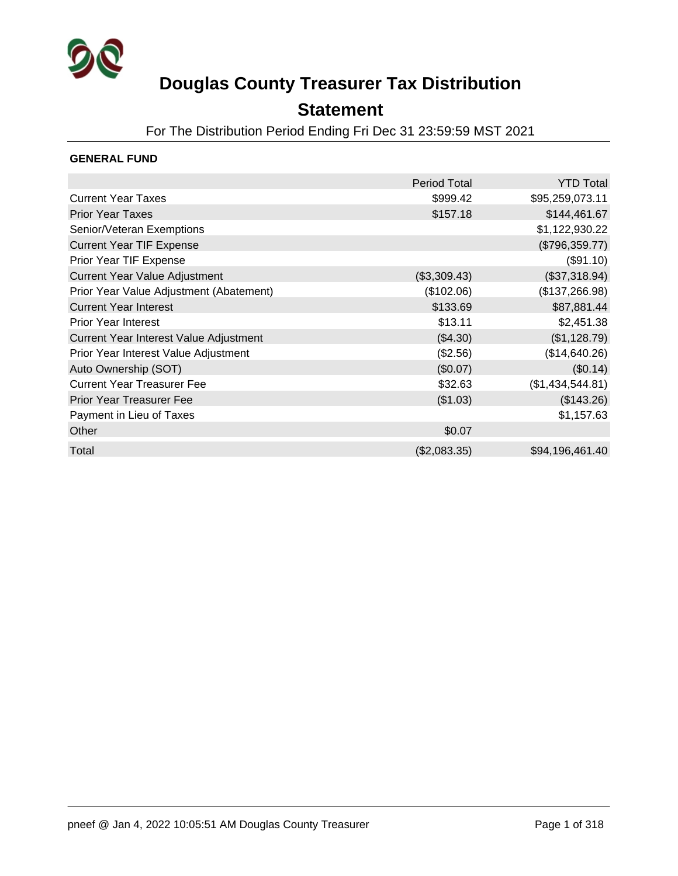

### **Statement**

For The Distribution Period Ending Fri Dec 31 23:59:59 MST 2021

### **GENERAL FUND**

|                                         | Period Total | <b>YTD Total</b> |
|-----------------------------------------|--------------|------------------|
| <b>Current Year Taxes</b>               | \$999.42     | \$95,259,073.11  |
| <b>Prior Year Taxes</b>                 | \$157.18     | \$144,461.67     |
| Senior/Veteran Exemptions               |              | \$1,122,930.22   |
| <b>Current Year TIF Expense</b>         |              | (\$796,359.77)   |
| Prior Year TIF Expense                  |              | (\$91.10)        |
| <b>Current Year Value Adjustment</b>    | (\$3,309.43) | (\$37,318.94)    |
| Prior Year Value Adjustment (Abatement) | (\$102.06)   | (\$137,266.98)   |
| <b>Current Year Interest</b>            | \$133.69     | \$87,881.44      |
| <b>Prior Year Interest</b>              | \$13.11      | \$2,451.38       |
| Current Year Interest Value Adjustment  | (\$4.30)     | (\$1,128.79)     |
| Prior Year Interest Value Adjustment    | $(\$2.56)$   | (\$14,640.26)    |
| Auto Ownership (SOT)                    | (\$0.07)     | (\$0.14)         |
| <b>Current Year Treasurer Fee</b>       | \$32.63      | (\$1,434,544.81) |
| <b>Prior Year Treasurer Fee</b>         | (\$1.03)     | (\$143.26)       |
| Payment in Lieu of Taxes                |              | \$1,157.63       |
| Other                                   | \$0.07       |                  |
| Total                                   | (\$2,083.35) | \$94,196,461.40  |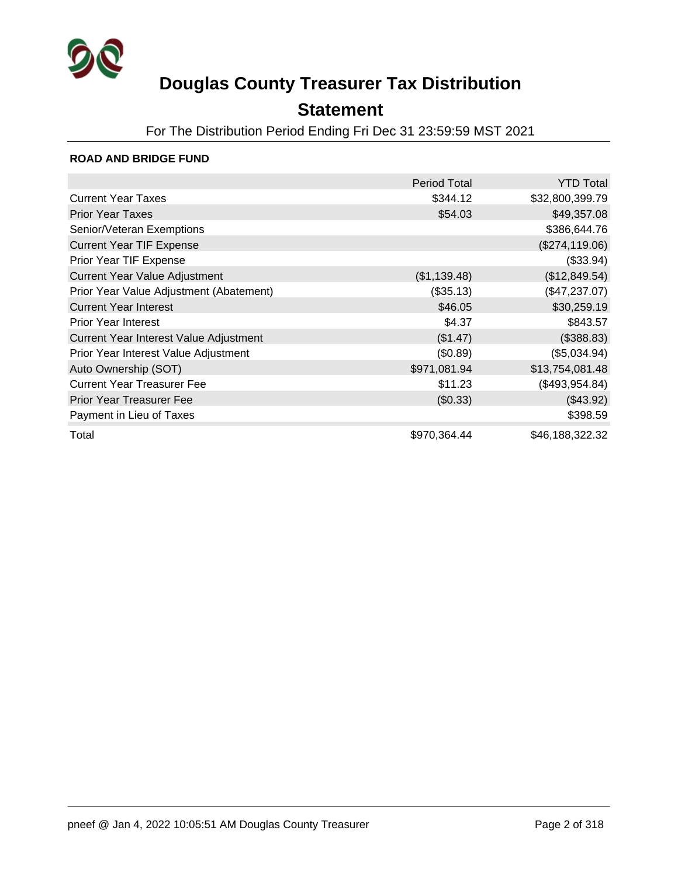

### **Statement**

For The Distribution Period Ending Fri Dec 31 23:59:59 MST 2021

#### **ROAD AND BRIDGE FUND**

|                                         | <b>Period Total</b> | <b>YTD Total</b> |
|-----------------------------------------|---------------------|------------------|
| <b>Current Year Taxes</b>               | \$344.12            | \$32,800,399.79  |
| <b>Prior Year Taxes</b>                 | \$54.03             | \$49,357.08      |
| Senior/Veteran Exemptions               |                     | \$386,644.76     |
| <b>Current Year TIF Expense</b>         |                     | (\$274,119.06)   |
| Prior Year TIF Expense                  |                     | (\$33.94)        |
| <b>Current Year Value Adjustment</b>    | (\$1,139.48)        | (\$12,849.54)    |
| Prior Year Value Adjustment (Abatement) | (\$35.13)           | (\$47,237.07)    |
| <b>Current Year Interest</b>            | \$46.05             | \$30,259.19      |
| <b>Prior Year Interest</b>              | \$4.37              | \$843.57         |
| Current Year Interest Value Adjustment  | (\$1.47)            | (\$388.83)       |
| Prior Year Interest Value Adjustment    | (\$0.89)            | (\$5,034.94)     |
| Auto Ownership (SOT)                    | \$971,081.94        | \$13,754,081.48  |
| <b>Current Year Treasurer Fee</b>       | \$11.23             | (\$493,954.84)   |
| <b>Prior Year Treasurer Fee</b>         | (\$0.33)            | (\$43.92)        |
| Payment in Lieu of Taxes                |                     | \$398.59         |
| Total                                   | \$970,364.44        | \$46,188,322.32  |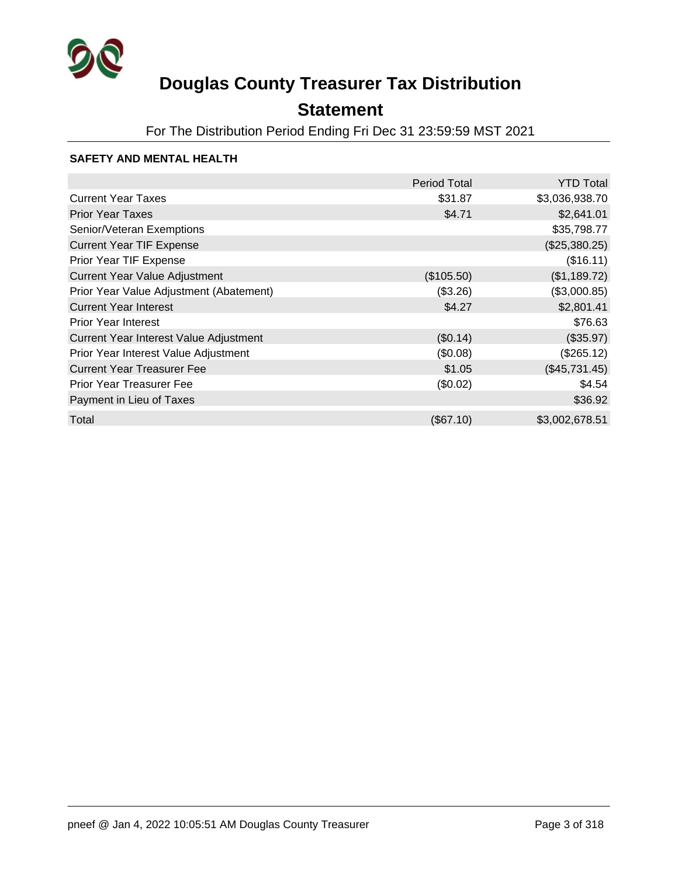

## **Statement**

For The Distribution Period Ending Fri Dec 31 23:59:59 MST 2021

### **SAFETY AND MENTAL HEALTH**

|                                         | <b>Period Total</b> | <b>YTD Total</b> |
|-----------------------------------------|---------------------|------------------|
| <b>Current Year Taxes</b>               | \$31.87             | \$3,036,938.70   |
| <b>Prior Year Taxes</b>                 | \$4.71              | \$2,641.01       |
| Senior/Veteran Exemptions               |                     | \$35,798.77      |
| <b>Current Year TIF Expense</b>         |                     | (\$25,380.25)    |
| Prior Year TIF Expense                  |                     | (\$16.11)        |
| Current Year Value Adjustment           | (\$105.50)          | (\$1,189.72)     |
| Prior Year Value Adjustment (Abatement) | (\$3.26)            | (\$3,000.85)     |
| <b>Current Year Interest</b>            | \$4.27              | \$2,801.41       |
| <b>Prior Year Interest</b>              |                     | \$76.63          |
| Current Year Interest Value Adjustment  | (\$0.14)            | (\$35.97)        |
| Prior Year Interest Value Adjustment    | (\$0.08)            | (\$265.12)       |
| <b>Current Year Treasurer Fee</b>       | \$1.05              | (\$45,731.45)    |
| <b>Prior Year Treasurer Fee</b>         | (\$0.02)            | \$4.54           |
| Payment in Lieu of Taxes                |                     | \$36.92          |
| Total                                   | (\$67.10)           | \$3,002,678.51   |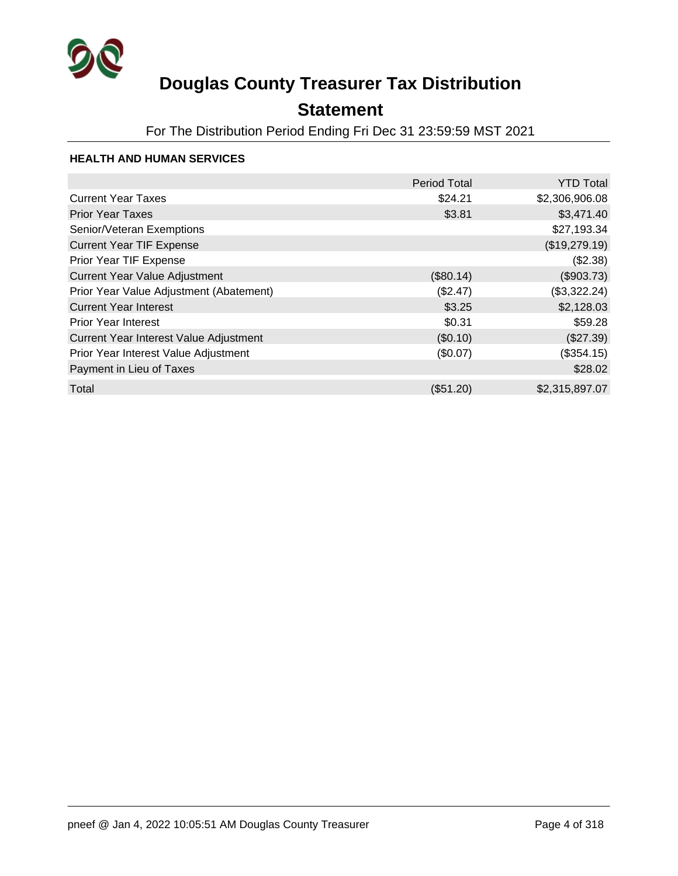

## **Statement**

For The Distribution Period Ending Fri Dec 31 23:59:59 MST 2021

#### **HEALTH AND HUMAN SERVICES**

|                                         | <b>Period Total</b> | <b>YTD Total</b> |
|-----------------------------------------|---------------------|------------------|
| <b>Current Year Taxes</b>               | \$24.21             | \$2,306,906.08   |
| <b>Prior Year Taxes</b>                 | \$3.81              | \$3,471.40       |
| Senior/Veteran Exemptions               |                     | \$27,193.34      |
| <b>Current Year TIF Expense</b>         |                     | (\$19,279.19)    |
| Prior Year TIF Expense                  |                     | (\$2.38)         |
| <b>Current Year Value Adjustment</b>    | (\$80.14)           | (\$903.73)       |
| Prior Year Value Adjustment (Abatement) | (\$2.47)            | (\$3,322.24)     |
| <b>Current Year Interest</b>            | \$3.25              | \$2,128.03       |
| <b>Prior Year Interest</b>              | \$0.31              | \$59.28          |
| Current Year Interest Value Adjustment  | (\$0.10)            | (\$27.39)        |
| Prior Year Interest Value Adjustment    | (\$0.07)            | (\$354.15)       |
| Payment in Lieu of Taxes                |                     | \$28.02          |
| Total                                   | (\$51.20)           | \$2,315,897.07   |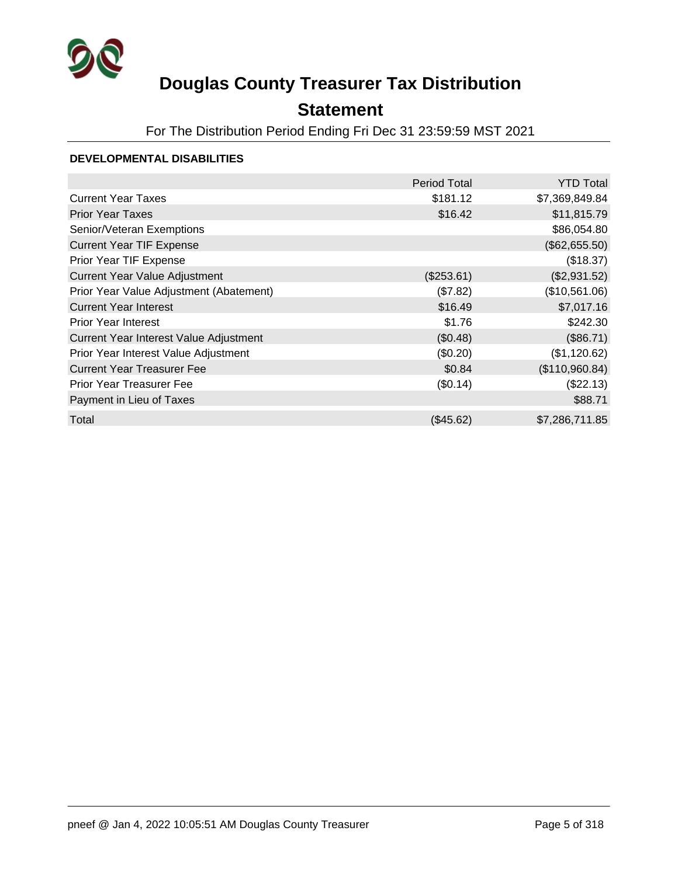

## **Statement**

For The Distribution Period Ending Fri Dec 31 23:59:59 MST 2021

#### **DEVELOPMENTAL DISABILITIES**

|                                         | <b>Period Total</b> | <b>YTD Total</b> |
|-----------------------------------------|---------------------|------------------|
| <b>Current Year Taxes</b>               | \$181.12            | \$7,369,849.84   |
| <b>Prior Year Taxes</b>                 | \$16.42             | \$11,815.79      |
| Senior/Veteran Exemptions               |                     | \$86,054.80      |
| <b>Current Year TIF Expense</b>         |                     | (\$62,655.50)    |
| Prior Year TIF Expense                  |                     | (\$18.37)        |
| <b>Current Year Value Adjustment</b>    | (\$253.61)          | (\$2,931.52)     |
| Prior Year Value Adjustment (Abatement) | (\$7.82)            | (\$10,561.06)    |
| <b>Current Year Interest</b>            | \$16.49             | \$7,017.16       |
| <b>Prior Year Interest</b>              | \$1.76              | \$242.30         |
| Current Year Interest Value Adjustment  | (\$0.48)            | (\$86.71)        |
| Prior Year Interest Value Adjustment    | (\$0.20)            | (\$1,120.62)     |
| <b>Current Year Treasurer Fee</b>       | \$0.84              | (\$110,960.84)   |
| <b>Prior Year Treasurer Fee</b>         | (\$0.14)            | (\$22.13)        |
| Payment in Lieu of Taxes                |                     | \$88.71          |
| Total                                   | $(\$45.62)$         | \$7,286,711.85   |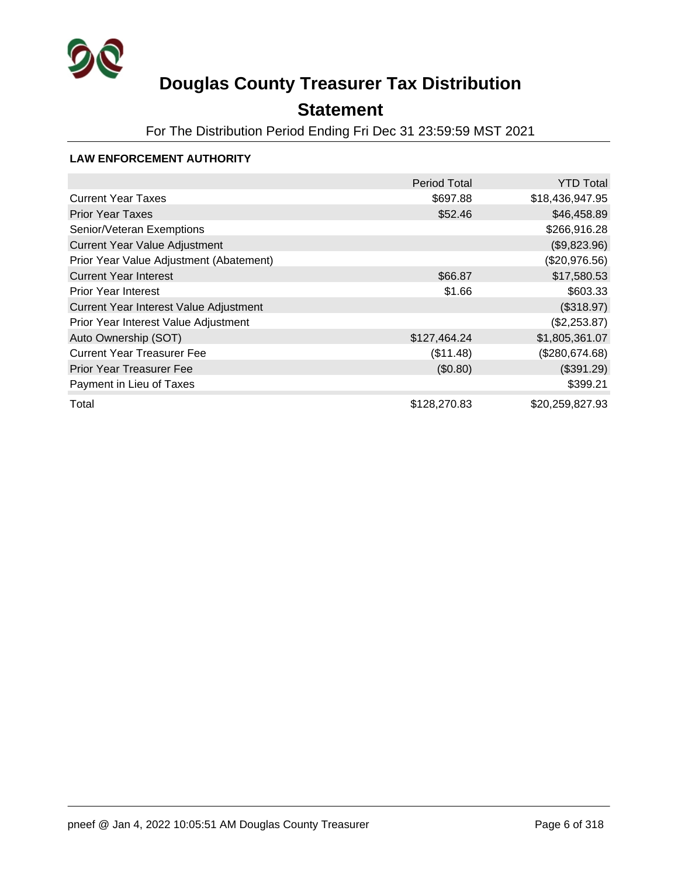

## **Statement**

For The Distribution Period Ending Fri Dec 31 23:59:59 MST 2021

### **LAW ENFORCEMENT AUTHORITY**

|                                         | <b>Period Total</b> | <b>YTD Total</b> |
|-----------------------------------------|---------------------|------------------|
| <b>Current Year Taxes</b>               | \$697.88            | \$18,436,947.95  |
| <b>Prior Year Taxes</b>                 | \$52.46             | \$46,458.89      |
| Senior/Veteran Exemptions               |                     | \$266,916.28     |
| Current Year Value Adjustment           |                     | (\$9,823.96)     |
| Prior Year Value Adjustment (Abatement) |                     | (\$20,976.56)    |
| <b>Current Year Interest</b>            | \$66.87             | \$17,580.53      |
| <b>Prior Year Interest</b>              | \$1.66              | \$603.33         |
| Current Year Interest Value Adjustment  |                     | (\$318.97)       |
| Prior Year Interest Value Adjustment    |                     | (\$2,253.87)     |
| Auto Ownership (SOT)                    | \$127,464.24        | \$1,805,361.07   |
| <b>Current Year Treasurer Fee</b>       | (\$11.48)           | (\$280,674.68)   |
| <b>Prior Year Treasurer Fee</b>         | (\$0.80)            | (\$391.29)       |
| Payment in Lieu of Taxes                |                     | \$399.21         |
| Total                                   | \$128,270.83        | \$20,259,827.93  |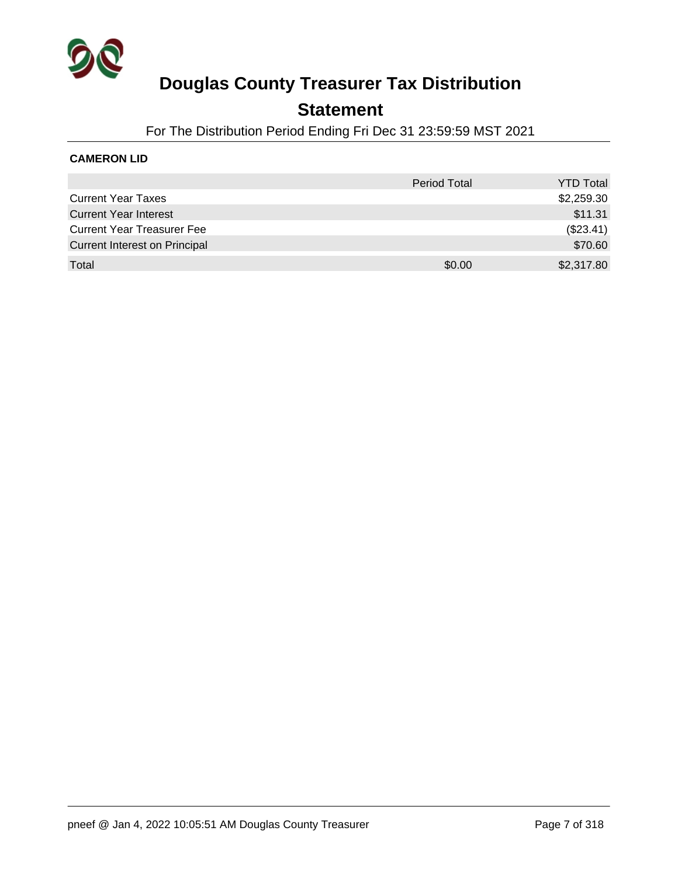

### **Statement**

For The Distribution Period Ending Fri Dec 31 23:59:59 MST 2021

### **CAMERON LID**

|                                      | <b>Period Total</b> | <b>YTD Total</b> |
|--------------------------------------|---------------------|------------------|
| <b>Current Year Taxes</b>            |                     | \$2,259.30       |
| <b>Current Year Interest</b>         |                     | \$11.31          |
| <b>Current Year Treasurer Fee</b>    |                     | (\$23.41)        |
| <b>Current Interest on Principal</b> |                     | \$70.60          |
| Total                                | \$0.00              | \$2,317.80       |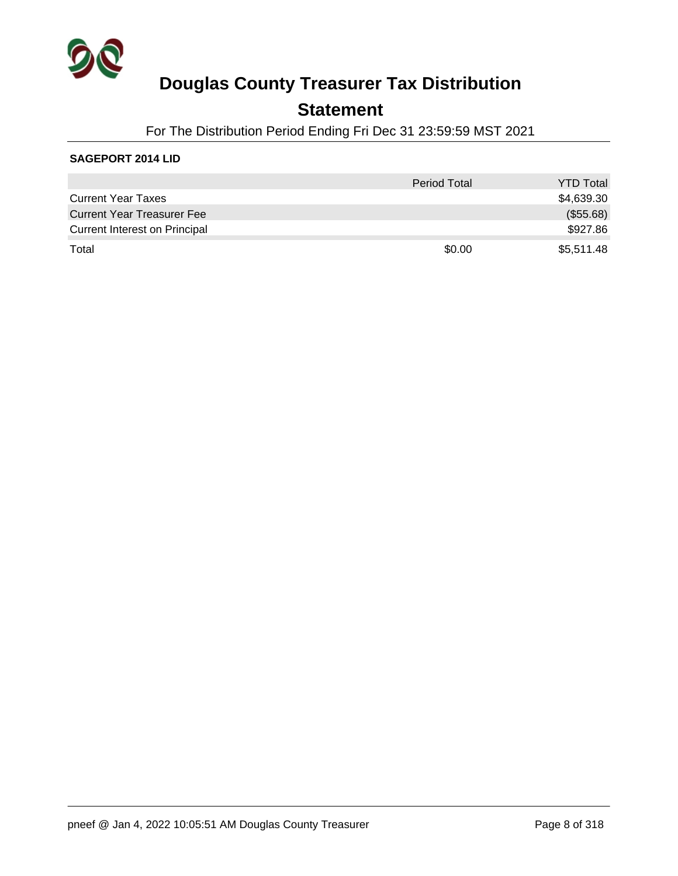

### **Statement**

For The Distribution Period Ending Fri Dec 31 23:59:59 MST 2021

#### **SAGEPORT 2014 LID**

|                                      | <b>Period Total</b> | <b>YTD Total</b> |
|--------------------------------------|---------------------|------------------|
| <b>Current Year Taxes</b>            |                     | \$4,639.30       |
| <b>Current Year Treasurer Fee</b>    |                     | (\$55.68)        |
| <b>Current Interest on Principal</b> |                     | \$927.86         |
| Total                                | \$0.00              | \$5,511.48       |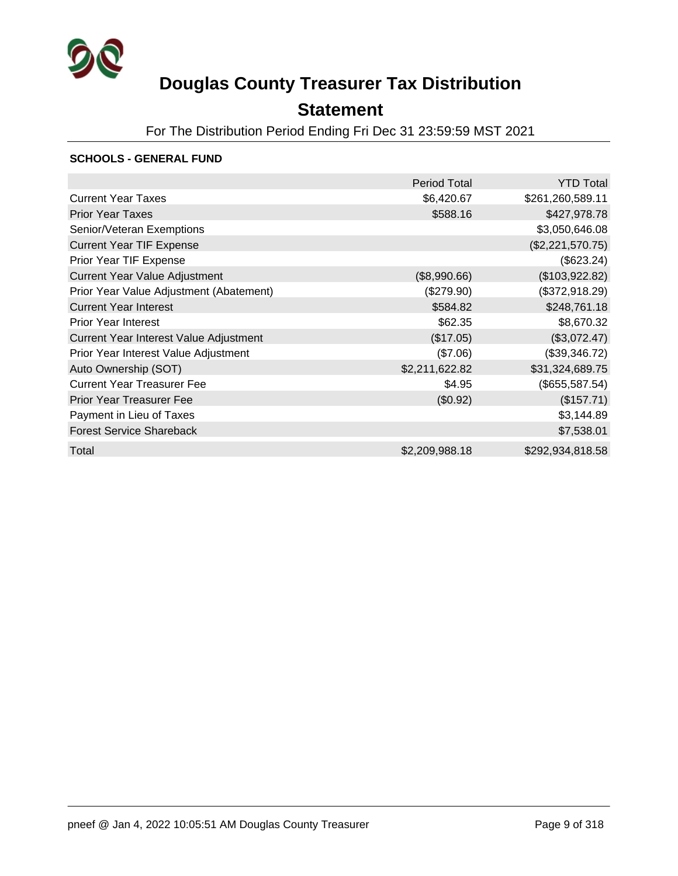

## **Statement**

For The Distribution Period Ending Fri Dec 31 23:59:59 MST 2021

#### **SCHOOLS - GENERAL FUND**

|                                         | Period Total   | <b>YTD Total</b> |
|-----------------------------------------|----------------|------------------|
| <b>Current Year Taxes</b>               | \$6,420.67     | \$261,260,589.11 |
| <b>Prior Year Taxes</b>                 | \$588.16       | \$427,978.78     |
| Senior/Veteran Exemptions               |                | \$3,050,646.08   |
| <b>Current Year TIF Expense</b>         |                | (\$2,221,570.75) |
| Prior Year TIF Expense                  |                | (\$623.24)       |
| <b>Current Year Value Adjustment</b>    | (\$8,990.66)   | (\$103,922.82)   |
| Prior Year Value Adjustment (Abatement) | (\$279.90)     | (\$372,918.29)   |
| <b>Current Year Interest</b>            | \$584.82       | \$248,761.18     |
| <b>Prior Year Interest</b>              | \$62.35        | \$8,670.32       |
| Current Year Interest Value Adjustment  | (\$17.05)      | (\$3,072.47)     |
| Prior Year Interest Value Adjustment    | (\$7.06)       | (\$39,346.72)    |
| Auto Ownership (SOT)                    | \$2,211,622.82 | \$31,324,689.75  |
| <b>Current Year Treasurer Fee</b>       | \$4.95         | (\$655,587.54)   |
| <b>Prior Year Treasurer Fee</b>         | (\$0.92)       | (\$157.71)       |
| Payment in Lieu of Taxes                |                | \$3,144.89       |
| <b>Forest Service Shareback</b>         |                | \$7,538.01       |
| Total                                   | \$2,209,988.18 | \$292,934,818.58 |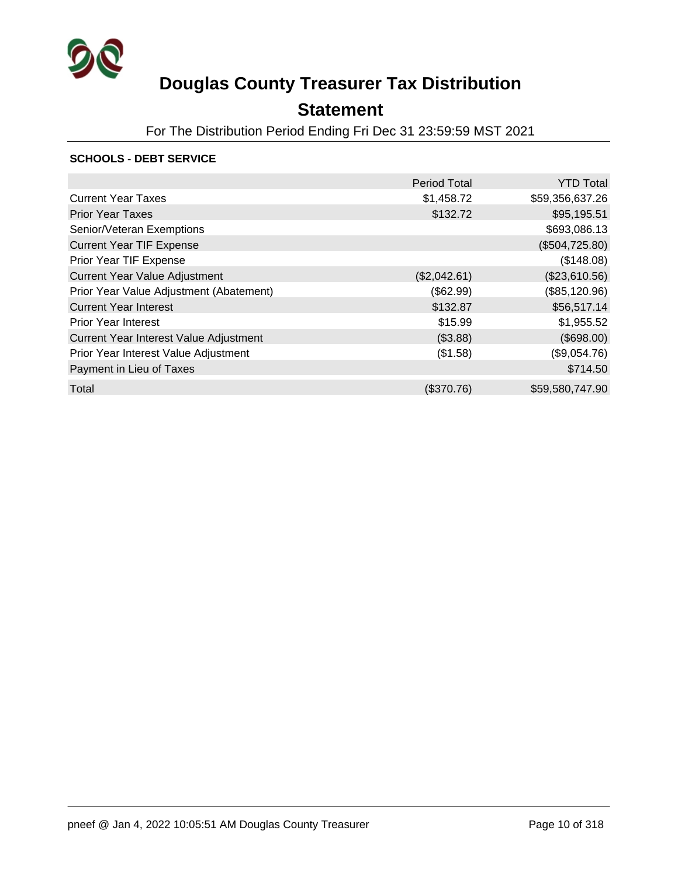

## **Statement**

For The Distribution Period Ending Fri Dec 31 23:59:59 MST 2021

#### **SCHOOLS - DEBT SERVICE**

|                                         | <b>Period Total</b> | <b>YTD Total</b> |
|-----------------------------------------|---------------------|------------------|
| <b>Current Year Taxes</b>               | \$1,458.72          | \$59,356,637.26  |
| <b>Prior Year Taxes</b>                 | \$132.72            | \$95,195.51      |
| Senior/Veteran Exemptions               |                     | \$693,086.13     |
| <b>Current Year TIF Expense</b>         |                     | (\$504,725.80)   |
| Prior Year TIF Expense                  |                     | (\$148.08)       |
| <b>Current Year Value Adjustment</b>    | (\$2,042.61)        | (\$23,610.56)    |
| Prior Year Value Adjustment (Abatement) | (\$62.99)           | (\$85,120.96)    |
| <b>Current Year Interest</b>            | \$132.87            | \$56,517.14      |
| <b>Prior Year Interest</b>              | \$15.99             | \$1,955.52       |
| Current Year Interest Value Adjustment  | (\$3.88)            | (\$698.00)       |
| Prior Year Interest Value Adjustment    | (\$1.58)            | (\$9,054.76)     |
| Payment in Lieu of Taxes                |                     | \$714.50         |
| Total                                   | (\$370.76)          | \$59,580,747.90  |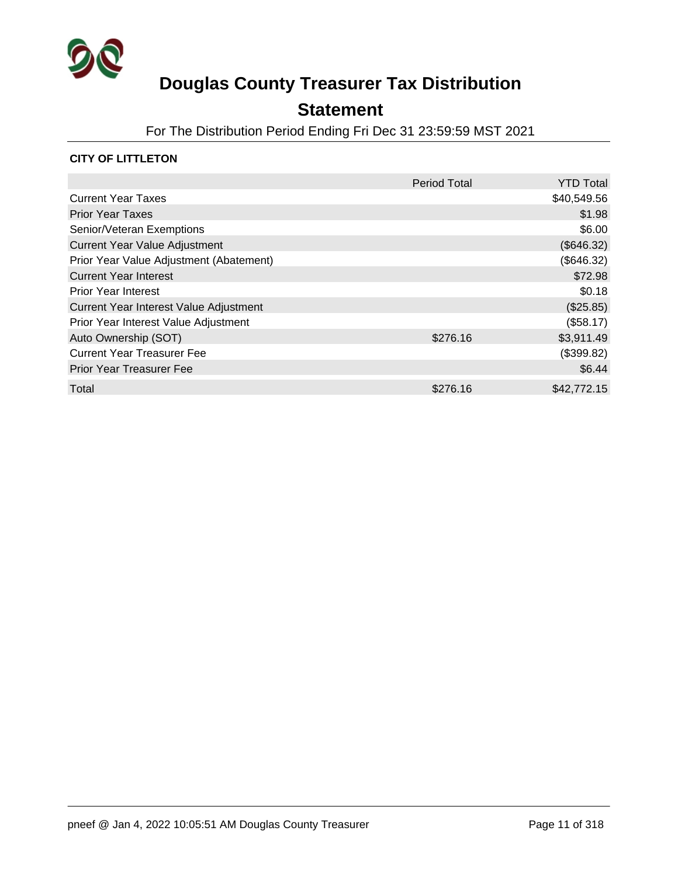

## **Statement**

For The Distribution Period Ending Fri Dec 31 23:59:59 MST 2021

### **CITY OF LITTLETON**

|                                         | <b>Period Total</b> | <b>YTD Total</b> |
|-----------------------------------------|---------------------|------------------|
| <b>Current Year Taxes</b>               |                     | \$40,549.56      |
| <b>Prior Year Taxes</b>                 |                     | \$1.98           |
| Senior/Veteran Exemptions               |                     | \$6.00           |
| <b>Current Year Value Adjustment</b>    |                     | (\$646.32)       |
| Prior Year Value Adjustment (Abatement) |                     | (\$646.32)       |
| <b>Current Year Interest</b>            |                     | \$72.98          |
| <b>Prior Year Interest</b>              |                     | \$0.18           |
| Current Year Interest Value Adjustment  |                     | (\$25.85)        |
| Prior Year Interest Value Adjustment    |                     | (\$58.17)        |
| Auto Ownership (SOT)                    | \$276.16            | \$3,911.49       |
| <b>Current Year Treasurer Fee</b>       |                     | (\$399.82)       |
| <b>Prior Year Treasurer Fee</b>         |                     | \$6.44           |
| Total                                   | \$276.16            | \$42,772.15      |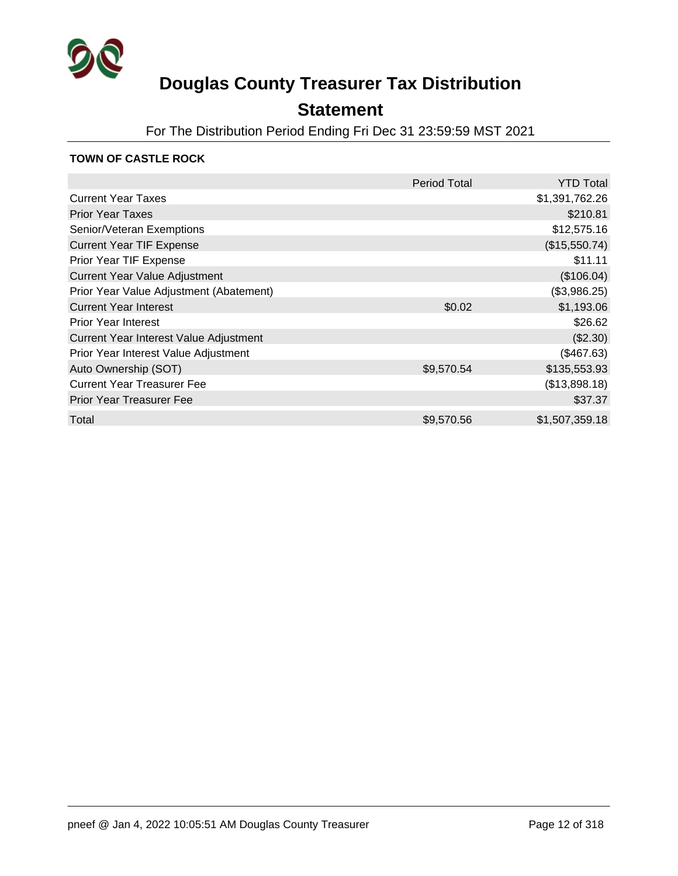

## **Statement**

For The Distribution Period Ending Fri Dec 31 23:59:59 MST 2021

#### **TOWN OF CASTLE ROCK**

|                                         | <b>Period Total</b> | <b>YTD Total</b> |
|-----------------------------------------|---------------------|------------------|
| <b>Current Year Taxes</b>               |                     | \$1,391,762.26   |
| <b>Prior Year Taxes</b>                 |                     | \$210.81         |
| Senior/Veteran Exemptions               |                     | \$12,575.16      |
| <b>Current Year TIF Expense</b>         |                     | (\$15,550.74)    |
| Prior Year TIF Expense                  |                     | \$11.11          |
| Current Year Value Adjustment           |                     | (\$106.04)       |
| Prior Year Value Adjustment (Abatement) |                     | (\$3,986.25)     |
| <b>Current Year Interest</b>            | \$0.02              | \$1,193.06       |
| <b>Prior Year Interest</b>              |                     | \$26.62          |
| Current Year Interest Value Adjustment  |                     | (\$2.30)         |
| Prior Year Interest Value Adjustment    |                     | (\$467.63)       |
| Auto Ownership (SOT)                    | \$9,570.54          | \$135,553.93     |
| <b>Current Year Treasurer Fee</b>       |                     | (\$13,898.18)    |
| <b>Prior Year Treasurer Fee</b>         |                     | \$37.37          |
| Total                                   | \$9,570.56          | \$1,507,359.18   |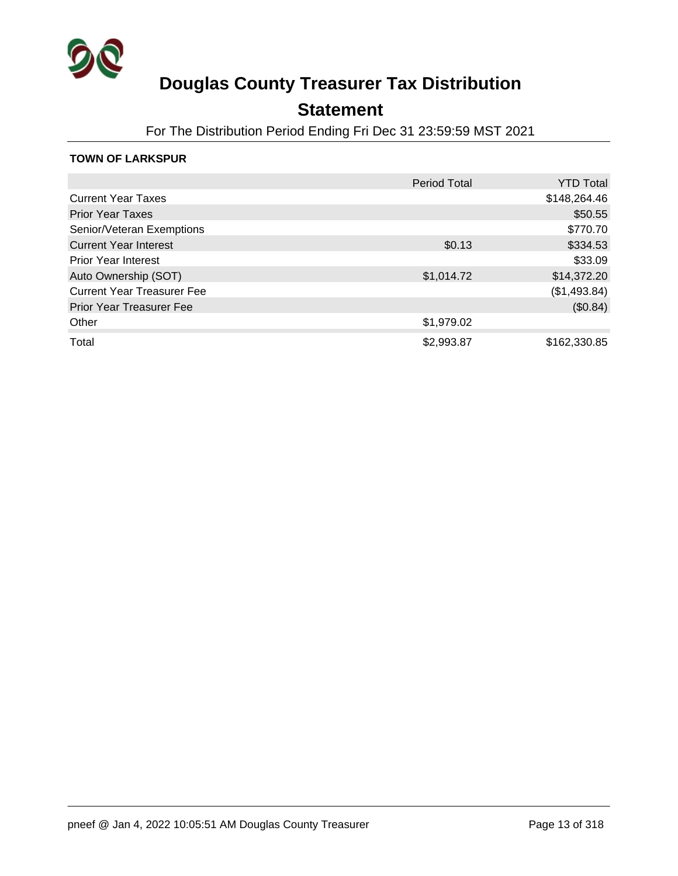

### **Statement**

For The Distribution Period Ending Fri Dec 31 23:59:59 MST 2021

#### **TOWN OF LARKSPUR**

|                                   | <b>Period Total</b> | <b>YTD Total</b> |
|-----------------------------------|---------------------|------------------|
| <b>Current Year Taxes</b>         |                     | \$148,264.46     |
| <b>Prior Year Taxes</b>           |                     | \$50.55          |
| Senior/Veteran Exemptions         |                     | \$770.70         |
| <b>Current Year Interest</b>      | \$0.13              | \$334.53         |
| <b>Prior Year Interest</b>        |                     | \$33.09          |
| Auto Ownership (SOT)              | \$1,014.72          | \$14,372.20      |
| <b>Current Year Treasurer Fee</b> |                     | (\$1,493.84)     |
| <b>Prior Year Treasurer Fee</b>   |                     | (\$0.84)         |
| Other                             | \$1,979.02          |                  |
| Total                             | \$2,993.87          | \$162,330.85     |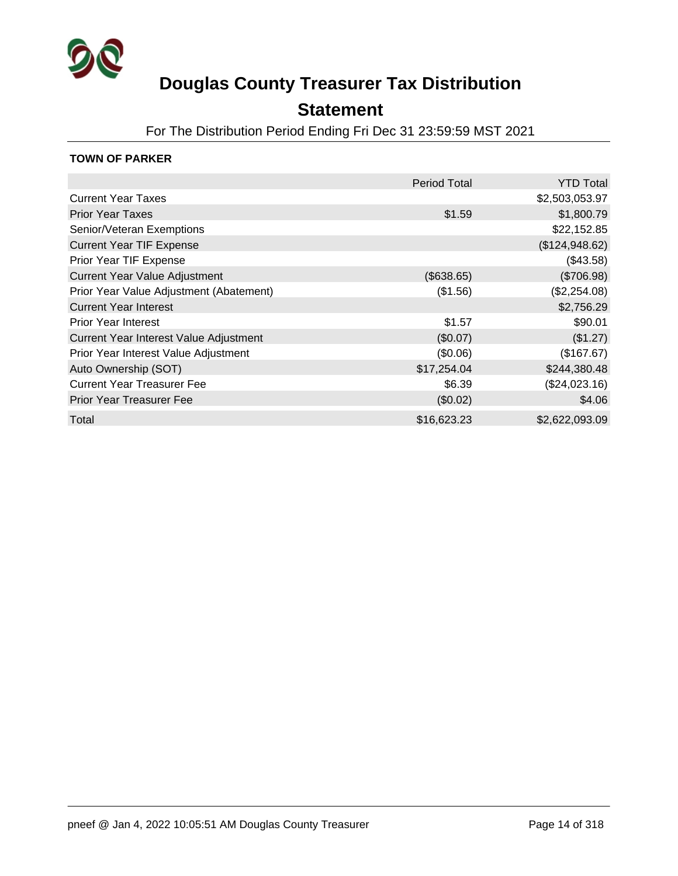

### **Statement**

For The Distribution Period Ending Fri Dec 31 23:59:59 MST 2021

#### **TOWN OF PARKER**

|                                         | <b>Period Total</b> | <b>YTD Total</b> |
|-----------------------------------------|---------------------|------------------|
| <b>Current Year Taxes</b>               |                     | \$2,503,053.97   |
| <b>Prior Year Taxes</b>                 | \$1.59              | \$1,800.79       |
| Senior/Veteran Exemptions               |                     | \$22,152.85      |
| <b>Current Year TIF Expense</b>         |                     | (\$124,948.62)   |
| Prior Year TIF Expense                  |                     | (\$43.58)        |
| <b>Current Year Value Adjustment</b>    | (\$638.65)          | (\$706.98)       |
| Prior Year Value Adjustment (Abatement) | (\$1.56)            | (\$2,254.08)     |
| <b>Current Year Interest</b>            |                     | \$2,756.29       |
| <b>Prior Year Interest</b>              | \$1.57              | \$90.01          |
| Current Year Interest Value Adjustment  | (\$0.07)            | (\$1.27)         |
| Prior Year Interest Value Adjustment    | (\$0.06)            | (\$167.67)       |
| Auto Ownership (SOT)                    | \$17,254.04         | \$244,380.48     |
| <b>Current Year Treasurer Fee</b>       | \$6.39              | (\$24,023.16)    |
| <b>Prior Year Treasurer Fee</b>         | (\$0.02)            | \$4.06           |
| Total                                   | \$16,623.23         | \$2,622,093.09   |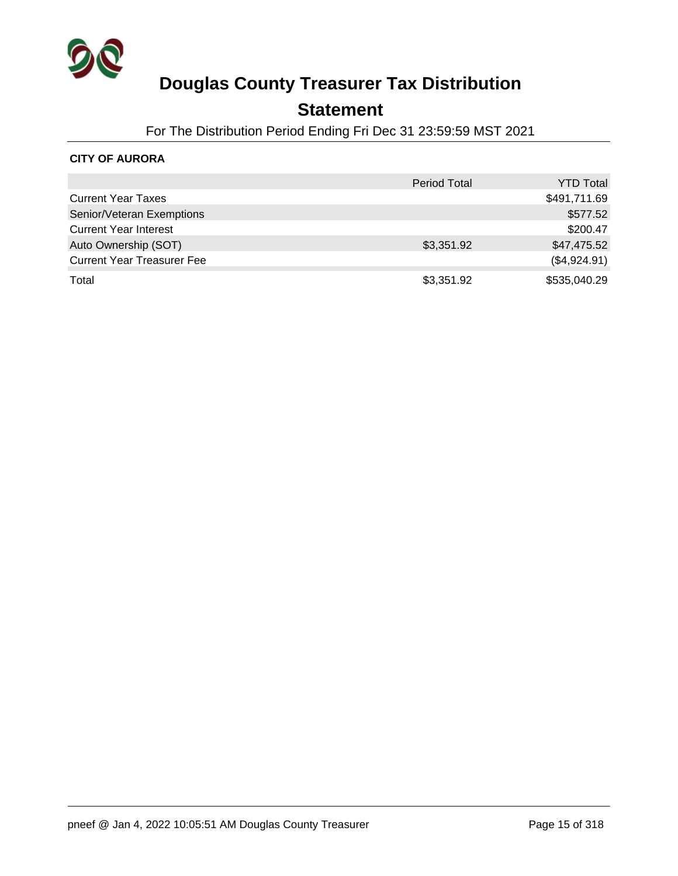

### **Statement**

For The Distribution Period Ending Fri Dec 31 23:59:59 MST 2021

### **CITY OF AURORA**

|                                   | <b>Period Total</b> | <b>YTD Total</b> |
|-----------------------------------|---------------------|------------------|
| <b>Current Year Taxes</b>         |                     | \$491,711.69     |
| Senior/Veteran Exemptions         |                     | \$577.52         |
| <b>Current Year Interest</b>      |                     | \$200.47         |
| Auto Ownership (SOT)              | \$3,351.92          | \$47,475.52      |
| <b>Current Year Treasurer Fee</b> |                     | (\$4,924.91)     |
| Total                             | \$3,351.92          | \$535,040.29     |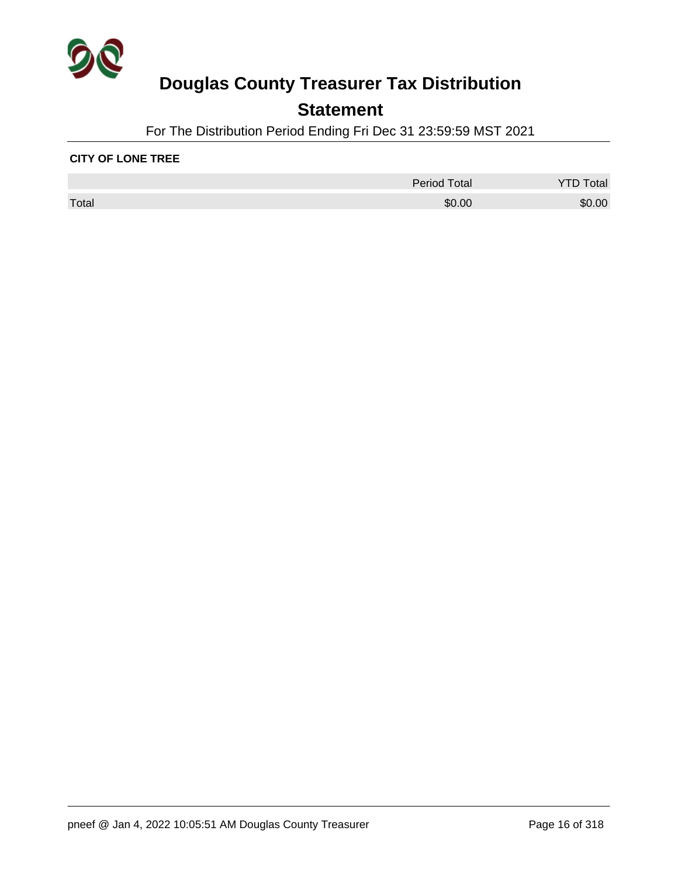

## **Statement**

For The Distribution Period Ending Fri Dec 31 23:59:59 MST 2021

#### **CITY OF LONE TREE**

|       | <b>Period Total</b> | Гоtal  |
|-------|---------------------|--------|
| Total | \$0.00              | \$0.00 |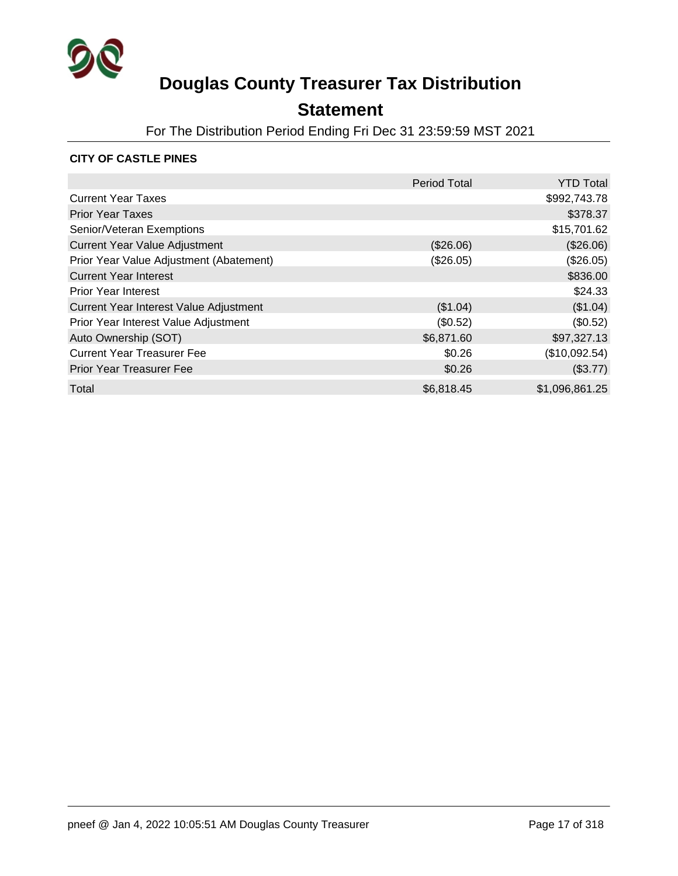

## **Statement**

For The Distribution Period Ending Fri Dec 31 23:59:59 MST 2021

### **CITY OF CASTLE PINES**

|                                         | <b>Period Total</b> | <b>YTD Total</b> |
|-----------------------------------------|---------------------|------------------|
| <b>Current Year Taxes</b>               |                     | \$992,743.78     |
| <b>Prior Year Taxes</b>                 |                     | \$378.37         |
| Senior/Veteran Exemptions               |                     | \$15,701.62      |
| <b>Current Year Value Adjustment</b>    | (\$26.06)           | (\$26.06)        |
| Prior Year Value Adjustment (Abatement) | (\$26.05)           | (\$26.05)        |
| <b>Current Year Interest</b>            |                     | \$836.00         |
| <b>Prior Year Interest</b>              |                     | \$24.33          |
| Current Year Interest Value Adjustment  | (\$1.04)            | (\$1.04)         |
| Prior Year Interest Value Adjustment    | (\$0.52)            | (\$0.52)         |
| Auto Ownership (SOT)                    | \$6,871.60          | \$97,327.13      |
| <b>Current Year Treasurer Fee</b>       | \$0.26              | (\$10,092.54)    |
| <b>Prior Year Treasurer Fee</b>         | \$0.26              | (\$3.77)         |
| Total                                   | \$6,818.45          | \$1,096,861.25   |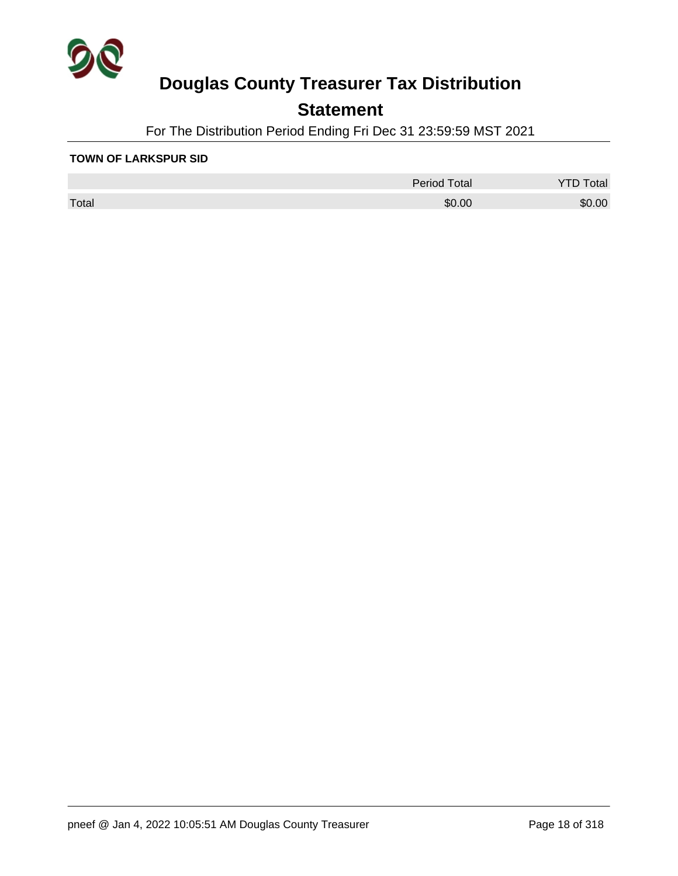

## **Statement**

For The Distribution Period Ending Fri Dec 31 23:59:59 MST 2021

#### **TOWN OF LARKSPUR SID**

|       | <b>Period Total</b> | otal   |
|-------|---------------------|--------|
| Total | \$0.00              | \$0.00 |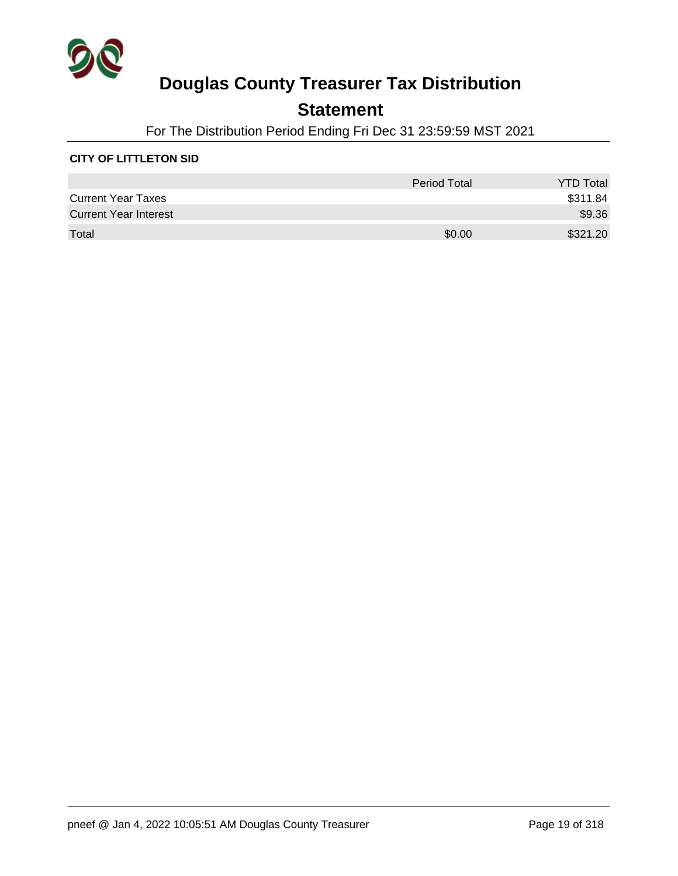

## **Statement**

For The Distribution Period Ending Fri Dec 31 23:59:59 MST 2021

### **CITY OF LITTLETON SID**

|                              | <b>Period Total</b> | <b>YTD Total</b> |
|------------------------------|---------------------|------------------|
| <b>Current Year Taxes</b>    |                     | \$311.84         |
| <b>Current Year Interest</b> |                     | \$9.36           |
| Total                        | \$0.00              | \$321.20         |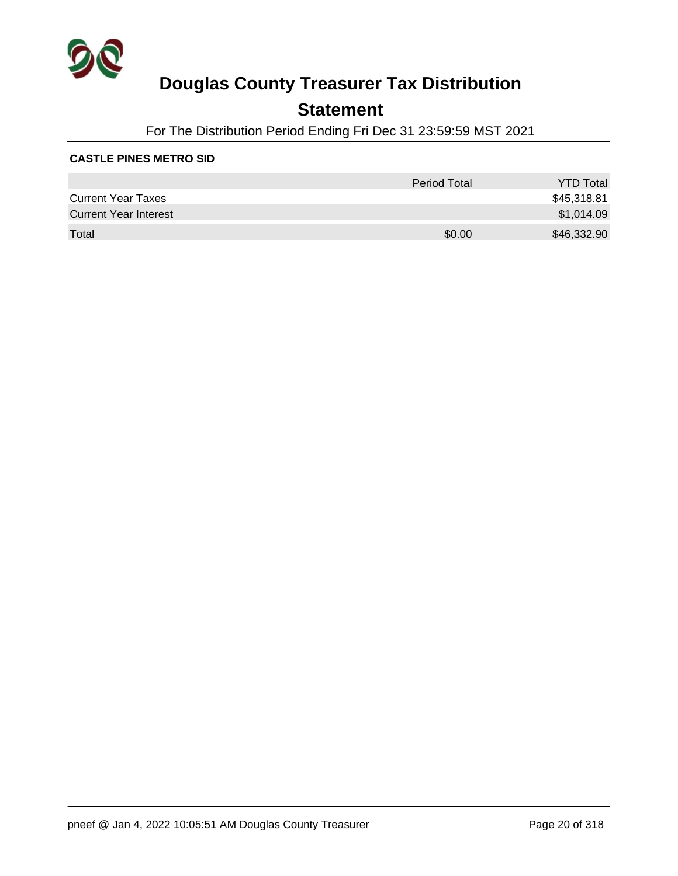

## **Statement**

For The Distribution Period Ending Fri Dec 31 23:59:59 MST 2021

#### **CASTLE PINES METRO SID**

|                              | Period Total | <b>YTD Total</b> |
|------------------------------|--------------|------------------|
| <b>Current Year Taxes</b>    |              | \$45,318.81      |
| <b>Current Year Interest</b> |              | \$1,014.09       |
| Total                        | \$0.00       | \$46,332.90      |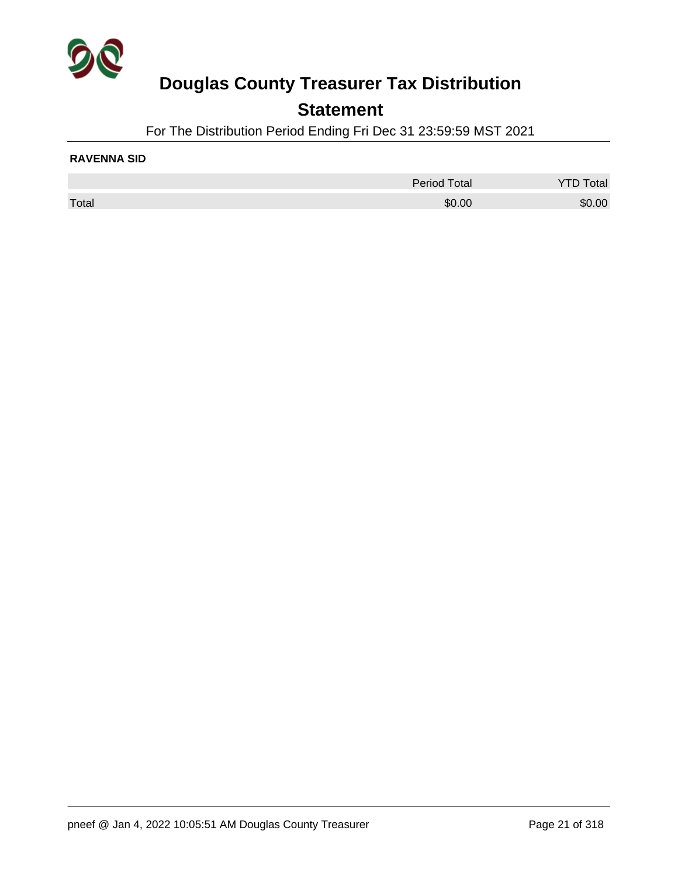

### **Statement**

For The Distribution Period Ending Fri Dec 31 23:59:59 MST 2021

#### **RAVENNA SID**

|       | <b>Period Total</b> | Total  |
|-------|---------------------|--------|
| Total | \$0.00              | \$0.00 |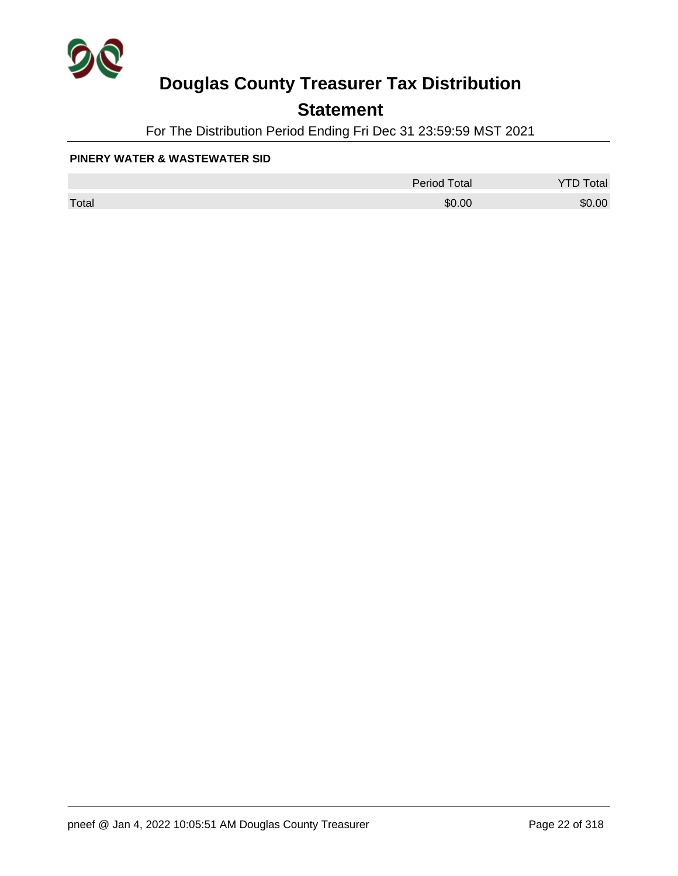

## **Statement**

For The Distribution Period Ending Fri Dec 31 23:59:59 MST 2021

#### **PINERY WATER & WASTEWATER SID**

|       | <b>Period Total</b> | otal<br>້ |
|-------|---------------------|-----------|
| Total | \$0.00              | \$0.00    |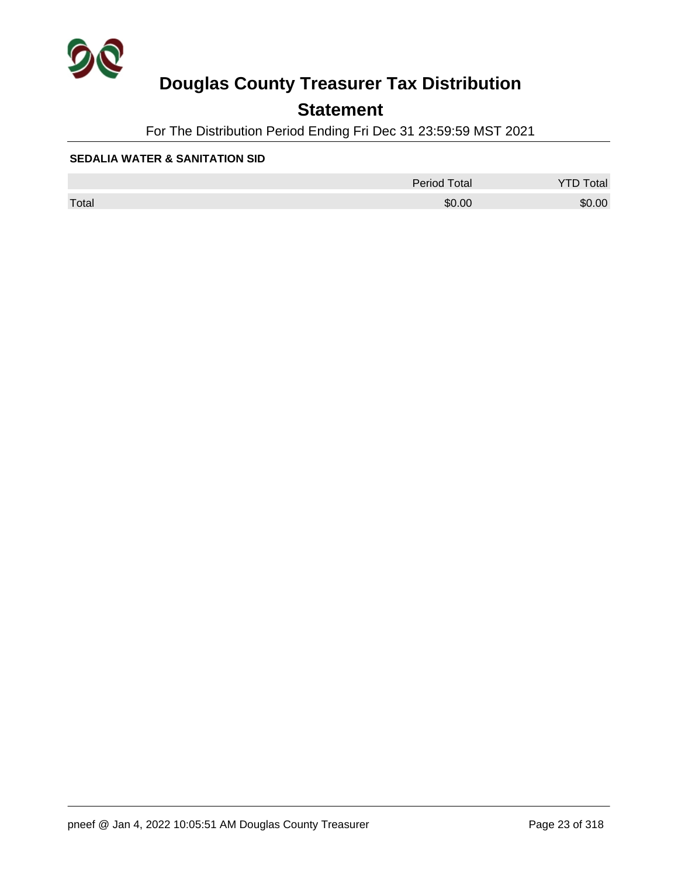

## **Statement**

For The Distribution Period Ending Fri Dec 31 23:59:59 MST 2021

#### **SEDALIA WATER & SANITATION SID**

|       | <b>Period Total</b> | otal   |
|-------|---------------------|--------|
| Total | \$0.00              | \$0.00 |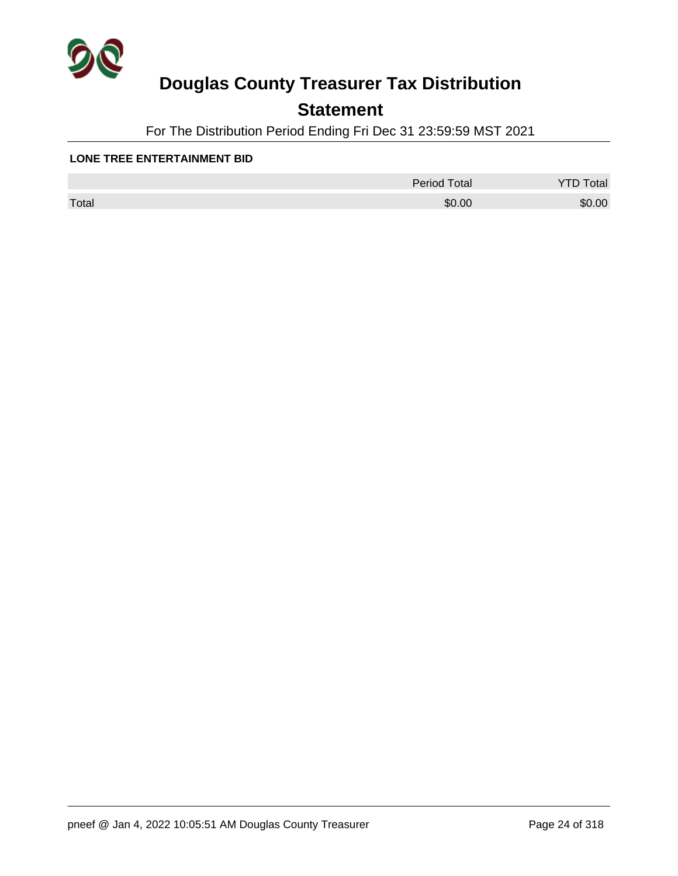

## **Statement**

For The Distribution Period Ending Fri Dec 31 23:59:59 MST 2021

#### **LONE TREE ENTERTAINMENT BID**

|       | Period Total | otal<br>◡ |
|-------|--------------|-----------|
| Total | \$0.00       | \$0.00    |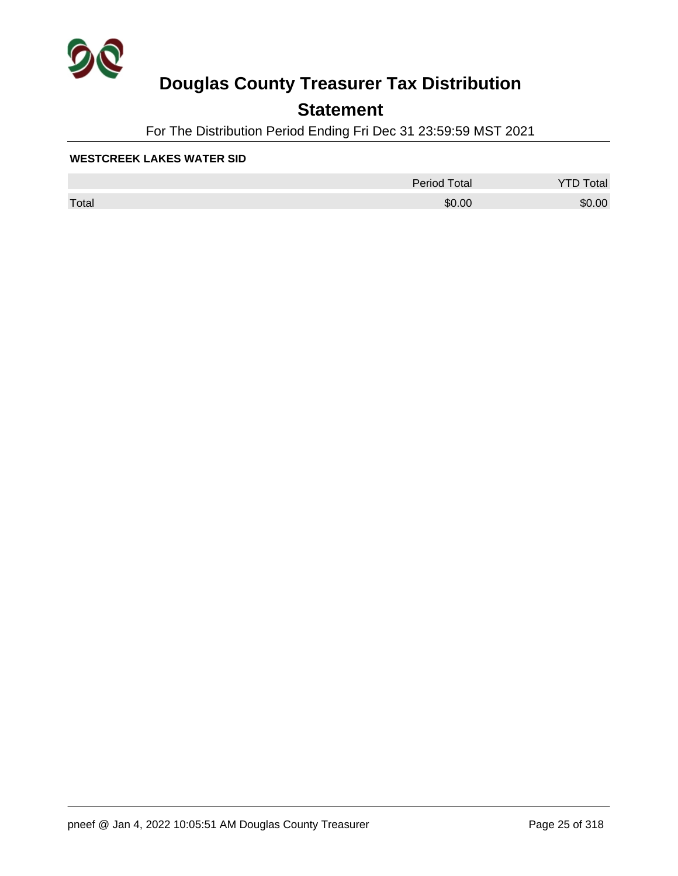

## **Statement**

For The Distribution Period Ending Fri Dec 31 23:59:59 MST 2021

#### **WESTCREEK LAKES WATER SID**

|       | Period Total | otal<br>◡ |
|-------|--------------|-----------|
| Total | \$0.00       | \$0.00    |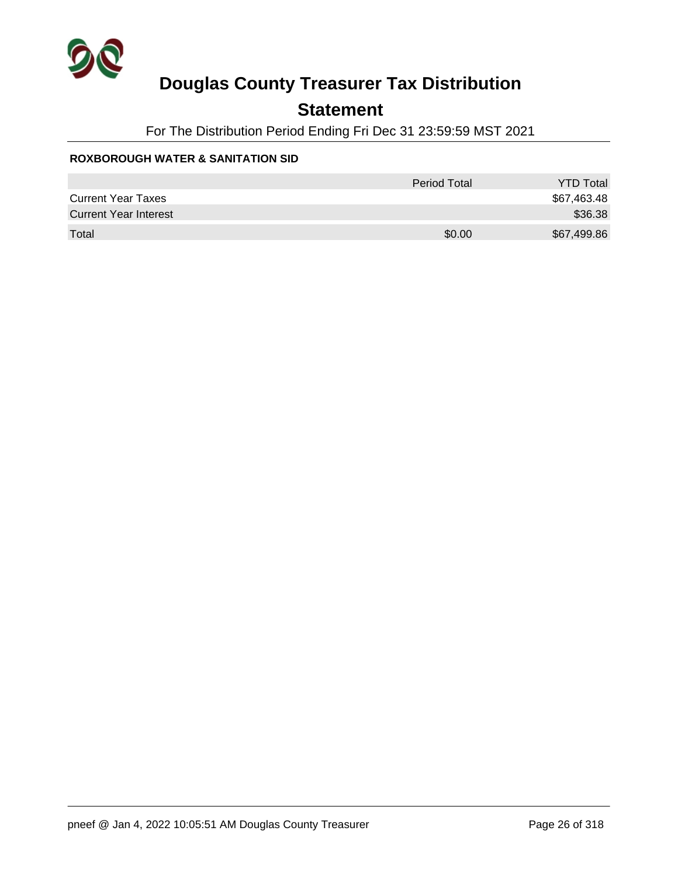

## **Statement**

For The Distribution Period Ending Fri Dec 31 23:59:59 MST 2021

### **ROXBOROUGH WATER & SANITATION SID**

|                              | Period Total | <b>YTD Total</b> |
|------------------------------|--------------|------------------|
| <b>Current Year Taxes</b>    |              | \$67,463.48      |
| <b>Current Year Interest</b> |              | \$36.38          |
| Total                        | \$0.00       | \$67,499.86      |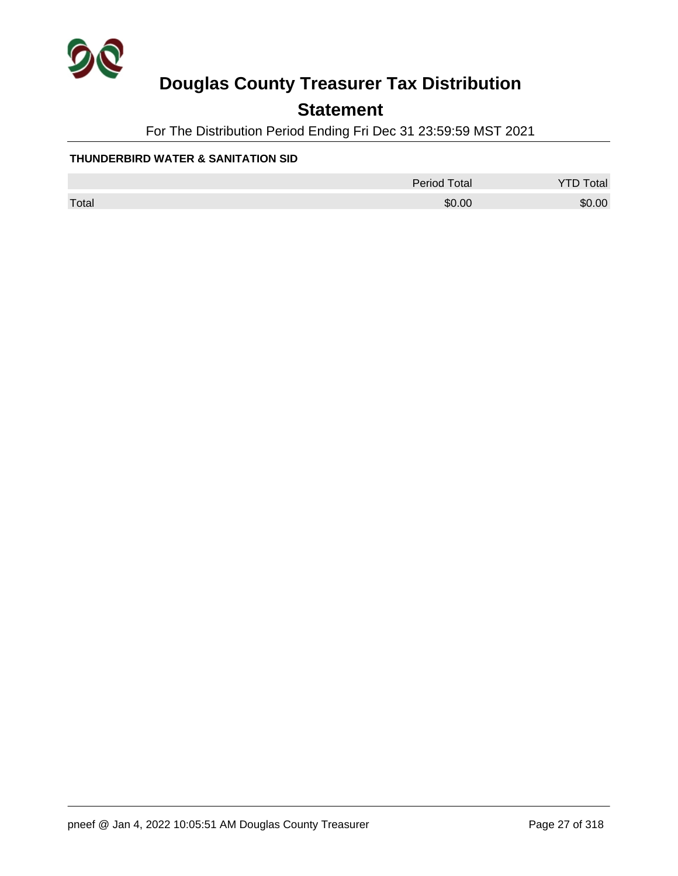

## **Statement**

For The Distribution Period Ending Fri Dec 31 23:59:59 MST 2021

### **THUNDERBIRD WATER & SANITATION SID**

|       | <b>Period Total</b> | otal<br><u>.</u> |
|-------|---------------------|------------------|
| Total | \$0.00              | \$0.00           |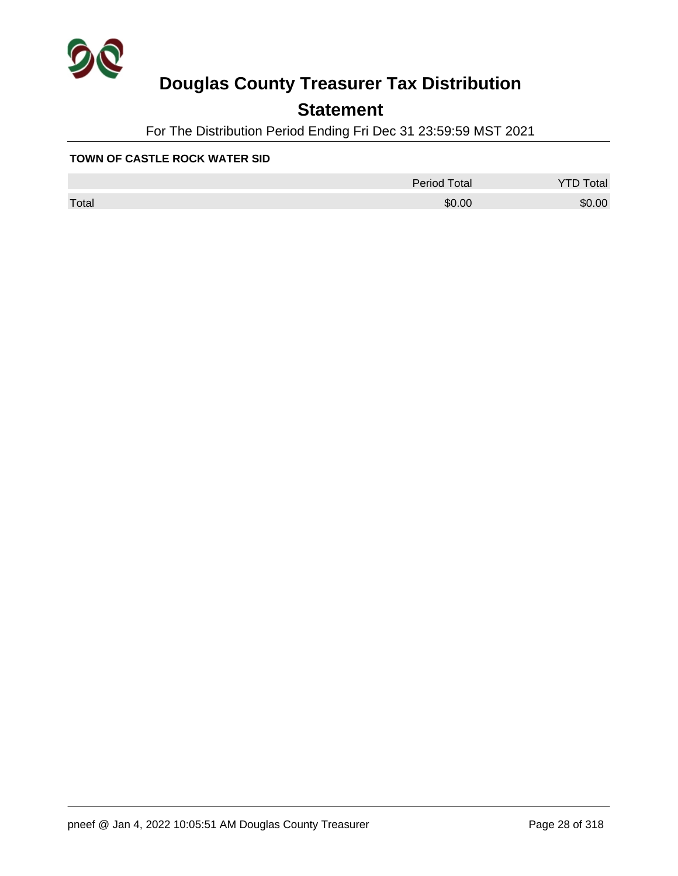

## **Statement**

For The Distribution Period Ending Fri Dec 31 23:59:59 MST 2021

### **TOWN OF CASTLE ROCK WATER SID**

|       | Period Total | otal<br>◡ |
|-------|--------------|-----------|
| Total | \$0.00       | \$0.00    |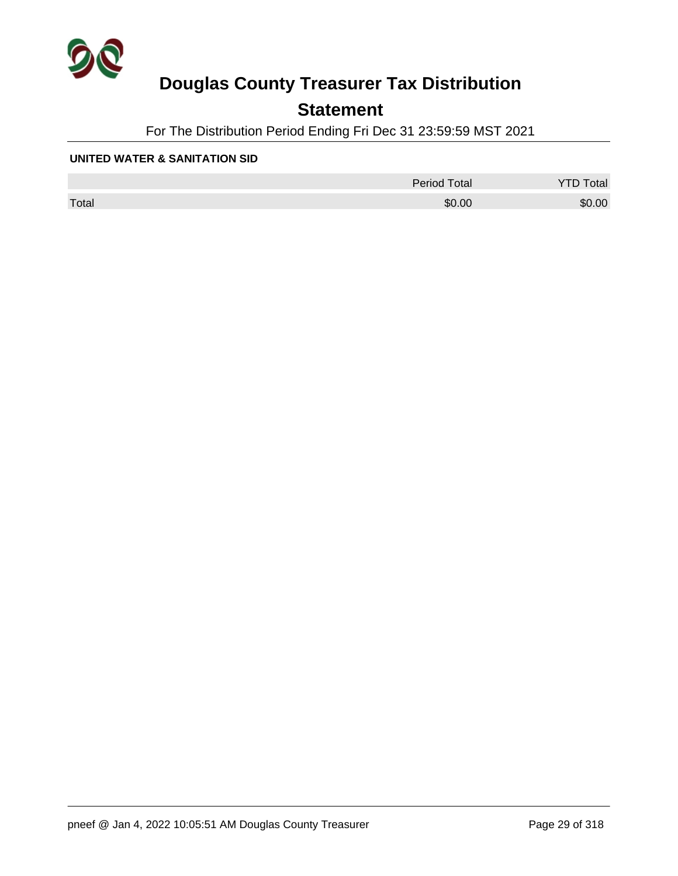

## **Statement**

For The Distribution Period Ending Fri Dec 31 23:59:59 MST 2021

#### **UNITED WATER & SANITATION SID**

|       | <b>Period Total</b> | otal   |
|-------|---------------------|--------|
| Total | \$0.00              | \$0.00 |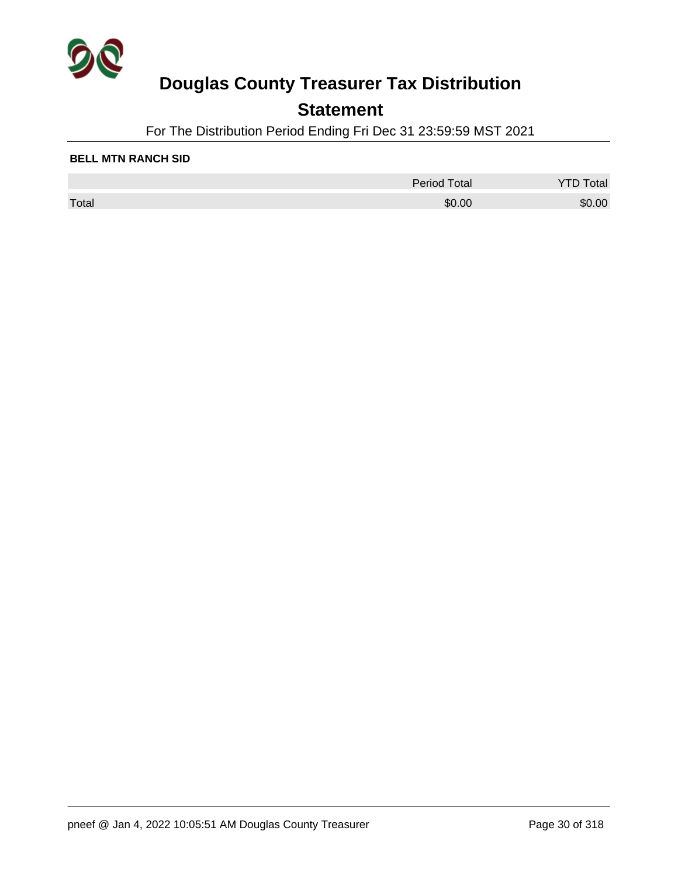

## **Statement**

For The Distribution Period Ending Fri Dec 31 23:59:59 MST 2021

#### **BELL MTN RANCH SID**

|       | <b>Period Total</b> | otal   |
|-------|---------------------|--------|
| Total | \$0.00              | \$0.00 |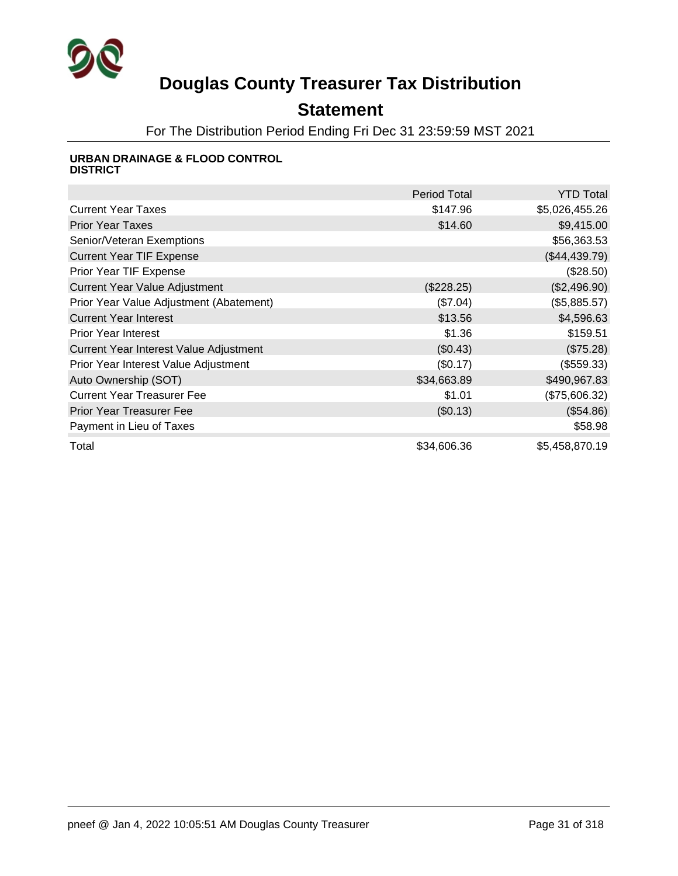

## **Statement**

For The Distribution Period Ending Fri Dec 31 23:59:59 MST 2021

#### **URBAN DRAINAGE & FLOOD CONTROL DISTRICT**

|                                         | <b>Period Total</b> | <b>YTD Total</b> |
|-----------------------------------------|---------------------|------------------|
| <b>Current Year Taxes</b>               | \$147.96            | \$5,026,455.26   |
| <b>Prior Year Taxes</b>                 | \$14.60             | \$9,415.00       |
| Senior/Veteran Exemptions               |                     | \$56,363.53      |
| <b>Current Year TIF Expense</b>         |                     | (\$44,439.79)    |
| Prior Year TIF Expense                  |                     | (\$28.50)        |
| <b>Current Year Value Adjustment</b>    | (\$228.25)          | (\$2,496.90)     |
| Prior Year Value Adjustment (Abatement) | (\$7.04)            | (\$5,885.57)     |
| <b>Current Year Interest</b>            | \$13.56             | \$4,596.63       |
| <b>Prior Year Interest</b>              | \$1.36              | \$159.51         |
| Current Year Interest Value Adjustment  | (\$0.43)            | (\$75.28)        |
| Prior Year Interest Value Adjustment    | (\$0.17)            | (\$559.33)       |
| Auto Ownership (SOT)                    | \$34,663.89         | \$490,967.83     |
| <b>Current Year Treasurer Fee</b>       | \$1.01              | (\$75,606.32)    |
| <b>Prior Year Treasurer Fee</b>         | (\$0.13)            | (\$54.86)        |
| Payment in Lieu of Taxes                |                     | \$58.98          |
| Total                                   | \$34,606.36         | \$5,458,870.19   |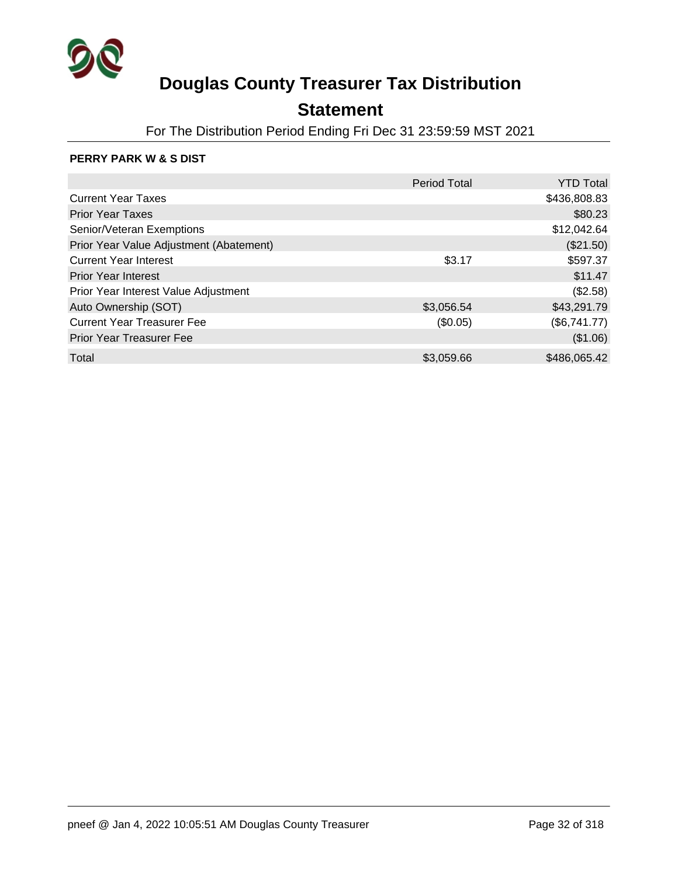

## **Statement**

For The Distribution Period Ending Fri Dec 31 23:59:59 MST 2021

### **PERRY PARK W & S DIST**

|                                         | Period Total | <b>YTD Total</b> |
|-----------------------------------------|--------------|------------------|
| <b>Current Year Taxes</b>               |              | \$436,808.83     |
| <b>Prior Year Taxes</b>                 |              | \$80.23          |
| Senior/Veteran Exemptions               |              | \$12,042.64      |
| Prior Year Value Adjustment (Abatement) |              | (\$21.50)        |
| <b>Current Year Interest</b>            | \$3.17       | \$597.37         |
| <b>Prior Year Interest</b>              |              | \$11.47          |
| Prior Year Interest Value Adjustment    |              | (\$2.58)         |
| Auto Ownership (SOT)                    | \$3,056.54   | \$43,291.79      |
| <b>Current Year Treasurer Fee</b>       | (\$0.05)     | (\$6,741.77)     |
| <b>Prior Year Treasurer Fee</b>         |              | (\$1.06)         |
| Total                                   | \$3,059.66   | \$486,065.42     |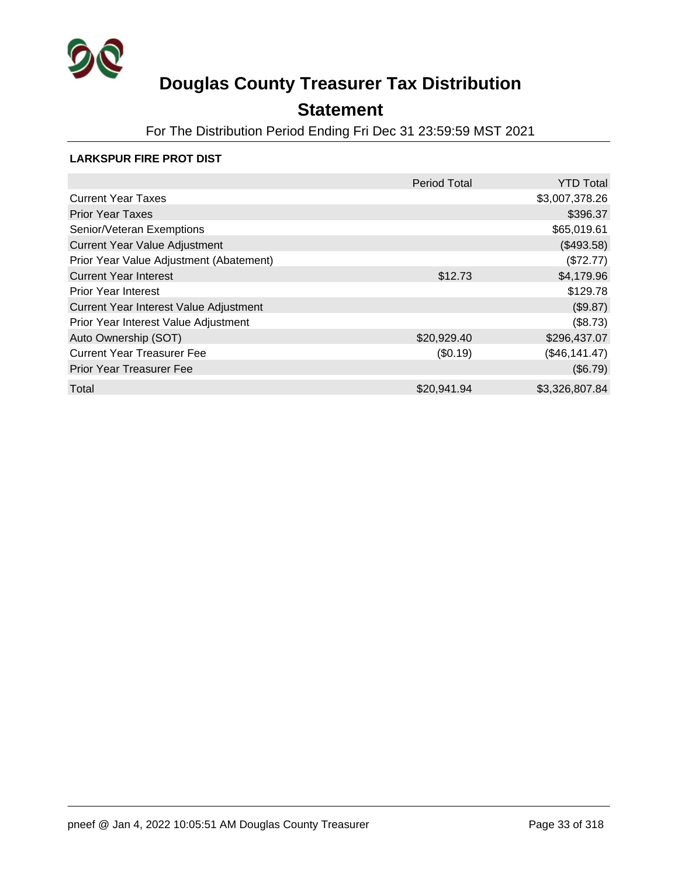

## **Statement**

For The Distribution Period Ending Fri Dec 31 23:59:59 MST 2021

#### **LARKSPUR FIRE PROT DIST**

|                                         | <b>Period Total</b> | <b>YTD Total</b> |
|-----------------------------------------|---------------------|------------------|
| <b>Current Year Taxes</b>               |                     | \$3,007,378.26   |
| <b>Prior Year Taxes</b>                 |                     | \$396.37         |
| Senior/Veteran Exemptions               |                     | \$65,019.61      |
| <b>Current Year Value Adjustment</b>    |                     | (\$493.58)       |
| Prior Year Value Adjustment (Abatement) |                     | (\$72.77)        |
| <b>Current Year Interest</b>            | \$12.73             | \$4,179.96       |
| <b>Prior Year Interest</b>              |                     | \$129.78         |
| Current Year Interest Value Adjustment  |                     | (\$9.87)         |
| Prior Year Interest Value Adjustment    |                     | (\$8.73)         |
| Auto Ownership (SOT)                    | \$20,929.40         | \$296,437.07     |
| <b>Current Year Treasurer Fee</b>       | (\$0.19)            | (\$46,141.47)    |
| <b>Prior Year Treasurer Fee</b>         |                     | (\$6.79)         |
| Total                                   | \$20,941.94         | \$3,326,807.84   |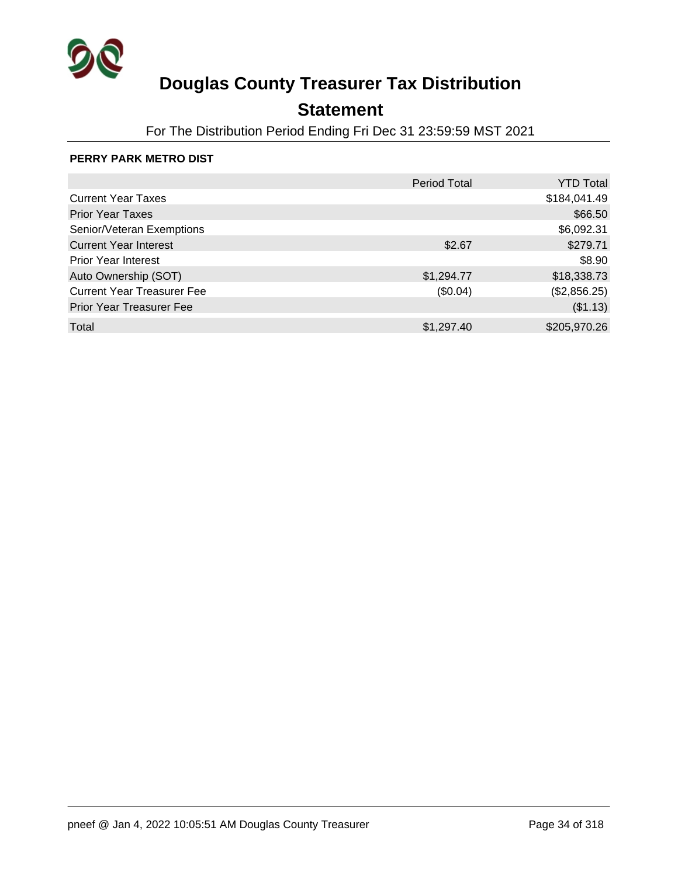

## **Statement**

For The Distribution Period Ending Fri Dec 31 23:59:59 MST 2021

#### **PERRY PARK METRO DIST**

|                                   | <b>Period Total</b> | <b>YTD Total</b> |
|-----------------------------------|---------------------|------------------|
| <b>Current Year Taxes</b>         |                     | \$184,041.49     |
| <b>Prior Year Taxes</b>           |                     | \$66.50          |
| Senior/Veteran Exemptions         |                     | \$6,092.31       |
| <b>Current Year Interest</b>      | \$2.67              | \$279.71         |
| <b>Prior Year Interest</b>        |                     | \$8.90           |
| Auto Ownership (SOT)              | \$1,294.77          | \$18,338.73      |
| <b>Current Year Treasurer Fee</b> | (\$0.04)            | (\$2,856.25)     |
| <b>Prior Year Treasurer Fee</b>   |                     | (\$1.13)         |
| Total                             | \$1,297.40          | \$205,970.26     |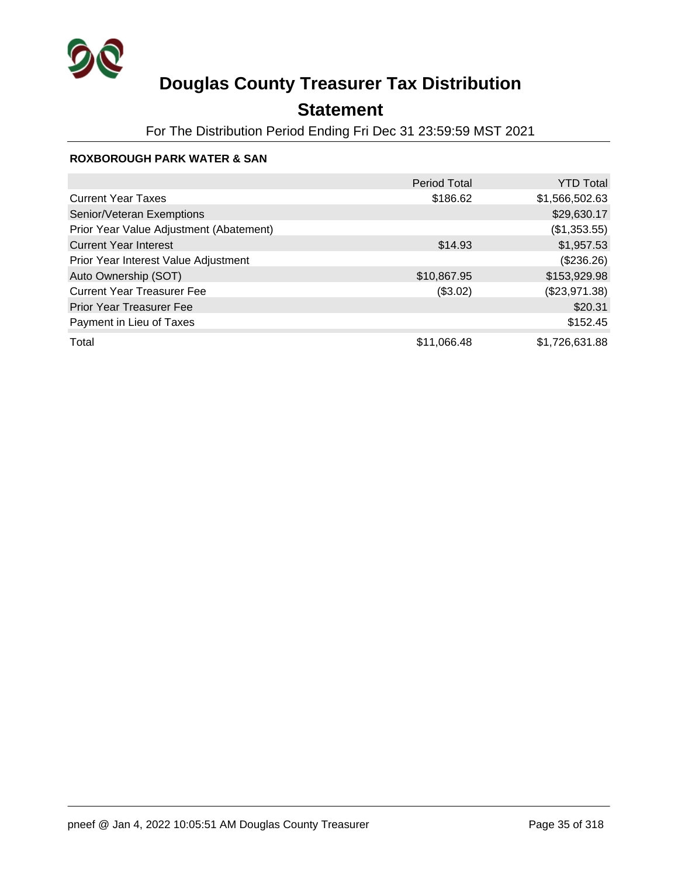

## **Statement**

For The Distribution Period Ending Fri Dec 31 23:59:59 MST 2021

### **ROXBOROUGH PARK WATER & SAN**

|                                         | <b>Period Total</b> | <b>YTD Total</b> |
|-----------------------------------------|---------------------|------------------|
| <b>Current Year Taxes</b>               | \$186.62            | \$1,566,502.63   |
| Senior/Veteran Exemptions               |                     | \$29,630.17      |
| Prior Year Value Adjustment (Abatement) |                     | (\$1,353.55)     |
| <b>Current Year Interest</b>            | \$14.93             | \$1,957.53       |
| Prior Year Interest Value Adjustment    |                     | (\$236.26)       |
| Auto Ownership (SOT)                    | \$10,867.95         | \$153,929.98     |
| <b>Current Year Treasurer Fee</b>       | (\$3.02)            | (\$23,971.38)    |
| <b>Prior Year Treasurer Fee</b>         |                     | \$20.31          |
| Payment in Lieu of Taxes                |                     | \$152.45         |
| Total                                   | \$11,066.48         | \$1,726,631.88   |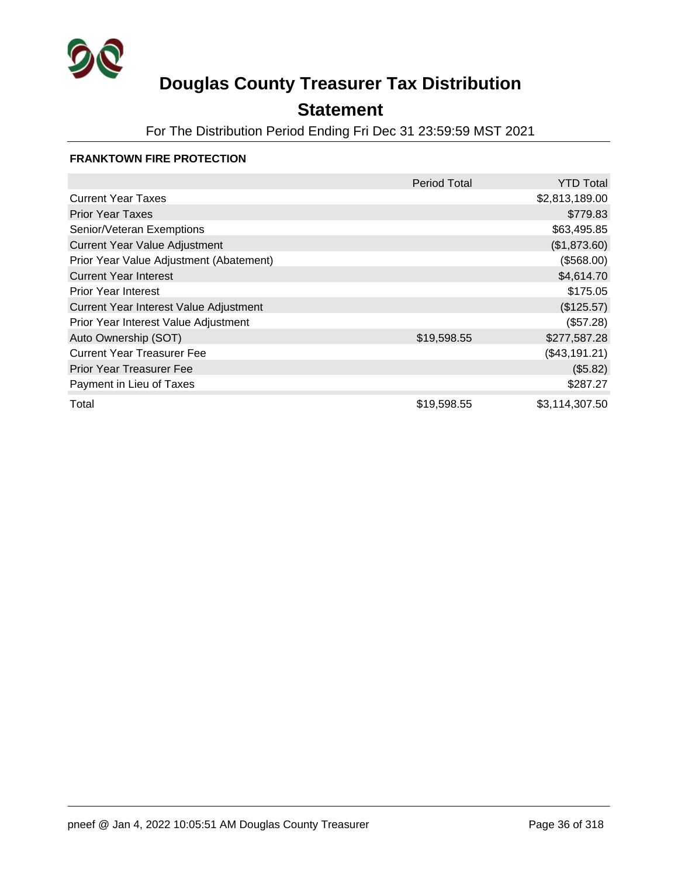

## **Statement**

For The Distribution Period Ending Fri Dec 31 23:59:59 MST 2021

#### **FRANKTOWN FIRE PROTECTION**

|                                         | <b>Period Total</b> | <b>YTD Total</b> |
|-----------------------------------------|---------------------|------------------|
| <b>Current Year Taxes</b>               |                     | \$2,813,189.00   |
| <b>Prior Year Taxes</b>                 |                     | \$779.83         |
| Senior/Veteran Exemptions               |                     | \$63,495.85      |
| <b>Current Year Value Adjustment</b>    |                     | (\$1,873.60)     |
| Prior Year Value Adjustment (Abatement) |                     | (\$568.00)       |
| <b>Current Year Interest</b>            |                     | \$4,614.70       |
| <b>Prior Year Interest</b>              |                     | \$175.05         |
| Current Year Interest Value Adjustment  |                     | (\$125.57)       |
| Prior Year Interest Value Adjustment    |                     | (\$57.28)        |
| Auto Ownership (SOT)                    | \$19,598.55         | \$277,587.28     |
| <b>Current Year Treasurer Fee</b>       |                     | (\$43,191.21)    |
| <b>Prior Year Treasurer Fee</b>         |                     | (\$5.82)         |
| Payment in Lieu of Taxes                |                     | \$287.27         |
| Total                                   | \$19,598.55         | \$3,114,307.50   |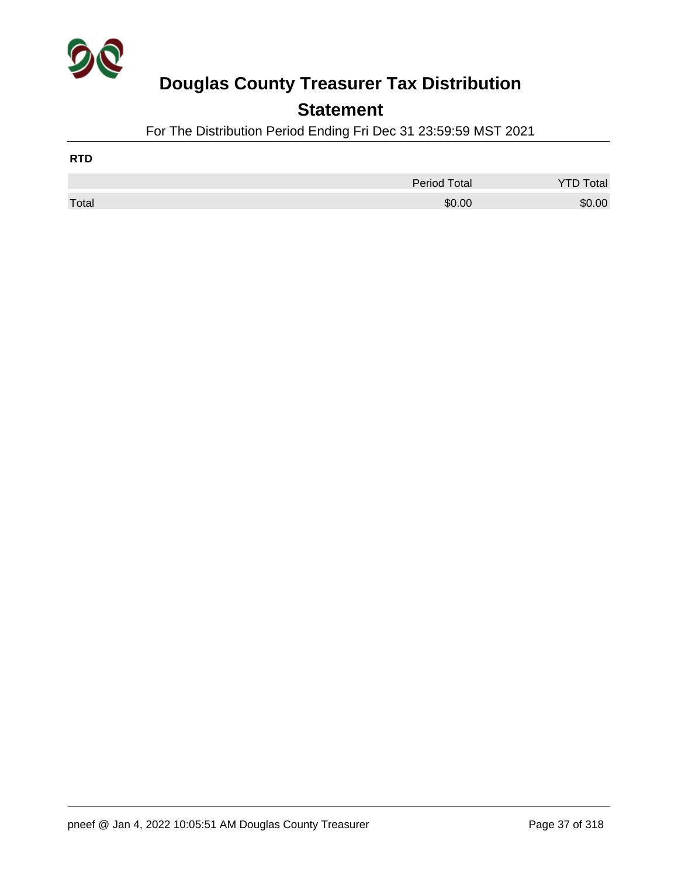

### **Statement**

For The Distribution Period Ending Fri Dec 31 23:59:59 MST 2021

| <b>RTD</b> |                     |                  |
|------------|---------------------|------------------|
|            | <b>Period Total</b> | <b>YTD Total</b> |
| Total      | \$0.00              | \$0.00           |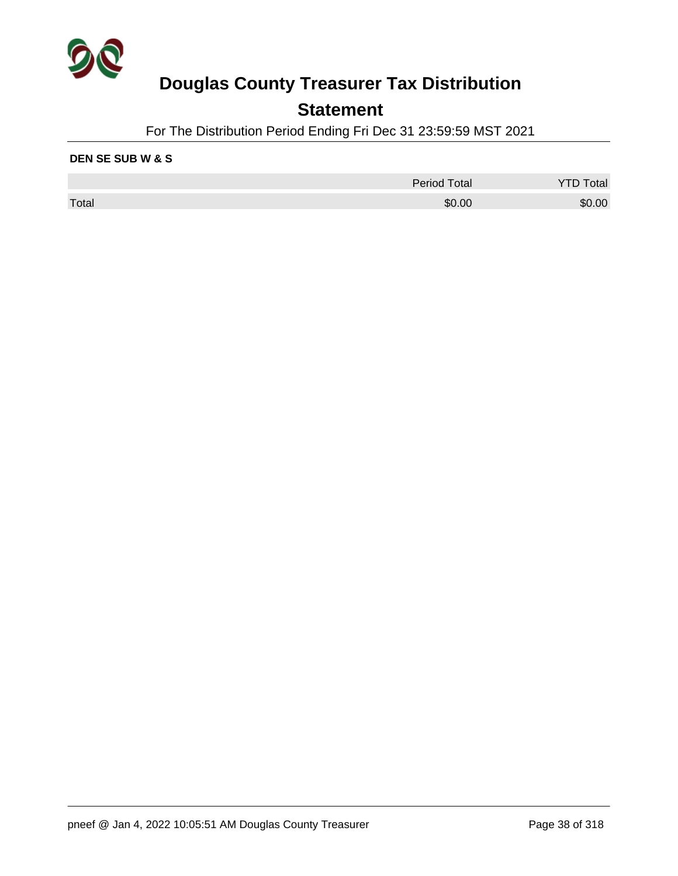

### **Statement**

For The Distribution Period Ending Fri Dec 31 23:59:59 MST 2021

#### **DEN SE SUB W & S**

|       | <b>Period Total</b> | Total  |
|-------|---------------------|--------|
| Total | \$0.00              | \$0.00 |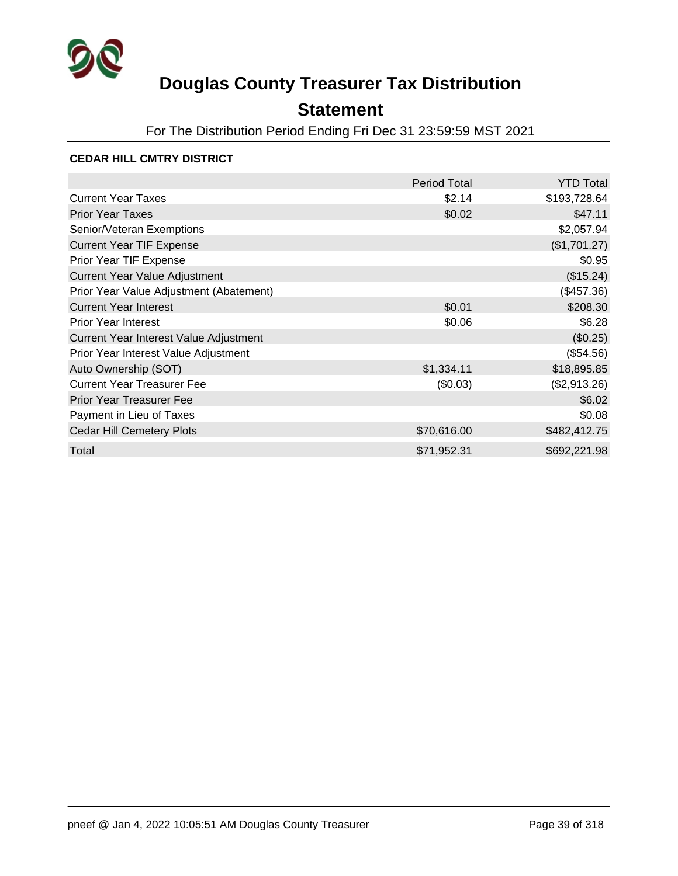

## **Statement**

For The Distribution Period Ending Fri Dec 31 23:59:59 MST 2021

#### **CEDAR HILL CMTRY DISTRICT**

|                                         | Period Total | <b>YTD Total</b> |
|-----------------------------------------|--------------|------------------|
| <b>Current Year Taxes</b>               | \$2.14       | \$193,728.64     |
| <b>Prior Year Taxes</b>                 | \$0.02       | \$47.11          |
| Senior/Veteran Exemptions               |              | \$2,057.94       |
| <b>Current Year TIF Expense</b>         |              | (\$1,701.27)     |
| Prior Year TIF Expense                  |              | \$0.95           |
| <b>Current Year Value Adjustment</b>    |              | (\$15.24)        |
| Prior Year Value Adjustment (Abatement) |              | (\$457.36)       |
| <b>Current Year Interest</b>            | \$0.01       | \$208.30         |
| <b>Prior Year Interest</b>              | \$0.06       | \$6.28           |
| Current Year Interest Value Adjustment  |              | (\$0.25)         |
| Prior Year Interest Value Adjustment    |              | (\$54.56)        |
| Auto Ownership (SOT)                    | \$1,334.11   | \$18,895.85      |
| <b>Current Year Treasurer Fee</b>       | (\$0.03)     | (\$2,913.26)     |
| <b>Prior Year Treasurer Fee</b>         |              | \$6.02           |
| Payment in Lieu of Taxes                |              | \$0.08           |
| <b>Cedar Hill Cemetery Plots</b>        | \$70,616.00  | \$482,412.75     |
| Total                                   | \$71,952.31  | \$692,221.98     |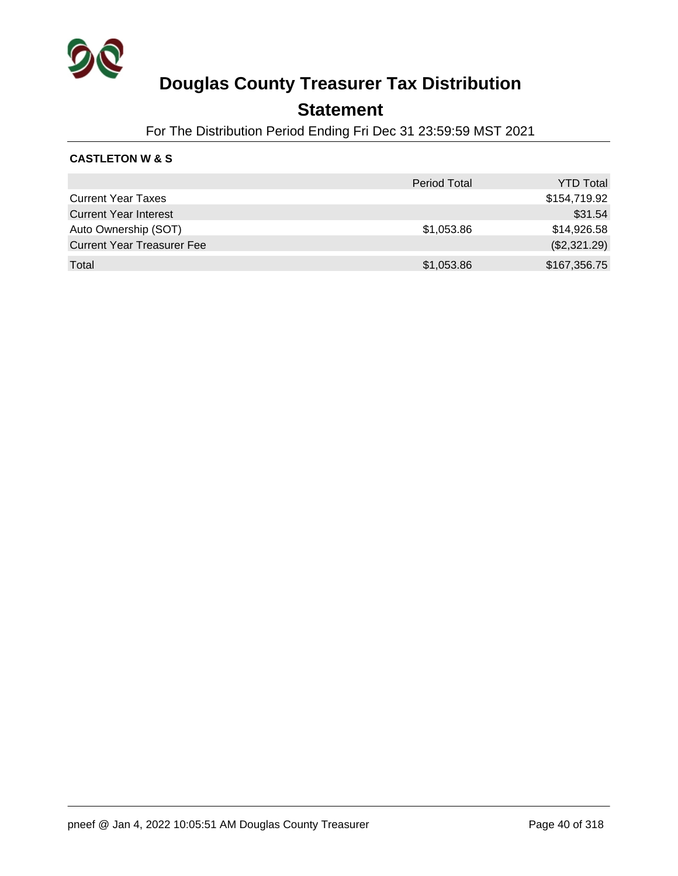

### **Statement**

For The Distribution Period Ending Fri Dec 31 23:59:59 MST 2021

#### **CASTLETON W & S**

|                                   | <b>Period Total</b> | <b>YTD Total</b> |
|-----------------------------------|---------------------|------------------|
| <b>Current Year Taxes</b>         |                     | \$154,719.92     |
| <b>Current Year Interest</b>      |                     | \$31.54          |
| Auto Ownership (SOT)              | \$1,053.86          | \$14,926.58      |
| <b>Current Year Treasurer Fee</b> |                     | (\$2,321.29)     |
| Total                             | \$1,053.86          | \$167,356.75     |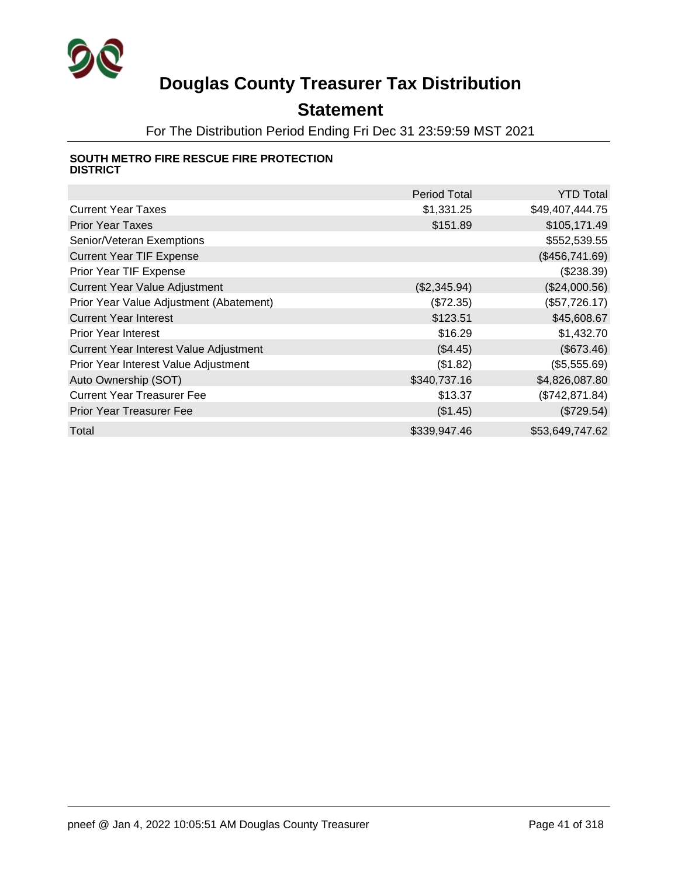

## **Statement**

For The Distribution Period Ending Fri Dec 31 23:59:59 MST 2021

#### **SOUTH METRO FIRE RESCUE FIRE PROTECTION DISTRICT**

|                                         | <b>Period Total</b> | <b>YTD Total</b> |
|-----------------------------------------|---------------------|------------------|
| <b>Current Year Taxes</b>               | \$1,331.25          | \$49,407,444.75  |
| <b>Prior Year Taxes</b>                 | \$151.89            | \$105,171.49     |
| Senior/Veteran Exemptions               |                     | \$552,539.55     |
| <b>Current Year TIF Expense</b>         |                     | (\$456,741.69)   |
| Prior Year TIF Expense                  |                     | (\$238.39)       |
| <b>Current Year Value Adjustment</b>    | (\$2,345.94)        | (\$24,000.56)    |
| Prior Year Value Adjustment (Abatement) | (\$72.35)           | (\$57,726.17)    |
| <b>Current Year Interest</b>            | \$123.51            | \$45,608.67      |
| <b>Prior Year Interest</b>              | \$16.29             | \$1,432.70       |
| Current Year Interest Value Adjustment  | (\$4.45)            | (\$673.46)       |
| Prior Year Interest Value Adjustment    | (\$1.82)            | (\$5,555.69)     |
| Auto Ownership (SOT)                    | \$340,737.16        | \$4,826,087.80   |
| <b>Current Year Treasurer Fee</b>       | \$13.37             | (\$742, 871.84)  |
| <b>Prior Year Treasurer Fee</b>         | (\$1.45)            | (\$729.54)       |
| Total                                   | \$339,947.46        | \$53,649,747.62  |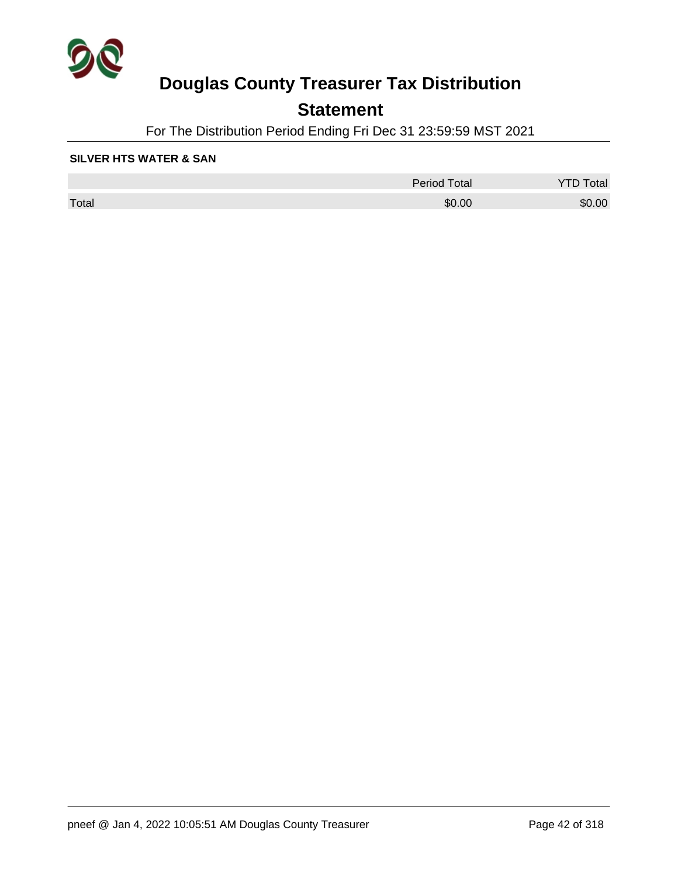

## **Statement**

For The Distribution Period Ending Fri Dec 31 23:59:59 MST 2021

#### **SILVER HTS WATER & SAN**

|       | <b>Period Total</b> | otal   |
|-------|---------------------|--------|
| Total | \$0.00              | \$0.00 |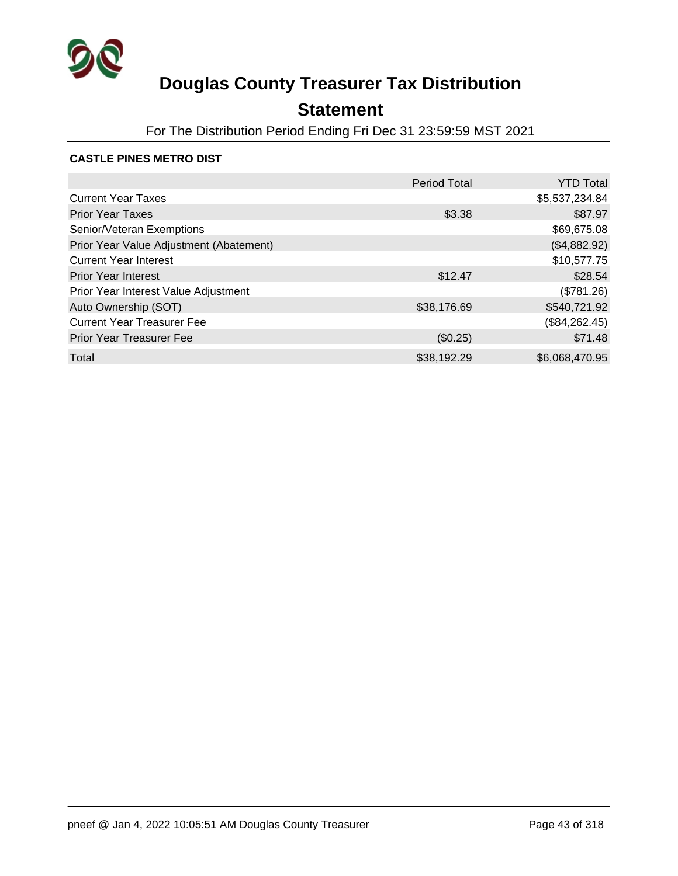

## **Statement**

For The Distribution Period Ending Fri Dec 31 23:59:59 MST 2021

#### **CASTLE PINES METRO DIST**

|                                         | <b>Period Total</b> | <b>YTD Total</b> |
|-----------------------------------------|---------------------|------------------|
| <b>Current Year Taxes</b>               |                     | \$5,537,234.84   |
| <b>Prior Year Taxes</b>                 | \$3.38              | \$87.97          |
| Senior/Veteran Exemptions               |                     | \$69,675.08      |
| Prior Year Value Adjustment (Abatement) |                     | (\$4,882.92)     |
| <b>Current Year Interest</b>            |                     | \$10,577.75      |
| <b>Prior Year Interest</b>              | \$12.47             | \$28.54          |
| Prior Year Interest Value Adjustment    |                     | (\$781.26)       |
| Auto Ownership (SOT)                    | \$38,176.69         | \$540,721.92     |
| <b>Current Year Treasurer Fee</b>       |                     | (\$84,262.45)    |
| <b>Prior Year Treasurer Fee</b>         | (\$0.25)            | \$71.48          |
| Total                                   | \$38,192.29         | \$6,068,470.95   |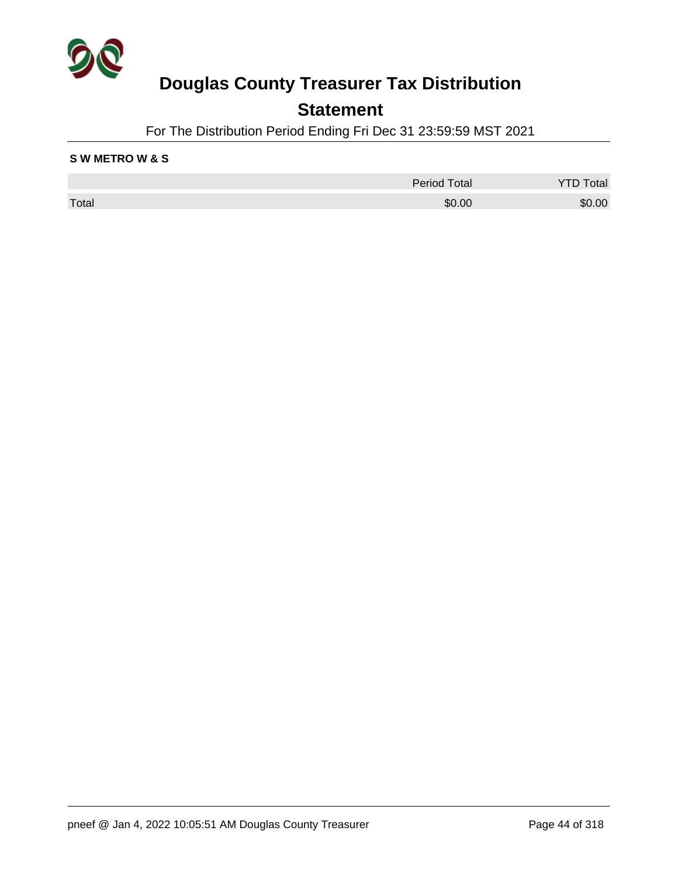

### **Statement**

For The Distribution Period Ending Fri Dec 31 23:59:59 MST 2021

#### **S W METRO W & S**

|       | <b>Period Total</b> | Total  |
|-------|---------------------|--------|
| Total | \$0.00              | \$0.00 |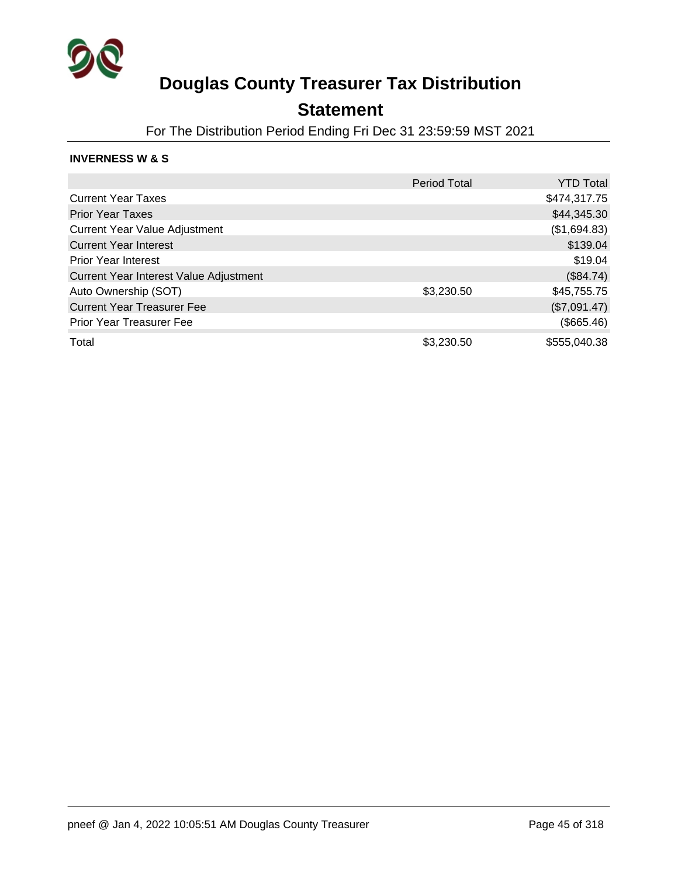

### **Statement**

For The Distribution Period Ending Fri Dec 31 23:59:59 MST 2021

#### **INVERNESS W & S**

|                                        | <b>Period Total</b> | <b>YTD Total</b> |
|----------------------------------------|---------------------|------------------|
| <b>Current Year Taxes</b>              |                     | \$474,317.75     |
| <b>Prior Year Taxes</b>                |                     | \$44,345.30      |
| <b>Current Year Value Adjustment</b>   |                     | (\$1,694.83)     |
| <b>Current Year Interest</b>           |                     | \$139.04         |
| <b>Prior Year Interest</b>             |                     | \$19.04          |
| Current Year Interest Value Adjustment |                     | (\$84.74)        |
| Auto Ownership (SOT)                   | \$3,230.50          | \$45,755.75      |
| <b>Current Year Treasurer Fee</b>      |                     | (\$7,091.47)     |
| <b>Prior Year Treasurer Fee</b>        |                     | (\$665.46)       |
| Total                                  | \$3,230.50          | \$555,040.38     |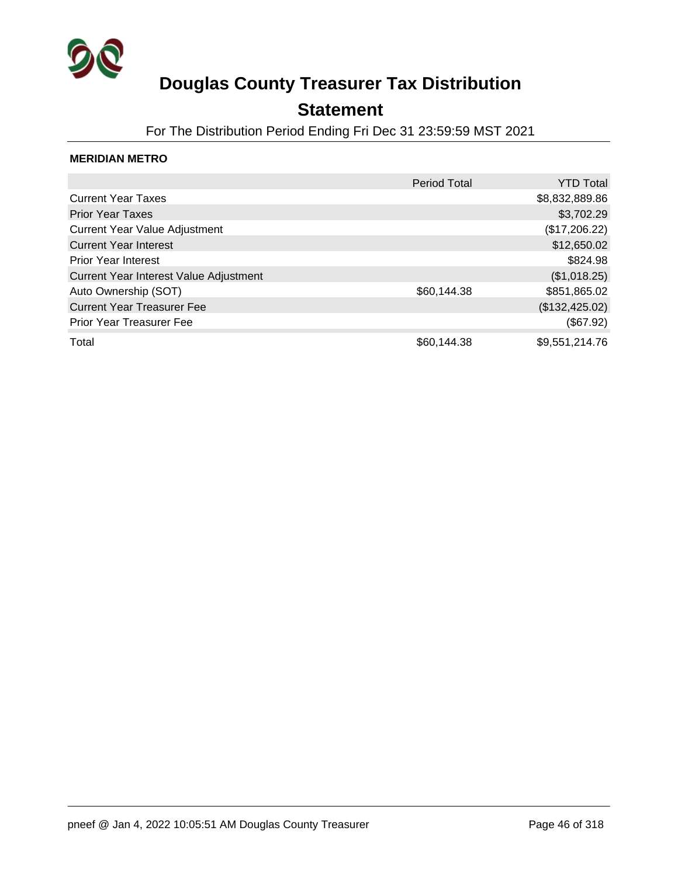

### **Statement**

For The Distribution Period Ending Fri Dec 31 23:59:59 MST 2021

#### **MERIDIAN METRO**

|                                        | <b>Period Total</b> | <b>YTD Total</b> |
|----------------------------------------|---------------------|------------------|
| <b>Current Year Taxes</b>              |                     | \$8,832,889.86   |
| <b>Prior Year Taxes</b>                |                     | \$3,702.29       |
| <b>Current Year Value Adjustment</b>   |                     | (\$17,206.22)    |
| <b>Current Year Interest</b>           |                     | \$12,650.02      |
| <b>Prior Year Interest</b>             |                     | \$824.98         |
| Current Year Interest Value Adjustment |                     | (\$1,018.25)     |
| Auto Ownership (SOT)                   | \$60,144.38         | \$851,865.02     |
| <b>Current Year Treasurer Fee</b>      |                     | (\$132,425.02)   |
| <b>Prior Year Treasurer Fee</b>        |                     | (\$67.92)        |
| Total                                  | \$60,144.38         | \$9,551,214.76   |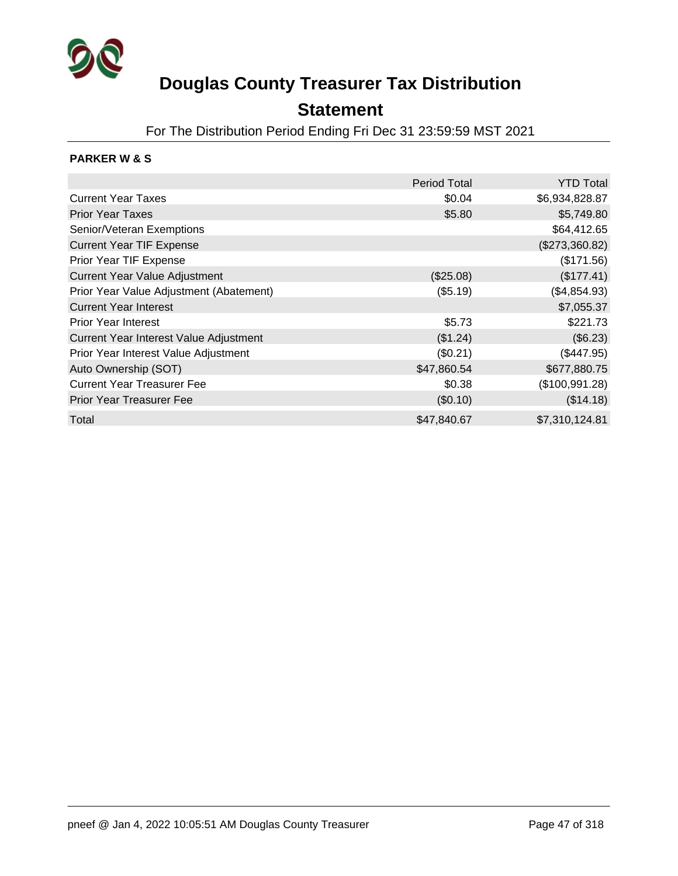

### **Statement**

For The Distribution Period Ending Fri Dec 31 23:59:59 MST 2021

#### **PARKER W & S**

|                                         | <b>Period Total</b> | <b>YTD Total</b> |
|-----------------------------------------|---------------------|------------------|
| <b>Current Year Taxes</b>               | \$0.04              | \$6,934,828.87   |
| <b>Prior Year Taxes</b>                 | \$5.80              | \$5,749.80       |
| Senior/Veteran Exemptions               |                     | \$64,412.65      |
| <b>Current Year TIF Expense</b>         |                     | (\$273,360.82)   |
| Prior Year TIF Expense                  |                     | (\$171.56)       |
| <b>Current Year Value Adjustment</b>    | (\$25.08)           | (\$177.41)       |
| Prior Year Value Adjustment (Abatement) | (\$5.19)            | (\$4,854.93)     |
| <b>Current Year Interest</b>            |                     | \$7,055.37       |
| <b>Prior Year Interest</b>              | \$5.73              | \$221.73         |
| Current Year Interest Value Adjustment  | (\$1.24)            | (\$6.23)         |
| Prior Year Interest Value Adjustment    | (\$0.21)            | (\$447.95)       |
| Auto Ownership (SOT)                    | \$47,860.54         | \$677,880.75     |
| <b>Current Year Treasurer Fee</b>       | \$0.38              | (\$100,991.28)   |
| <b>Prior Year Treasurer Fee</b>         | (\$0.10)            | (\$14.18)        |
| Total                                   | \$47,840.67         | \$7,310,124.81   |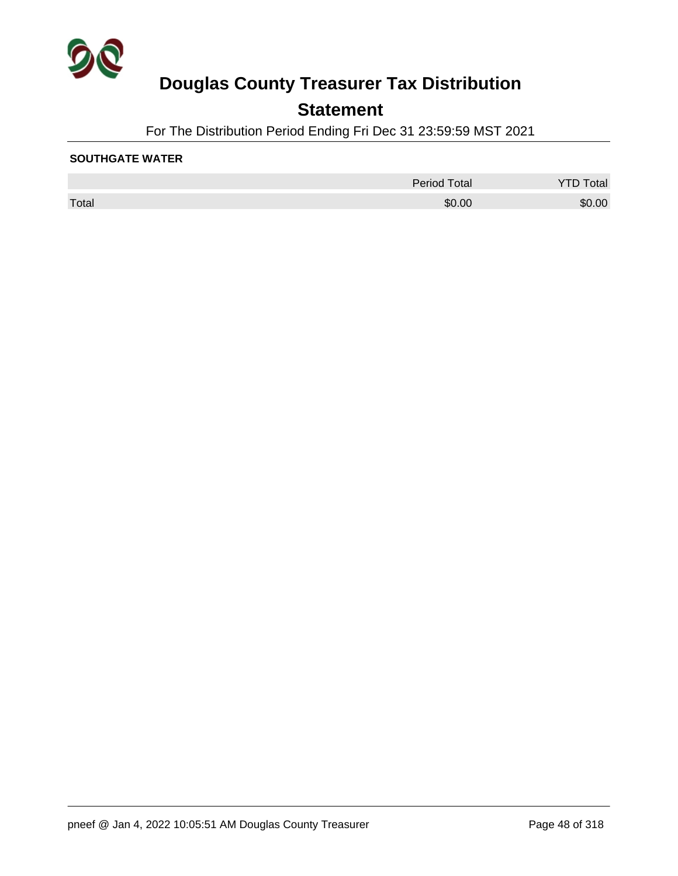

## **Statement**

For The Distribution Period Ending Fri Dec 31 23:59:59 MST 2021

#### **SOUTHGATE WATER**

|       | <b>Period Total</b> | Total<br>YTD |
|-------|---------------------|--------------|
| Total | \$0.00              | \$0.00       |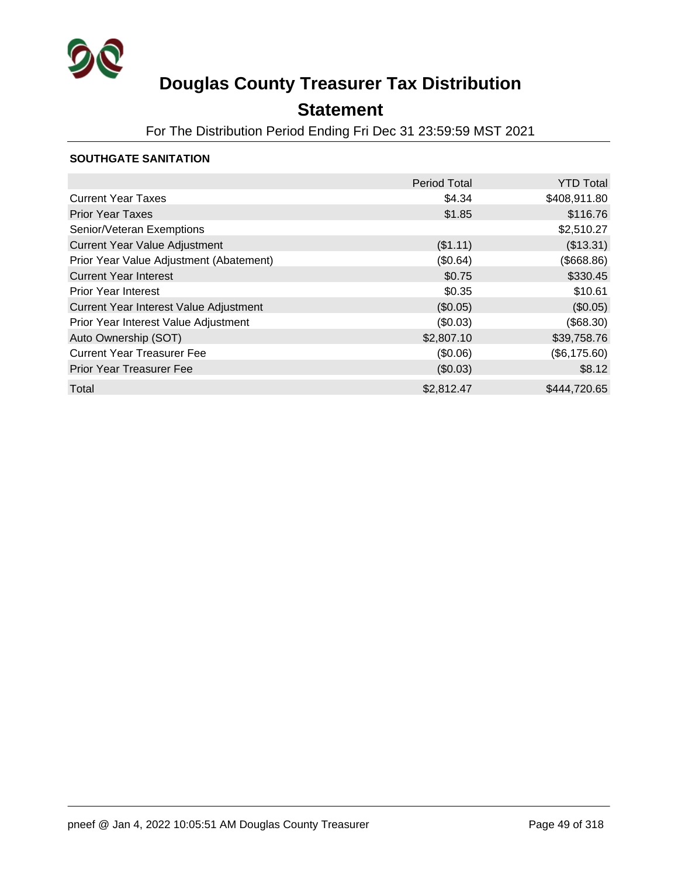

## **Statement**

For The Distribution Period Ending Fri Dec 31 23:59:59 MST 2021

#### **SOUTHGATE SANITATION**

|                                         | <b>Period Total</b> | <b>YTD Total</b> |
|-----------------------------------------|---------------------|------------------|
| <b>Current Year Taxes</b>               | \$4.34              | \$408,911.80     |
| <b>Prior Year Taxes</b>                 | \$1.85              | \$116.76         |
| Senior/Veteran Exemptions               |                     | \$2,510.27       |
| <b>Current Year Value Adjustment</b>    | (\$1.11)            | (\$13.31)        |
| Prior Year Value Adjustment (Abatement) | (\$0.64)            | $($ \$668.86)    |
| <b>Current Year Interest</b>            | \$0.75              | \$330.45         |
| <b>Prior Year Interest</b>              | \$0.35              | \$10.61          |
| Current Year Interest Value Adjustment  | (\$0.05)            | (\$0.05)         |
| Prior Year Interest Value Adjustment    | (\$0.03)            | (\$68.30)        |
| Auto Ownership (SOT)                    | \$2,807.10          | \$39,758.76      |
| <b>Current Year Treasurer Fee</b>       | (\$0.06)            | (\$6,175.60)     |
| <b>Prior Year Treasurer Fee</b>         | (\$0.03)            | \$8.12           |
| Total                                   | \$2,812.47          | \$444,720.65     |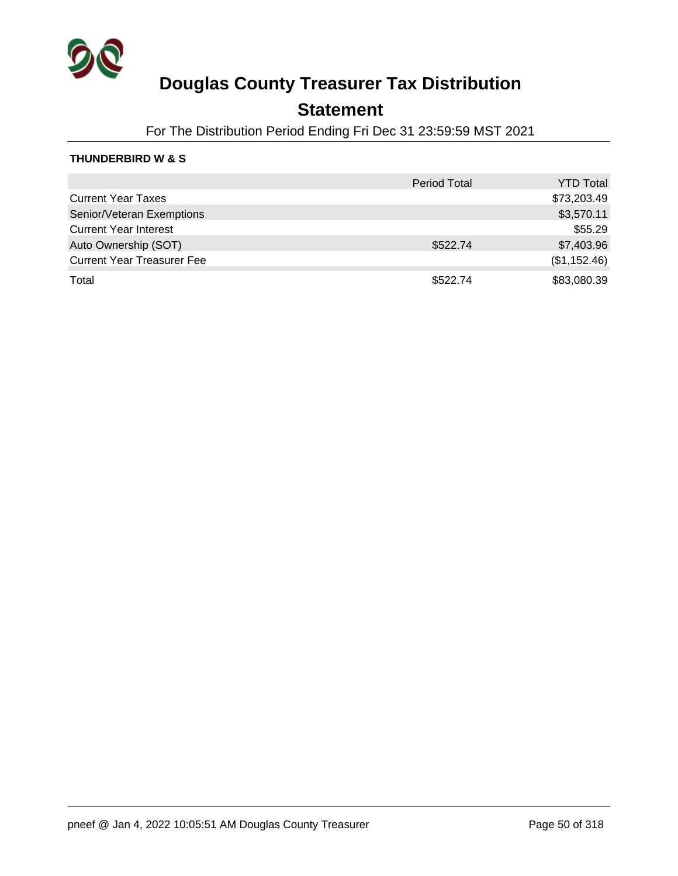

### **Statement**

For The Distribution Period Ending Fri Dec 31 23:59:59 MST 2021

#### **THUNDERBIRD W & S**

|                                   | <b>Period Total</b> | <b>YTD Total</b> |
|-----------------------------------|---------------------|------------------|
| <b>Current Year Taxes</b>         |                     | \$73,203.49      |
| Senior/Veteran Exemptions         |                     | \$3,570.11       |
| <b>Current Year Interest</b>      |                     | \$55.29          |
| Auto Ownership (SOT)              | \$522.74            | \$7,403.96       |
| <b>Current Year Treasurer Fee</b> |                     | (\$1,152.46)     |
| Total                             | \$522.74            | \$83,080.39      |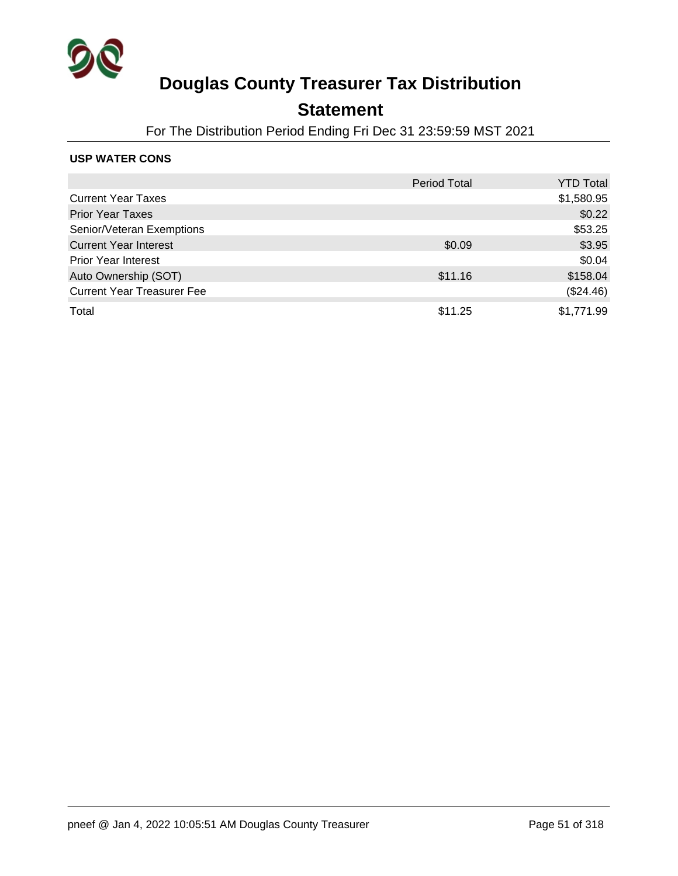

### **Statement**

For The Distribution Period Ending Fri Dec 31 23:59:59 MST 2021

#### **USP WATER CONS**

|                                   | <b>Period Total</b> | <b>YTD Total</b> |
|-----------------------------------|---------------------|------------------|
| <b>Current Year Taxes</b>         |                     | \$1,580.95       |
| <b>Prior Year Taxes</b>           |                     | \$0.22           |
| Senior/Veteran Exemptions         |                     | \$53.25          |
| <b>Current Year Interest</b>      | \$0.09              | \$3.95           |
| <b>Prior Year Interest</b>        |                     | \$0.04           |
| Auto Ownership (SOT)              | \$11.16             | \$158.04         |
| <b>Current Year Treasurer Fee</b> |                     | (\$24.46)        |
| Total                             | \$11.25             | \$1,771.99       |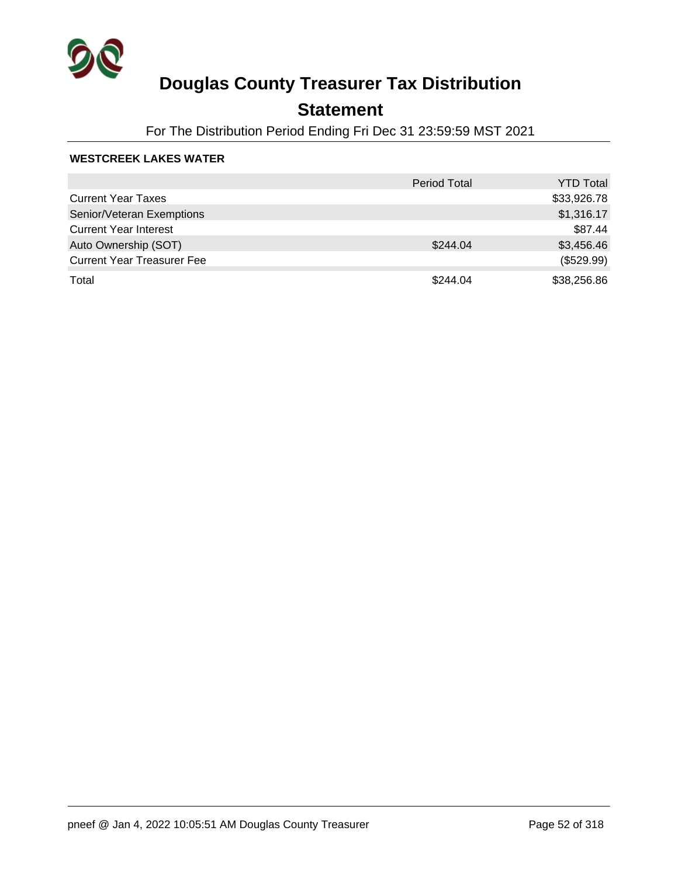

## **Statement**

For The Distribution Period Ending Fri Dec 31 23:59:59 MST 2021

#### **WESTCREEK LAKES WATER**

|                                   | <b>Period Total</b> | <b>YTD Total</b> |
|-----------------------------------|---------------------|------------------|
| <b>Current Year Taxes</b>         |                     | \$33,926.78      |
| Senior/Veteran Exemptions         |                     | \$1,316.17       |
| <b>Current Year Interest</b>      |                     | \$87.44          |
| Auto Ownership (SOT)              | \$244.04            | \$3,456.46       |
| <b>Current Year Treasurer Fee</b> |                     | (\$529.99)       |
| Total                             | \$244.04            | \$38,256.86      |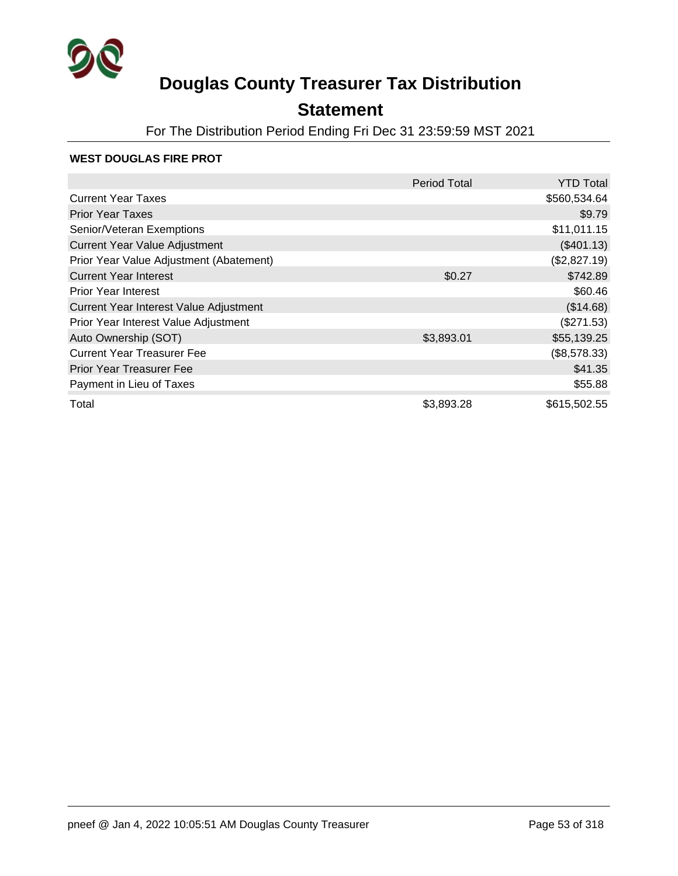

## **Statement**

For The Distribution Period Ending Fri Dec 31 23:59:59 MST 2021

#### **WEST DOUGLAS FIRE PROT**

|                                         | <b>Period Total</b> | <b>YTD Total</b> |
|-----------------------------------------|---------------------|------------------|
| <b>Current Year Taxes</b>               |                     | \$560,534.64     |
| <b>Prior Year Taxes</b>                 |                     | \$9.79           |
| Senior/Veteran Exemptions               |                     | \$11,011.15      |
| <b>Current Year Value Adjustment</b>    |                     | (\$401.13)       |
| Prior Year Value Adjustment (Abatement) |                     | (\$2,827.19)     |
| <b>Current Year Interest</b>            | \$0.27              | \$742.89         |
| <b>Prior Year Interest</b>              |                     | \$60.46          |
| Current Year Interest Value Adjustment  |                     | (\$14.68)        |
| Prior Year Interest Value Adjustment    |                     | (\$271.53)       |
| Auto Ownership (SOT)                    | \$3,893.01          | \$55,139.25      |
| <b>Current Year Treasurer Fee</b>       |                     | (\$8,578.33)     |
| <b>Prior Year Treasurer Fee</b>         |                     | \$41.35          |
| Payment in Lieu of Taxes                |                     | \$55.88          |
| Total                                   | \$3,893.28          | \$615,502.55     |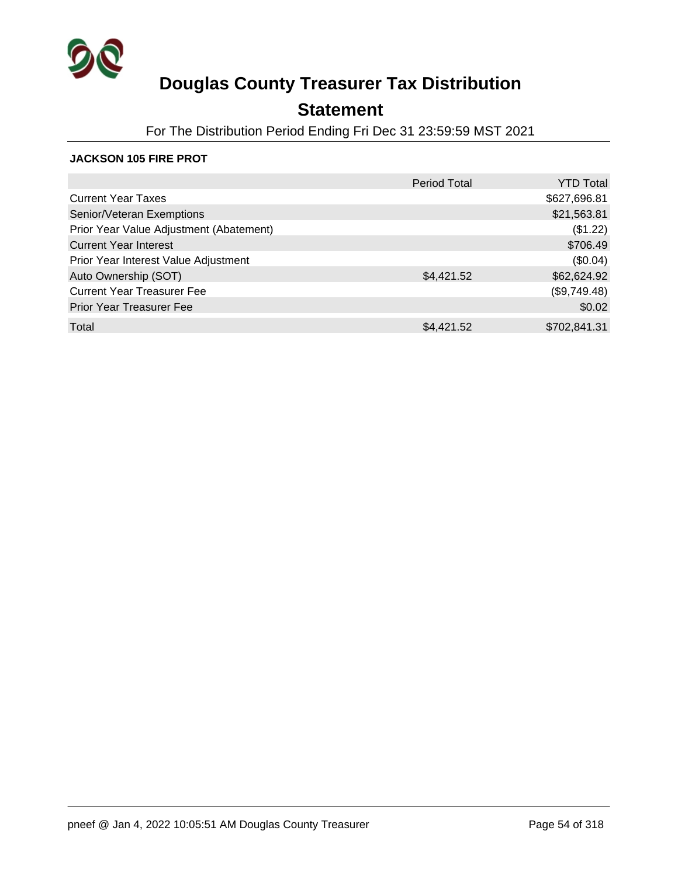

## **Statement**

For The Distribution Period Ending Fri Dec 31 23:59:59 MST 2021

#### **JACKSON 105 FIRE PROT**

|                                         | <b>Period Total</b> | <b>YTD Total</b> |
|-----------------------------------------|---------------------|------------------|
| <b>Current Year Taxes</b>               |                     | \$627,696.81     |
| Senior/Veteran Exemptions               |                     | \$21,563.81      |
| Prior Year Value Adjustment (Abatement) |                     | (\$1.22)         |
| <b>Current Year Interest</b>            |                     | \$706.49         |
| Prior Year Interest Value Adjustment    |                     | (\$0.04)         |
| Auto Ownership (SOT)                    | \$4,421.52          | \$62,624.92      |
| <b>Current Year Treasurer Fee</b>       |                     | (\$9,749.48)     |
| <b>Prior Year Treasurer Fee</b>         |                     | \$0.02           |
| Total                                   | \$4,421.52          | \$702,841.31     |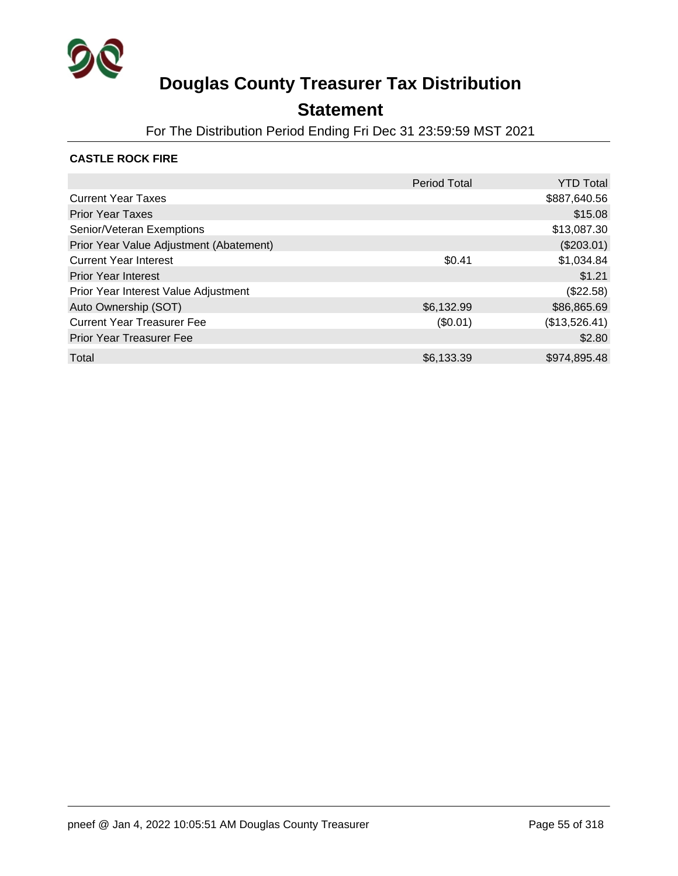

### **Statement**

For The Distribution Period Ending Fri Dec 31 23:59:59 MST 2021

#### **CASTLE ROCK FIRE**

|                                         | <b>Period Total</b> | <b>YTD Total</b> |
|-----------------------------------------|---------------------|------------------|
| <b>Current Year Taxes</b>               |                     | \$887,640.56     |
| <b>Prior Year Taxes</b>                 |                     | \$15.08          |
| Senior/Veteran Exemptions               |                     | \$13,087.30      |
| Prior Year Value Adjustment (Abatement) |                     | $(\$203.01)$     |
| <b>Current Year Interest</b>            | \$0.41              | \$1,034.84       |
| <b>Prior Year Interest</b>              |                     | \$1.21           |
| Prior Year Interest Value Adjustment    |                     | (\$22.58)        |
| Auto Ownership (SOT)                    | \$6,132.99          | \$86,865.69      |
| <b>Current Year Treasurer Fee</b>       | (\$0.01)            | (\$13,526.41)    |
| <b>Prior Year Treasurer Fee</b>         |                     | \$2.80           |
| Total                                   | \$6,133.39          | \$974,895,48     |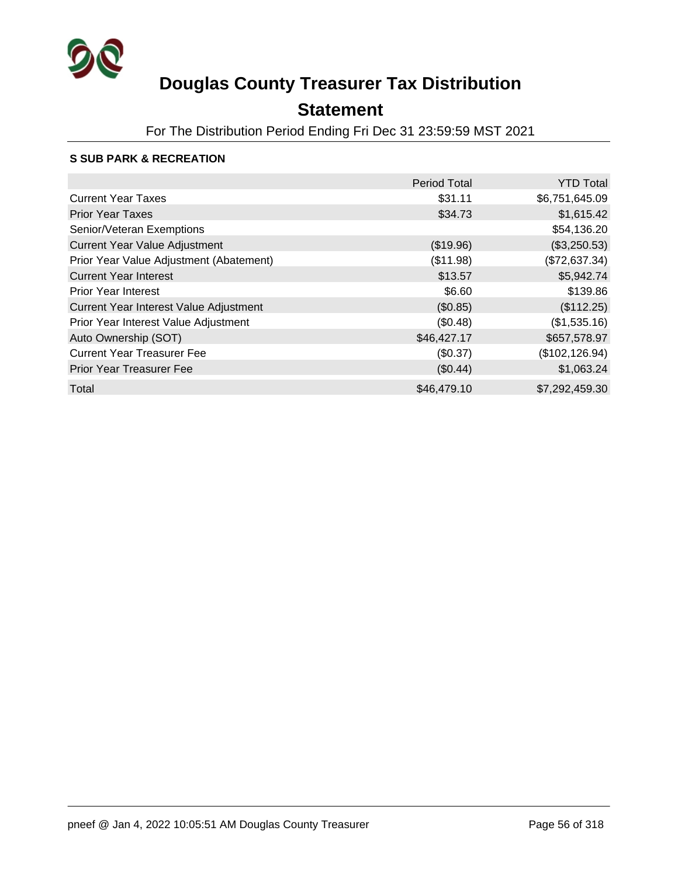

## **Statement**

For The Distribution Period Ending Fri Dec 31 23:59:59 MST 2021

#### **S SUB PARK & RECREATION**

|                                         | <b>Period Total</b> | <b>YTD Total</b> |
|-----------------------------------------|---------------------|------------------|
| <b>Current Year Taxes</b>               | \$31.11             | \$6,751,645.09   |
| <b>Prior Year Taxes</b>                 | \$34.73             | \$1,615.42       |
| Senior/Veteran Exemptions               |                     | \$54,136.20      |
| <b>Current Year Value Adjustment</b>    | (\$19.96)           | (\$3,250.53)     |
| Prior Year Value Adjustment (Abatement) | (\$11.98)           | (\$72,637.34)    |
| <b>Current Year Interest</b>            | \$13.57             | \$5,942.74       |
| <b>Prior Year Interest</b>              | \$6.60              | \$139.86         |
| Current Year Interest Value Adjustment  | (\$0.85)            | (\$112.25)       |
| Prior Year Interest Value Adjustment    | (\$0.48)            | (\$1,535.16)     |
| Auto Ownership (SOT)                    | \$46,427.17         | \$657,578.97     |
| <b>Current Year Treasurer Fee</b>       | (\$0.37)            | (\$102, 126.94)  |
| <b>Prior Year Treasurer Fee</b>         | (\$0.44)            | \$1,063.24       |
| Total                                   | \$46,479.10         | \$7,292,459.30   |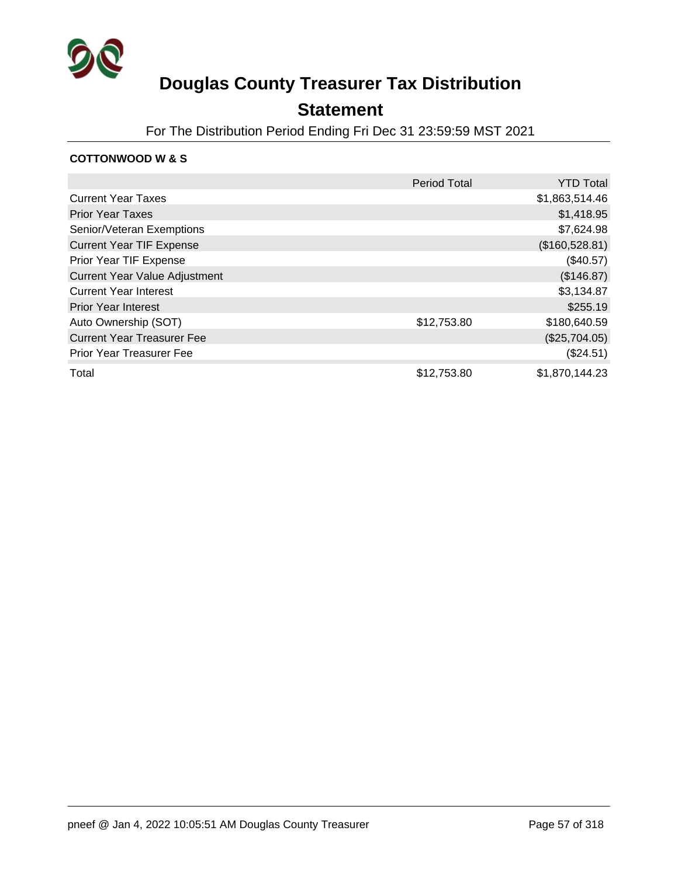

### **Statement**

For The Distribution Period Ending Fri Dec 31 23:59:59 MST 2021

#### **COTTONWOOD W & S**

|                                      | <b>Period Total</b> | <b>YTD Total</b> |
|--------------------------------------|---------------------|------------------|
| <b>Current Year Taxes</b>            |                     | \$1,863,514.46   |
| <b>Prior Year Taxes</b>              |                     | \$1,418.95       |
| Senior/Veteran Exemptions            |                     | \$7,624.98       |
| <b>Current Year TIF Expense</b>      |                     | (\$160,528.81)   |
| Prior Year TIF Expense               |                     | $(\$40.57)$      |
| <b>Current Year Value Adjustment</b> |                     | (\$146.87)       |
| <b>Current Year Interest</b>         |                     | \$3,134.87       |
| <b>Prior Year Interest</b>           |                     | \$255.19         |
| Auto Ownership (SOT)                 | \$12,753.80         | \$180,640.59     |
| <b>Current Year Treasurer Fee</b>    |                     | (\$25,704.05)    |
| <b>Prior Year Treasurer Fee</b>      |                     | (\$24.51)        |
| Total                                | \$12,753.80         | \$1,870,144.23   |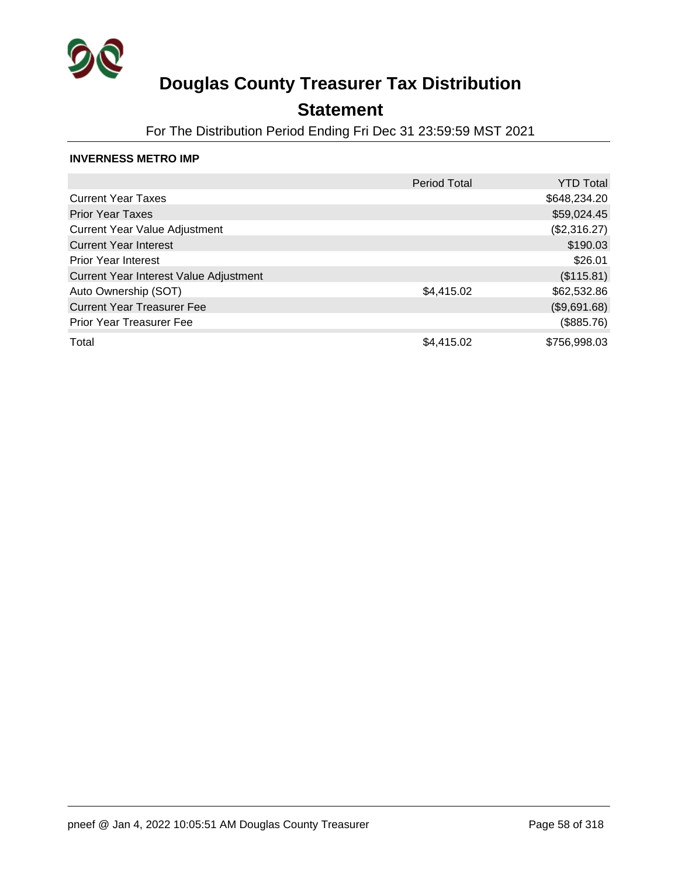

## **Statement**

For The Distribution Period Ending Fri Dec 31 23:59:59 MST 2021

#### **INVERNESS METRO IMP**

|                                        | Period Total | <b>YTD Total</b> |
|----------------------------------------|--------------|------------------|
| <b>Current Year Taxes</b>              |              | \$648,234.20     |
| <b>Prior Year Taxes</b>                |              | \$59,024.45      |
| <b>Current Year Value Adjustment</b>   |              | (\$2,316.27)     |
| <b>Current Year Interest</b>           |              | \$190.03         |
| <b>Prior Year Interest</b>             |              | \$26.01          |
| Current Year Interest Value Adjustment |              | (\$115.81)       |
| Auto Ownership (SOT)                   | \$4,415.02   | \$62,532.86      |
| <b>Current Year Treasurer Fee</b>      |              | (\$9,691.68)     |
| <b>Prior Year Treasurer Fee</b>        |              | (\$885.76)       |
| Total                                  | \$4,415.02   | \$756,998.03     |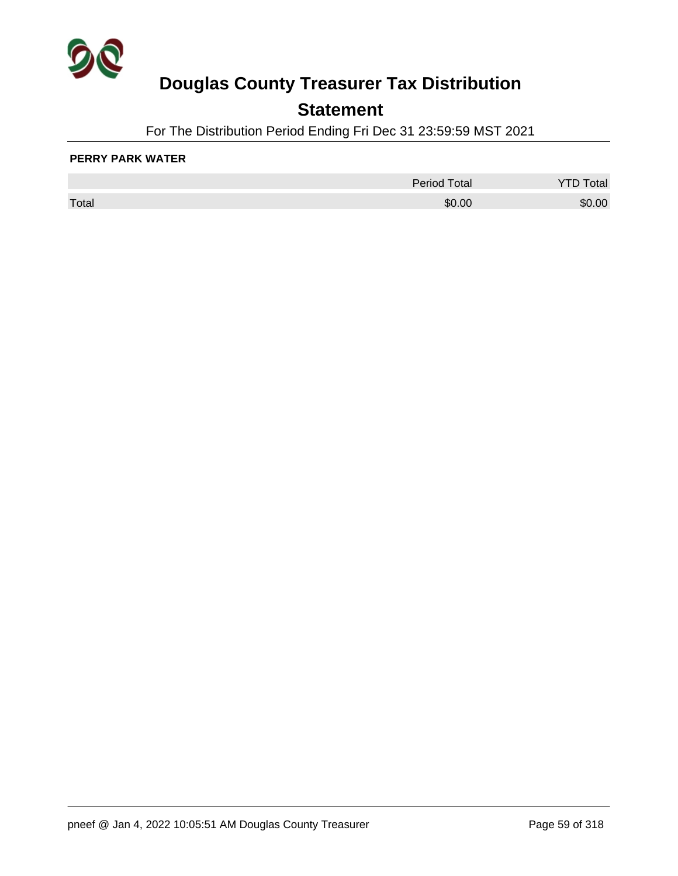

## **Statement**

For The Distribution Period Ending Fri Dec 31 23:59:59 MST 2021

#### **PERRY PARK WATER**

|       | <b>Period Total</b> | otal |
|-------|---------------------|------|
| Total | \$0.00              | 0.00 |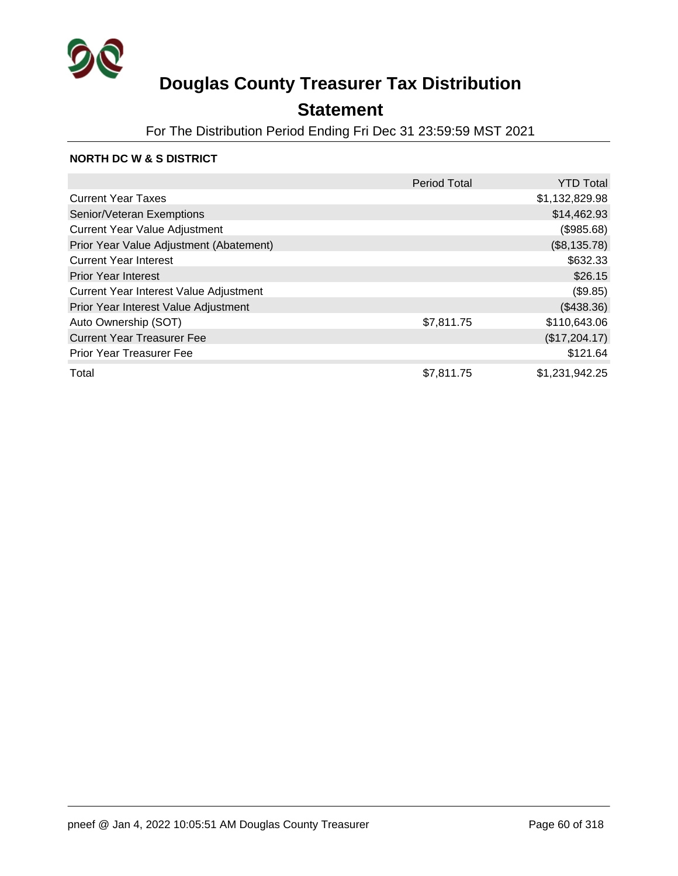

## **Statement**

For The Distribution Period Ending Fri Dec 31 23:59:59 MST 2021

#### **NORTH DC W & S DISTRICT**

|                                         | <b>Period Total</b> | <b>YTD Total</b> |
|-----------------------------------------|---------------------|------------------|
| <b>Current Year Taxes</b>               |                     | \$1,132,829.98   |
| Senior/Veteran Exemptions               |                     | \$14,462.93      |
| <b>Current Year Value Adjustment</b>    |                     | (\$985.68)       |
| Prior Year Value Adjustment (Abatement) |                     | (\$8,135.78)     |
| <b>Current Year Interest</b>            |                     | \$632.33         |
| <b>Prior Year Interest</b>              |                     | \$26.15          |
| Current Year Interest Value Adjustment  |                     | (\$9.85)         |
| Prior Year Interest Value Adjustment    |                     | (\$438.36)       |
| Auto Ownership (SOT)                    | \$7,811.75          | \$110,643.06     |
| <b>Current Year Treasurer Fee</b>       |                     | (\$17,204.17)    |
| <b>Prior Year Treasurer Fee</b>         |                     | \$121.64         |
| Total                                   | \$7,811.75          | \$1,231,942.25   |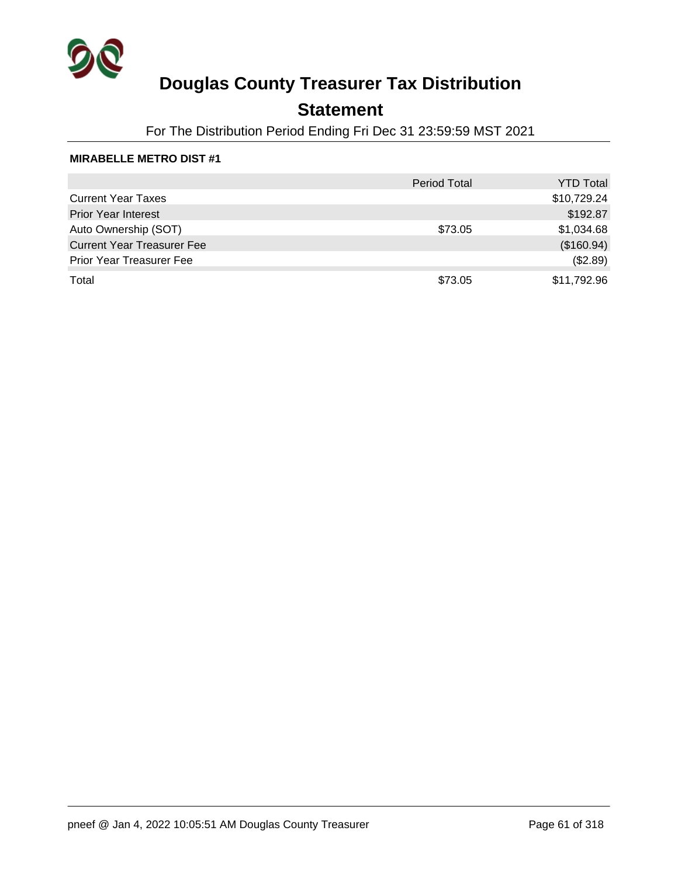

## **Statement**

For The Distribution Period Ending Fri Dec 31 23:59:59 MST 2021

#### **MIRABELLE METRO DIST #1**

|                                   | <b>Period Total</b> | <b>YTD Total</b> |
|-----------------------------------|---------------------|------------------|
| <b>Current Year Taxes</b>         |                     | \$10,729.24      |
| <b>Prior Year Interest</b>        |                     | \$192.87         |
| Auto Ownership (SOT)              | \$73.05             | \$1,034.68       |
| <b>Current Year Treasurer Fee</b> |                     | (\$160.94)       |
| <b>Prior Year Treasurer Fee</b>   |                     | (\$2.89)         |
| Total                             | \$73.05             | \$11,792.96      |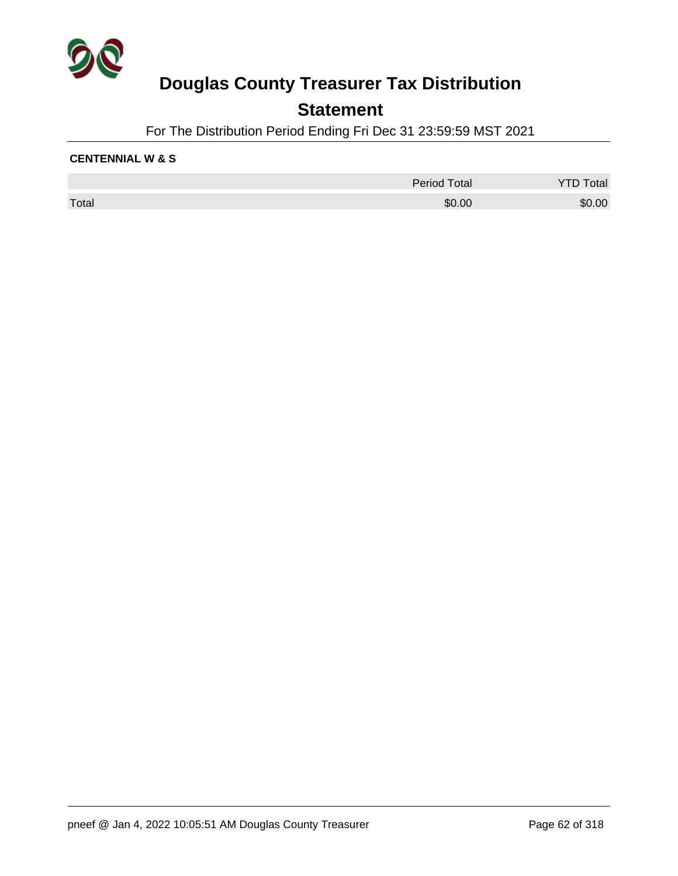

### **Statement**

For The Distribution Period Ending Fri Dec 31 23:59:59 MST 2021

#### **CENTENNIAL W & S**

|       | <b>Period Total</b> | Total  |
|-------|---------------------|--------|
| Total | \$0.00              | \$0.00 |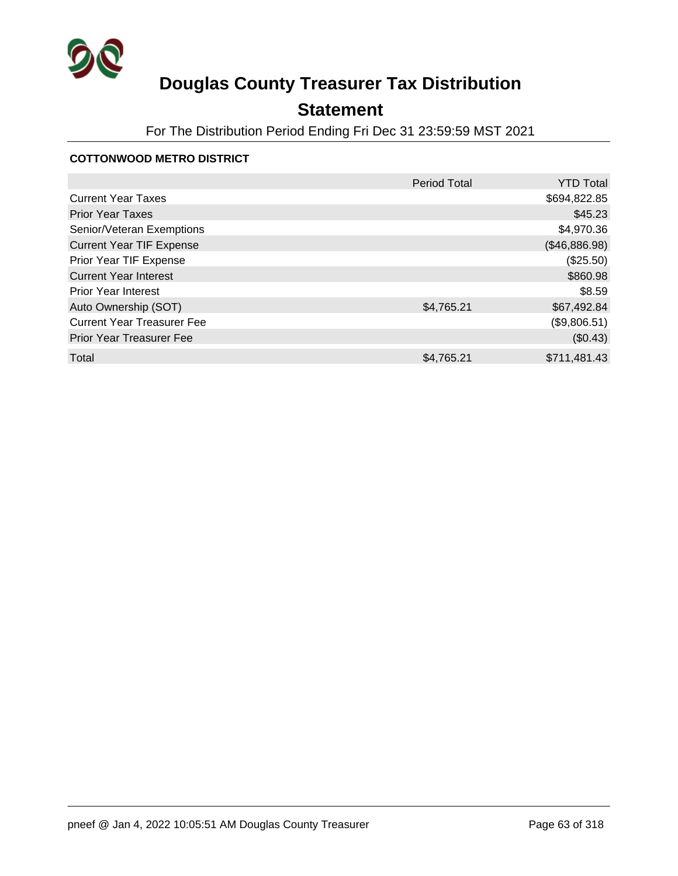

## **Statement**

For The Distribution Period Ending Fri Dec 31 23:59:59 MST 2021

#### **COTTONWOOD METRO DISTRICT**

|                                   | <b>Period Total</b> | <b>YTD Total</b> |
|-----------------------------------|---------------------|------------------|
| <b>Current Year Taxes</b>         |                     | \$694,822.85     |
| <b>Prior Year Taxes</b>           |                     | \$45.23          |
| Senior/Veteran Exemptions         |                     | \$4,970.36       |
| <b>Current Year TIF Expense</b>   |                     | (\$46,886.98)    |
| Prior Year TIF Expense            |                     | (\$25.50)        |
| <b>Current Year Interest</b>      |                     | \$860.98         |
| <b>Prior Year Interest</b>        |                     | \$8.59           |
| Auto Ownership (SOT)              | \$4,765.21          | \$67,492.84      |
| <b>Current Year Treasurer Fee</b> |                     | (\$9,806.51)     |
| <b>Prior Year Treasurer Fee</b>   |                     | (\$0.43)         |
| Total                             | \$4,765.21          | \$711,481.43     |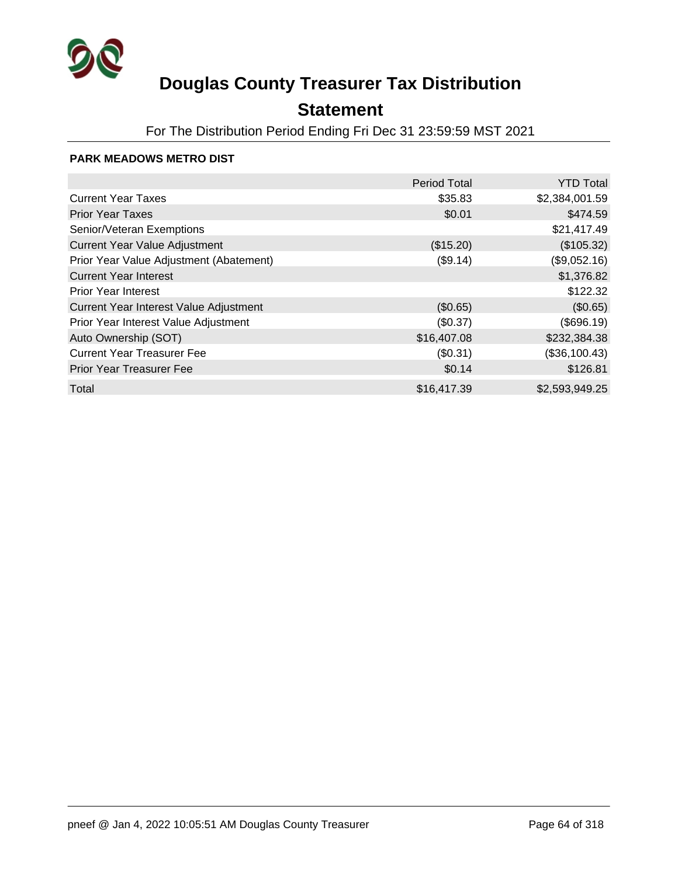

## **Statement**

For The Distribution Period Ending Fri Dec 31 23:59:59 MST 2021

#### **PARK MEADOWS METRO DIST**

|                                         | <b>Period Total</b> | <b>YTD Total</b> |
|-----------------------------------------|---------------------|------------------|
| <b>Current Year Taxes</b>               | \$35.83             | \$2,384,001.59   |
| <b>Prior Year Taxes</b>                 | \$0.01              | \$474.59         |
| Senior/Veteran Exemptions               |                     | \$21,417.49      |
| <b>Current Year Value Adjustment</b>    | (\$15.20)           | (\$105.32)       |
| Prior Year Value Adjustment (Abatement) | (\$9.14)            | (\$9,052.16)     |
| <b>Current Year Interest</b>            |                     | \$1,376.82       |
| <b>Prior Year Interest</b>              |                     | \$122.32         |
| Current Year Interest Value Adjustment  | (\$0.65)            | (\$0.65)         |
| Prior Year Interest Value Adjustment    | (\$0.37)            | (\$696.19)       |
| Auto Ownership (SOT)                    | \$16,407.08         | \$232,384.38     |
| <b>Current Year Treasurer Fee</b>       | (\$0.31)            | (\$36,100.43)    |
| <b>Prior Year Treasurer Fee</b>         | \$0.14              | \$126.81         |
| Total                                   | \$16,417.39         | \$2,593,949.25   |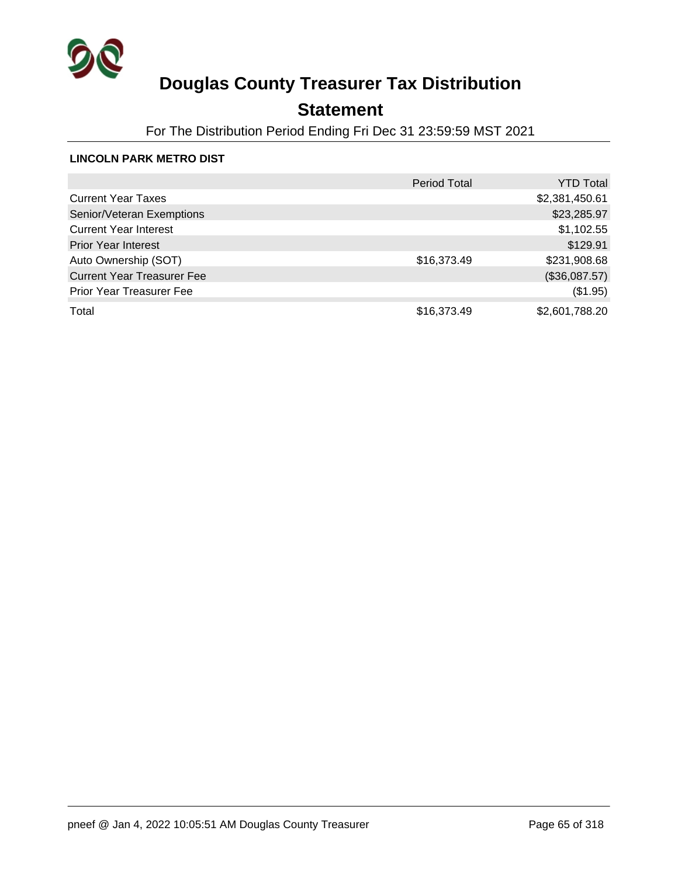

## **Statement**

For The Distribution Period Ending Fri Dec 31 23:59:59 MST 2021

#### **LINCOLN PARK METRO DIST**

|                                   | <b>Period Total</b> | <b>YTD Total</b> |
|-----------------------------------|---------------------|------------------|
| <b>Current Year Taxes</b>         |                     | \$2,381,450.61   |
| Senior/Veteran Exemptions         |                     | \$23,285.97      |
| <b>Current Year Interest</b>      |                     | \$1,102.55       |
| <b>Prior Year Interest</b>        |                     | \$129.91         |
| Auto Ownership (SOT)              | \$16,373.49         | \$231,908.68     |
| <b>Current Year Treasurer Fee</b> |                     | (\$36,087.57)    |
| <b>Prior Year Treasurer Fee</b>   |                     | (\$1.95)         |
| Total                             | \$16,373.49         | \$2,601,788.20   |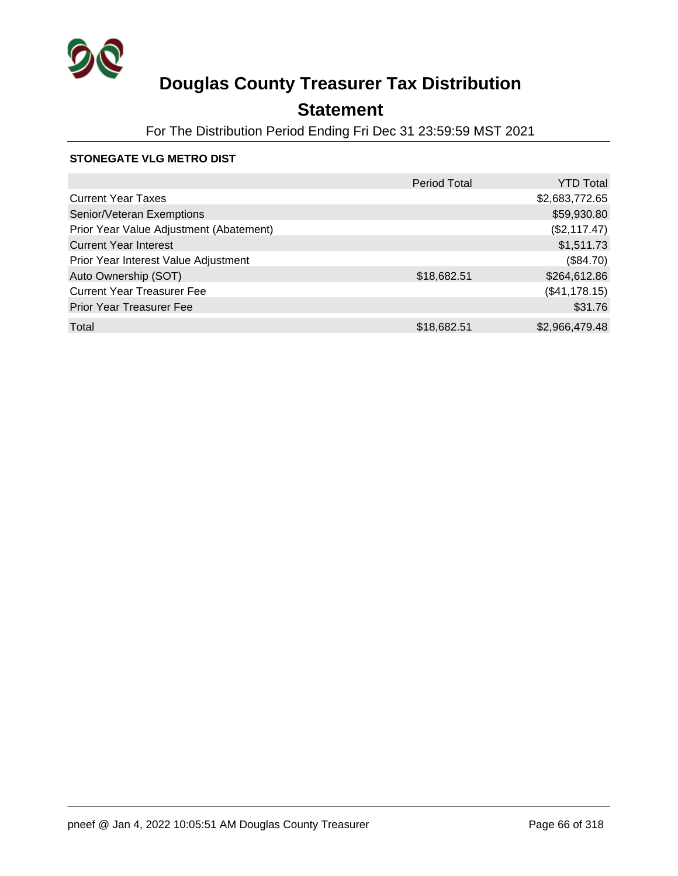

## **Statement**

For The Distribution Period Ending Fri Dec 31 23:59:59 MST 2021

#### **STONEGATE VLG METRO DIST**

|                                         | <b>Period Total</b> | <b>YTD Total</b> |
|-----------------------------------------|---------------------|------------------|
| <b>Current Year Taxes</b>               |                     | \$2,683,772.65   |
| Senior/Veteran Exemptions               |                     | \$59,930.80      |
| Prior Year Value Adjustment (Abatement) |                     | (\$2,117.47)     |
| <b>Current Year Interest</b>            |                     | \$1,511.73       |
| Prior Year Interest Value Adjustment    |                     | (\$84.70)        |
| Auto Ownership (SOT)                    | \$18,682.51         | \$264,612.86     |
| <b>Current Year Treasurer Fee</b>       |                     | (\$41,178.15)    |
| <b>Prior Year Treasurer Fee</b>         |                     | \$31.76          |
| Total                                   | \$18,682.51         | \$2,966,479.48   |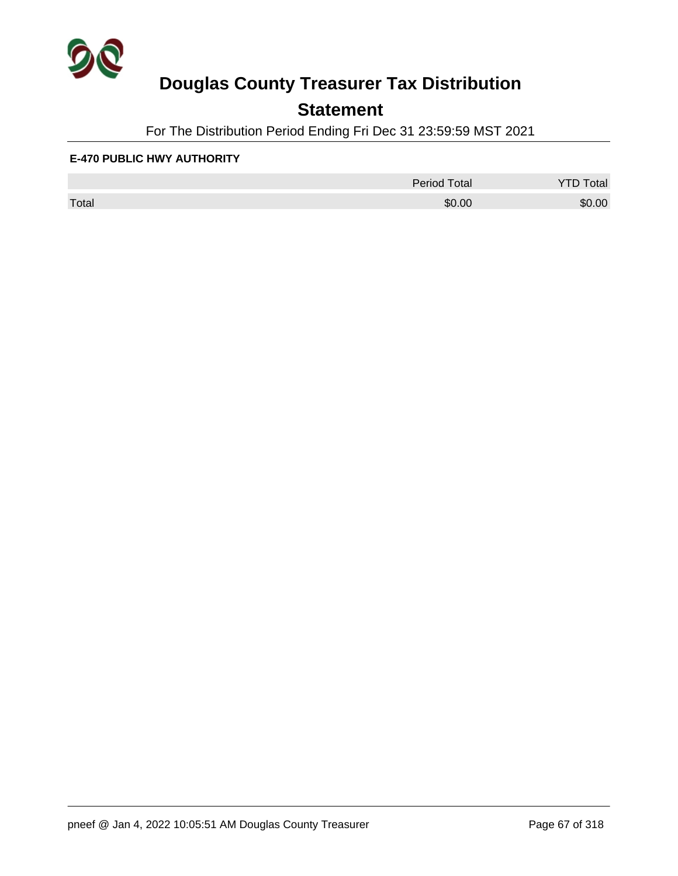

## **Statement**

For The Distribution Period Ending Fri Dec 31 23:59:59 MST 2021

#### **E-470 PUBLIC HWY AUTHORITY**

|       | <b>Period Total</b> | otal   |
|-------|---------------------|--------|
| Total | \$0.00              | \$0.00 |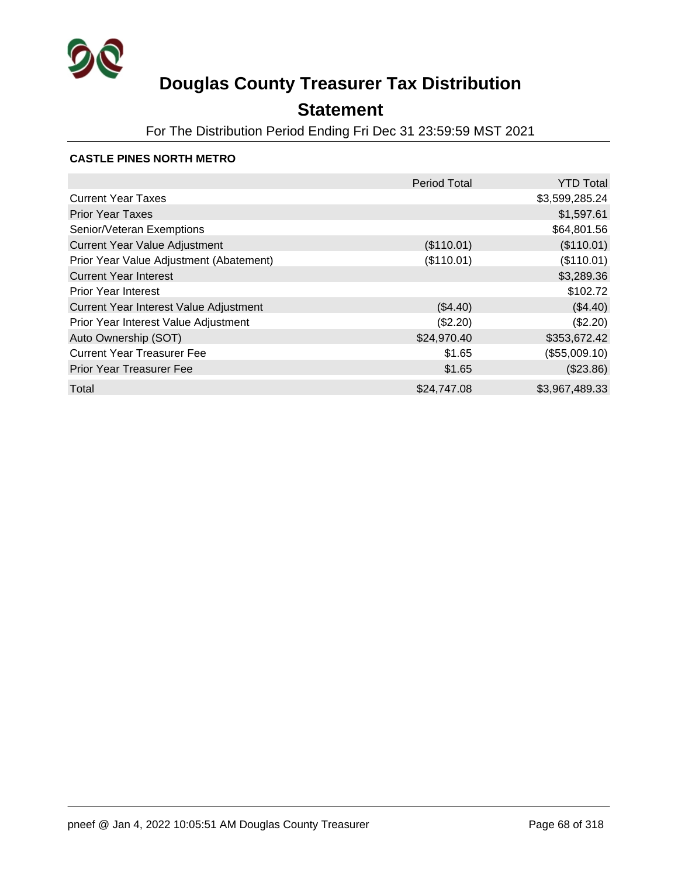

## **Statement**

For The Distribution Period Ending Fri Dec 31 23:59:59 MST 2021

#### **CASTLE PINES NORTH METRO**

|                                         | <b>Period Total</b> | <b>YTD Total</b> |
|-----------------------------------------|---------------------|------------------|
| <b>Current Year Taxes</b>               |                     | \$3,599,285.24   |
| <b>Prior Year Taxes</b>                 |                     | \$1,597.61       |
| Senior/Veteran Exemptions               |                     | \$64,801.56      |
| <b>Current Year Value Adjustment</b>    | (\$110.01)          | (\$110.01)       |
| Prior Year Value Adjustment (Abatement) | (\$110.01)          | (\$110.01)       |
| <b>Current Year Interest</b>            |                     | \$3,289.36       |
| <b>Prior Year Interest</b>              |                     | \$102.72         |
| Current Year Interest Value Adjustment  | (\$4.40)            | (\$4.40)         |
| Prior Year Interest Value Adjustment    | (\$2.20)            | (\$2.20)         |
| Auto Ownership (SOT)                    | \$24,970.40         | \$353,672.42     |
| <b>Current Year Treasurer Fee</b>       | \$1.65              | (\$55,009.10)    |
| <b>Prior Year Treasurer Fee</b>         | \$1.65              | (\$23.86)        |
| Total                                   | \$24,747.08         | \$3,967,489.33   |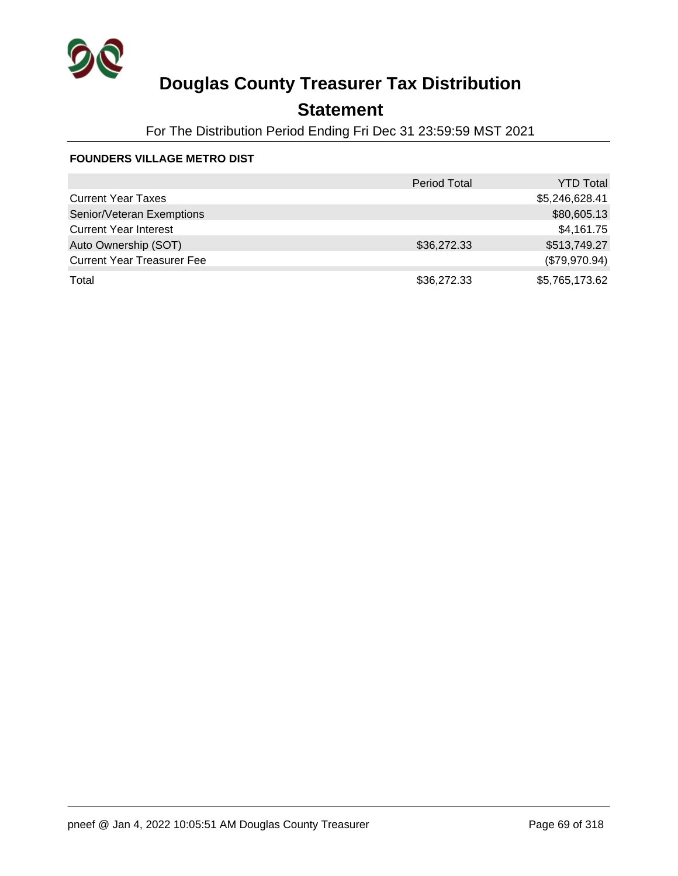

## **Statement**

For The Distribution Period Ending Fri Dec 31 23:59:59 MST 2021

#### **FOUNDERS VILLAGE METRO DIST**

|                                   | <b>Period Total</b> | <b>YTD Total</b> |
|-----------------------------------|---------------------|------------------|
| <b>Current Year Taxes</b>         |                     | \$5,246,628.41   |
| Senior/Veteran Exemptions         |                     | \$80,605.13      |
| <b>Current Year Interest</b>      |                     | \$4,161.75       |
| Auto Ownership (SOT)              | \$36,272.33         | \$513,749.27     |
| <b>Current Year Treasurer Fee</b> |                     | (\$79,970.94)    |
| Total                             | \$36,272.33         | \$5,765,173.62   |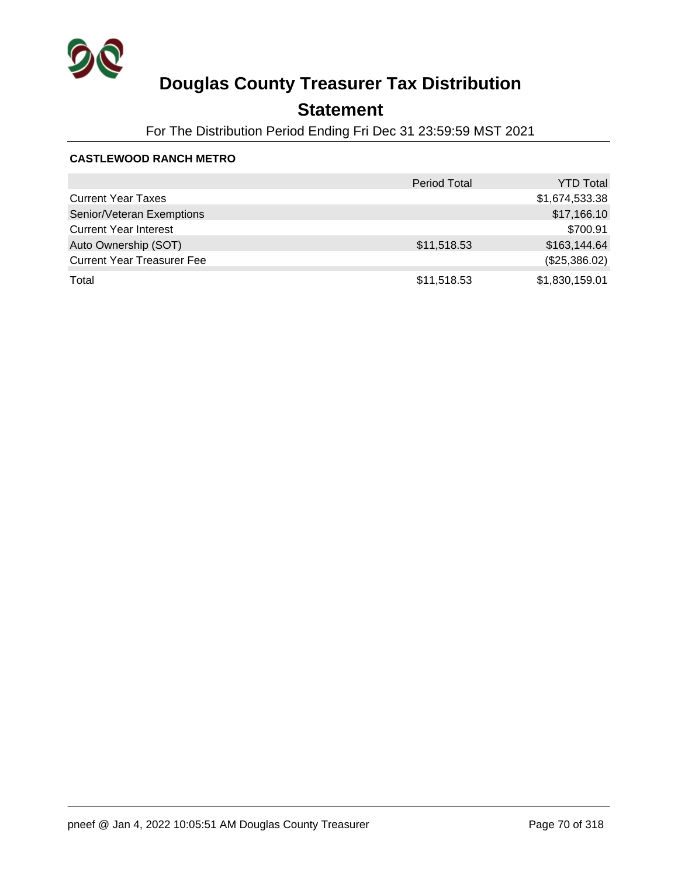

## **Statement**

For The Distribution Period Ending Fri Dec 31 23:59:59 MST 2021

#### **CASTLEWOOD RANCH METRO**

|                                   | <b>Period Total</b> | <b>YTD Total</b> |
|-----------------------------------|---------------------|------------------|
| <b>Current Year Taxes</b>         |                     | \$1,674,533.38   |
| Senior/Veteran Exemptions         |                     | \$17,166.10      |
| <b>Current Year Interest</b>      |                     | \$700.91         |
| Auto Ownership (SOT)              | \$11,518.53         | \$163,144.64     |
| <b>Current Year Treasurer Fee</b> |                     | (\$25,386.02)    |
| Total                             | \$11,518.53         | \$1,830,159.01   |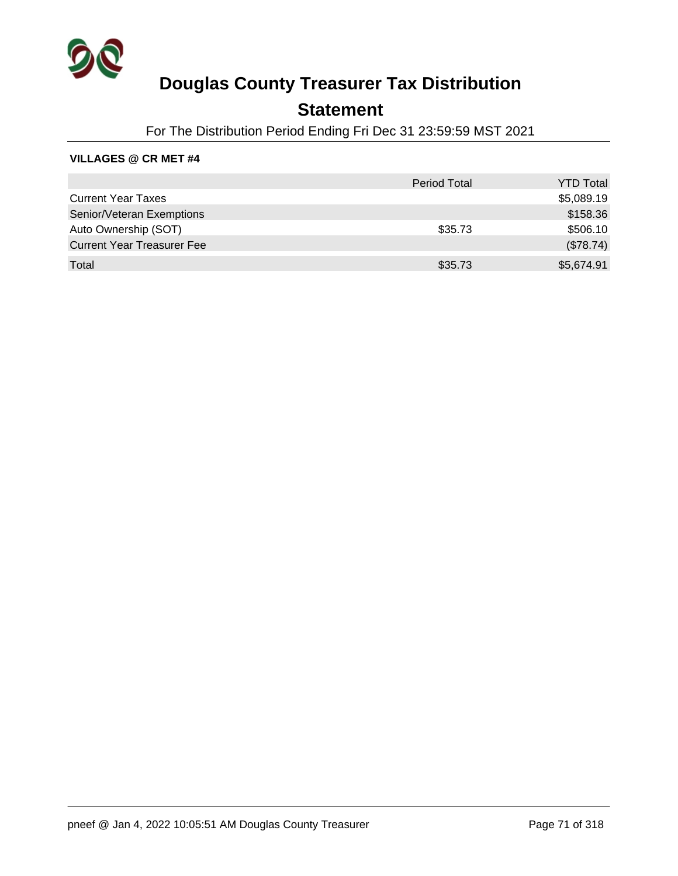

## **Statement**

For The Distribution Period Ending Fri Dec 31 23:59:59 MST 2021

#### **VILLAGES @ CR MET #4**

|                                   | <b>Period Total</b> | <b>YTD Total</b> |
|-----------------------------------|---------------------|------------------|
| <b>Current Year Taxes</b>         |                     | \$5,089.19       |
| Senior/Veteran Exemptions         |                     | \$158.36         |
| Auto Ownership (SOT)              | \$35.73             | \$506.10         |
| <b>Current Year Treasurer Fee</b> |                     | (\$78.74)        |
| Total                             | \$35.73             | \$5,674.91       |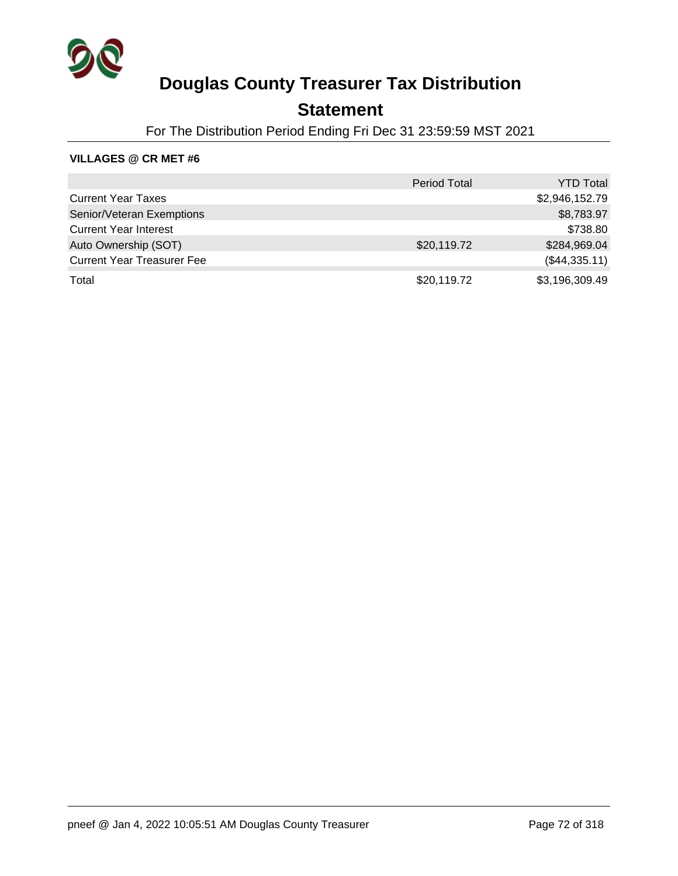

### **Statement**

For The Distribution Period Ending Fri Dec 31 23:59:59 MST 2021

#### **VILLAGES @ CR MET #6**

|                                   | <b>Period Total</b> | <b>YTD Total</b> |
|-----------------------------------|---------------------|------------------|
| <b>Current Year Taxes</b>         |                     | \$2,946,152.79   |
| Senior/Veteran Exemptions         |                     | \$8,783.97       |
| <b>Current Year Interest</b>      |                     | \$738.80         |
| Auto Ownership (SOT)              | \$20,119.72         | \$284,969.04     |
| <b>Current Year Treasurer Fee</b> |                     | (\$44,335.11)    |
| Total                             | \$20,119.72         | \$3,196,309.49   |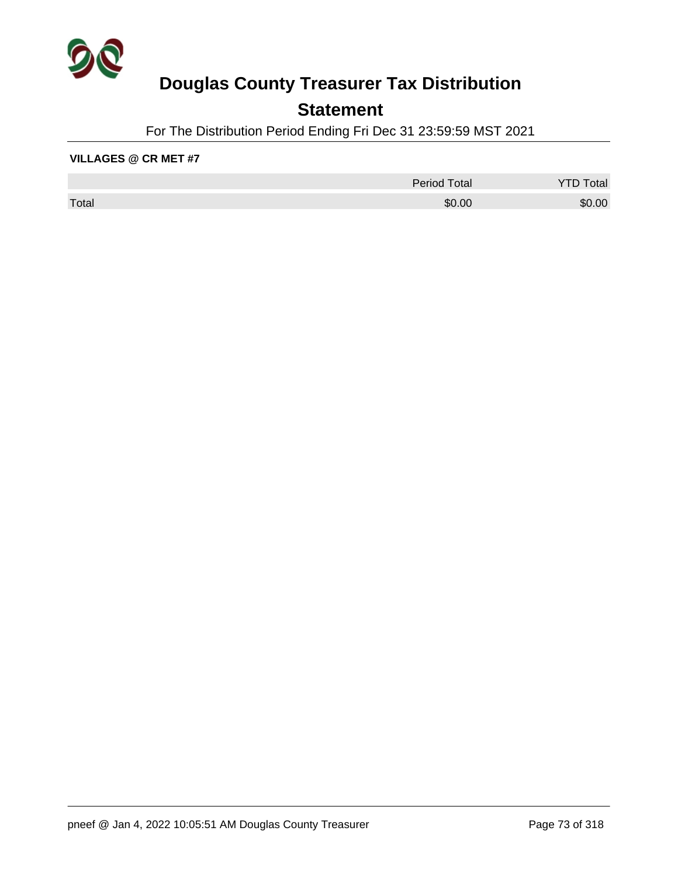

## **Statement**

For The Distribution Period Ending Fri Dec 31 23:59:59 MST 2021

#### **VILLAGES @ CR MET #7**

|       | <b>Period Total</b> | otal   |
|-------|---------------------|--------|
| Total | \$0.00              | \$0.00 |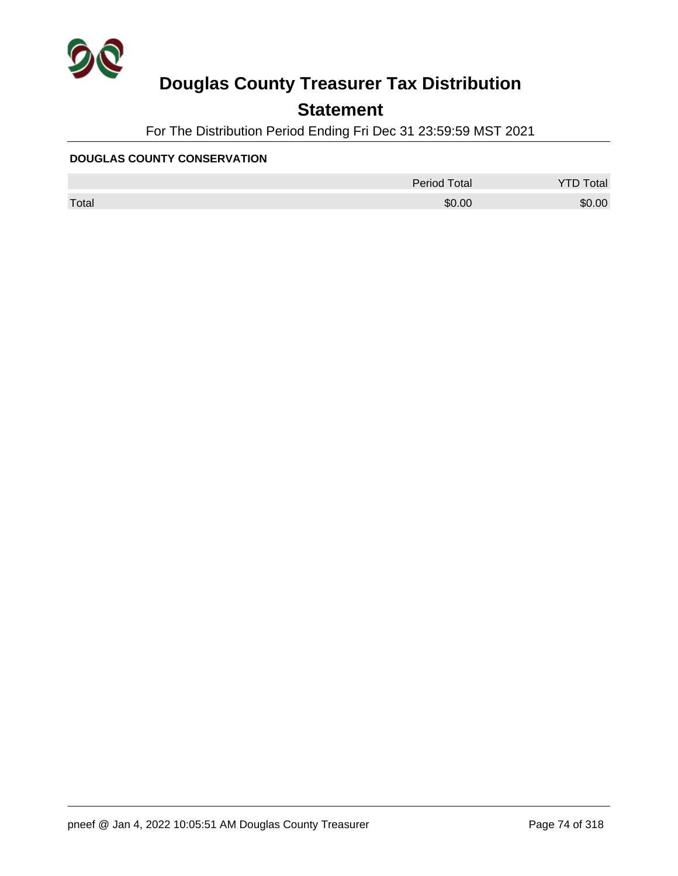

## **Statement**

For The Distribution Period Ending Fri Dec 31 23:59:59 MST 2021

### **DOUGLAS COUNTY CONSERVATION**

|       | <b>Period Total</b> | otal   |
|-------|---------------------|--------|
| Total | \$0.00              | \$0.00 |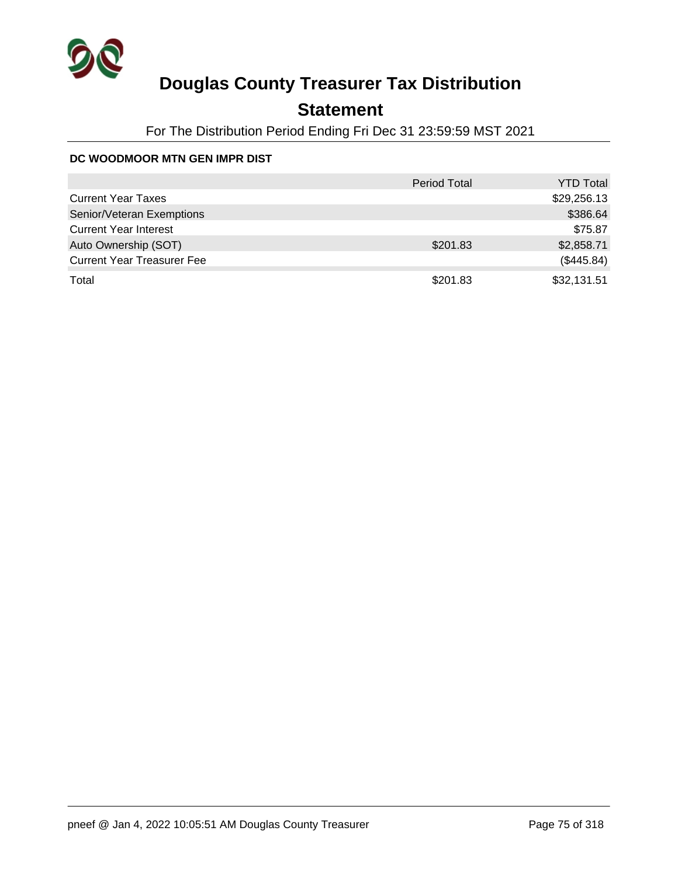

## **Statement**

For The Distribution Period Ending Fri Dec 31 23:59:59 MST 2021

### **DC WOODMOOR MTN GEN IMPR DIST**

|                                   | <b>Period Total</b> | <b>YTD Total</b> |
|-----------------------------------|---------------------|------------------|
| <b>Current Year Taxes</b>         |                     | \$29,256.13      |
| Senior/Veteran Exemptions         |                     | \$386.64         |
| <b>Current Year Interest</b>      |                     | \$75.87          |
| Auto Ownership (SOT)              | \$201.83            | \$2,858.71       |
| <b>Current Year Treasurer Fee</b> |                     | (\$445.84)       |
| Total                             | \$201.83            | \$32,131.51      |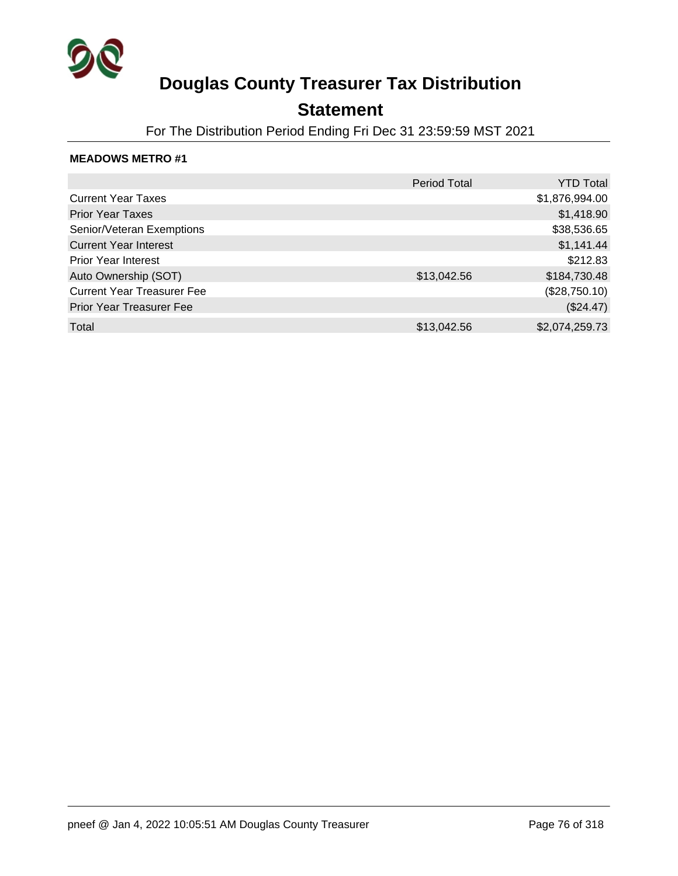

### **Statement**

For The Distribution Period Ending Fri Dec 31 23:59:59 MST 2021

|                                   | <b>Period Total</b> | <b>YTD Total</b> |
|-----------------------------------|---------------------|------------------|
| <b>Current Year Taxes</b>         |                     | \$1,876,994.00   |
| <b>Prior Year Taxes</b>           |                     | \$1,418.90       |
| Senior/Veteran Exemptions         |                     | \$38,536.65      |
| <b>Current Year Interest</b>      |                     | \$1,141.44       |
| <b>Prior Year Interest</b>        |                     | \$212.83         |
| Auto Ownership (SOT)              | \$13,042.56         | \$184,730.48     |
| <b>Current Year Treasurer Fee</b> |                     | (\$28,750.10)    |
| <b>Prior Year Treasurer Fee</b>   |                     | (\$24.47)        |
| Total                             | \$13,042.56         | \$2,074,259.73   |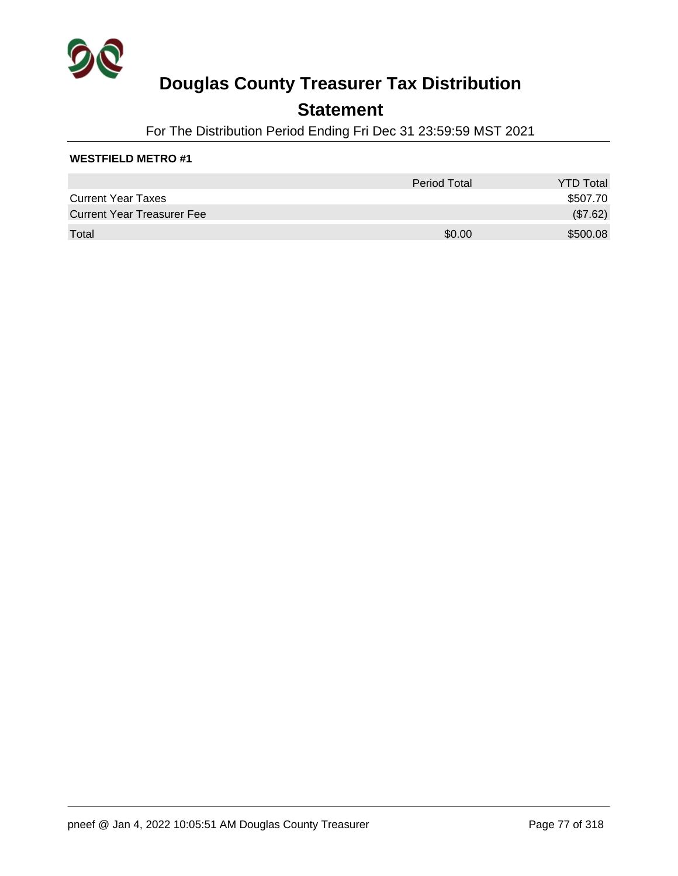

### **Statement**

For The Distribution Period Ending Fri Dec 31 23:59:59 MST 2021

### **WESTFIELD METRO #1**

|                                   | Period Total | <b>YTD Total</b> |
|-----------------------------------|--------------|------------------|
| <b>Current Year Taxes</b>         |              | \$507.70         |
| <b>Current Year Treasurer Fee</b> |              | (\$7.62)         |
| Total                             | \$0.00       | \$500.08         |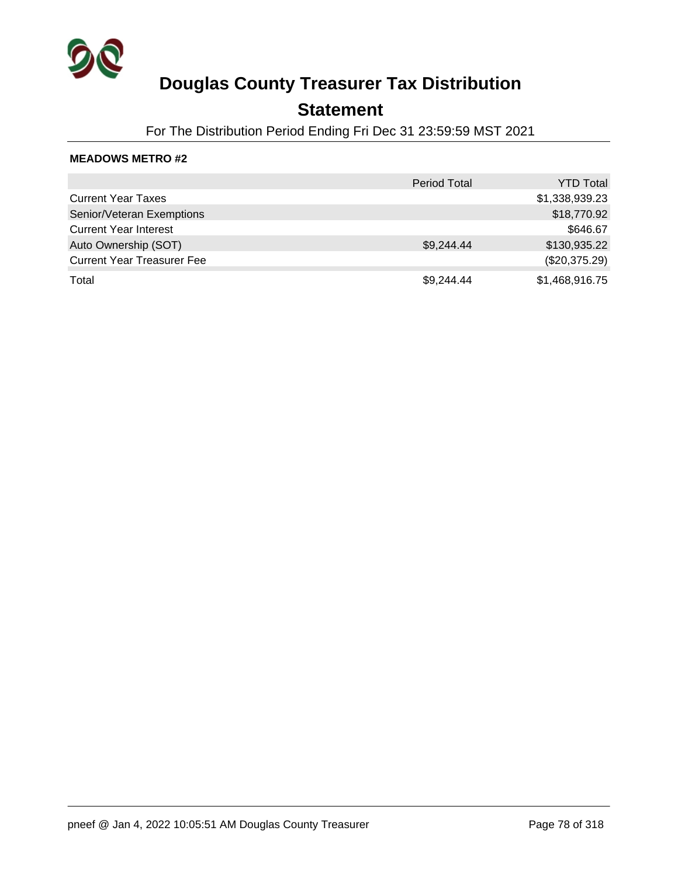

### **Statement**

For The Distribution Period Ending Fri Dec 31 23:59:59 MST 2021

|                                   | <b>Period Total</b> | <b>YTD Total</b> |
|-----------------------------------|---------------------|------------------|
| <b>Current Year Taxes</b>         |                     | \$1,338,939.23   |
| Senior/Veteran Exemptions         |                     | \$18,770.92      |
| <b>Current Year Interest</b>      |                     | \$646.67         |
| Auto Ownership (SOT)              | \$9,244.44          | \$130,935.22     |
| <b>Current Year Treasurer Fee</b> |                     | (\$20,375.29)    |
| Total                             | \$9,244.44          | \$1,468,916.75   |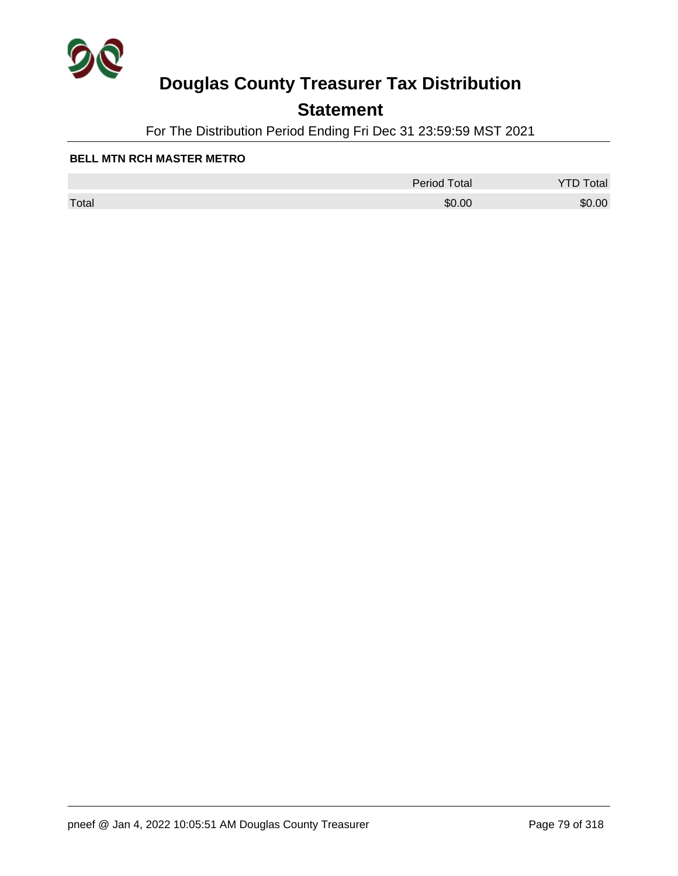

## **Statement**

For The Distribution Period Ending Fri Dec 31 23:59:59 MST 2021

#### **BELL MTN RCH MASTER METRO**

|       | <b>Period Total</b> | otal   |
|-------|---------------------|--------|
| Total | \$0.00              | \$0.00 |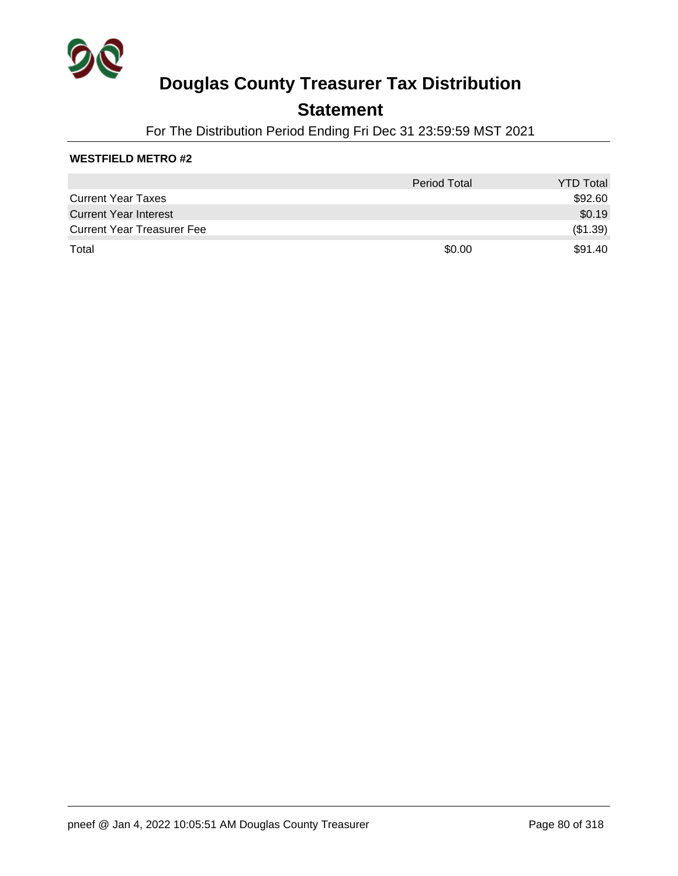

### **Statement**

For The Distribution Period Ending Fri Dec 31 23:59:59 MST 2021

### **WESTFIELD METRO #2**

|                                   | <b>Period Total</b> | <b>YTD Total</b> |
|-----------------------------------|---------------------|------------------|
| <b>Current Year Taxes</b>         |                     | \$92.60          |
| <b>Current Year Interest</b>      |                     | \$0.19           |
| <b>Current Year Treasurer Fee</b> |                     | (\$1.39)         |
| Total                             | \$0.00              | \$91.40          |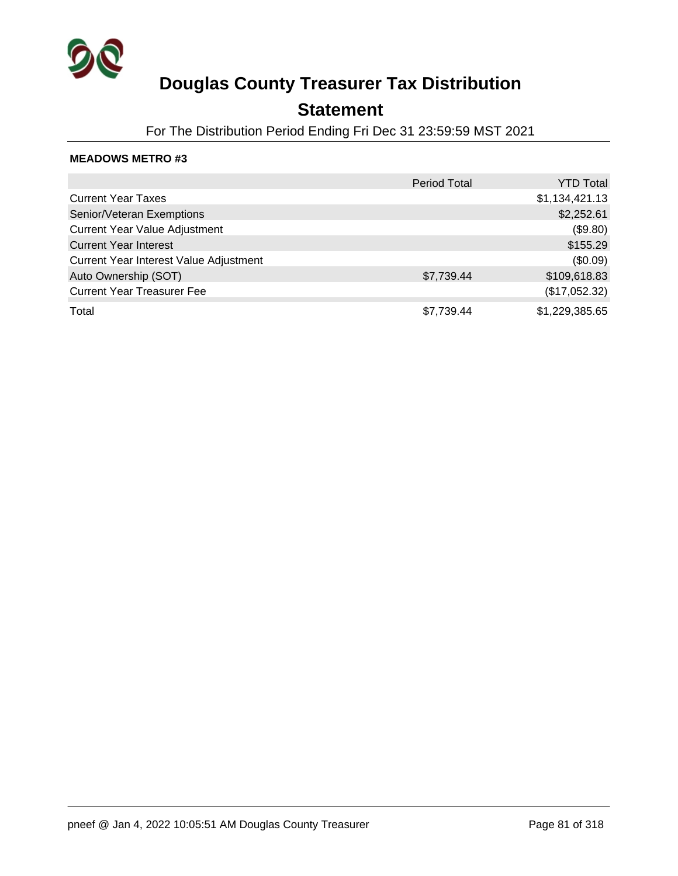

## **Statement**

For The Distribution Period Ending Fri Dec 31 23:59:59 MST 2021

|                                        | <b>Period Total</b> | <b>YTD Total</b> |
|----------------------------------------|---------------------|------------------|
| <b>Current Year Taxes</b>              |                     | \$1,134,421.13   |
| Senior/Veteran Exemptions              |                     | \$2,252.61       |
| <b>Current Year Value Adjustment</b>   |                     | (\$9.80)         |
| <b>Current Year Interest</b>           |                     | \$155.29         |
| Current Year Interest Value Adjustment |                     | (\$0.09)         |
| Auto Ownership (SOT)                   | \$7,739.44          | \$109,618.83     |
| <b>Current Year Treasurer Fee</b>      |                     | (\$17,052.32)    |
| Total                                  | \$7,739.44          | \$1,229,385.65   |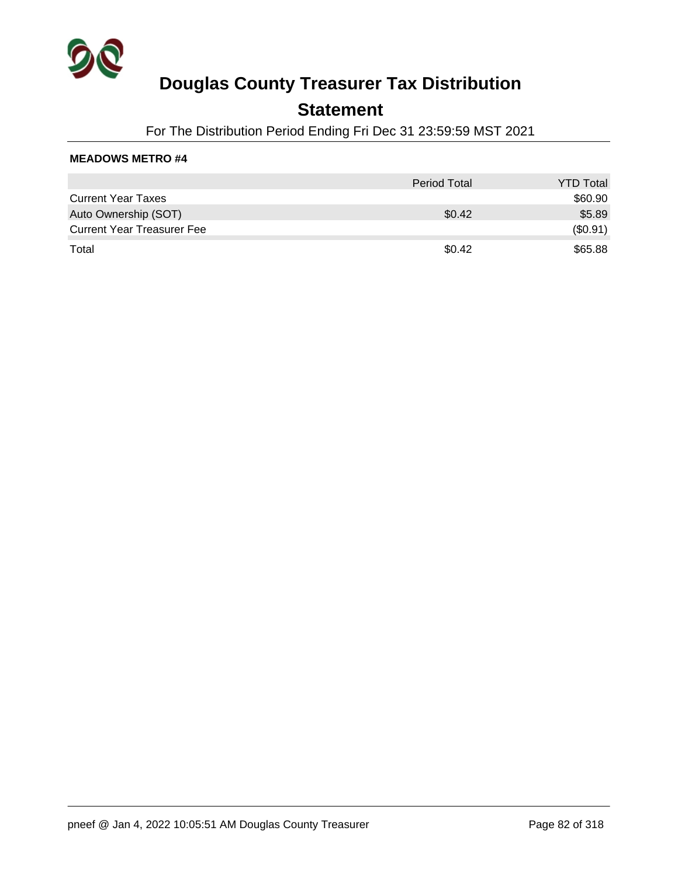

### **Statement**

For The Distribution Period Ending Fri Dec 31 23:59:59 MST 2021

|                                   | <b>Period Total</b> | <b>YTD Total</b> |
|-----------------------------------|---------------------|------------------|
| <b>Current Year Taxes</b>         |                     | \$60.90          |
| Auto Ownership (SOT)              | \$0.42              | \$5.89           |
| <b>Current Year Treasurer Fee</b> |                     | (\$0.91)         |
| Total                             | \$0.42              | \$65.88          |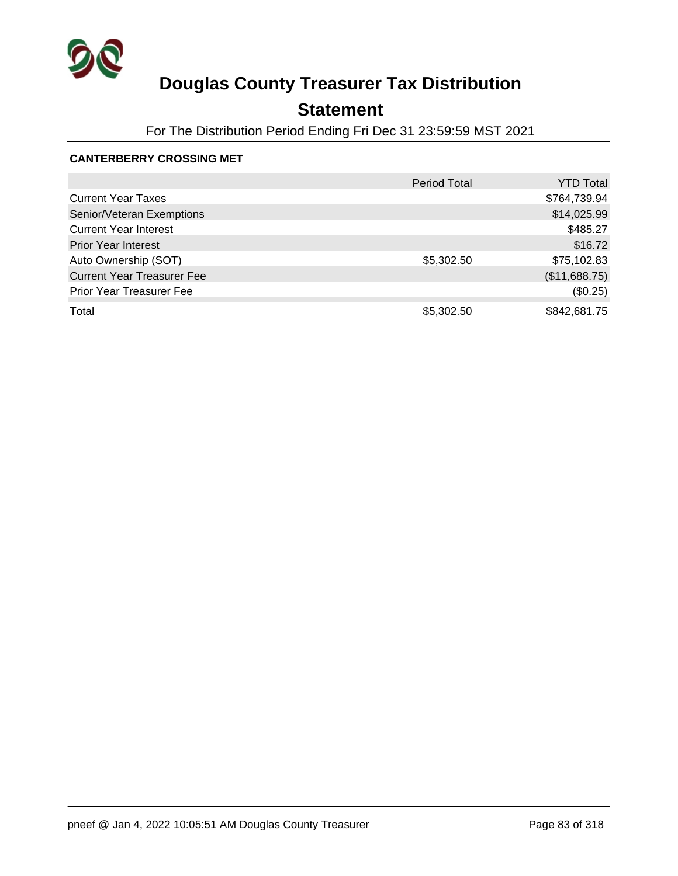

## **Statement**

For The Distribution Period Ending Fri Dec 31 23:59:59 MST 2021

### **CANTERBERRY CROSSING MET**

|                                   | <b>Period Total</b> | <b>YTD Total</b> |
|-----------------------------------|---------------------|------------------|
| <b>Current Year Taxes</b>         |                     | \$764,739.94     |
| Senior/Veteran Exemptions         |                     | \$14,025.99      |
| <b>Current Year Interest</b>      |                     | \$485.27         |
| <b>Prior Year Interest</b>        |                     | \$16.72          |
| Auto Ownership (SOT)              | \$5,302.50          | \$75,102.83      |
| <b>Current Year Treasurer Fee</b> |                     | (\$11,688.75)    |
| <b>Prior Year Treasurer Fee</b>   |                     | (\$0.25)         |
| Total                             | \$5,302.50          | \$842,681.75     |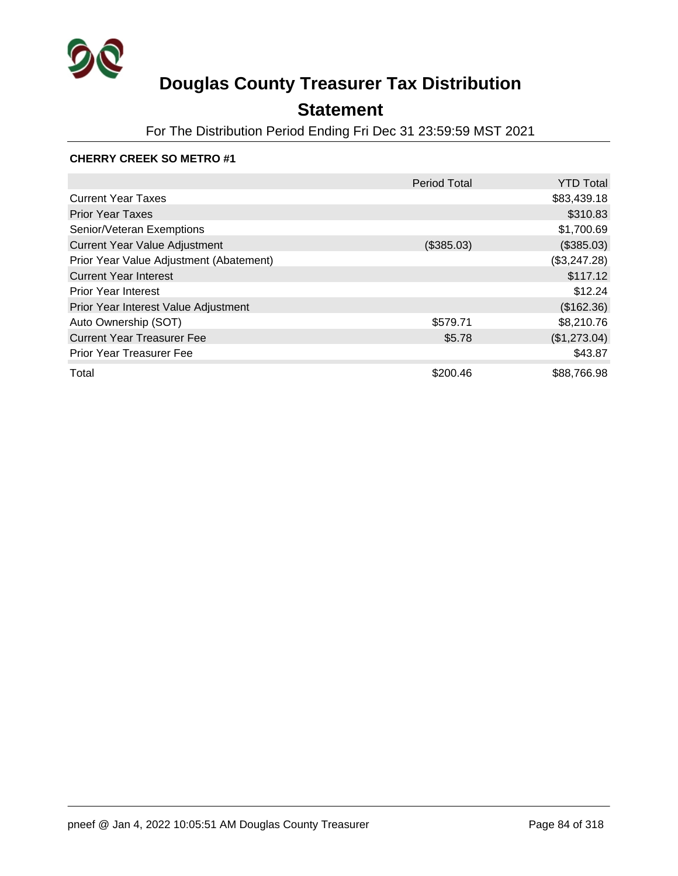

## **Statement**

For The Distribution Period Ending Fri Dec 31 23:59:59 MST 2021

#### **CHERRY CREEK SO METRO #1**

|                                         | <b>Period Total</b> | <b>YTD Total</b> |
|-----------------------------------------|---------------------|------------------|
| <b>Current Year Taxes</b>               |                     | \$83,439.18      |
| <b>Prior Year Taxes</b>                 |                     | \$310.83         |
| Senior/Veteran Exemptions               |                     | \$1,700.69       |
| <b>Current Year Value Adjustment</b>    | (\$385.03)          | (\$385.03)       |
| Prior Year Value Adjustment (Abatement) |                     | (\$3,247.28)     |
| <b>Current Year Interest</b>            |                     | \$117.12         |
| <b>Prior Year Interest</b>              |                     | \$12.24          |
| Prior Year Interest Value Adjustment    |                     | (\$162.36)       |
| Auto Ownership (SOT)                    | \$579.71            | \$8,210.76       |
| <b>Current Year Treasurer Fee</b>       | \$5.78              | (\$1,273.04)     |
| <b>Prior Year Treasurer Fee</b>         |                     | \$43.87          |
| Total                                   | \$200.46            | \$88,766.98      |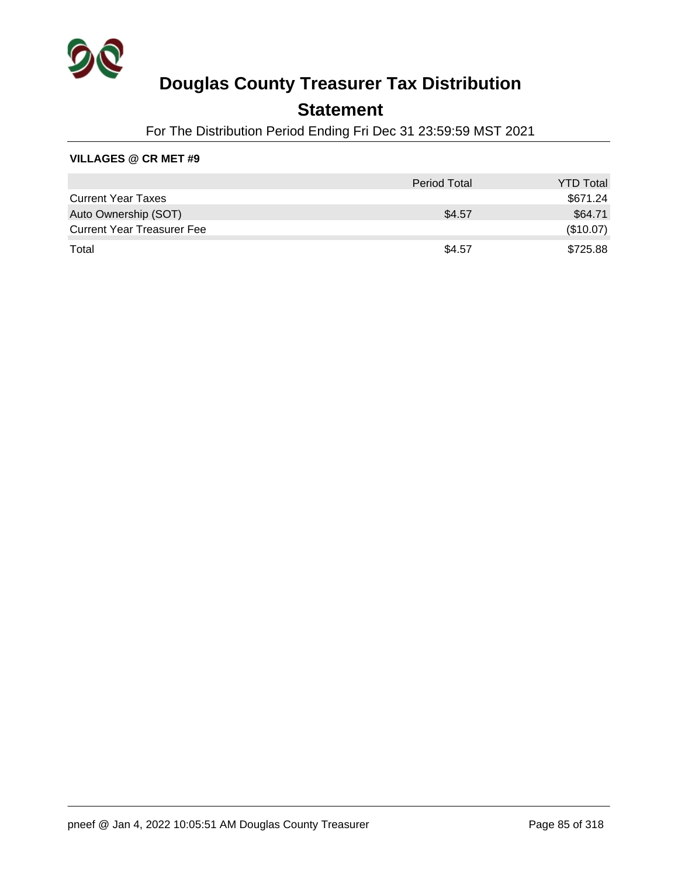

### **Statement**

For The Distribution Period Ending Fri Dec 31 23:59:59 MST 2021

#### **VILLAGES @ CR MET #9**

|                                   | <b>Period Total</b> | <b>YTD Total</b> |
|-----------------------------------|---------------------|------------------|
| <b>Current Year Taxes</b>         |                     | \$671.24         |
| Auto Ownership (SOT)              | \$4.57              | \$64.71          |
| <b>Current Year Treasurer Fee</b> |                     | (\$10.07)        |
| Total                             | \$4.57              | \$725.88         |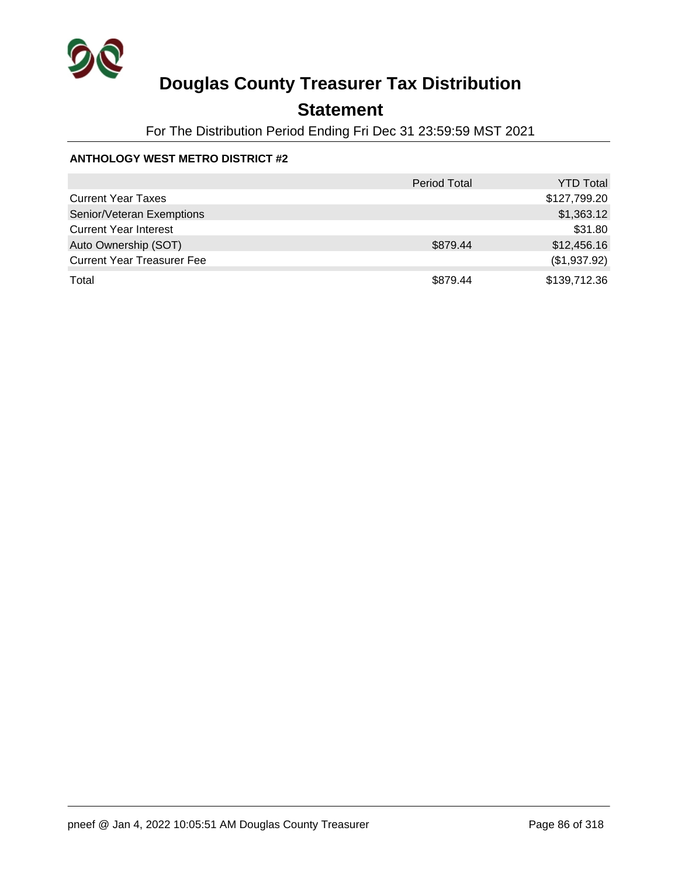

## **Statement**

For The Distribution Period Ending Fri Dec 31 23:59:59 MST 2021

### **ANTHOLOGY WEST METRO DISTRICT #2**

|                                   | Period Total | <b>YTD Total</b> |
|-----------------------------------|--------------|------------------|
| <b>Current Year Taxes</b>         |              | \$127,799.20     |
| Senior/Veteran Exemptions         |              | \$1,363.12       |
| <b>Current Year Interest</b>      |              | \$31.80          |
| Auto Ownership (SOT)              | \$879.44     | \$12,456.16      |
| <b>Current Year Treasurer Fee</b> |              | (\$1,937.92)     |
| Total                             | \$879.44     | \$139,712.36     |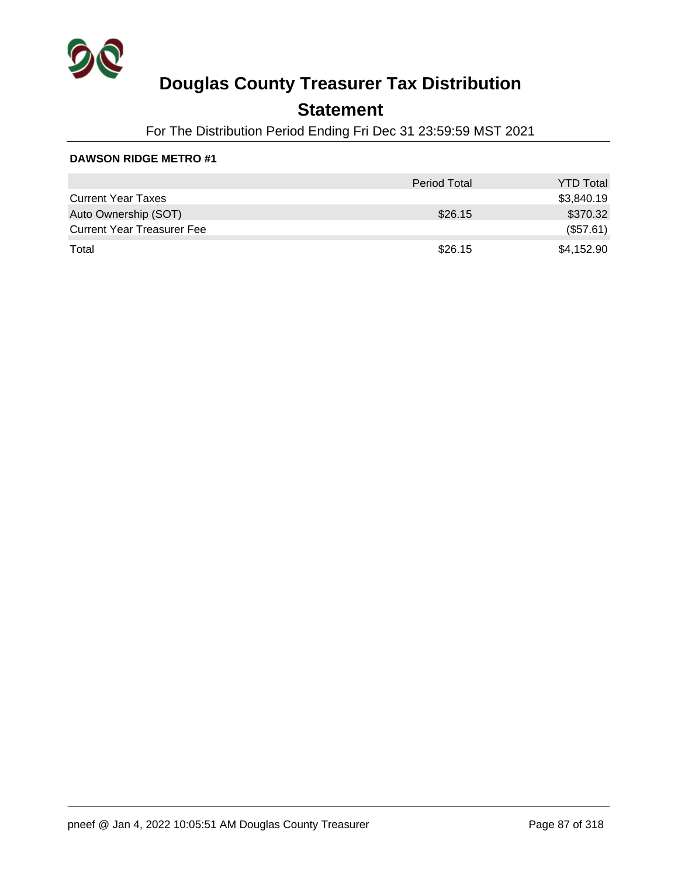

### **Statement**

For The Distribution Period Ending Fri Dec 31 23:59:59 MST 2021

|                                   | <b>Period Total</b> | <b>YTD Total</b> |
|-----------------------------------|---------------------|------------------|
| <b>Current Year Taxes</b>         |                     | \$3,840.19       |
| Auto Ownership (SOT)              | \$26.15             | \$370.32         |
| <b>Current Year Treasurer Fee</b> |                     | (\$57.61)        |
| Total                             | \$26.15             | \$4,152.90       |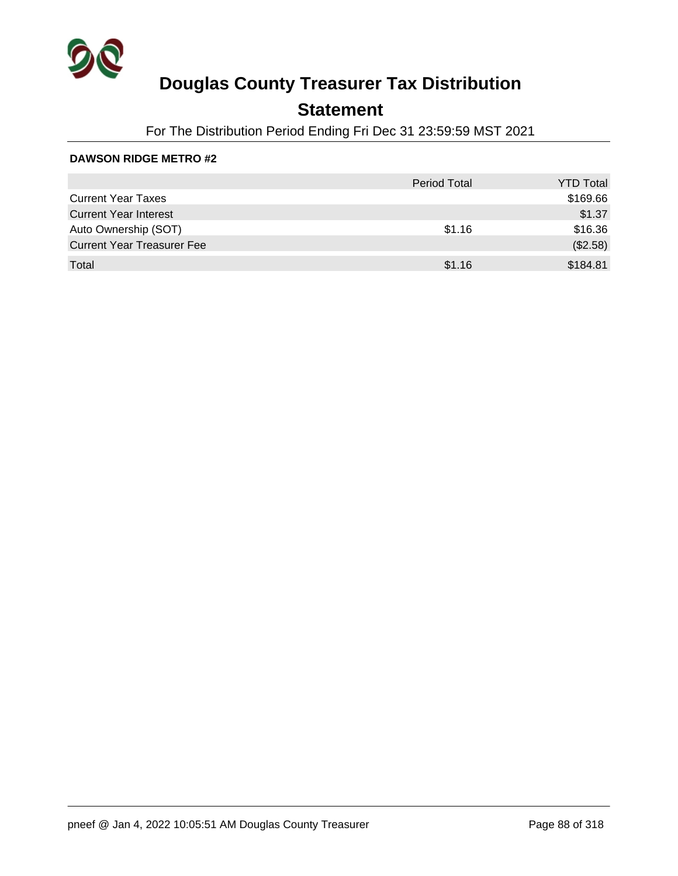

## **Statement**

For The Distribution Period Ending Fri Dec 31 23:59:59 MST 2021

|                                   | <b>Period Total</b> | <b>YTD Total</b> |
|-----------------------------------|---------------------|------------------|
| <b>Current Year Taxes</b>         |                     | \$169.66         |
| <b>Current Year Interest</b>      |                     | \$1.37           |
| Auto Ownership (SOT)              | \$1.16              | \$16.36          |
| <b>Current Year Treasurer Fee</b> |                     | (\$2.58)         |
| Total                             | \$1.16              | \$184.81         |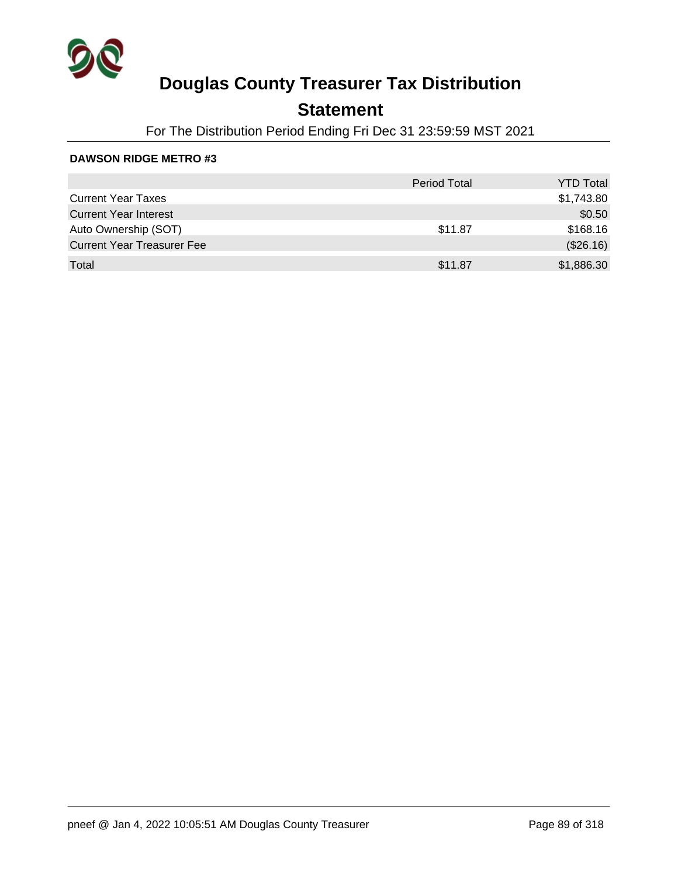

## **Statement**

For The Distribution Period Ending Fri Dec 31 23:59:59 MST 2021

|                                   | <b>Period Total</b> | <b>YTD Total</b> |
|-----------------------------------|---------------------|------------------|
| <b>Current Year Taxes</b>         |                     | \$1,743.80       |
| <b>Current Year Interest</b>      |                     | \$0.50           |
| Auto Ownership (SOT)              | \$11.87             | \$168.16         |
| <b>Current Year Treasurer Fee</b> |                     | (\$26.16)        |
| Total                             | \$11.87             | \$1,886.30       |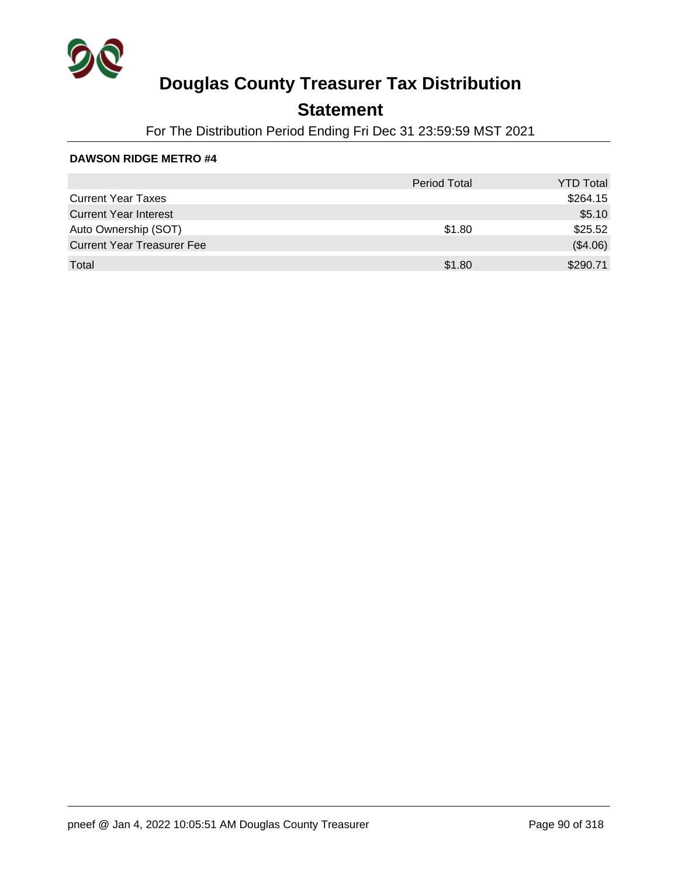

## **Statement**

For The Distribution Period Ending Fri Dec 31 23:59:59 MST 2021

|                                   | <b>Period Total</b> | <b>YTD Total</b> |
|-----------------------------------|---------------------|------------------|
| <b>Current Year Taxes</b>         |                     | \$264.15         |
| <b>Current Year Interest</b>      |                     | \$5.10           |
| Auto Ownership (SOT)              | \$1.80              | \$25.52          |
| <b>Current Year Treasurer Fee</b> |                     | (\$4.06)         |
| Total                             | \$1.80              | \$290.71         |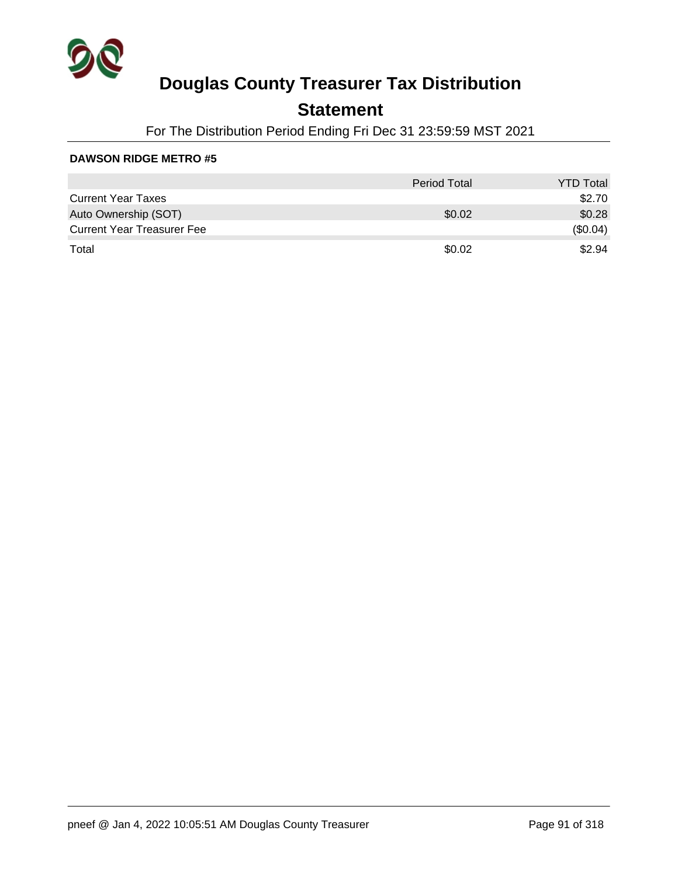

### **Statement**

For The Distribution Period Ending Fri Dec 31 23:59:59 MST 2021

|                                   | <b>Period Total</b> | <b>YTD Total</b> |
|-----------------------------------|---------------------|------------------|
| <b>Current Year Taxes</b>         |                     | \$2.70           |
| Auto Ownership (SOT)              | \$0.02              | \$0.28           |
| <b>Current Year Treasurer Fee</b> |                     | (\$0.04)         |
| Total                             | \$0.02              | \$2.94           |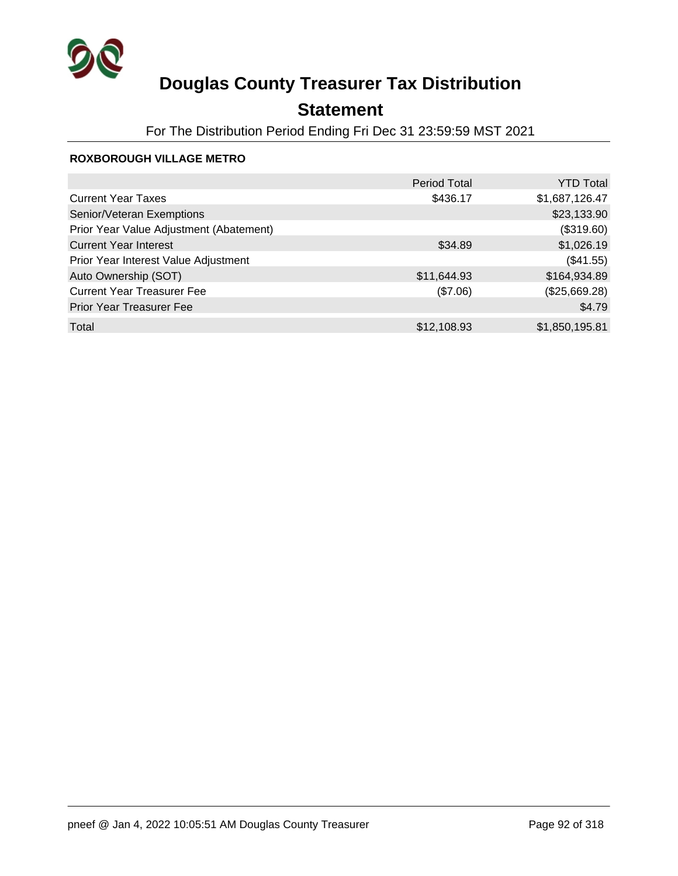

## **Statement**

For The Distribution Period Ending Fri Dec 31 23:59:59 MST 2021

#### **ROXBOROUGH VILLAGE METRO**

|                                         | <b>Period Total</b> | <b>YTD Total</b> |
|-----------------------------------------|---------------------|------------------|
| <b>Current Year Taxes</b>               | \$436.17            | \$1,687,126.47   |
| Senior/Veteran Exemptions               |                     | \$23,133.90      |
| Prior Year Value Adjustment (Abatement) |                     | (\$319.60)       |
| <b>Current Year Interest</b>            | \$34.89             | \$1,026.19       |
| Prior Year Interest Value Adjustment    |                     | (\$41.55)        |
| Auto Ownership (SOT)                    | \$11,644.93         | \$164,934.89     |
| <b>Current Year Treasurer Fee</b>       | (\$7.06)            | (\$25,669.28)    |
| Prior Year Treasurer Fee                |                     | \$4.79           |
| Total                                   | \$12,108.93         | \$1,850,195.81   |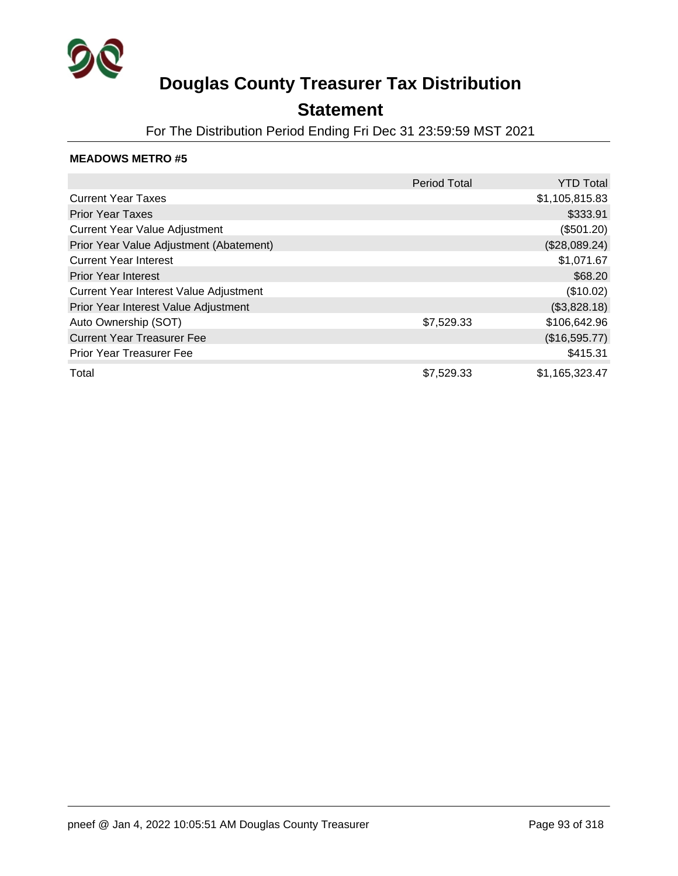

### **Statement**

For The Distribution Period Ending Fri Dec 31 23:59:59 MST 2021

|                                         | <b>Period Total</b> | <b>YTD Total</b> |
|-----------------------------------------|---------------------|------------------|
| <b>Current Year Taxes</b>               |                     | \$1,105,815.83   |
| <b>Prior Year Taxes</b>                 |                     | \$333.91         |
| <b>Current Year Value Adjustment</b>    |                     | (\$501.20)       |
| Prior Year Value Adjustment (Abatement) |                     | (\$28,089.24)    |
| <b>Current Year Interest</b>            |                     | \$1,071.67       |
| <b>Prior Year Interest</b>              |                     | \$68.20          |
| Current Year Interest Value Adjustment  |                     | (\$10.02)        |
| Prior Year Interest Value Adjustment    |                     | (\$3,828.18)     |
| Auto Ownership (SOT)                    | \$7,529.33          | \$106,642.96     |
| <b>Current Year Treasurer Fee</b>       |                     | (\$16,595.77)    |
| <b>Prior Year Treasurer Fee</b>         |                     | \$415.31         |
| Total                                   | \$7,529.33          | \$1,165,323.47   |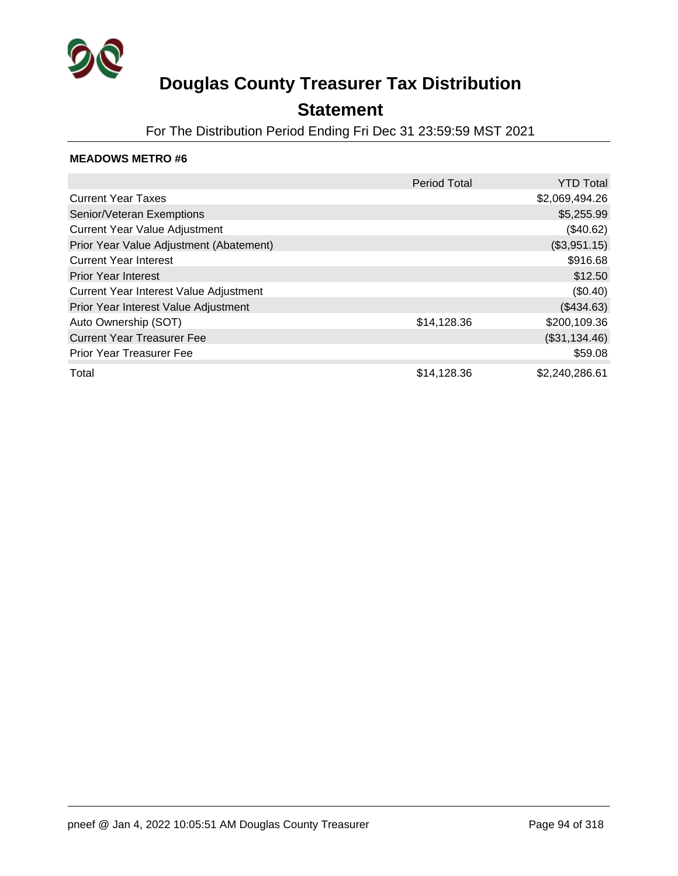

### **Statement**

For The Distribution Period Ending Fri Dec 31 23:59:59 MST 2021

|                                         | <b>Period Total</b> | <b>YTD Total</b> |
|-----------------------------------------|---------------------|------------------|
| <b>Current Year Taxes</b>               |                     | \$2,069,494.26   |
| Senior/Veteran Exemptions               |                     | \$5,255.99       |
| <b>Current Year Value Adjustment</b>    |                     | (\$40.62)        |
| Prior Year Value Adjustment (Abatement) |                     | (\$3,951.15)     |
| <b>Current Year Interest</b>            |                     | \$916.68         |
| <b>Prior Year Interest</b>              |                     | \$12.50          |
| Current Year Interest Value Adjustment  |                     | (\$0.40)         |
| Prior Year Interest Value Adjustment    |                     | (\$434.63)       |
| Auto Ownership (SOT)                    | \$14,128.36         | \$200,109.36     |
| <b>Current Year Treasurer Fee</b>       |                     | (\$31,134.46)    |
| <b>Prior Year Treasurer Fee</b>         |                     | \$59.08          |
| Total                                   | \$14,128.36         | \$2,240,286.61   |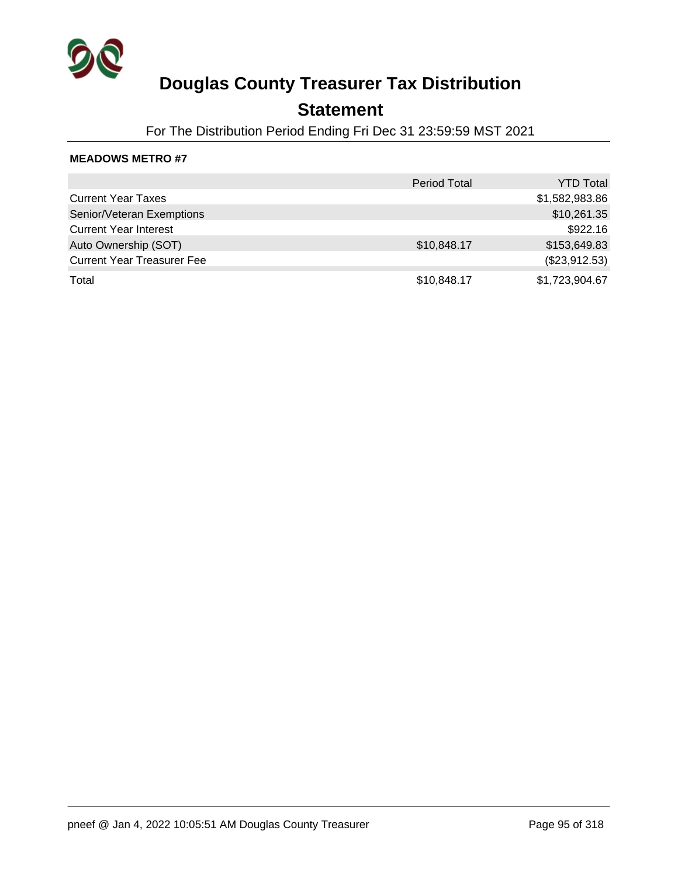

### **Statement**

For The Distribution Period Ending Fri Dec 31 23:59:59 MST 2021

|                                   | <b>Period Total</b> | <b>YTD Total</b> |
|-----------------------------------|---------------------|------------------|
| <b>Current Year Taxes</b>         |                     | \$1,582,983.86   |
| Senior/Veteran Exemptions         |                     | \$10,261.35      |
| <b>Current Year Interest</b>      |                     | \$922.16         |
| Auto Ownership (SOT)              | \$10,848.17         | \$153,649.83     |
| <b>Current Year Treasurer Fee</b> |                     | (\$23,912.53)    |
| Total                             | \$10,848.17         | \$1,723,904.67   |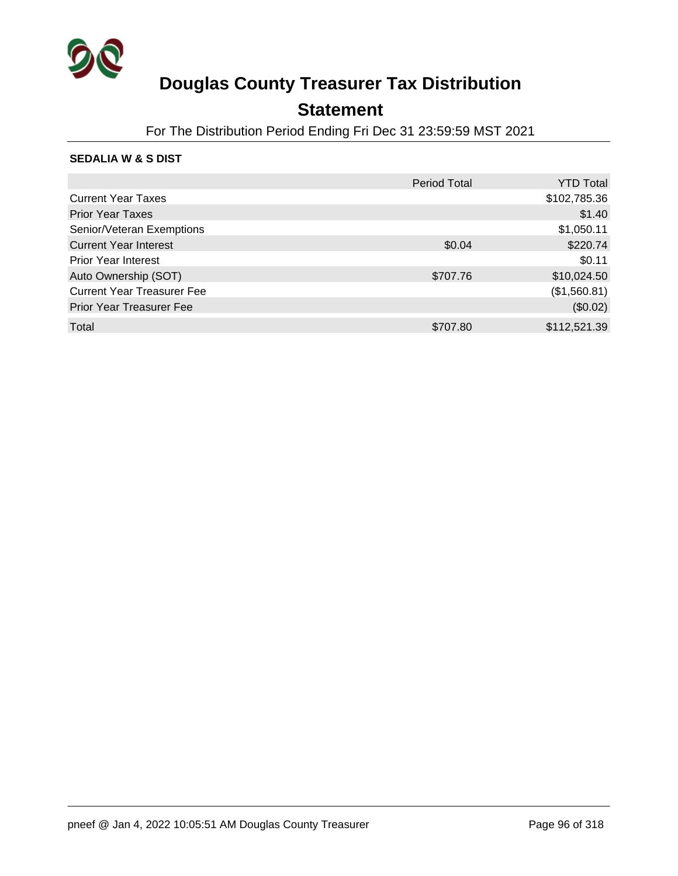

### **Statement**

For The Distribution Period Ending Fri Dec 31 23:59:59 MST 2021

### **SEDALIA W & S DIST**

|                                   | <b>Period Total</b> | <b>YTD Total</b> |
|-----------------------------------|---------------------|------------------|
| <b>Current Year Taxes</b>         |                     | \$102,785.36     |
| <b>Prior Year Taxes</b>           |                     | \$1.40           |
| Senior/Veteran Exemptions         |                     | \$1,050.11       |
| <b>Current Year Interest</b>      | \$0.04              | \$220.74         |
| <b>Prior Year Interest</b>        |                     | \$0.11           |
| Auto Ownership (SOT)              | \$707.76            | \$10,024.50      |
| <b>Current Year Treasurer Fee</b> |                     | (\$1,560.81)     |
| <b>Prior Year Treasurer Fee</b>   |                     | (\$0.02)         |
| Total                             | \$707.80            | \$112,521.39     |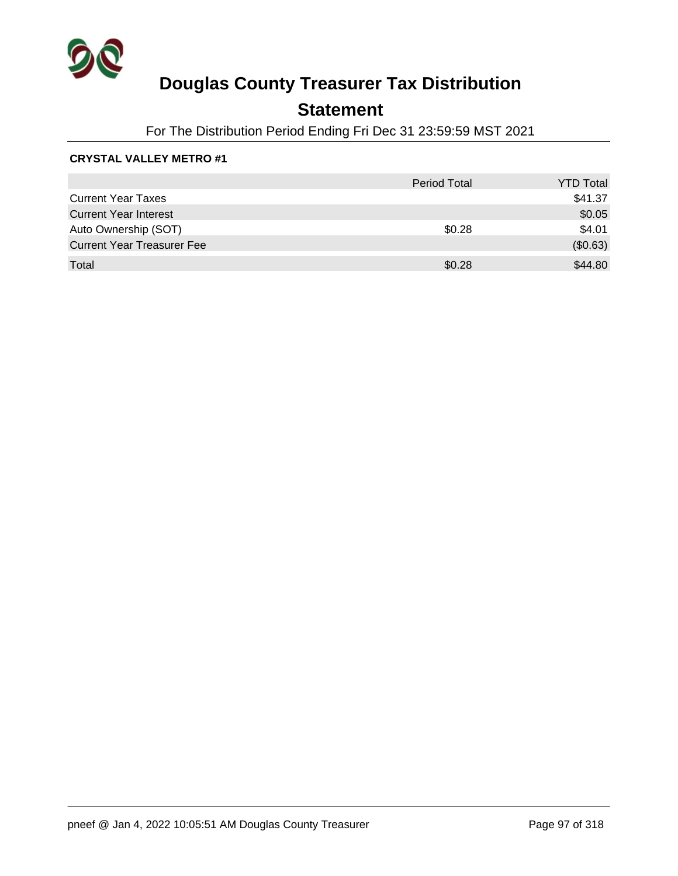

## **Statement**

For The Distribution Period Ending Fri Dec 31 23:59:59 MST 2021

### **CRYSTAL VALLEY METRO #1**

|                                   | <b>Period Total</b> | <b>YTD Total</b> |
|-----------------------------------|---------------------|------------------|
| <b>Current Year Taxes</b>         |                     | \$41.37          |
| <b>Current Year Interest</b>      |                     | \$0.05           |
| Auto Ownership (SOT)              | \$0.28              | \$4.01           |
| <b>Current Year Treasurer Fee</b> |                     | (\$0.63)         |
| Total                             | \$0.28              | \$44.80          |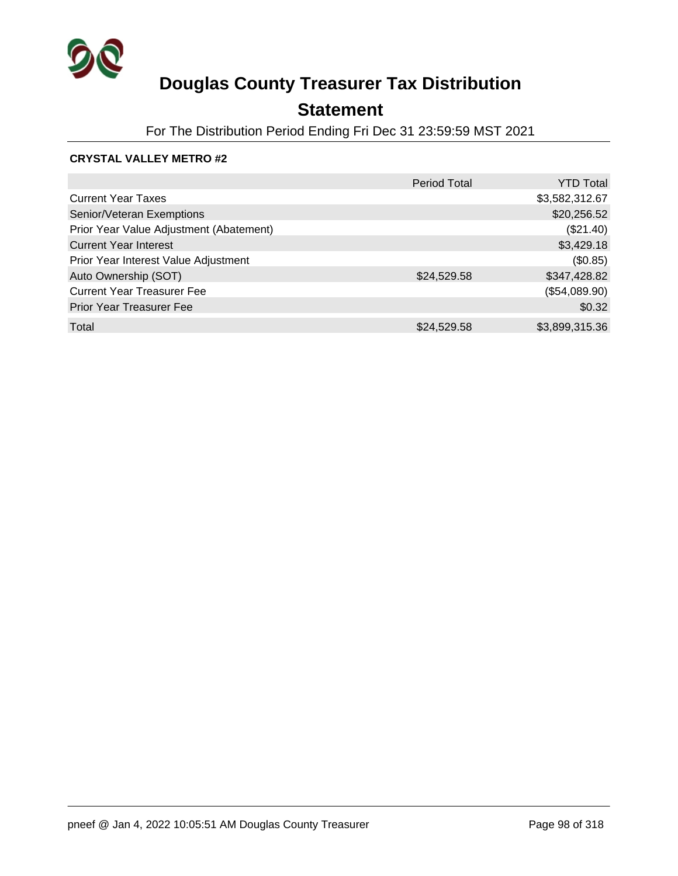

## **Statement**

For The Distribution Period Ending Fri Dec 31 23:59:59 MST 2021

### **CRYSTAL VALLEY METRO #2**

|                                         | <b>Period Total</b> | <b>YTD Total</b> |
|-----------------------------------------|---------------------|------------------|
| <b>Current Year Taxes</b>               |                     | \$3,582,312.67   |
| Senior/Veteran Exemptions               |                     | \$20,256.52      |
| Prior Year Value Adjustment (Abatement) |                     | (\$21.40)        |
| <b>Current Year Interest</b>            |                     | \$3,429.18       |
| Prior Year Interest Value Adjustment    |                     | (\$0.85)         |
| Auto Ownership (SOT)                    | \$24,529.58         | \$347,428.82     |
| <b>Current Year Treasurer Fee</b>       |                     | (\$54,089.90)    |
| <b>Prior Year Treasurer Fee</b>         |                     | \$0.32           |
| Total                                   | \$24,529.58         | \$3,899,315.36   |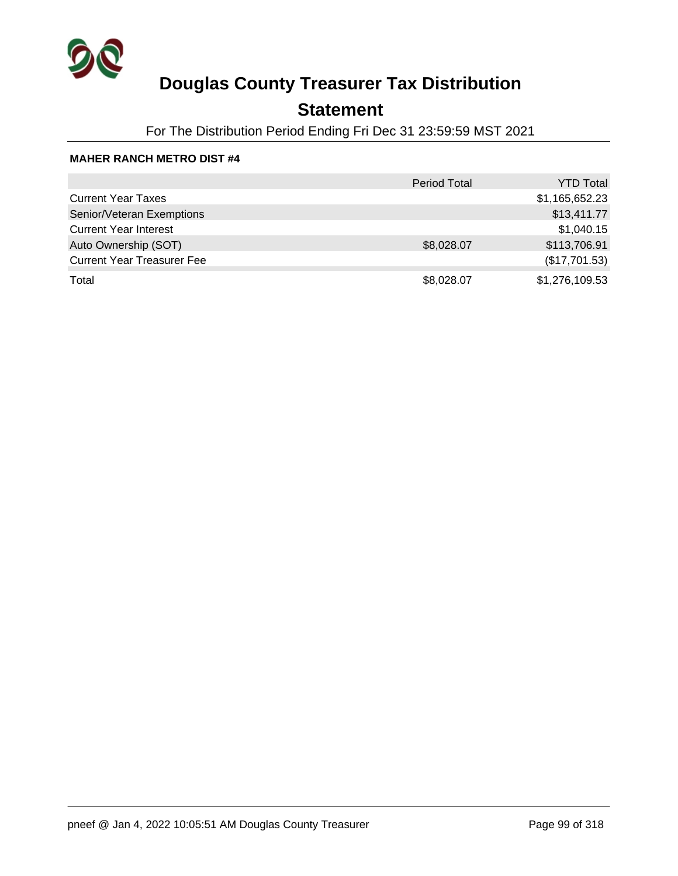

## **Statement**

For The Distribution Period Ending Fri Dec 31 23:59:59 MST 2021

#### **MAHER RANCH METRO DIST #4**

|                                   | <b>Period Total</b> | <b>YTD Total</b> |
|-----------------------------------|---------------------|------------------|
| <b>Current Year Taxes</b>         |                     | \$1,165,652.23   |
| Senior/Veteran Exemptions         |                     | \$13,411.77      |
| <b>Current Year Interest</b>      |                     | \$1,040.15       |
| Auto Ownership (SOT)              | \$8,028.07          | \$113,706.91     |
| <b>Current Year Treasurer Fee</b> |                     | (\$17,701.53)    |
| Total                             | \$8,028.07          | \$1,276,109.53   |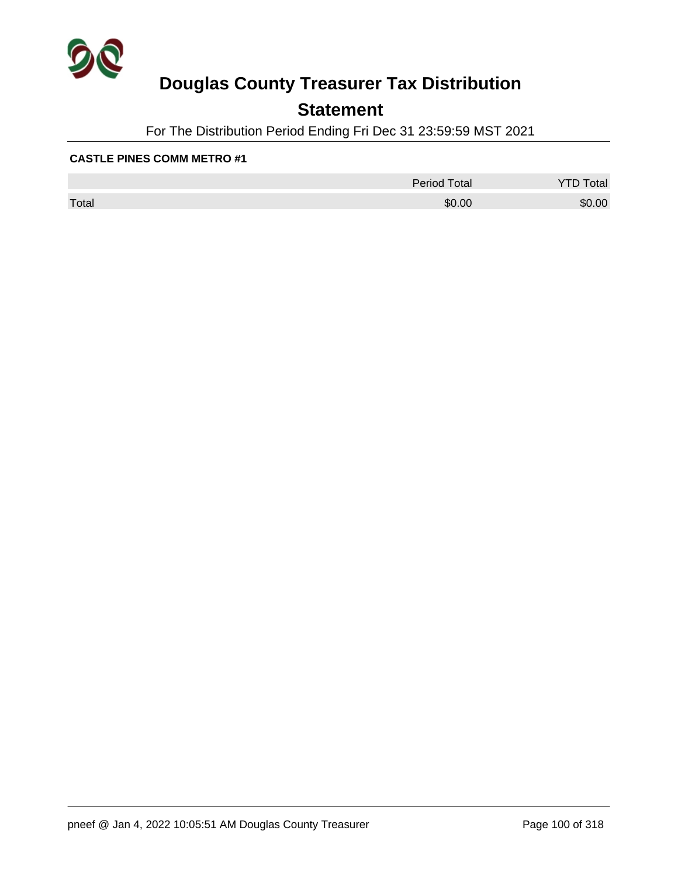

## **Statement**

For The Distribution Period Ending Fri Dec 31 23:59:59 MST 2021

#### **CASTLE PINES COMM METRO #1**

|       | <b>Period Total</b> | otal<br>້ |
|-------|---------------------|-----------|
| Total | \$0.00              | \$0.00    |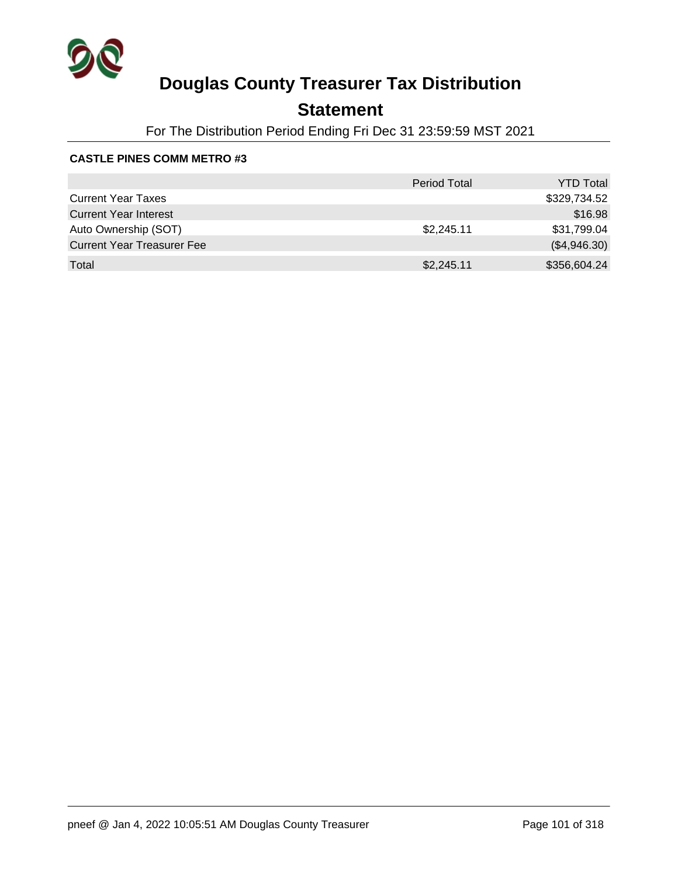

## **Statement**

For The Distribution Period Ending Fri Dec 31 23:59:59 MST 2021

#### **CASTLE PINES COMM METRO #3**

|                                   | <b>Period Total</b> | <b>YTD Total</b> |
|-----------------------------------|---------------------|------------------|
| <b>Current Year Taxes</b>         |                     | \$329,734.52     |
| <b>Current Year Interest</b>      |                     | \$16.98          |
| Auto Ownership (SOT)              | \$2,245.11          | \$31,799.04      |
| <b>Current Year Treasurer Fee</b> |                     | (\$4,946.30)     |
| Total                             | \$2,245.11          | \$356,604.24     |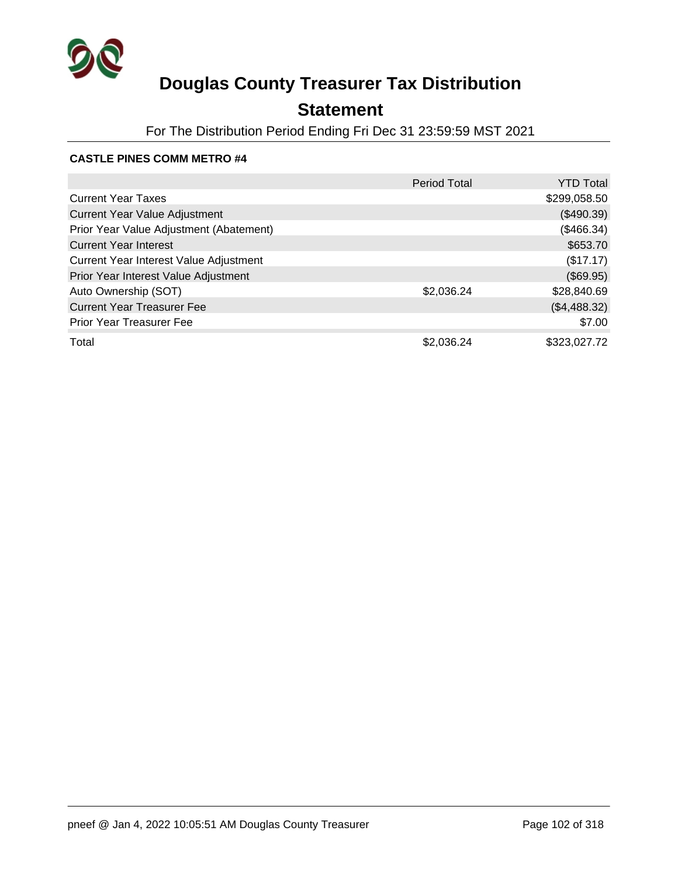

## **Statement**

For The Distribution Period Ending Fri Dec 31 23:59:59 MST 2021

#### **CASTLE PINES COMM METRO #4**

|                                         | Period Total | <b>YTD Total</b> |
|-----------------------------------------|--------------|------------------|
| <b>Current Year Taxes</b>               |              | \$299,058.50     |
| <b>Current Year Value Adjustment</b>    |              | (\$490.39)       |
| Prior Year Value Adjustment (Abatement) |              | (\$466.34)       |
| <b>Current Year Interest</b>            |              | \$653.70         |
| Current Year Interest Value Adjustment  |              | (\$17.17)        |
| Prior Year Interest Value Adjustment    |              | (\$69.95)        |
| Auto Ownership (SOT)                    | \$2,036.24   | \$28,840.69      |
| <b>Current Year Treasurer Fee</b>       |              | (\$4,488.32)     |
| <b>Prior Year Treasurer Fee</b>         |              | \$7.00           |
| Total                                   | \$2,036.24   | \$323,027.72     |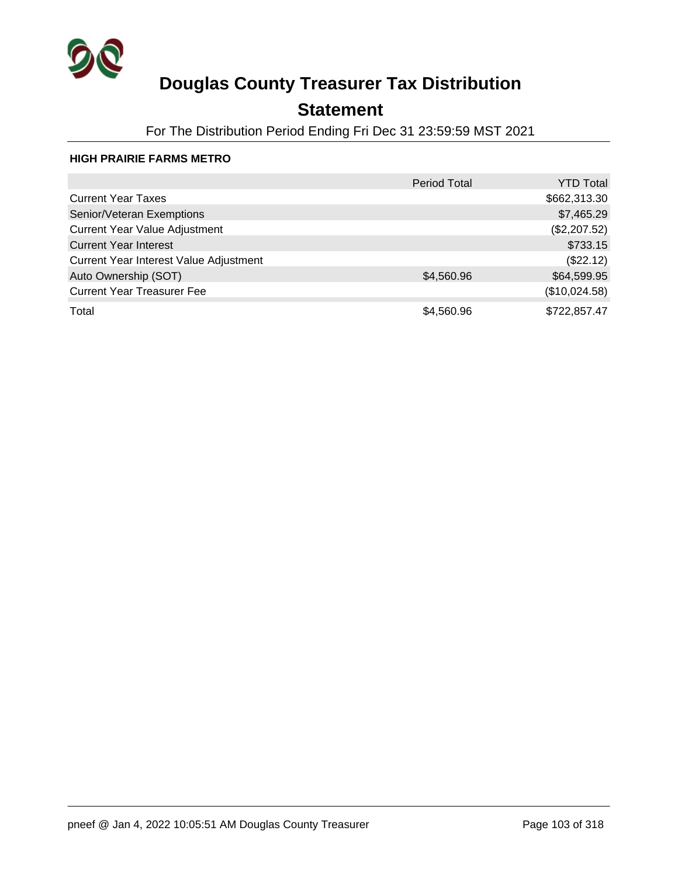

## **Statement**

For The Distribution Period Ending Fri Dec 31 23:59:59 MST 2021

#### **HIGH PRAIRIE FARMS METRO**

|                                        | <b>Period Total</b> | <b>YTD Total</b> |
|----------------------------------------|---------------------|------------------|
| <b>Current Year Taxes</b>              |                     | \$662,313.30     |
| Senior/Veteran Exemptions              |                     | \$7,465.29       |
| <b>Current Year Value Adjustment</b>   |                     | (\$2,207.52)     |
| <b>Current Year Interest</b>           |                     | \$733.15         |
| Current Year Interest Value Adjustment |                     | (\$22.12)        |
| Auto Ownership (SOT)                   | \$4,560.96          | \$64,599.95      |
| <b>Current Year Treasurer Fee</b>      |                     | (\$10,024.58)    |
| Total                                  | \$4,560.96          | \$722,857.47     |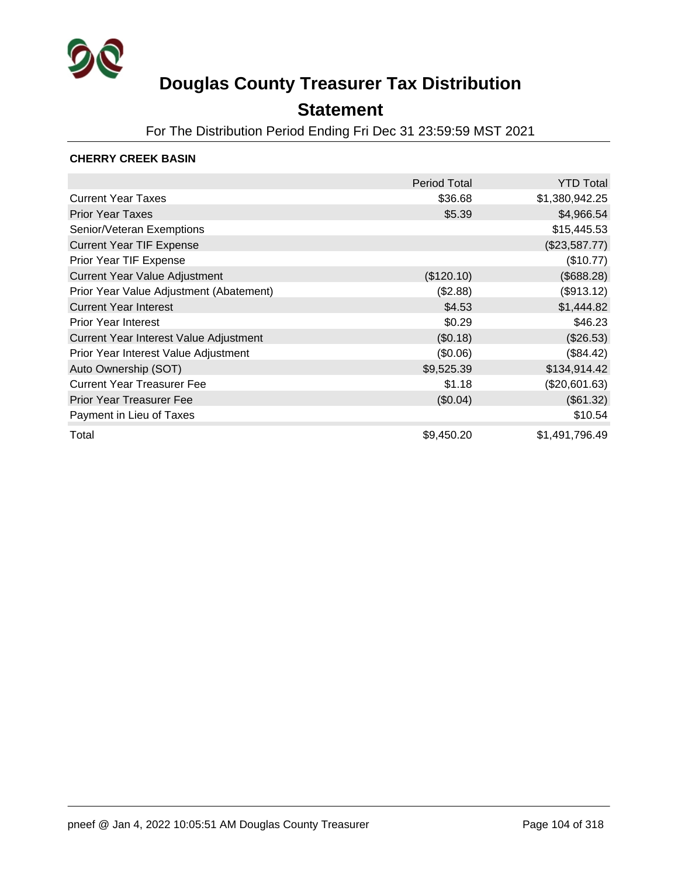

### **Statement**

For The Distribution Period Ending Fri Dec 31 23:59:59 MST 2021

### **CHERRY CREEK BASIN**

|                                         | <b>Period Total</b> | <b>YTD Total</b> |
|-----------------------------------------|---------------------|------------------|
| <b>Current Year Taxes</b>               | \$36.68             | \$1,380,942.25   |
| <b>Prior Year Taxes</b>                 | \$5.39              | \$4,966.54       |
| Senior/Veteran Exemptions               |                     | \$15,445.53      |
| <b>Current Year TIF Expense</b>         |                     | (\$23,587.77)    |
| Prior Year TIF Expense                  |                     | (\$10.77)        |
| <b>Current Year Value Adjustment</b>    | (\$120.10)          | (\$688.28)       |
| Prior Year Value Adjustment (Abatement) | (\$2.88)            | (\$913.12)       |
| <b>Current Year Interest</b>            | \$4.53              | \$1,444.82       |
| <b>Prior Year Interest</b>              | \$0.29              | \$46.23          |
| Current Year Interest Value Adjustment  | (\$0.18)            | (\$26.53)        |
| Prior Year Interest Value Adjustment    | (\$0.06)            | (\$84.42)        |
| Auto Ownership (SOT)                    | \$9,525.39          | \$134,914.42     |
| <b>Current Year Treasurer Fee</b>       | \$1.18              | (\$20,601.63)    |
| <b>Prior Year Treasurer Fee</b>         | (\$0.04)            | (\$61.32)        |
| Payment in Lieu of Taxes                |                     | \$10.54          |
| Total                                   | \$9,450.20          | \$1,491,796.49   |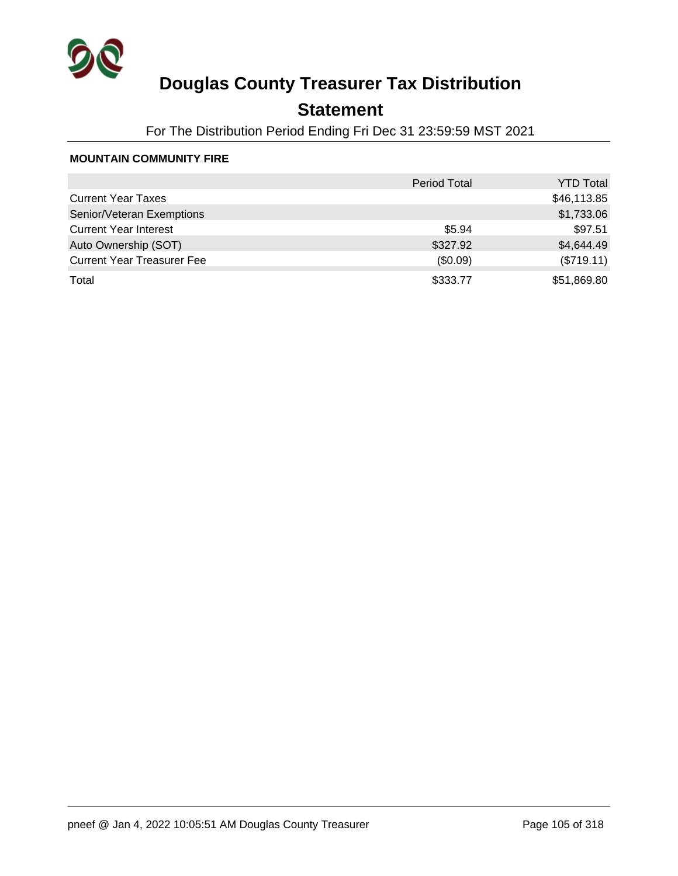

## **Statement**

For The Distribution Period Ending Fri Dec 31 23:59:59 MST 2021

#### **MOUNTAIN COMMUNITY FIRE**

|                                   | <b>Period Total</b> | <b>YTD Total</b> |
|-----------------------------------|---------------------|------------------|
| <b>Current Year Taxes</b>         |                     | \$46,113.85      |
| Senior/Veteran Exemptions         |                     | \$1,733.06       |
| <b>Current Year Interest</b>      | \$5.94              | \$97.51          |
| Auto Ownership (SOT)              | \$327.92            | \$4,644.49       |
| <b>Current Year Treasurer Fee</b> | (\$0.09)            | (\$719.11)       |
| Total                             | \$333.77            | \$51,869.80      |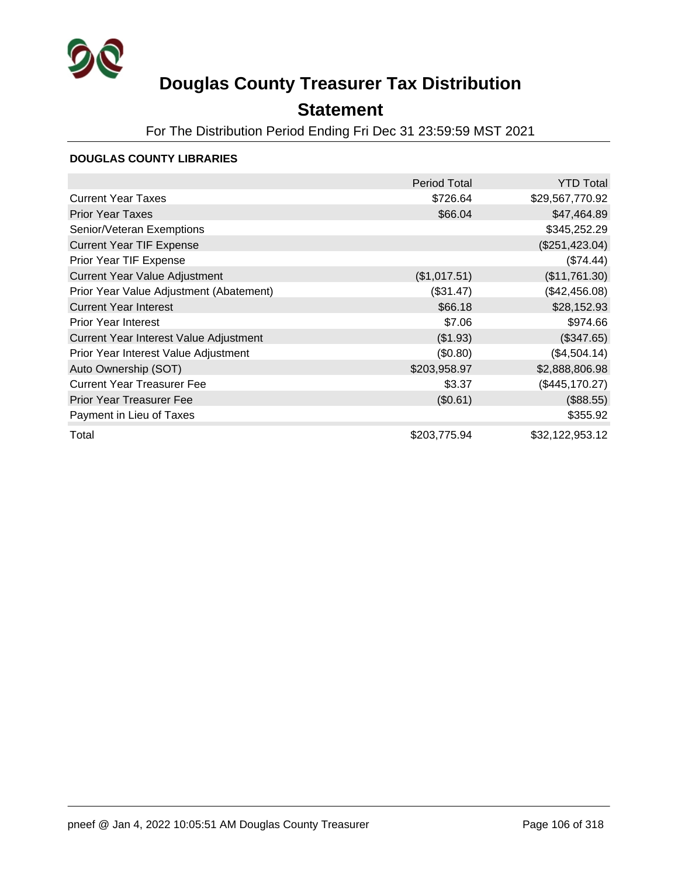

### **Statement**

For The Distribution Period Ending Fri Dec 31 23:59:59 MST 2021

### **DOUGLAS COUNTY LIBRARIES**

|                                         | Period Total | <b>YTD Total</b> |
|-----------------------------------------|--------------|------------------|
| <b>Current Year Taxes</b>               | \$726.64     | \$29,567,770.92  |
| <b>Prior Year Taxes</b>                 | \$66.04      | \$47,464.89      |
| Senior/Veteran Exemptions               |              | \$345,252.29     |
| <b>Current Year TIF Expense</b>         |              | (\$251,423.04)   |
| Prior Year TIF Expense                  |              | (\$74.44)        |
| <b>Current Year Value Adjustment</b>    | (\$1,017.51) | (\$11,761.30)    |
| Prior Year Value Adjustment (Abatement) | (\$31.47)    | (\$42,456.08)    |
| <b>Current Year Interest</b>            | \$66.18      | \$28,152.93      |
| <b>Prior Year Interest</b>              | \$7.06       | \$974.66         |
| Current Year Interest Value Adjustment  | (\$1.93)     | (\$347.65)       |
| Prior Year Interest Value Adjustment    | (\$0.80)     | (\$4,504.14)     |
| Auto Ownership (SOT)                    | \$203,958.97 | \$2,888,806.98   |
| <b>Current Year Treasurer Fee</b>       | \$3.37       | (\$445,170.27)   |
| <b>Prior Year Treasurer Fee</b>         | (\$0.61)     | (\$88.55)        |
| Payment in Lieu of Taxes                |              | \$355.92         |
| Total                                   | \$203,775.94 | \$32,122,953.12  |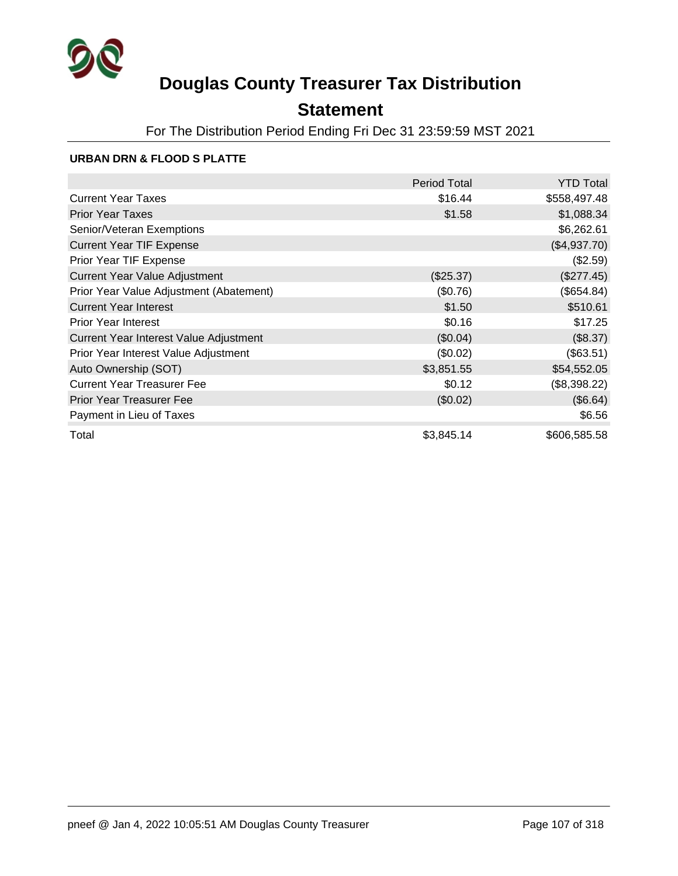

### **Statement**

For The Distribution Period Ending Fri Dec 31 23:59:59 MST 2021

### **URBAN DRN & FLOOD S PLATTE**

|                                         | <b>Period Total</b> | <b>YTD Total</b> |
|-----------------------------------------|---------------------|------------------|
| <b>Current Year Taxes</b>               | \$16.44             | \$558,497.48     |
| <b>Prior Year Taxes</b>                 | \$1.58              | \$1,088.34       |
| Senior/Veteran Exemptions               |                     | \$6,262.61       |
| <b>Current Year TIF Expense</b>         |                     | (\$4,937.70)     |
| Prior Year TIF Expense                  |                     | (\$2.59)         |
| <b>Current Year Value Adjustment</b>    | (\$25.37)           | (\$277.45)       |
| Prior Year Value Adjustment (Abatement) | (\$0.76)            | (\$654.84)       |
| <b>Current Year Interest</b>            | \$1.50              | \$510.61         |
| <b>Prior Year Interest</b>              | \$0.16              | \$17.25          |
| Current Year Interest Value Adjustment  | (\$0.04)            | (\$8.37)         |
| Prior Year Interest Value Adjustment    | (\$0.02)            | (\$63.51)        |
| Auto Ownership (SOT)                    | \$3,851.55          | \$54,552.05      |
| <b>Current Year Treasurer Fee</b>       | \$0.12              | (\$8,398.22)     |
| <b>Prior Year Treasurer Fee</b>         | (\$0.02)            | (\$6.64)         |
| Payment in Lieu of Taxes                |                     | \$6.56           |
| Total                                   | \$3,845.14          | \$606,585.58     |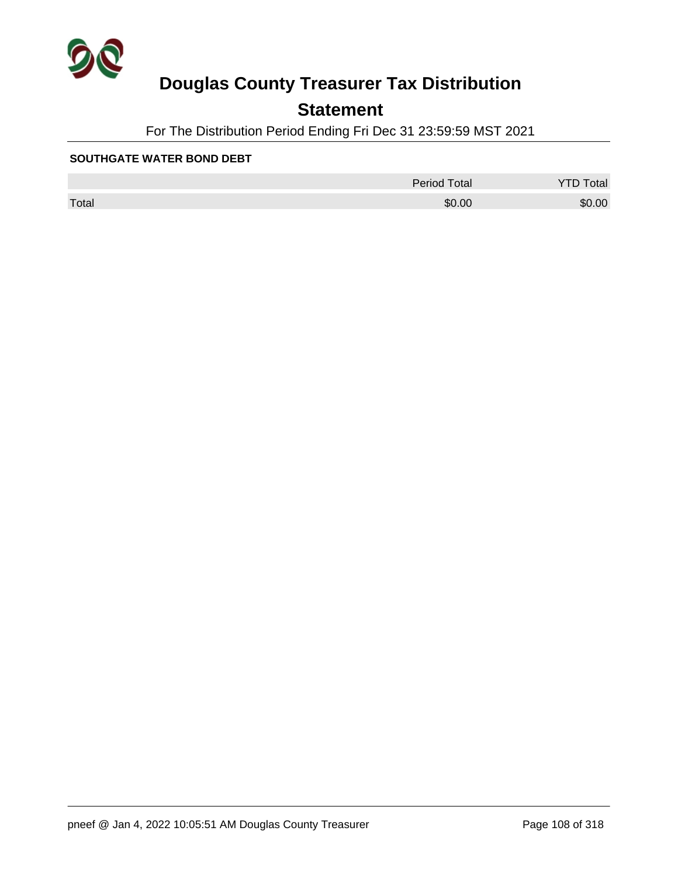

## **Statement**

For The Distribution Period Ending Fri Dec 31 23:59:59 MST 2021

#### **SOUTHGATE WATER BOND DEBT**

|       | <b>Period Total</b> | otal   |
|-------|---------------------|--------|
| Total | \$0.00              | \$0.00 |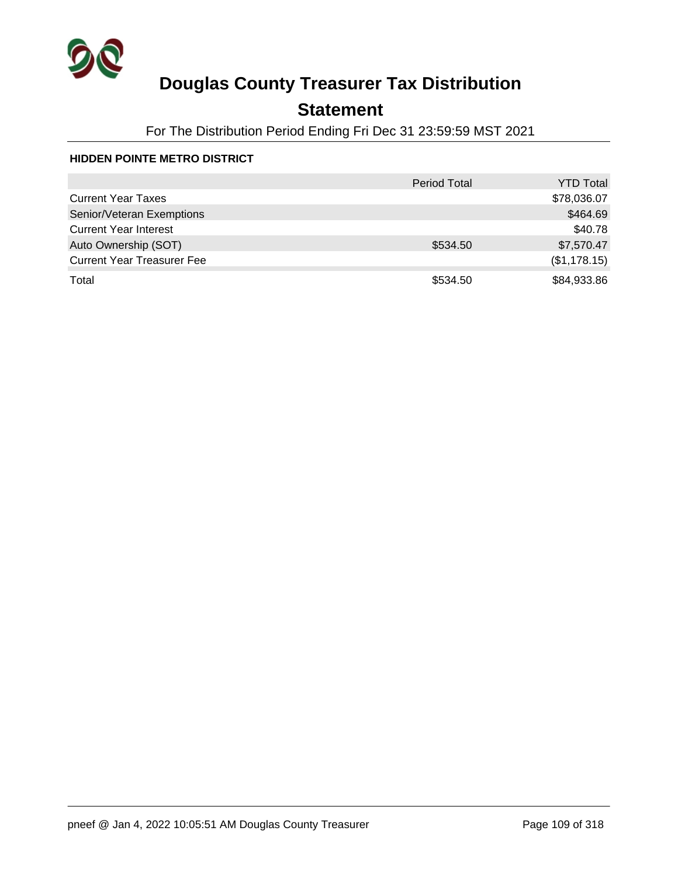

## **Statement**

For The Distribution Period Ending Fri Dec 31 23:59:59 MST 2021

### **HIDDEN POINTE METRO DISTRICT**

|                                   | <b>Period Total</b> | <b>YTD Total</b> |
|-----------------------------------|---------------------|------------------|
| <b>Current Year Taxes</b>         |                     | \$78,036.07      |
| Senior/Veteran Exemptions         |                     | \$464.69         |
| <b>Current Year Interest</b>      |                     | \$40.78          |
| Auto Ownership (SOT)              | \$534.50            | \$7,570.47       |
| <b>Current Year Treasurer Fee</b> |                     | (\$1,178.15)     |
| Total                             | \$534.50            | \$84,933.86      |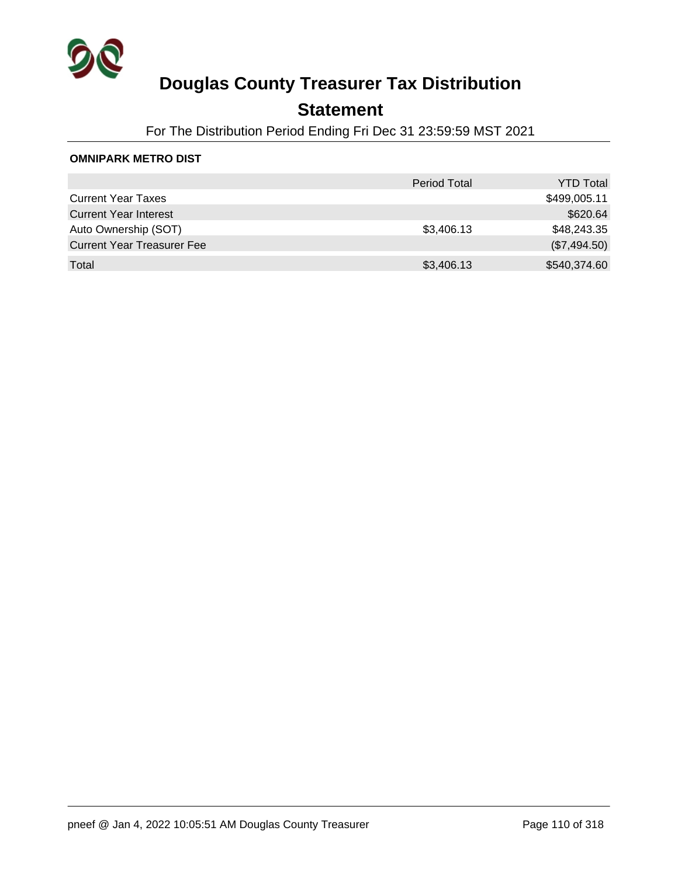

## **Statement**

For The Distribution Period Ending Fri Dec 31 23:59:59 MST 2021

#### **OMNIPARK METRO DIST**

|                                   | <b>Period Total</b> | <b>YTD Total</b> |
|-----------------------------------|---------------------|------------------|
| <b>Current Year Taxes</b>         |                     | \$499,005.11     |
| <b>Current Year Interest</b>      |                     | \$620.64         |
| Auto Ownership (SOT)              | \$3,406.13          | \$48,243.35      |
| <b>Current Year Treasurer Fee</b> |                     | (\$7,494.50)     |
| Total                             | \$3,406.13          | \$540,374.60     |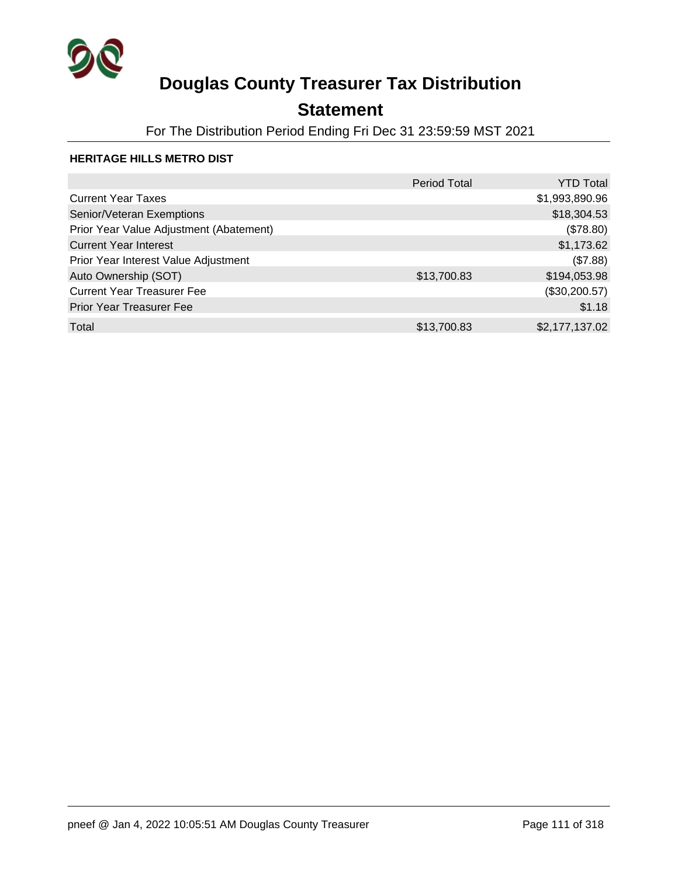

## **Statement**

For The Distribution Period Ending Fri Dec 31 23:59:59 MST 2021

### **HERITAGE HILLS METRO DIST**

|                                         | <b>Period Total</b> | <b>YTD Total</b> |
|-----------------------------------------|---------------------|------------------|
| <b>Current Year Taxes</b>               |                     | \$1,993,890.96   |
| Senior/Veteran Exemptions               |                     | \$18,304.53      |
| Prior Year Value Adjustment (Abatement) |                     | (\$78.80)        |
| <b>Current Year Interest</b>            |                     | \$1,173.62       |
| Prior Year Interest Value Adjustment    |                     | (\$7.88)         |
| Auto Ownership (SOT)                    | \$13,700.83         | \$194,053.98     |
| <b>Current Year Treasurer Fee</b>       |                     | (\$30,200.57)    |
| Prior Year Treasurer Fee                |                     | \$1.18           |
| Total                                   | \$13,700.83         | \$2,177,137.02   |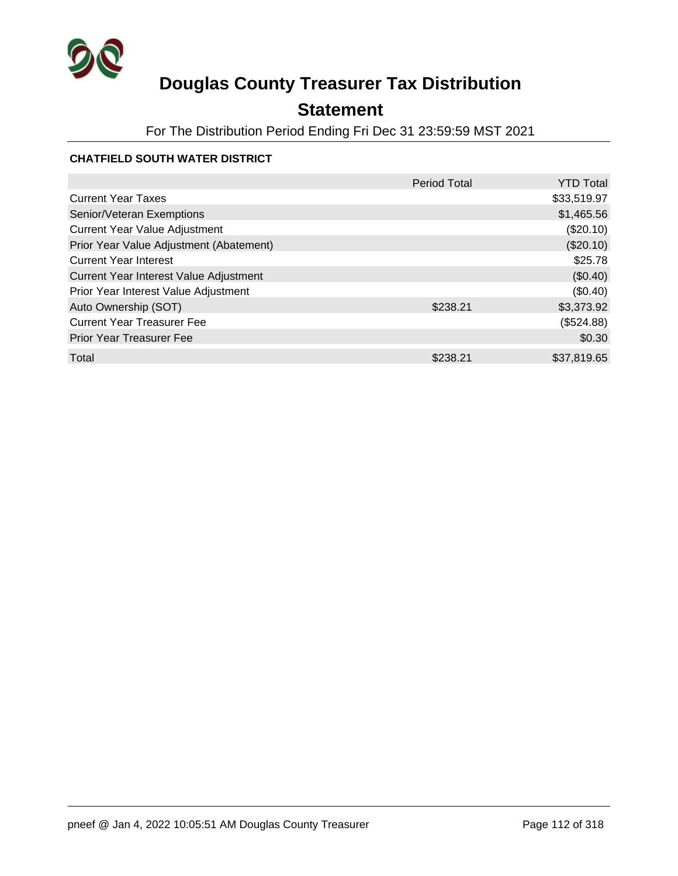

## **Statement**

For The Distribution Period Ending Fri Dec 31 23:59:59 MST 2021

### **CHATFIELD SOUTH WATER DISTRICT**

|                                         | <b>Period Total</b> | <b>YTD Total</b> |
|-----------------------------------------|---------------------|------------------|
| <b>Current Year Taxes</b>               |                     | \$33,519.97      |
| Senior/Veteran Exemptions               |                     | \$1,465.56       |
| <b>Current Year Value Adjustment</b>    |                     | $(\$20.10)$      |
| Prior Year Value Adjustment (Abatement) |                     | (\$20.10)        |
| <b>Current Year Interest</b>            |                     | \$25.78          |
| Current Year Interest Value Adjustment  |                     | (\$0.40)         |
| Prior Year Interest Value Adjustment    |                     | (\$0.40)         |
| Auto Ownership (SOT)                    | \$238.21            | \$3,373.92       |
| <b>Current Year Treasurer Fee</b>       |                     | (\$524.88)       |
| <b>Prior Year Treasurer Fee</b>         |                     | \$0.30           |
| Total                                   | \$238.21            | \$37,819.65      |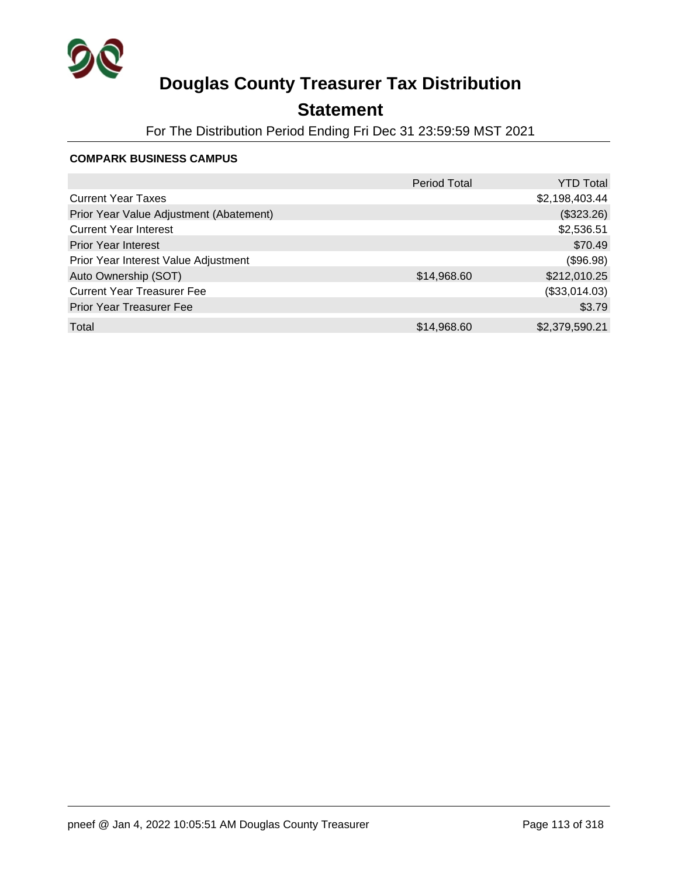

## **Statement**

For The Distribution Period Ending Fri Dec 31 23:59:59 MST 2021

#### **COMPARK BUSINESS CAMPUS**

|                                         | <b>Period Total</b> | <b>YTD Total</b> |
|-----------------------------------------|---------------------|------------------|
| <b>Current Year Taxes</b>               |                     | \$2,198,403.44   |
| Prior Year Value Adjustment (Abatement) |                     | (\$323.26)       |
| <b>Current Year Interest</b>            |                     | \$2,536.51       |
| <b>Prior Year Interest</b>              |                     | \$70.49          |
| Prior Year Interest Value Adjustment    |                     | (\$96.98)        |
| Auto Ownership (SOT)                    | \$14,968.60         | \$212,010.25     |
| <b>Current Year Treasurer Fee</b>       |                     | (\$33,014.03)    |
| <b>Prior Year Treasurer Fee</b>         |                     | \$3.79           |
| Total                                   | \$14,968.60         | \$2,379,590.21   |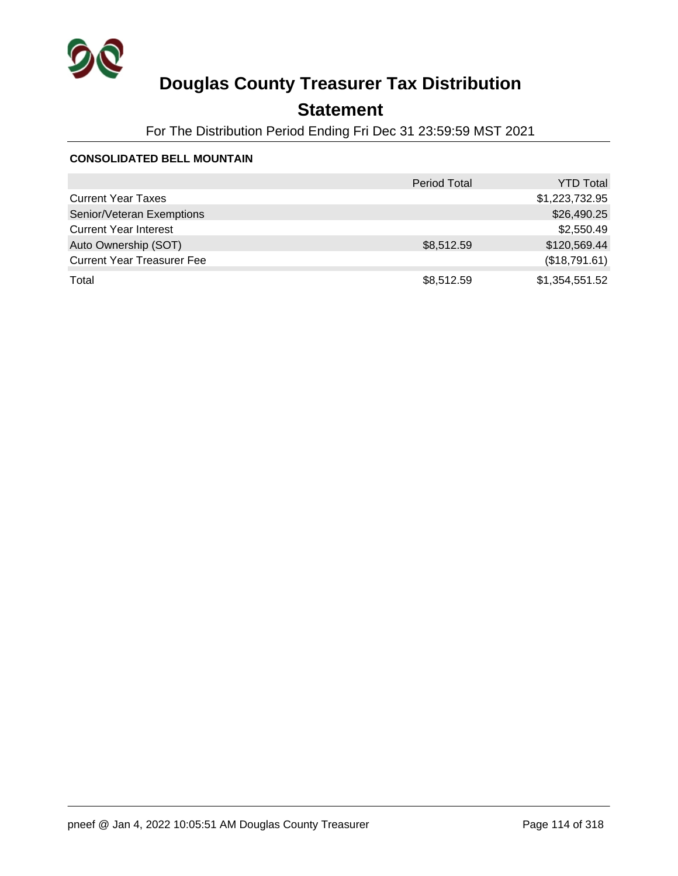

## **Statement**

For The Distribution Period Ending Fri Dec 31 23:59:59 MST 2021

#### **CONSOLIDATED BELL MOUNTAIN**

|                                   | <b>Period Total</b> | <b>YTD Total</b> |
|-----------------------------------|---------------------|------------------|
| <b>Current Year Taxes</b>         |                     | \$1,223,732.95   |
| Senior/Veteran Exemptions         |                     | \$26,490.25      |
| <b>Current Year Interest</b>      |                     | \$2,550.49       |
| Auto Ownership (SOT)              | \$8,512.59          | \$120,569.44     |
| <b>Current Year Treasurer Fee</b> |                     | (\$18,791.61)    |
| Total                             | \$8,512.59          | \$1,354,551.52   |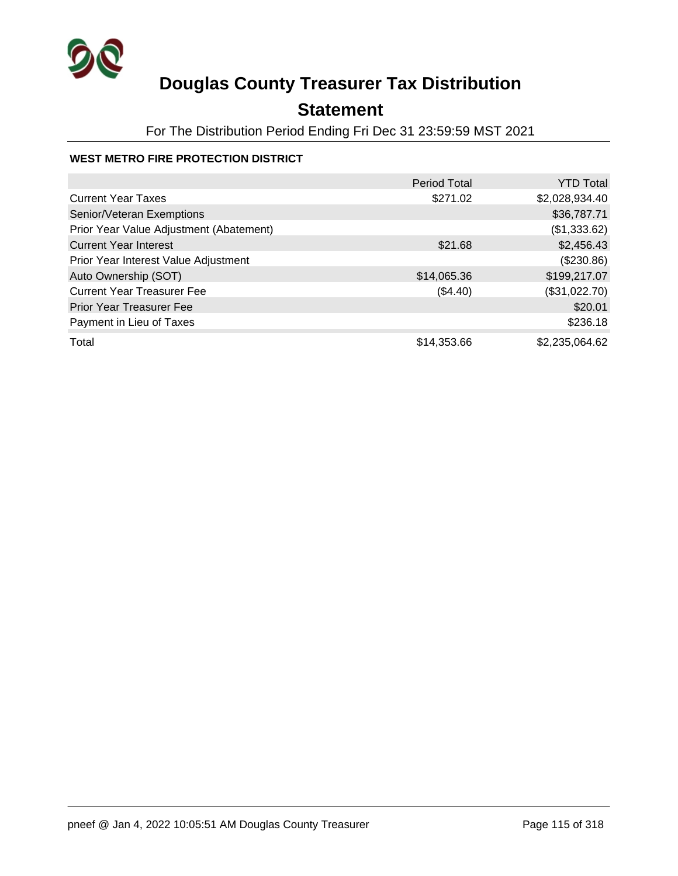

## **Statement**

For The Distribution Period Ending Fri Dec 31 23:59:59 MST 2021

### **WEST METRO FIRE PROTECTION DISTRICT**

|                                         | <b>Period Total</b> | <b>YTD Total</b> |
|-----------------------------------------|---------------------|------------------|
| <b>Current Year Taxes</b>               | \$271.02            | \$2,028,934.40   |
| Senior/Veteran Exemptions               |                     | \$36,787.71      |
| Prior Year Value Adjustment (Abatement) |                     | (\$1,333.62)     |
| <b>Current Year Interest</b>            | \$21.68             | \$2,456.43       |
| Prior Year Interest Value Adjustment    |                     | (\$230.86)       |
| Auto Ownership (SOT)                    | \$14,065.36         | \$199,217.07     |
| <b>Current Year Treasurer Fee</b>       | (\$4.40)            | (\$31,022.70)    |
| <b>Prior Year Treasurer Fee</b>         |                     | \$20.01          |
| Payment in Lieu of Taxes                |                     | \$236.18         |
| Total                                   | \$14,353.66         | \$2,235,064.62   |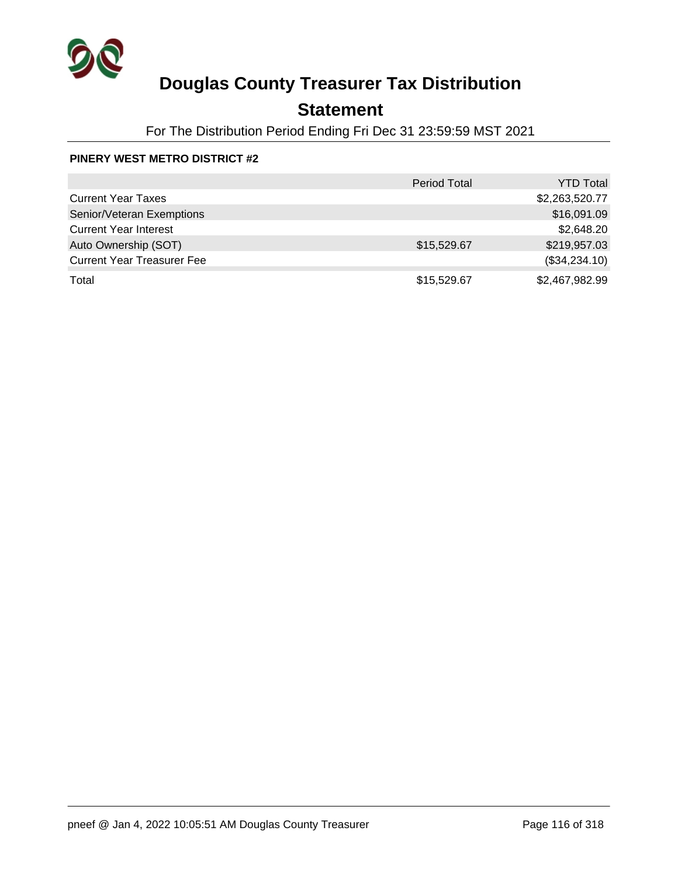

## **Statement**

For The Distribution Period Ending Fri Dec 31 23:59:59 MST 2021

### **PINERY WEST METRO DISTRICT #2**

|                                   | <b>Period Total</b> | <b>YTD Total</b> |
|-----------------------------------|---------------------|------------------|
| <b>Current Year Taxes</b>         |                     | \$2,263,520.77   |
| Senior/Veteran Exemptions         |                     | \$16,091.09      |
| <b>Current Year Interest</b>      |                     | \$2,648.20       |
| Auto Ownership (SOT)              | \$15,529.67         | \$219,957.03     |
| <b>Current Year Treasurer Fee</b> |                     | (\$34,234.10)    |
| Total                             | \$15,529.67         | \$2,467,982.99   |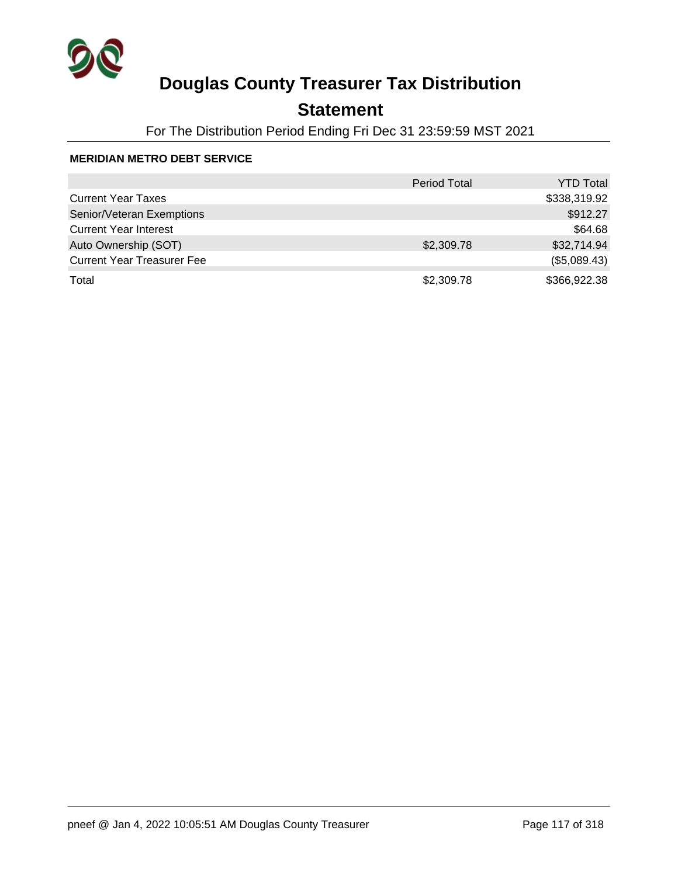

## **Statement**

For The Distribution Period Ending Fri Dec 31 23:59:59 MST 2021

### **MERIDIAN METRO DEBT SERVICE**

|                                   | <b>Period Total</b> | <b>YTD Total</b> |
|-----------------------------------|---------------------|------------------|
| <b>Current Year Taxes</b>         |                     | \$338,319.92     |
| Senior/Veteran Exemptions         |                     | \$912.27         |
| <b>Current Year Interest</b>      |                     | \$64.68          |
| Auto Ownership (SOT)              | \$2,309.78          | \$32,714.94      |
| <b>Current Year Treasurer Fee</b> |                     | (\$5,089.43)     |
| Total                             | \$2,309.78          | \$366,922.38     |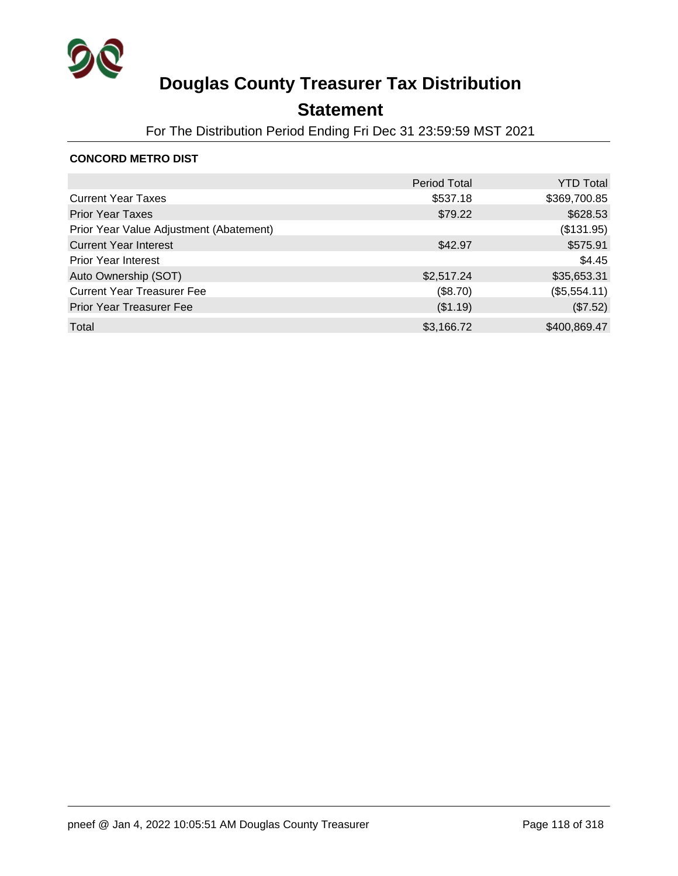

## **Statement**

For The Distribution Period Ending Fri Dec 31 23:59:59 MST 2021

### **CONCORD METRO DIST**

|                                         | <b>Period Total</b> | <b>YTD Total</b> |
|-----------------------------------------|---------------------|------------------|
| <b>Current Year Taxes</b>               | \$537.18            | \$369,700.85     |
| <b>Prior Year Taxes</b>                 | \$79.22             | \$628.53         |
| Prior Year Value Adjustment (Abatement) |                     | (\$131.95)       |
| <b>Current Year Interest</b>            | \$42.97             | \$575.91         |
| <b>Prior Year Interest</b>              |                     | \$4.45           |
| Auto Ownership (SOT)                    | \$2,517.24          | \$35,653.31      |
| <b>Current Year Treasurer Fee</b>       | (\$8.70)            | (\$5,554.11)     |
| Prior Year Treasurer Fee                | (\$1.19)            | (\$7.52)         |
| Total                                   | \$3,166.72          | \$400,869.47     |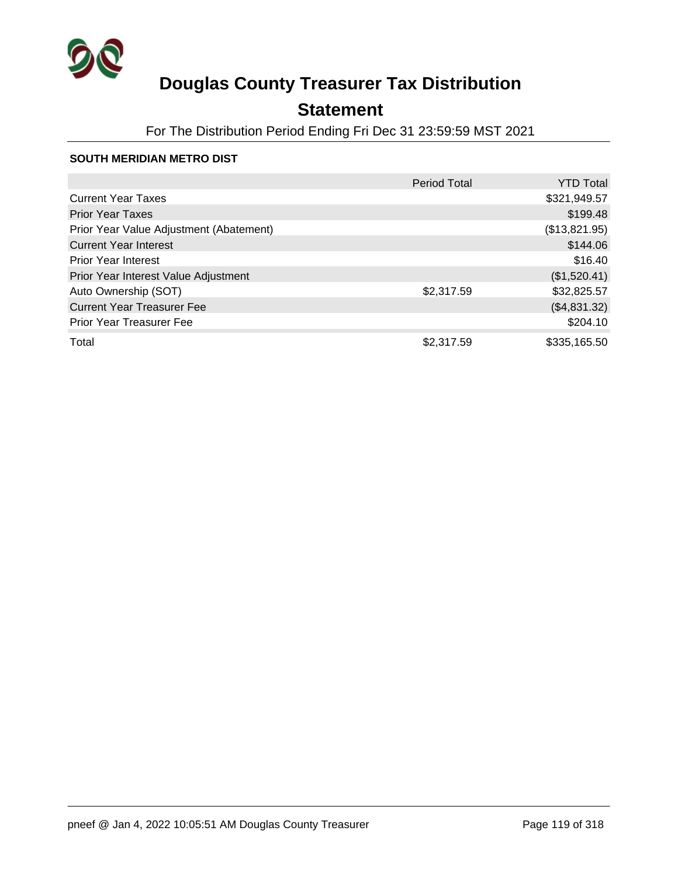

## **Statement**

For The Distribution Period Ending Fri Dec 31 23:59:59 MST 2021

#### **SOUTH MERIDIAN METRO DIST**

|                                         | Period Total | <b>YTD Total</b> |
|-----------------------------------------|--------------|------------------|
| <b>Current Year Taxes</b>               |              | \$321,949.57     |
| <b>Prior Year Taxes</b>                 |              | \$199.48         |
| Prior Year Value Adjustment (Abatement) |              | (\$13,821.95)    |
| <b>Current Year Interest</b>            |              | \$144.06         |
| <b>Prior Year Interest</b>              |              | \$16.40          |
| Prior Year Interest Value Adjustment    |              | (\$1,520.41)     |
| Auto Ownership (SOT)                    | \$2,317.59   | \$32,825.57      |
| <b>Current Year Treasurer Fee</b>       |              | (\$4,831.32)     |
| <b>Prior Year Treasurer Fee</b>         |              | \$204.10         |
| Total                                   | \$2,317.59   | \$335,165.50     |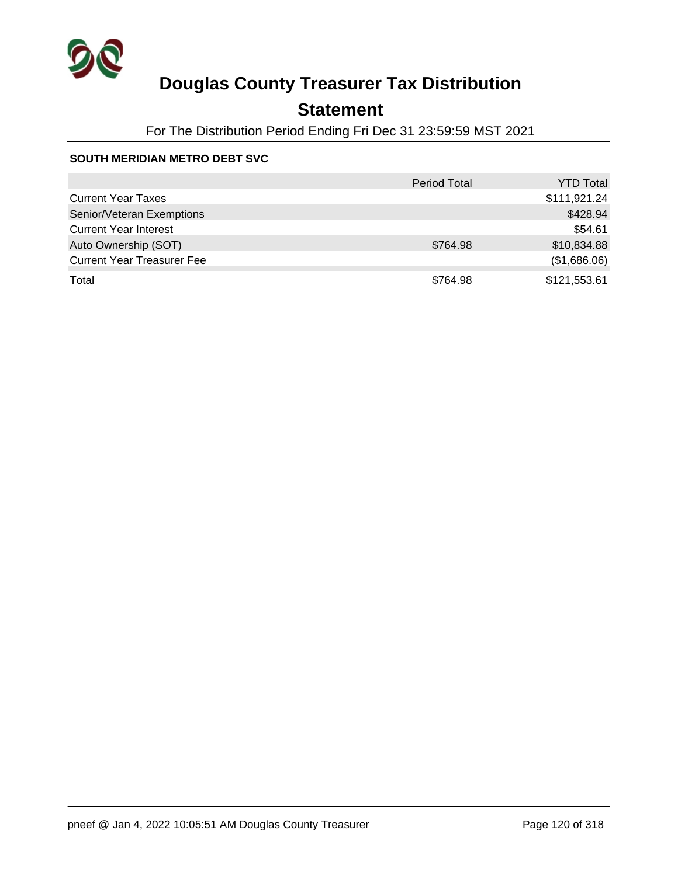

## **Statement**

For The Distribution Period Ending Fri Dec 31 23:59:59 MST 2021

### **SOUTH MERIDIAN METRO DEBT SVC**

|                                   | <b>Period Total</b> | <b>YTD Total</b> |
|-----------------------------------|---------------------|------------------|
| <b>Current Year Taxes</b>         |                     | \$111,921.24     |
| Senior/Veteran Exemptions         |                     | \$428.94         |
| <b>Current Year Interest</b>      |                     | \$54.61          |
| Auto Ownership (SOT)              | \$764.98            | \$10,834.88      |
| <b>Current Year Treasurer Fee</b> |                     | (\$1,686.06)     |
| Total                             | \$764.98            | \$121,553.61     |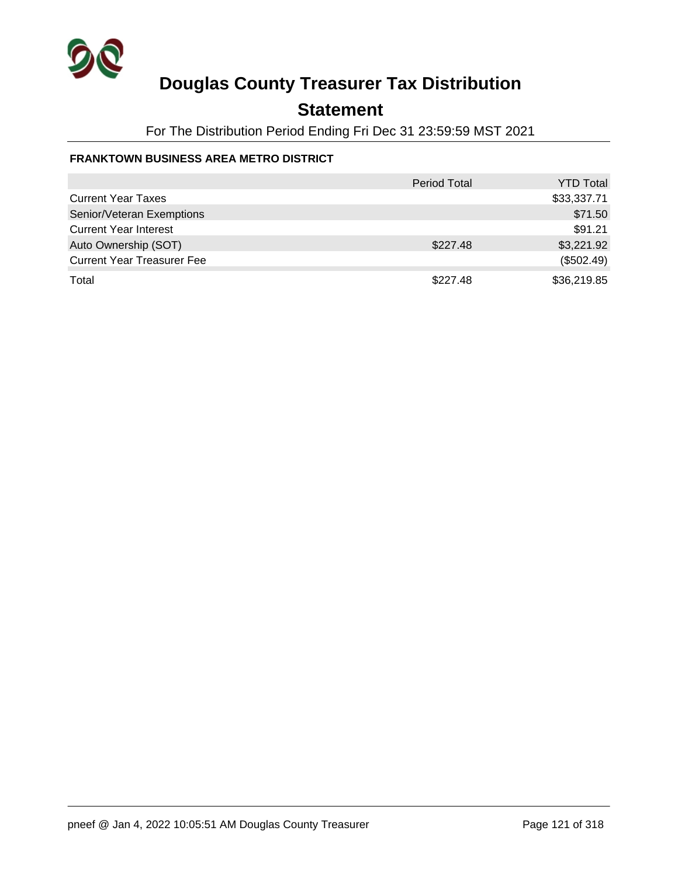

## **Statement**

For The Distribution Period Ending Fri Dec 31 23:59:59 MST 2021

### **FRANKTOWN BUSINESS AREA METRO DISTRICT**

|                                   | Period Total | <b>YTD Total</b> |
|-----------------------------------|--------------|------------------|
| <b>Current Year Taxes</b>         |              | \$33,337.71      |
| Senior/Veteran Exemptions         |              | \$71.50          |
| <b>Current Year Interest</b>      |              | \$91.21          |
| Auto Ownership (SOT)              | \$227.48     | \$3,221.92       |
| <b>Current Year Treasurer Fee</b> |              | (\$502.49)       |
| Total                             | \$227.48     | \$36,219.85      |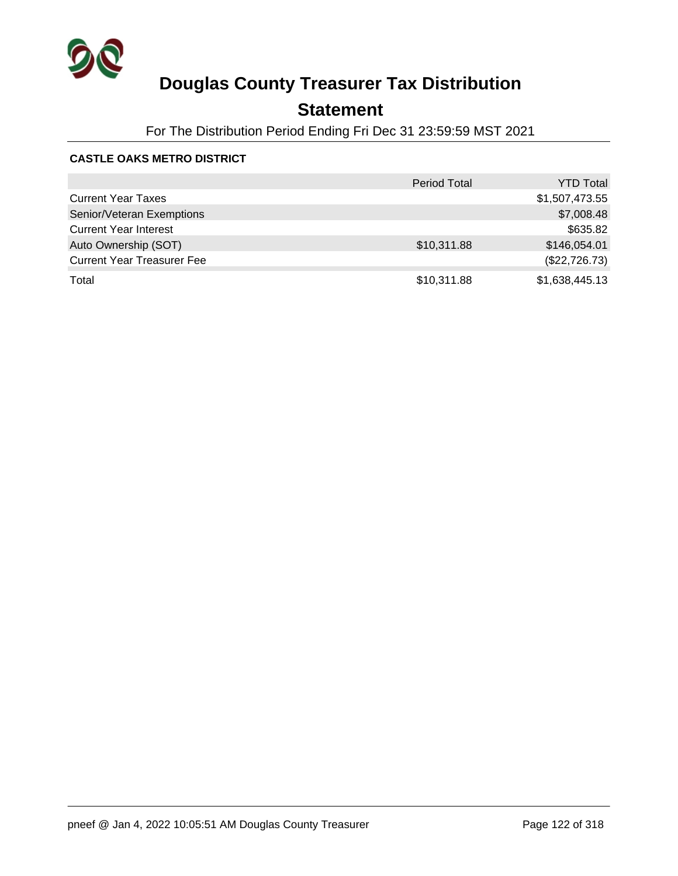

## **Statement**

For The Distribution Period Ending Fri Dec 31 23:59:59 MST 2021

### **CASTLE OAKS METRO DISTRICT**

|                                   | <b>Period Total</b> | <b>YTD Total</b> |
|-----------------------------------|---------------------|------------------|
| <b>Current Year Taxes</b>         |                     | \$1,507,473.55   |
| Senior/Veteran Exemptions         |                     | \$7,008.48       |
| <b>Current Year Interest</b>      |                     | \$635.82         |
| Auto Ownership (SOT)              | \$10,311.88         | \$146,054.01     |
| <b>Current Year Treasurer Fee</b> |                     | (\$22,726.73)    |
| Total                             | \$10,311.88         | \$1,638,445.13   |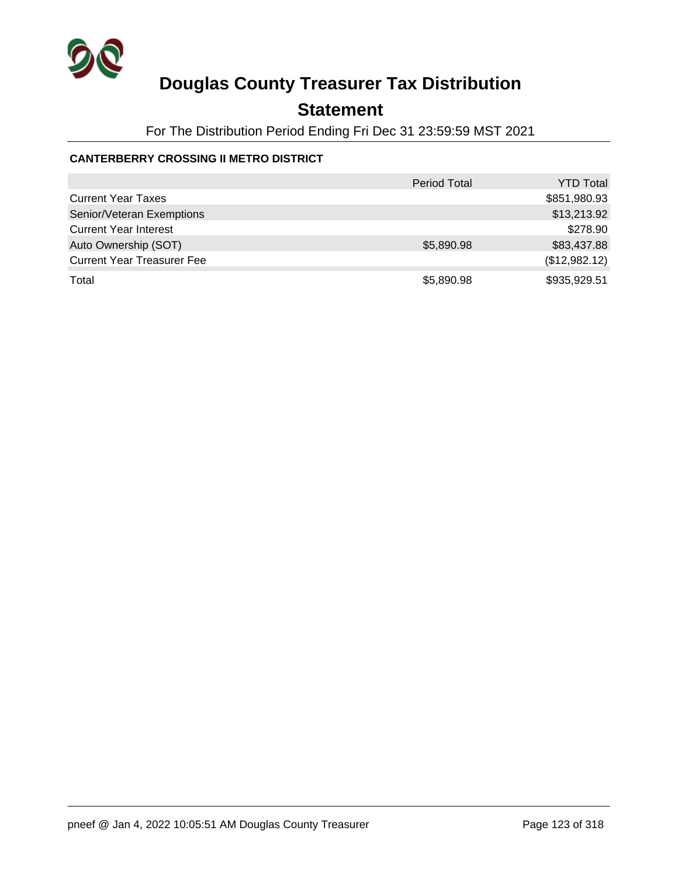

## **Statement**

For The Distribution Period Ending Fri Dec 31 23:59:59 MST 2021

### **CANTERBERRY CROSSING II METRO DISTRICT**

|                                   | <b>Period Total</b> | <b>YTD Total</b> |
|-----------------------------------|---------------------|------------------|
| <b>Current Year Taxes</b>         |                     | \$851,980.93     |
| Senior/Veteran Exemptions         |                     | \$13,213.92      |
| <b>Current Year Interest</b>      |                     | \$278.90         |
| Auto Ownership (SOT)              | \$5,890.98          | \$83,437.88      |
| <b>Current Year Treasurer Fee</b> |                     | (\$12,982.12)    |
| Total                             | \$5,890.98          | \$935,929.51     |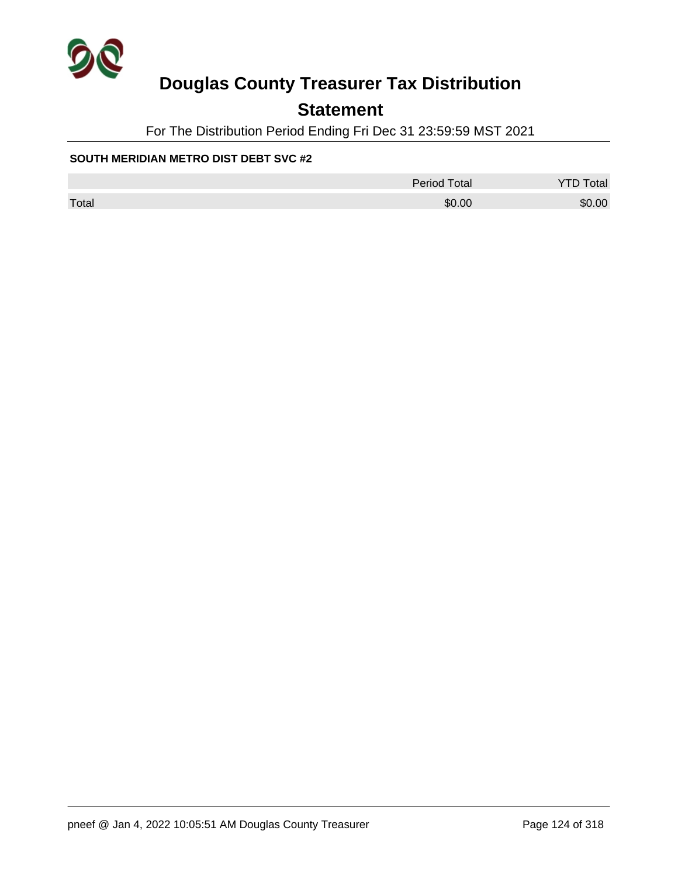

## **Statement**

For The Distribution Period Ending Fri Dec 31 23:59:59 MST 2021

#### **SOUTH MERIDIAN METRO DIST DEBT SVC #2**

|       | Period Total | <b>YTD Total</b> |
|-------|--------------|------------------|
| Total | \$0.00       | \$0.00           |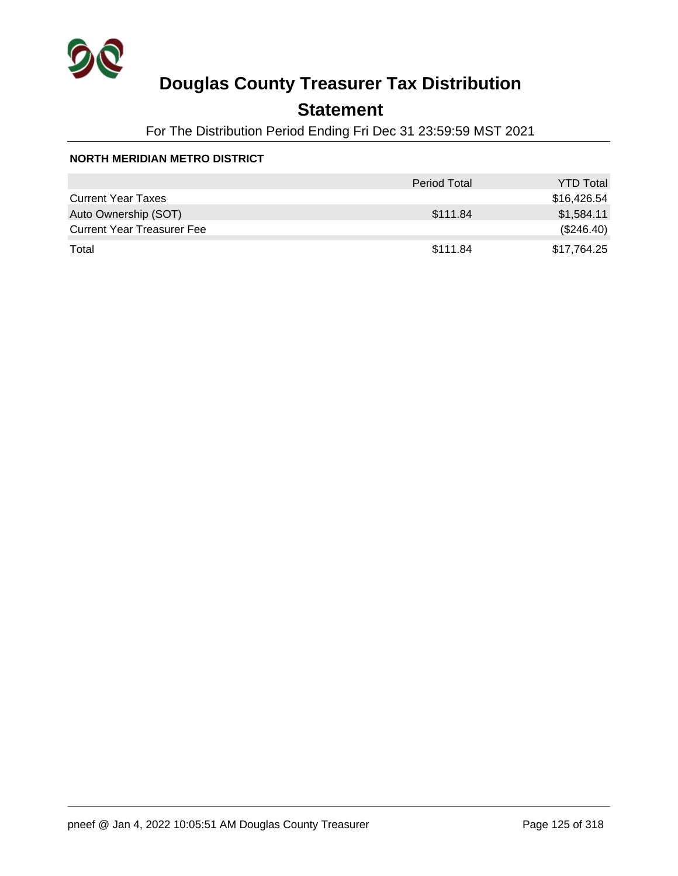

## **Statement**

For The Distribution Period Ending Fri Dec 31 23:59:59 MST 2021

#### **NORTH MERIDIAN METRO DISTRICT**

|                                   | <b>Period Total</b> | <b>YTD Total</b> |
|-----------------------------------|---------------------|------------------|
| <b>Current Year Taxes</b>         |                     | \$16,426.54      |
| Auto Ownership (SOT)              | \$111.84            | \$1,584.11       |
| <b>Current Year Treasurer Fee</b> |                     | (\$246.40)       |
| Total                             | \$111.84            | \$17,764.25      |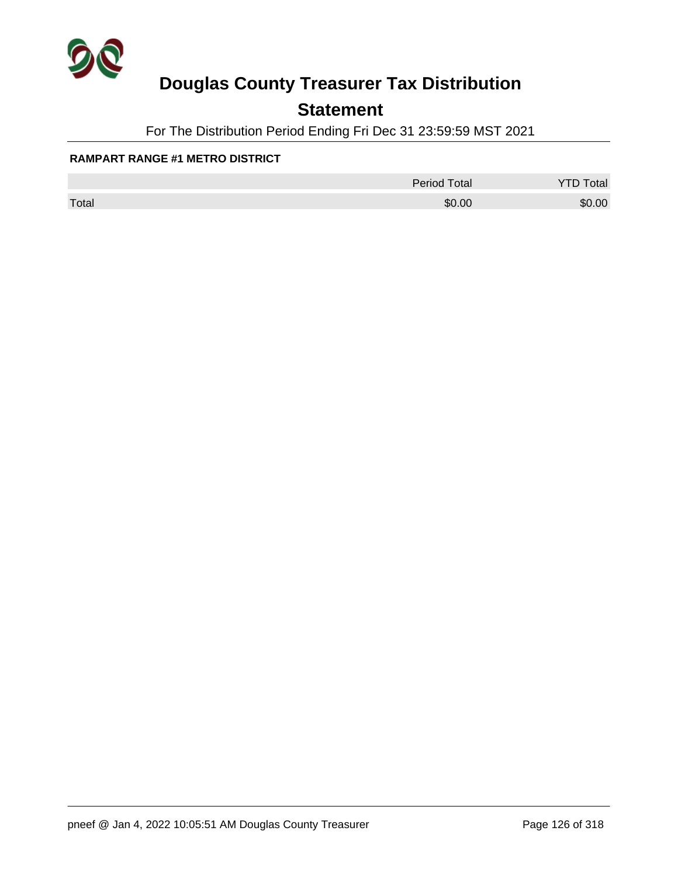

## **Statement**

For The Distribution Period Ending Fri Dec 31 23:59:59 MST 2021

#### **RAMPART RANGE #1 METRO DISTRICT**

|       | <b>Period Total</b> | otal<br>້ |
|-------|---------------------|-----------|
| Total | \$0.00              | \$0.00    |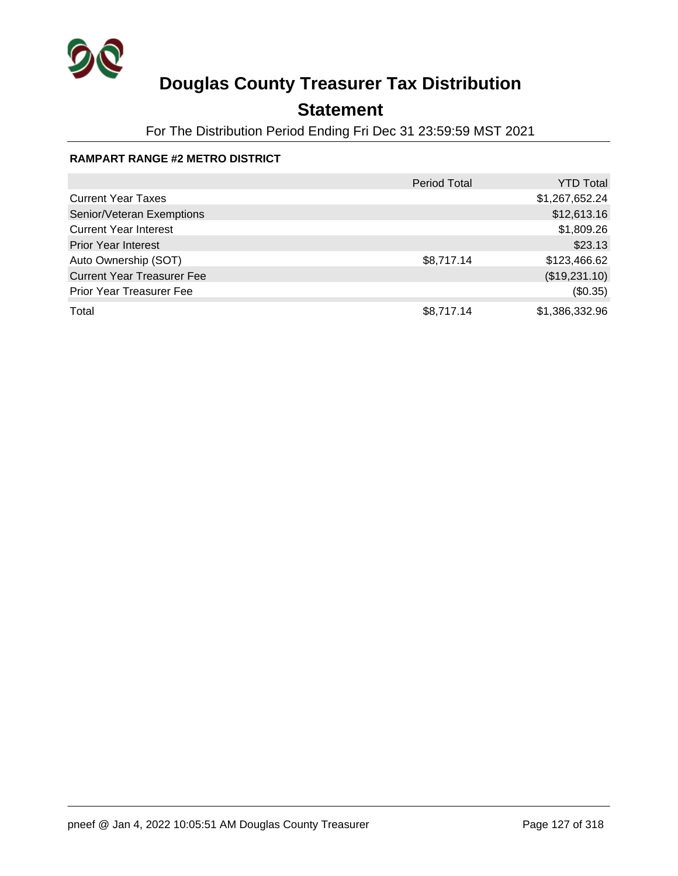

## **Statement**

For The Distribution Period Ending Fri Dec 31 23:59:59 MST 2021

### **RAMPART RANGE #2 METRO DISTRICT**

|                                   | Period Total | <b>YTD Total</b> |
|-----------------------------------|--------------|------------------|
| <b>Current Year Taxes</b>         |              | \$1,267,652.24   |
| Senior/Veteran Exemptions         |              | \$12,613.16      |
| <b>Current Year Interest</b>      |              | \$1,809.26       |
| <b>Prior Year Interest</b>        |              | \$23.13          |
| Auto Ownership (SOT)              | \$8,717.14   | \$123,466.62     |
| <b>Current Year Treasurer Fee</b> |              | (\$19,231.10)    |
| <b>Prior Year Treasurer Fee</b>   |              | (\$0.35)         |
| Total                             | \$8,717.14   | \$1,386,332.96   |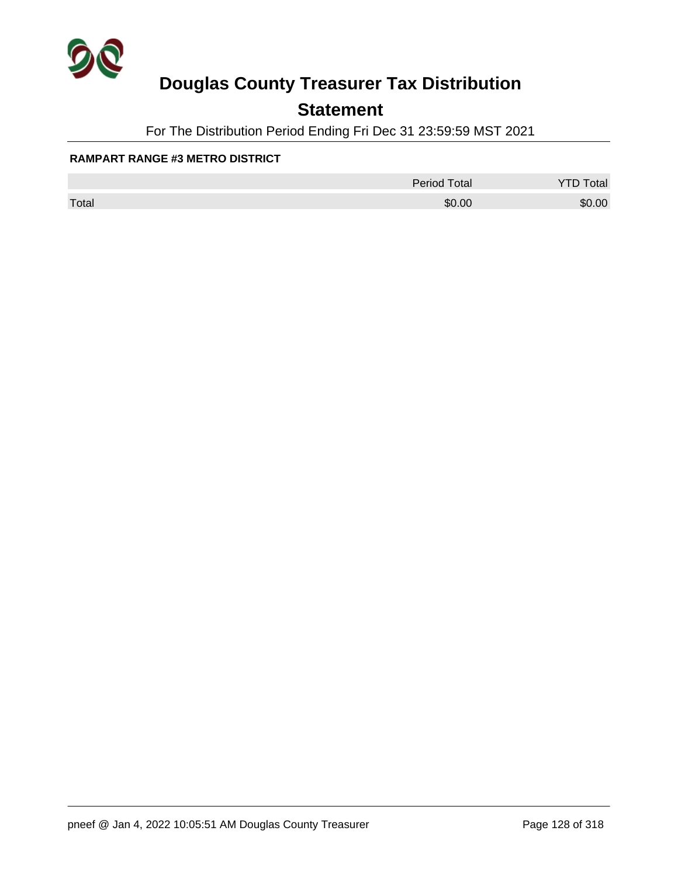

## **Statement**

For The Distribution Period Ending Fri Dec 31 23:59:59 MST 2021

#### **RAMPART RANGE #3 METRO DISTRICT**

|       | <b>Period Total</b> | otal   |
|-------|---------------------|--------|
| Total | \$0.00              | \$0.00 |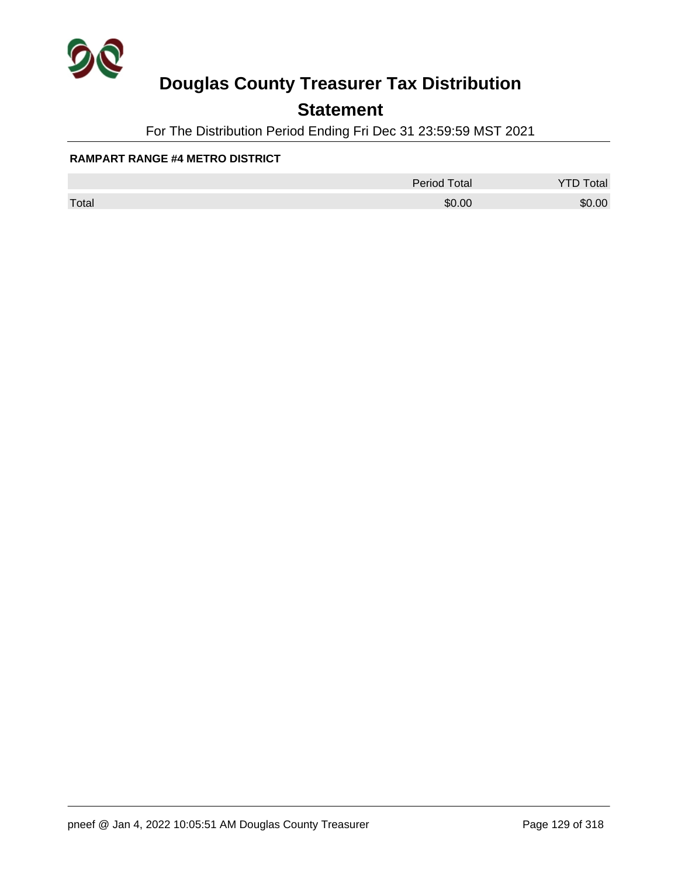

## **Statement**

For The Distribution Period Ending Fri Dec 31 23:59:59 MST 2021

#### **RAMPART RANGE #4 METRO DISTRICT**

|       | <b>Period Total</b> | otal<br>້ |
|-------|---------------------|-----------|
| Total | \$0.00              | \$0.00    |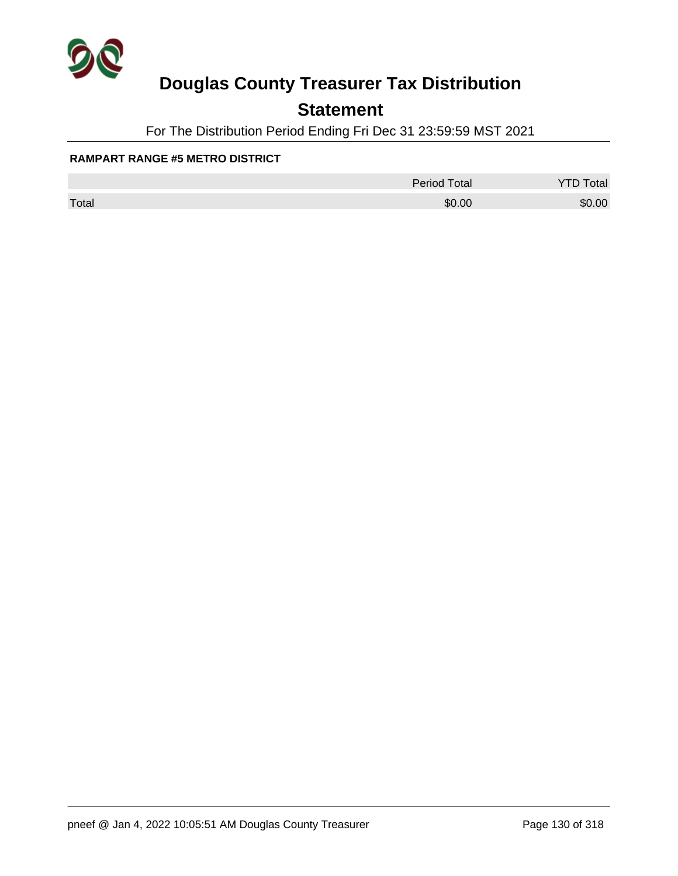

## **Statement**

For The Distribution Period Ending Fri Dec 31 23:59:59 MST 2021

#### **RAMPART RANGE #5 METRO DISTRICT**

|       | <b>Period Total</b> | otal   |
|-------|---------------------|--------|
| Total | \$0.00              | \$0.00 |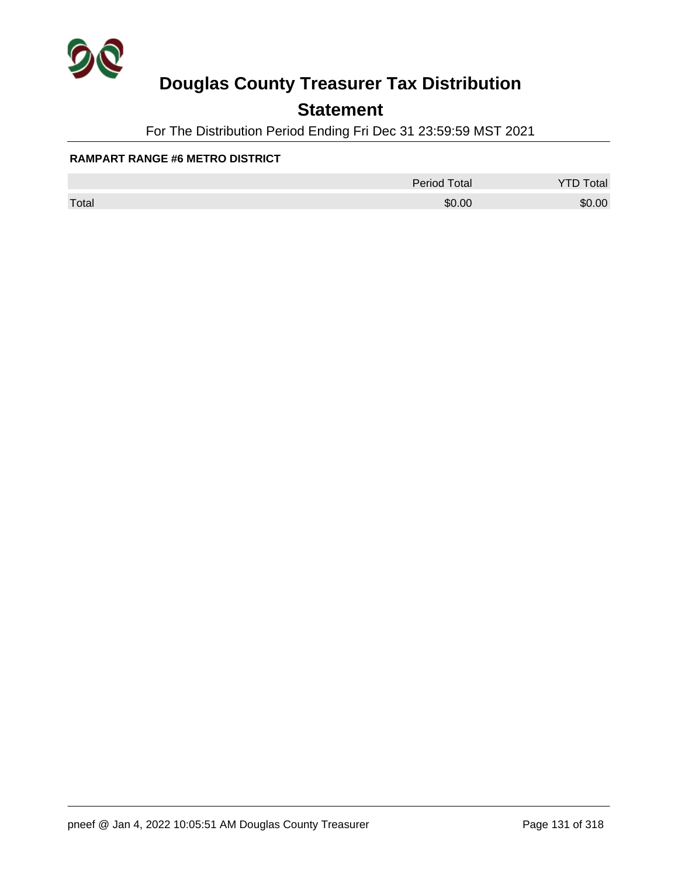

## **Statement**

For The Distribution Period Ending Fri Dec 31 23:59:59 MST 2021

#### **RAMPART RANGE #6 METRO DISTRICT**

|       | <b>Period Total</b> | otal   |
|-------|---------------------|--------|
| Total | \$0.00              | \$0.00 |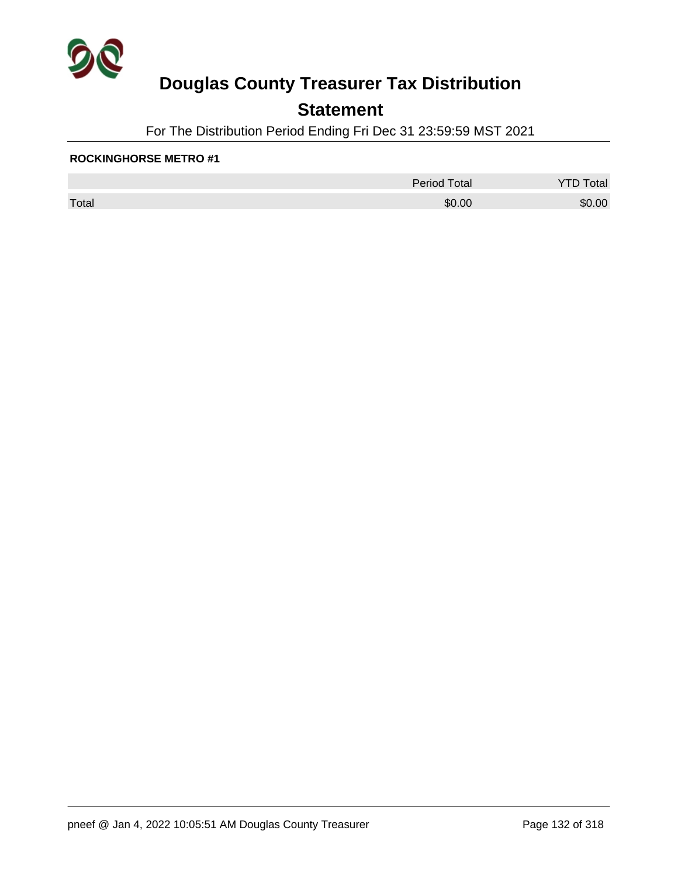

## **Statement**

For The Distribution Period Ending Fri Dec 31 23:59:59 MST 2021

#### **ROCKINGHORSE METRO #1**

|       | <b>Period Total</b> | otal<br>້ |
|-------|---------------------|-----------|
| Total | \$0.00              | \$0.00    |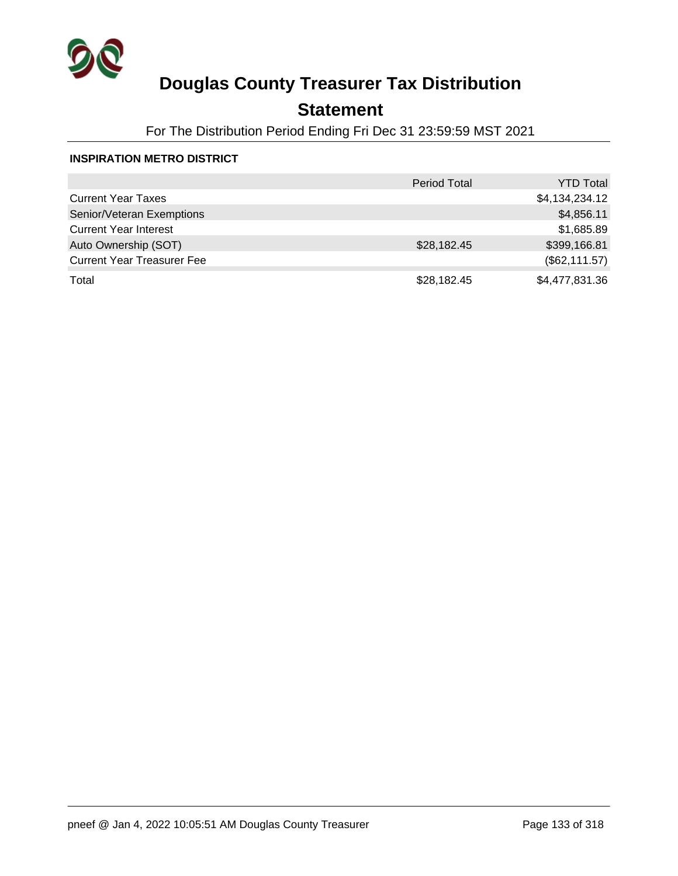

## **Statement**

For The Distribution Period Ending Fri Dec 31 23:59:59 MST 2021

#### **INSPIRATION METRO DISTRICT**

|                                   | <b>Period Total</b> | <b>YTD Total</b> |
|-----------------------------------|---------------------|------------------|
| <b>Current Year Taxes</b>         |                     | \$4,134,234.12   |
| Senior/Veteran Exemptions         |                     | \$4,856.11       |
| <b>Current Year Interest</b>      |                     | \$1,685.89       |
| Auto Ownership (SOT)              | \$28,182.45         | \$399,166.81     |
| <b>Current Year Treasurer Fee</b> |                     | (\$62,111.57)    |
| Total                             | \$28,182.45         | \$4,477,831.36   |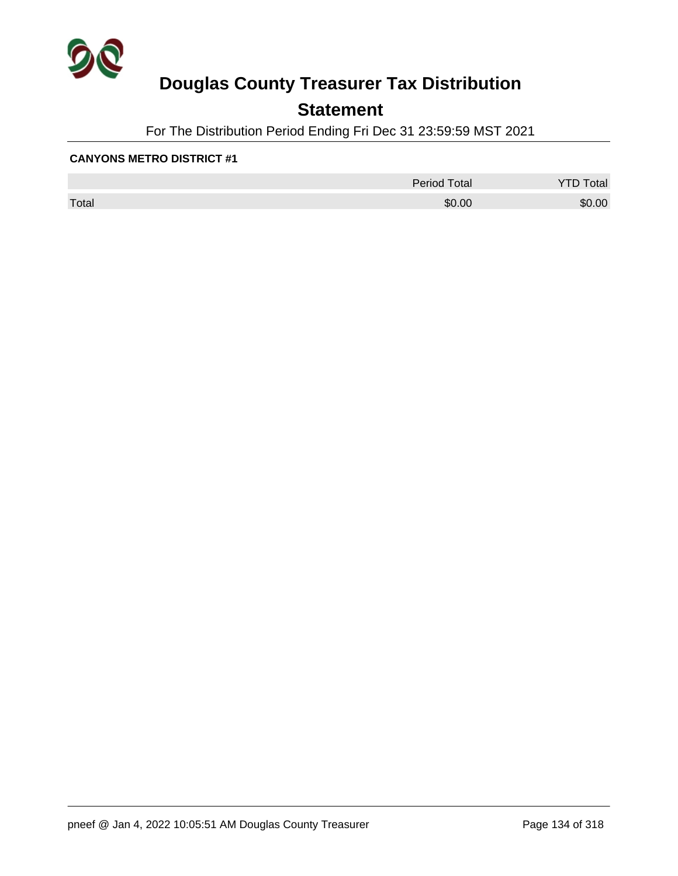

## **Statement**

For The Distribution Period Ending Fri Dec 31 23:59:59 MST 2021

|       | <b>Period Total</b> | otal<br>້ |
|-------|---------------------|-----------|
| Total | \$0.00              | \$0.00    |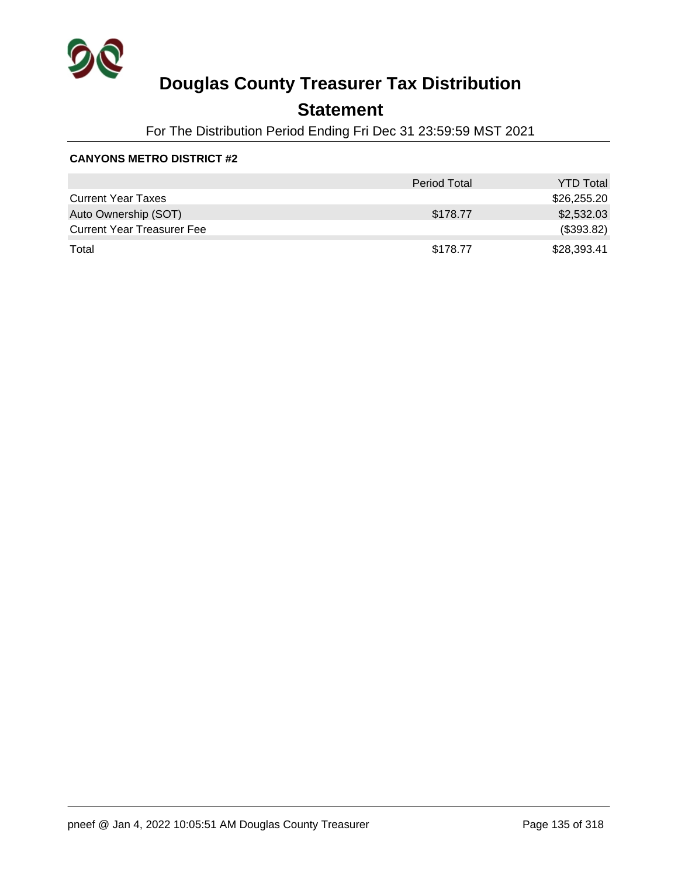

## **Statement**

For The Distribution Period Ending Fri Dec 31 23:59:59 MST 2021

|                                   | <b>Period Total</b> | <b>YTD Total</b> |
|-----------------------------------|---------------------|------------------|
| <b>Current Year Taxes</b>         |                     | \$26,255.20      |
| Auto Ownership (SOT)              | \$178.77            | \$2,532.03       |
| <b>Current Year Treasurer Fee</b> |                     | (\$393.82)       |
| Total                             | \$178.77            | \$28,393.41      |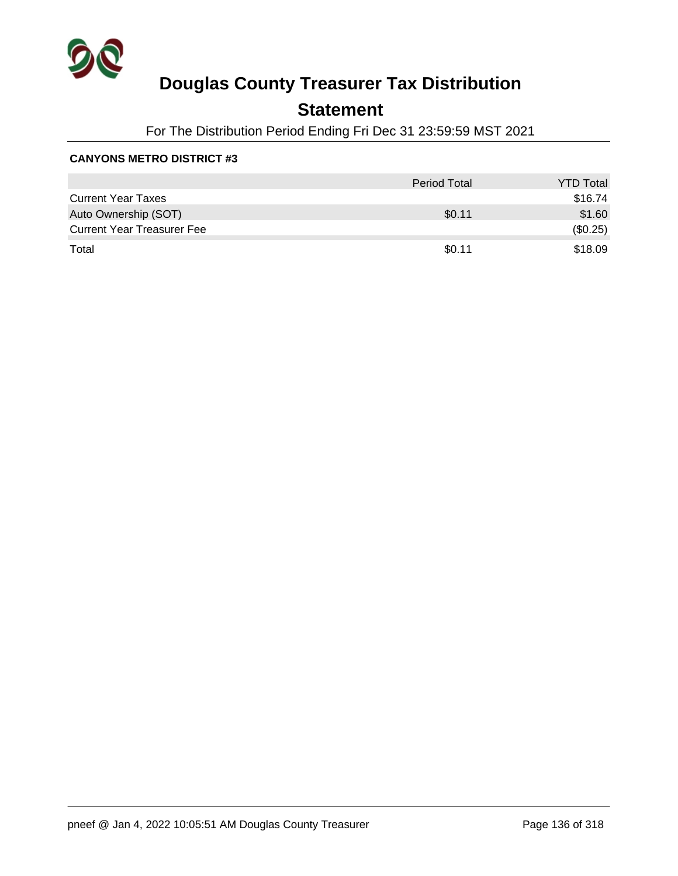

## **Statement**

For The Distribution Period Ending Fri Dec 31 23:59:59 MST 2021

|                                   | <b>Period Total</b> | <b>YTD Total</b> |
|-----------------------------------|---------------------|------------------|
| <b>Current Year Taxes</b>         |                     | \$16.74          |
| Auto Ownership (SOT)              | \$0.11              | \$1.60           |
| <b>Current Year Treasurer Fee</b> |                     | (\$0.25)         |
| Total                             | \$0.11              | \$18.09          |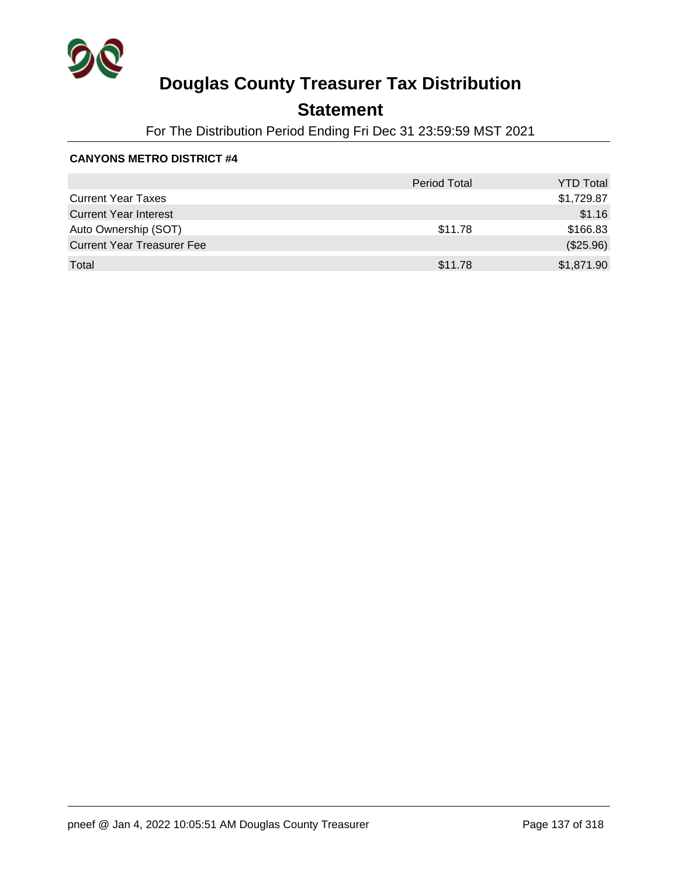

## **Statement**

For The Distribution Period Ending Fri Dec 31 23:59:59 MST 2021

|                                   | <b>Period Total</b> | <b>YTD Total</b> |
|-----------------------------------|---------------------|------------------|
| <b>Current Year Taxes</b>         |                     | \$1,729.87       |
| <b>Current Year Interest</b>      |                     | \$1.16           |
| Auto Ownership (SOT)              | \$11.78             | \$166.83         |
| <b>Current Year Treasurer Fee</b> |                     | (\$25.96)        |
| Total                             | \$11.78             | \$1,871.90       |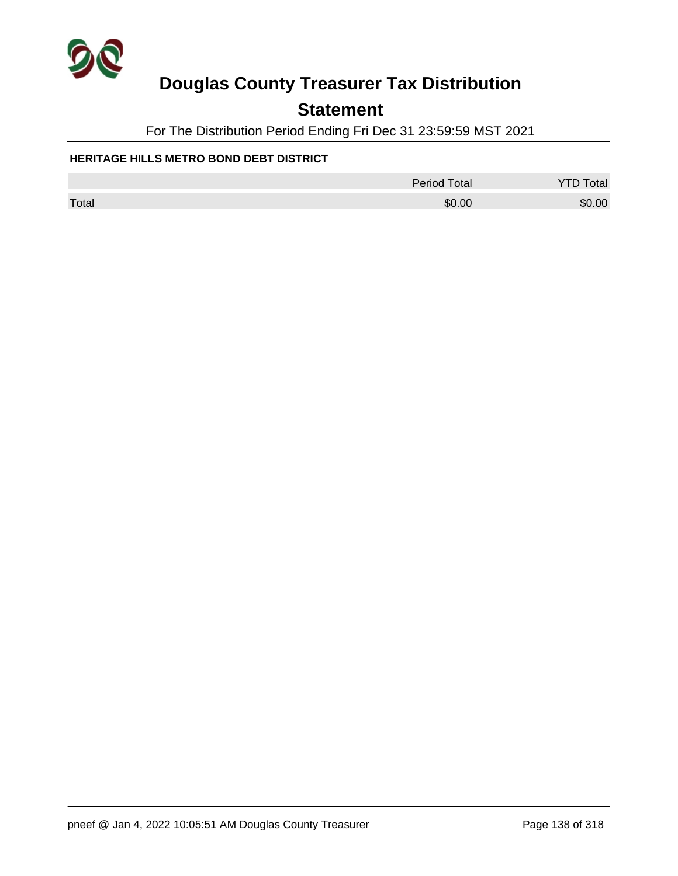

## **Statement**

For The Distribution Period Ending Fri Dec 31 23:59:59 MST 2021

### **HERITAGE HILLS METRO BOND DEBT DISTRICT**

|       | Period Total | <b>YTD Total</b> |
|-------|--------------|------------------|
| Total | \$0.00       | \$0.00           |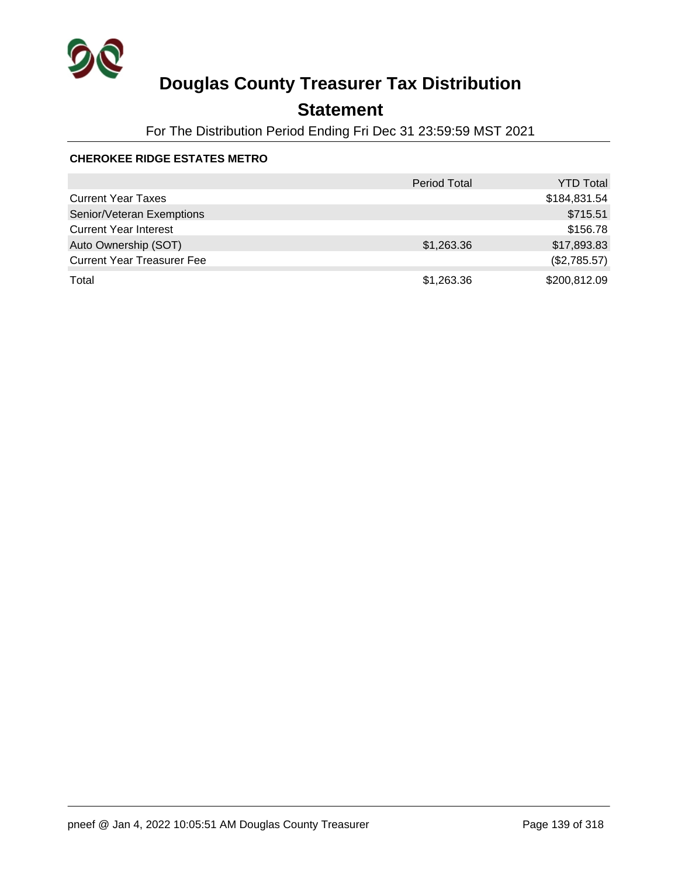

## **Statement**

For The Distribution Period Ending Fri Dec 31 23:59:59 MST 2021

### **CHEROKEE RIDGE ESTATES METRO**

|                                   | <b>Period Total</b> | <b>YTD Total</b> |
|-----------------------------------|---------------------|------------------|
| <b>Current Year Taxes</b>         |                     | \$184,831.54     |
| Senior/Veteran Exemptions         |                     | \$715.51         |
| <b>Current Year Interest</b>      |                     | \$156.78         |
| Auto Ownership (SOT)              | \$1,263.36          | \$17,893.83      |
| <b>Current Year Treasurer Fee</b> |                     | (\$2,785.57)     |
| Total                             | \$1,263.36          | \$200,812.09     |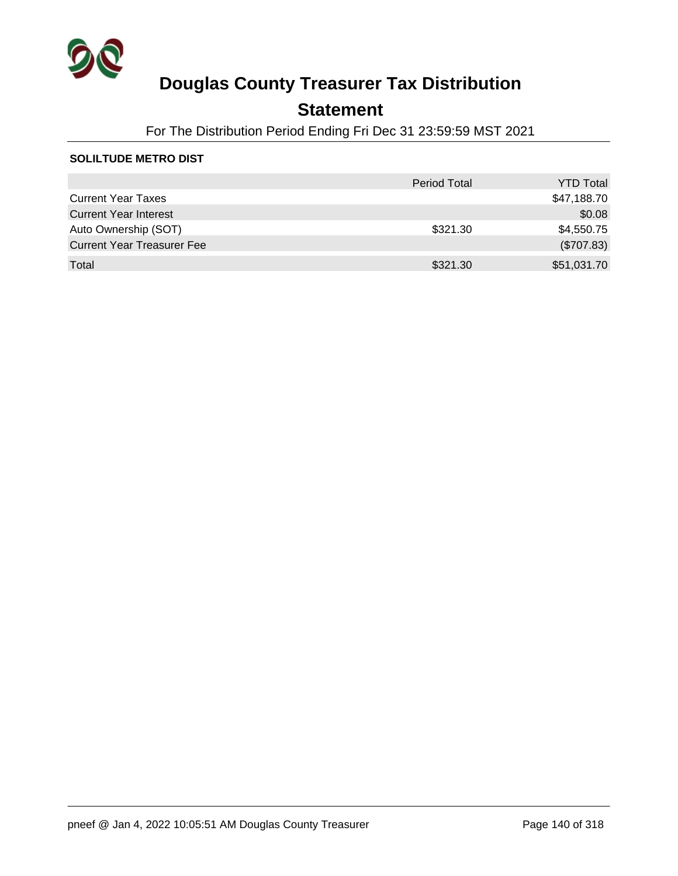

## **Statement**

For The Distribution Period Ending Fri Dec 31 23:59:59 MST 2021

#### **SOLILTUDE METRO DIST**

|                                   | <b>Period Total</b> | <b>YTD Total</b> |
|-----------------------------------|---------------------|------------------|
| <b>Current Year Taxes</b>         |                     | \$47,188.70      |
| <b>Current Year Interest</b>      |                     | \$0.08           |
| Auto Ownership (SOT)              | \$321.30            | \$4,550.75       |
| <b>Current Year Treasurer Fee</b> |                     | (\$707.83)       |
| Total                             | \$321.30            | \$51,031.70      |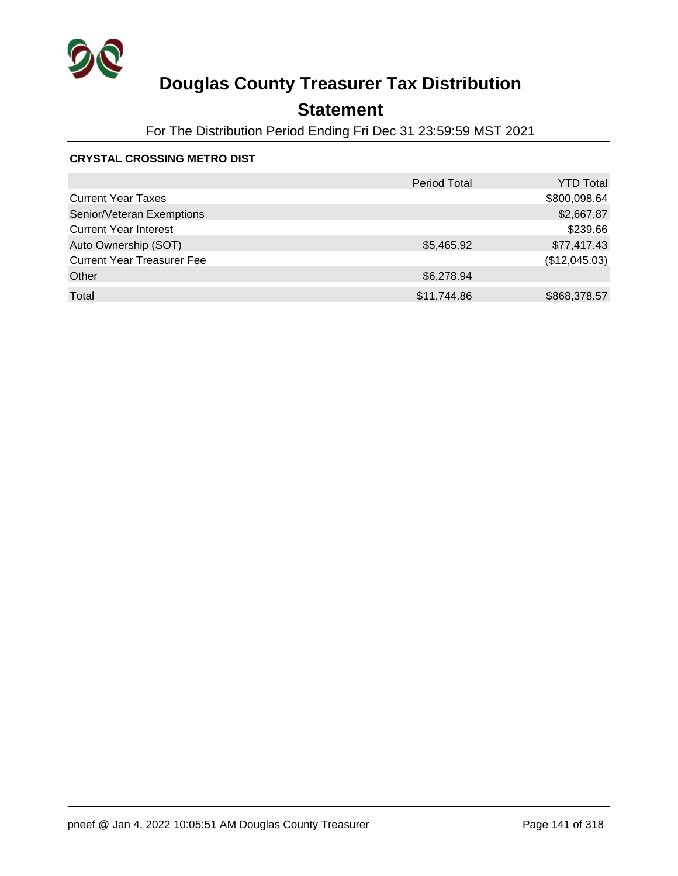

## **Statement**

For The Distribution Period Ending Fri Dec 31 23:59:59 MST 2021

### **CRYSTAL CROSSING METRO DIST**

|                                   | <b>Period Total</b> | <b>YTD Total</b> |
|-----------------------------------|---------------------|------------------|
| <b>Current Year Taxes</b>         |                     | \$800,098.64     |
| Senior/Veteran Exemptions         |                     | \$2,667.87       |
| <b>Current Year Interest</b>      |                     | \$239.66         |
| Auto Ownership (SOT)              | \$5,465.92          | \$77,417.43      |
| <b>Current Year Treasurer Fee</b> |                     | (\$12,045.03)    |
| Other                             | \$6,278.94          |                  |
| Total                             | \$11,744.86         | \$868,378.57     |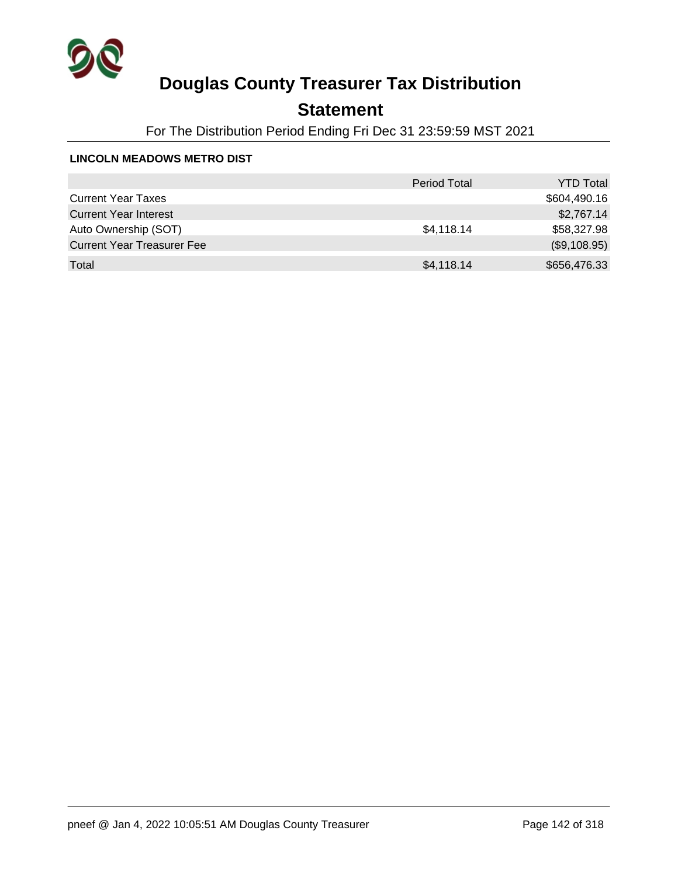

## **Statement**

For The Distribution Period Ending Fri Dec 31 23:59:59 MST 2021

#### **LINCOLN MEADOWS METRO DIST**

|                                   | <b>Period Total</b> | <b>YTD Total</b> |
|-----------------------------------|---------------------|------------------|
| <b>Current Year Taxes</b>         |                     | \$604,490.16     |
| <b>Current Year Interest</b>      |                     | \$2,767.14       |
| Auto Ownership (SOT)              | \$4,118.14          | \$58,327.98      |
| <b>Current Year Treasurer Fee</b> |                     | (\$9,108.95)     |
| Total                             | \$4,118.14          | \$656,476.33     |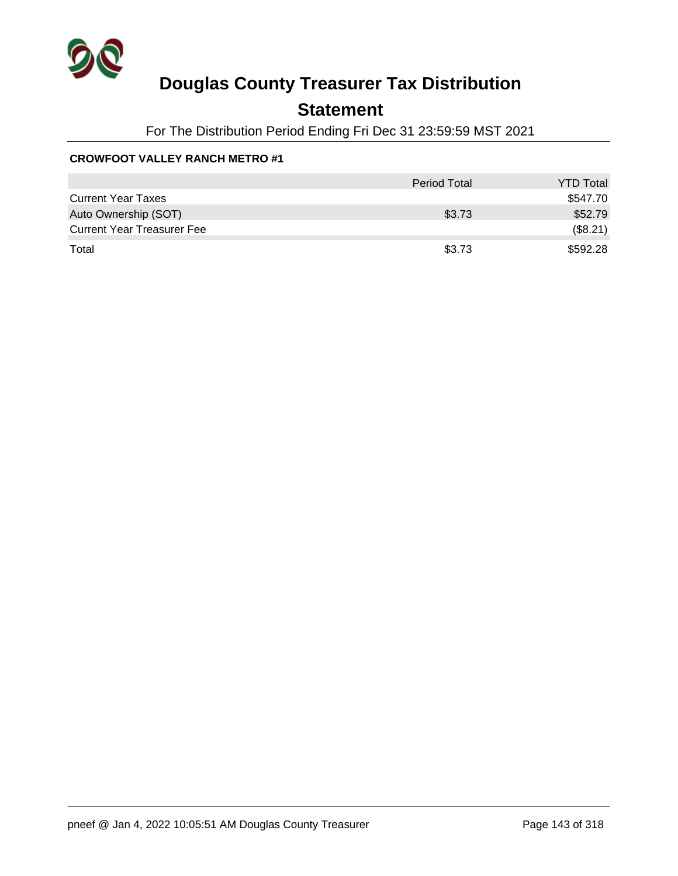

### **Statement**

For The Distribution Period Ending Fri Dec 31 23:59:59 MST 2021

### **CROWFOOT VALLEY RANCH METRO #1**

|                                   | <b>Period Total</b> | <b>YTD Total</b> |
|-----------------------------------|---------------------|------------------|
| <b>Current Year Taxes</b>         |                     | \$547.70         |
| Auto Ownership (SOT)              | \$3.73              | \$52.79          |
| <b>Current Year Treasurer Fee</b> |                     | (\$8.21)         |
| Total                             | \$3.73              | \$592.28         |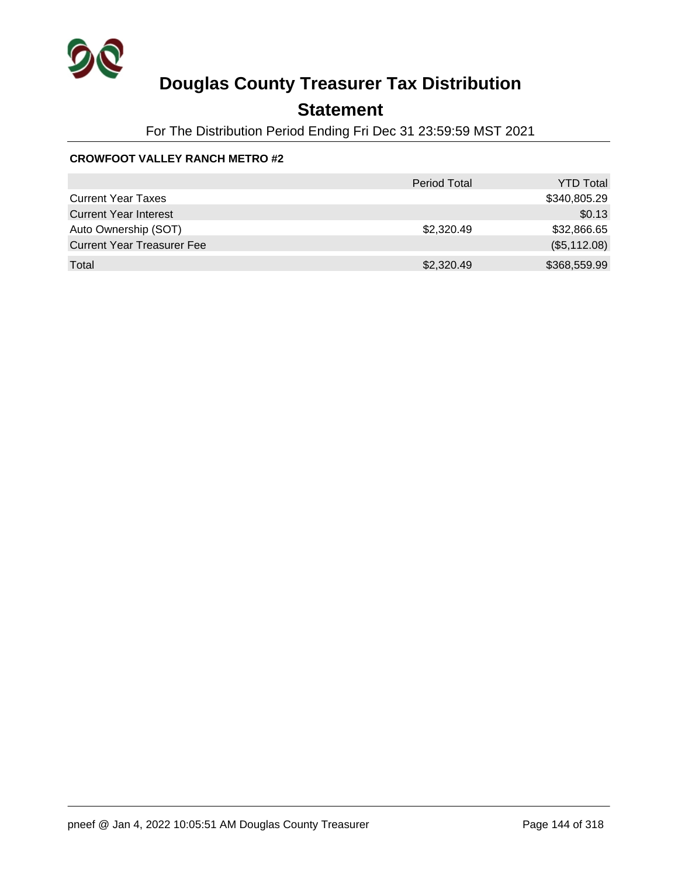

## **Statement**

For The Distribution Period Ending Fri Dec 31 23:59:59 MST 2021

### **CROWFOOT VALLEY RANCH METRO #2**

|                                   | <b>Period Total</b> | <b>YTD Total</b> |
|-----------------------------------|---------------------|------------------|
| <b>Current Year Taxes</b>         |                     | \$340,805.29     |
| <b>Current Year Interest</b>      |                     | \$0.13           |
| Auto Ownership (SOT)              | \$2,320.49          | \$32,866.65      |
| <b>Current Year Treasurer Fee</b> |                     | (\$5,112.08)     |
| Total                             | \$2,320.49          | \$368,559.99     |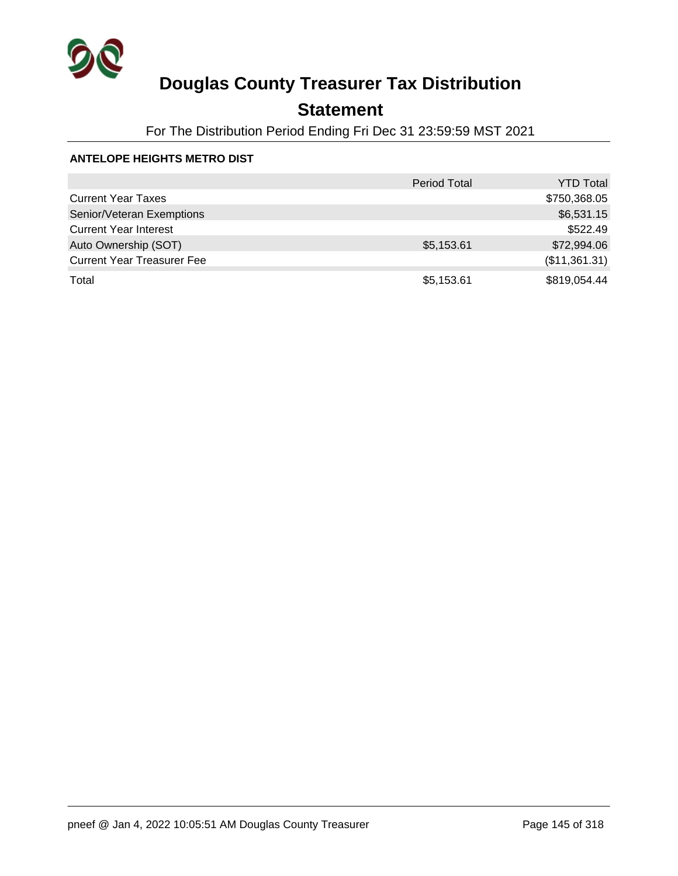

## **Statement**

For The Distribution Period Ending Fri Dec 31 23:59:59 MST 2021

### **ANTELOPE HEIGHTS METRO DIST**

|                                   | <b>Period Total</b> | <b>YTD Total</b> |
|-----------------------------------|---------------------|------------------|
| <b>Current Year Taxes</b>         |                     | \$750,368.05     |
| Senior/Veteran Exemptions         |                     | \$6,531.15       |
| <b>Current Year Interest</b>      |                     | \$522.49         |
| Auto Ownership (SOT)              | \$5,153.61          | \$72,994.06      |
| <b>Current Year Treasurer Fee</b> |                     | (\$11,361.31)    |
| Total                             | \$5,153.61          | \$819,054.44     |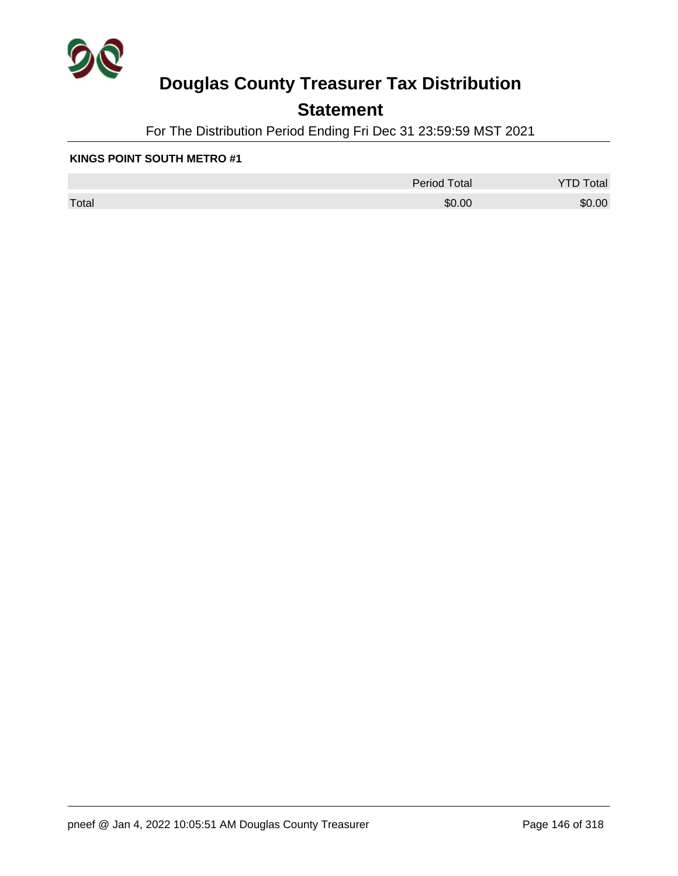

## **Statement**

For The Distribution Period Ending Fri Dec 31 23:59:59 MST 2021

#### **KINGS POINT SOUTH METRO #1**

|       | <b>Period Total</b> | otal<br>້ |
|-------|---------------------|-----------|
| Total | \$0.00              | \$0.00    |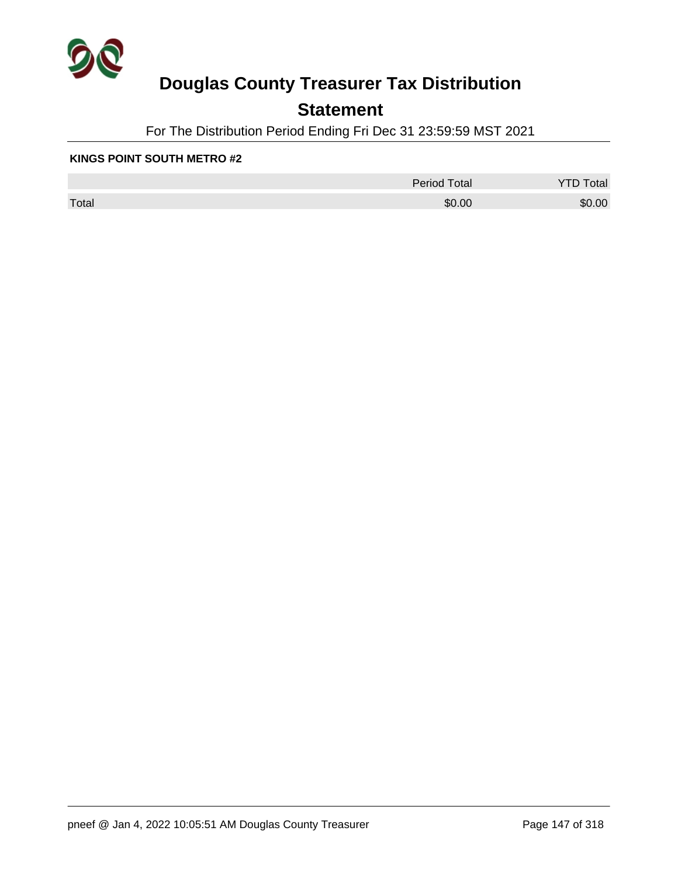

## **Statement**

For The Distribution Period Ending Fri Dec 31 23:59:59 MST 2021

#### **KINGS POINT SOUTH METRO #2**

|       | <b>Period Total</b> | otal<br>້ |
|-------|---------------------|-----------|
| Total | \$0.00              | \$0.00    |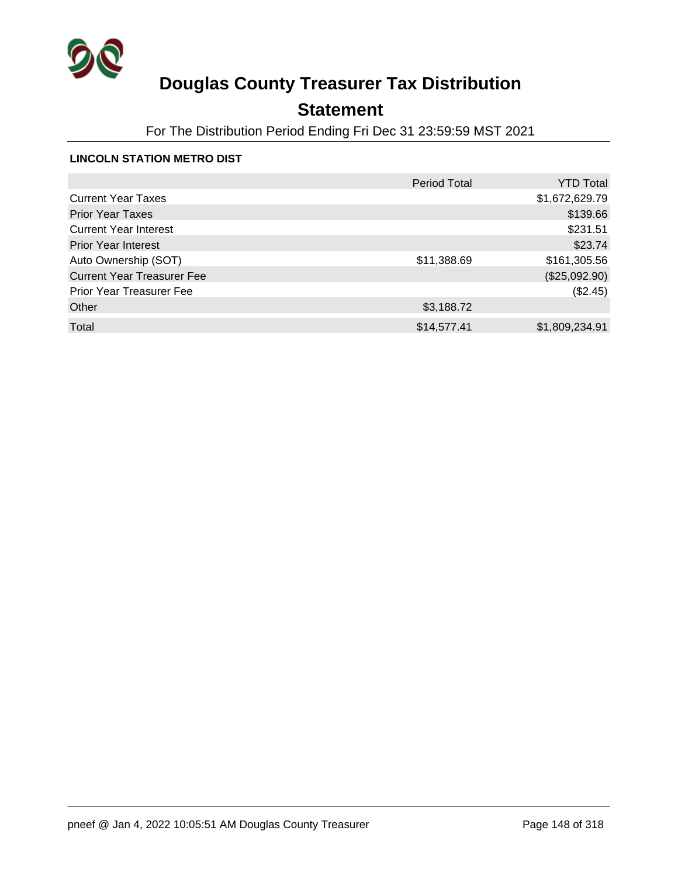

## **Statement**

For The Distribution Period Ending Fri Dec 31 23:59:59 MST 2021

### **LINCOLN STATION METRO DIST**

|                                   | <b>Period Total</b> | <b>YTD Total</b> |
|-----------------------------------|---------------------|------------------|
| <b>Current Year Taxes</b>         |                     | \$1,672,629.79   |
| <b>Prior Year Taxes</b>           |                     | \$139.66         |
| <b>Current Year Interest</b>      |                     | \$231.51         |
| <b>Prior Year Interest</b>        |                     | \$23.74          |
| Auto Ownership (SOT)              | \$11,388.69         | \$161,305.56     |
| <b>Current Year Treasurer Fee</b> |                     | (\$25,092.90)    |
| <b>Prior Year Treasurer Fee</b>   |                     | (\$2.45)         |
| Other                             | \$3,188.72          |                  |
| Total                             | \$14,577.41         | \$1,809,234.91   |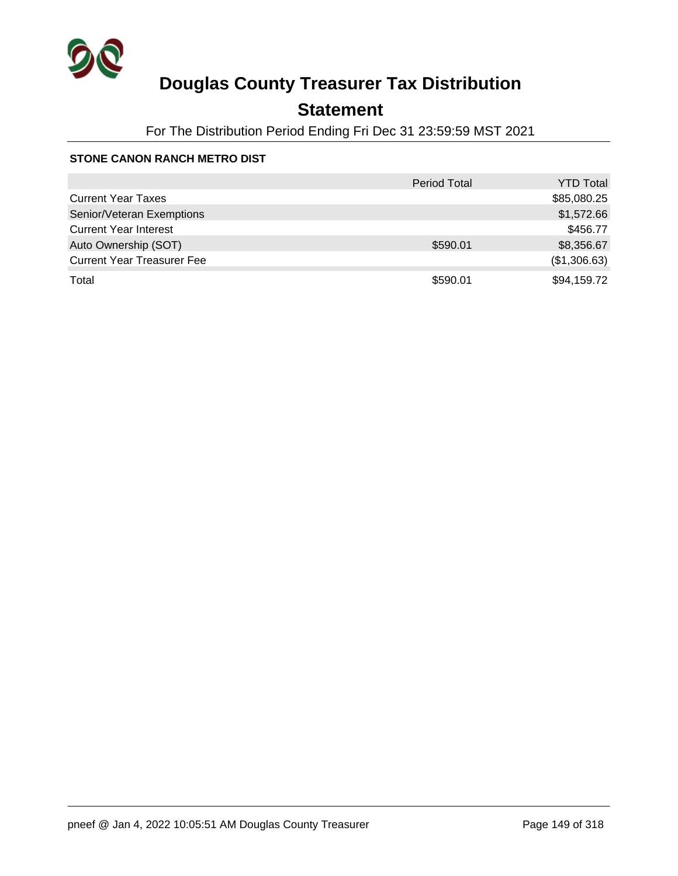

## **Statement**

For The Distribution Period Ending Fri Dec 31 23:59:59 MST 2021

### **STONE CANON RANCH METRO DIST**

|                                   | <b>Period Total</b> | <b>YTD Total</b> |
|-----------------------------------|---------------------|------------------|
| <b>Current Year Taxes</b>         |                     | \$85,080.25      |
| Senior/Veteran Exemptions         |                     | \$1,572.66       |
| <b>Current Year Interest</b>      |                     | \$456.77         |
| Auto Ownership (SOT)              | \$590.01            | \$8,356.67       |
| <b>Current Year Treasurer Fee</b> |                     | (\$1,306.63)     |
| Total                             | \$590.01            | \$94,159.72      |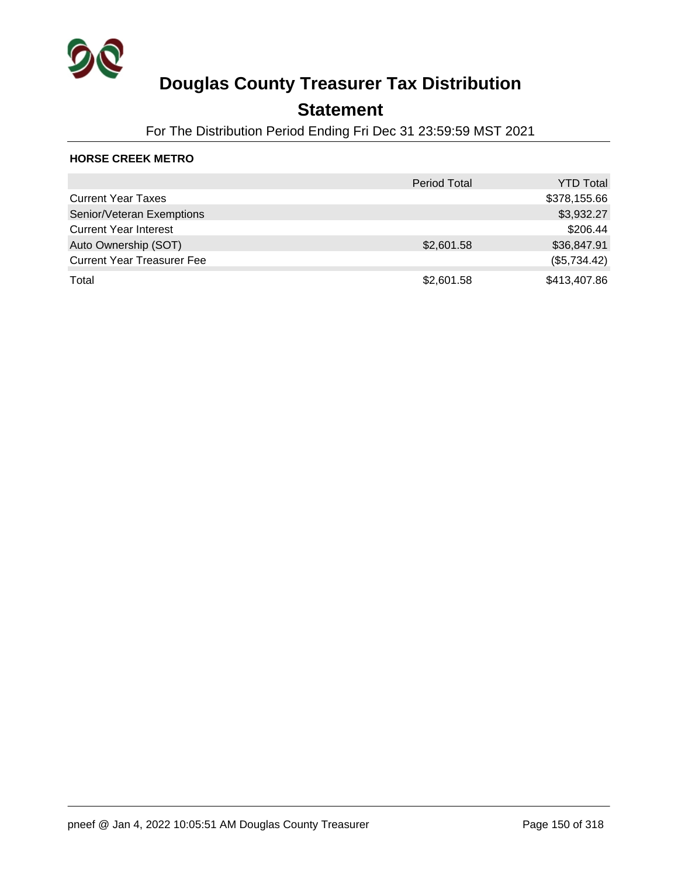

## **Statement**

For The Distribution Period Ending Fri Dec 31 23:59:59 MST 2021

### **HORSE CREEK METRO**

|                                   | <b>Period Total</b> | <b>YTD Total</b> |
|-----------------------------------|---------------------|------------------|
| <b>Current Year Taxes</b>         |                     | \$378,155.66     |
| Senior/Veteran Exemptions         |                     | \$3,932.27       |
| <b>Current Year Interest</b>      |                     | \$206.44         |
| Auto Ownership (SOT)              | \$2,601.58          | \$36,847.91      |
| <b>Current Year Treasurer Fee</b> |                     | (\$5,734.42)     |
| Total                             | \$2,601.58          | \$413,407.86     |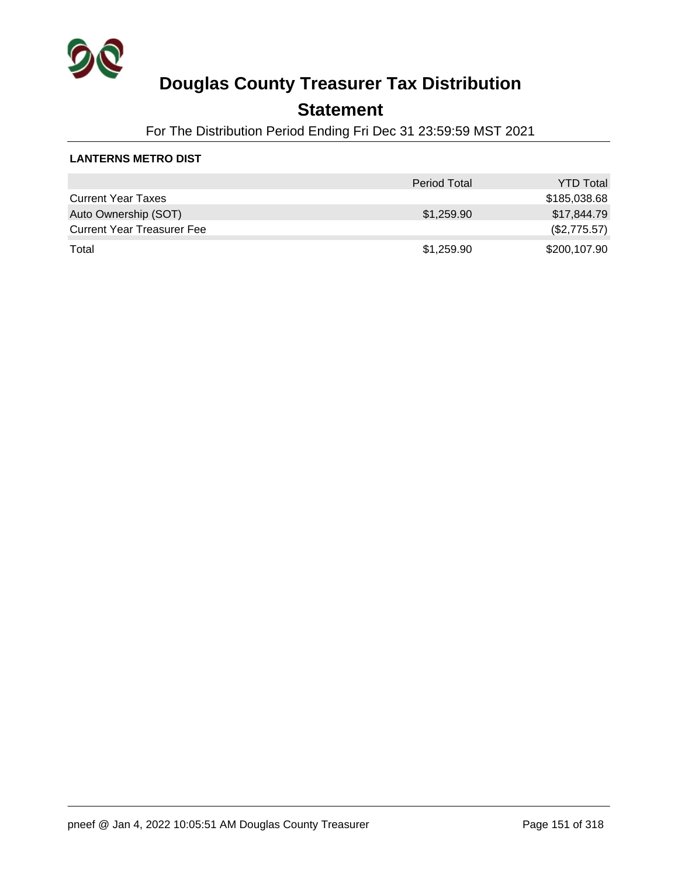

### **Statement**

For The Distribution Period Ending Fri Dec 31 23:59:59 MST 2021

### **LANTERNS METRO DIST**

|                                   | <b>Period Total</b> | <b>YTD Total</b> |
|-----------------------------------|---------------------|------------------|
| <b>Current Year Taxes</b>         |                     | \$185,038.68     |
| Auto Ownership (SOT)              | \$1,259.90          | \$17,844.79      |
| <b>Current Year Treasurer Fee</b> |                     | (\$2,775.57)     |
| Total                             | \$1,259.90          | \$200,107.90     |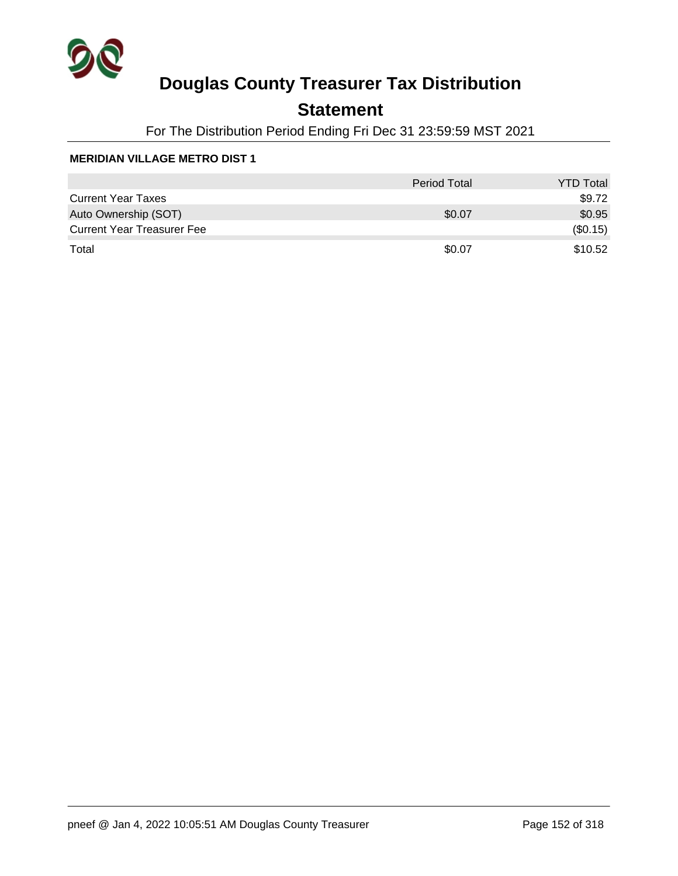

## **Statement**

For The Distribution Period Ending Fri Dec 31 23:59:59 MST 2021

|                                   | Period Total | <b>YTD Total</b> |
|-----------------------------------|--------------|------------------|
| <b>Current Year Taxes</b>         |              | \$9.72           |
| Auto Ownership (SOT)              | \$0.07       | \$0.95           |
| <b>Current Year Treasurer Fee</b> |              | (\$0.15)         |
| Total                             | \$0.07       | \$10.52          |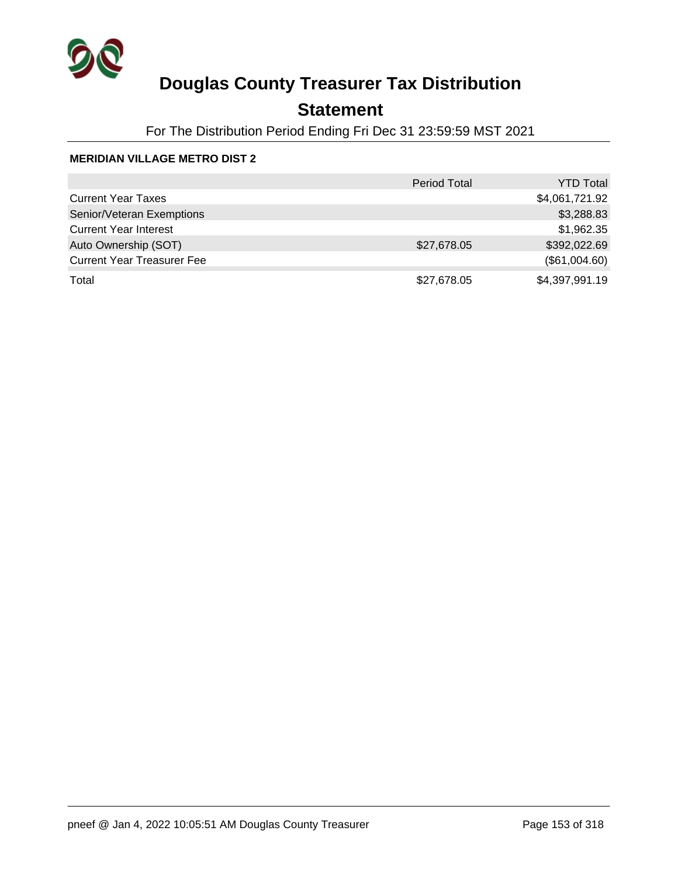

## **Statement**

For The Distribution Period Ending Fri Dec 31 23:59:59 MST 2021

|                                   | <b>Period Total</b> | <b>YTD Total</b> |
|-----------------------------------|---------------------|------------------|
| <b>Current Year Taxes</b>         |                     | \$4,061,721.92   |
| Senior/Veteran Exemptions         |                     | \$3,288.83       |
| <b>Current Year Interest</b>      |                     | \$1,962.35       |
| Auto Ownership (SOT)              | \$27,678.05         | \$392,022.69     |
| <b>Current Year Treasurer Fee</b> |                     | (\$61,004.60)    |
| Total                             | \$27,678.05         | \$4,397,991.19   |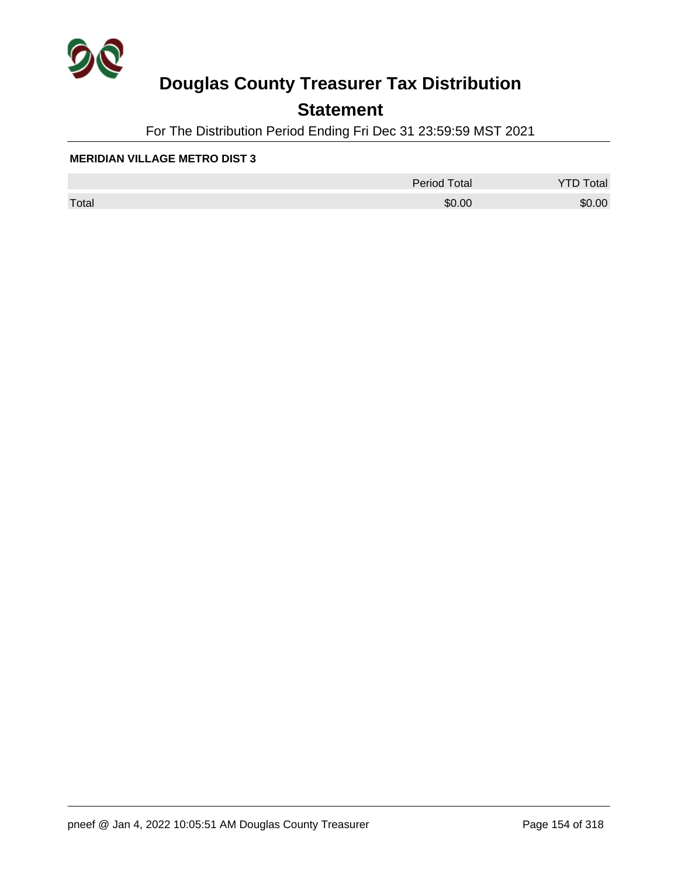

## **Statement**

For The Distribution Period Ending Fri Dec 31 23:59:59 MST 2021

|       | <b>Period Total</b> | otal   |
|-------|---------------------|--------|
| Total | \$0.00              | \$0.00 |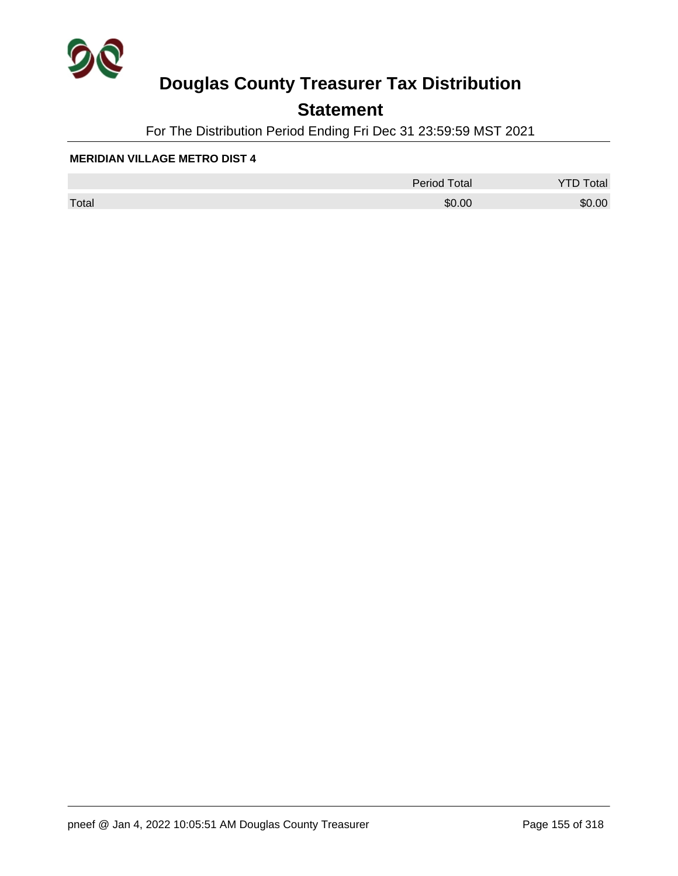

## **Statement**

For The Distribution Period Ending Fri Dec 31 23:59:59 MST 2021

|       | <b>Period Total</b> | otal   |
|-------|---------------------|--------|
| Total | \$0.00              | \$0.00 |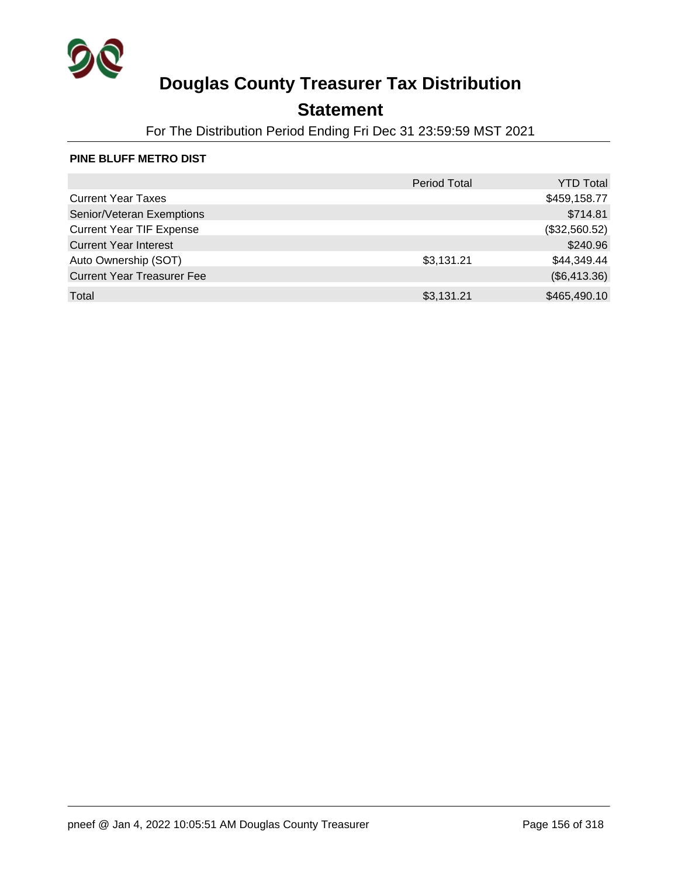

## **Statement**

For The Distribution Period Ending Fri Dec 31 23:59:59 MST 2021

#### **PINE BLUFF METRO DIST**

|                                   | <b>Period Total</b> | <b>YTD Total</b> |
|-----------------------------------|---------------------|------------------|
| <b>Current Year Taxes</b>         |                     | \$459,158.77     |
| Senior/Veteran Exemptions         |                     | \$714.81         |
| <b>Current Year TIF Expense</b>   |                     | (\$32,560.52)    |
| <b>Current Year Interest</b>      |                     | \$240.96         |
| Auto Ownership (SOT)              | \$3,131.21          | \$44,349.44      |
| <b>Current Year Treasurer Fee</b> |                     | (\$6,413.36)     |
| Total                             | \$3,131.21          | \$465,490.10     |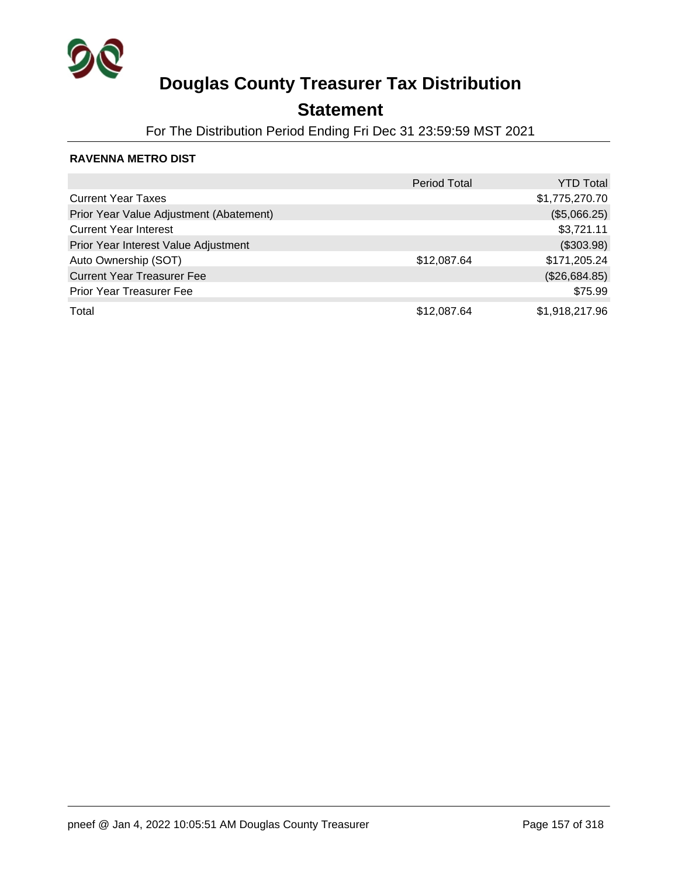

## **Statement**

For The Distribution Period Ending Fri Dec 31 23:59:59 MST 2021

### **RAVENNA METRO DIST**

|                                         | <b>Period Total</b> | <b>YTD Total</b> |
|-----------------------------------------|---------------------|------------------|
| <b>Current Year Taxes</b>               |                     | \$1,775,270.70   |
| Prior Year Value Adjustment (Abatement) |                     | (\$5,066.25)     |
| <b>Current Year Interest</b>            |                     | \$3,721.11       |
| Prior Year Interest Value Adjustment    |                     | (\$303.98)       |
| Auto Ownership (SOT)                    | \$12,087.64         | \$171,205.24     |
| <b>Current Year Treasurer Fee</b>       |                     | (\$26,684.85)    |
| <b>Prior Year Treasurer Fee</b>         |                     | \$75.99          |
| Total                                   | \$12,087.64         | \$1,918,217.96   |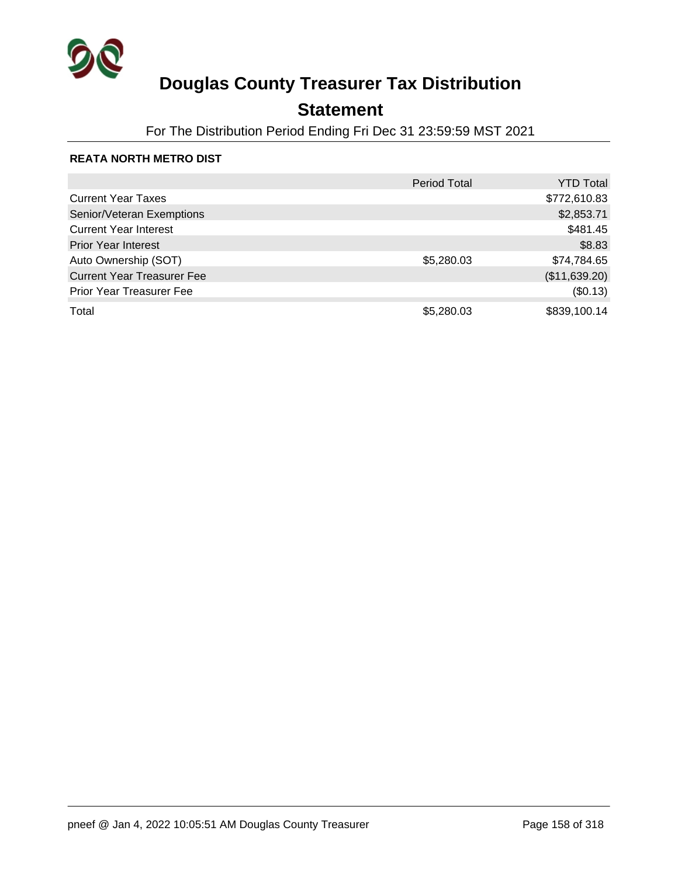

## **Statement**

For The Distribution Period Ending Fri Dec 31 23:59:59 MST 2021

### **REATA NORTH METRO DIST**

|                                   | <b>Period Total</b> | <b>YTD Total</b> |
|-----------------------------------|---------------------|------------------|
| <b>Current Year Taxes</b>         |                     | \$772,610.83     |
| Senior/Veteran Exemptions         |                     | \$2,853.71       |
| <b>Current Year Interest</b>      |                     | \$481.45         |
| <b>Prior Year Interest</b>        |                     | \$8.83           |
| Auto Ownership (SOT)              | \$5,280.03          | \$74,784.65      |
| <b>Current Year Treasurer Fee</b> |                     | (\$11,639.20)    |
| <b>Prior Year Treasurer Fee</b>   |                     | (\$0.13)         |
| Total                             | \$5,280.03          | \$839,100.14     |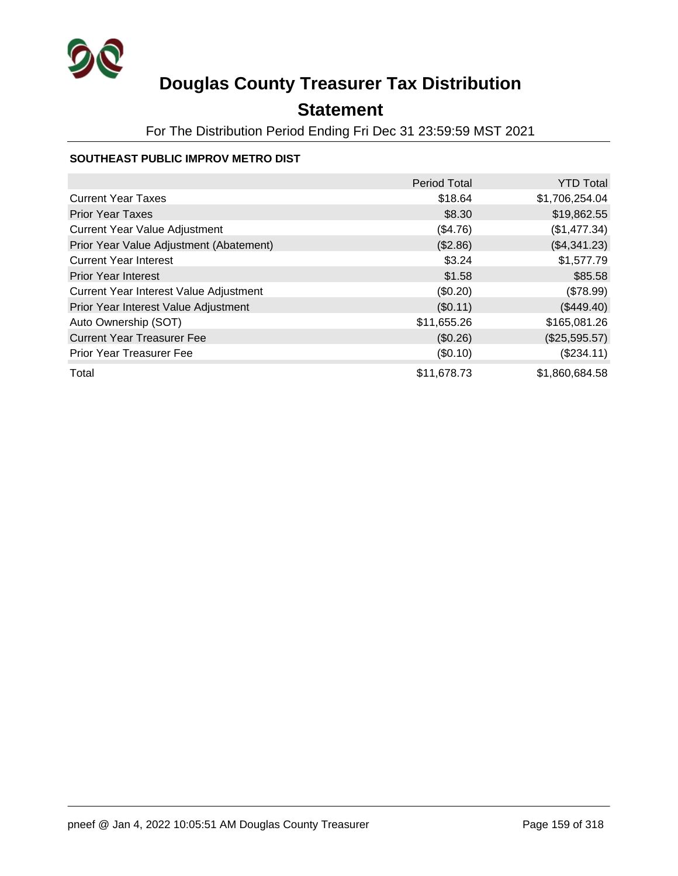

## **Statement**

For The Distribution Period Ending Fri Dec 31 23:59:59 MST 2021

### **SOUTHEAST PUBLIC IMPROV METRO DIST**

|                                         | <b>Period Total</b> | <b>YTD Total</b> |
|-----------------------------------------|---------------------|------------------|
| <b>Current Year Taxes</b>               | \$18.64             | \$1,706,254.04   |
| <b>Prior Year Taxes</b>                 | \$8.30              | \$19,862.55      |
| <b>Current Year Value Adjustment</b>    | (\$4.76)            | (\$1,477.34)     |
| Prior Year Value Adjustment (Abatement) | (\$2.86)            | (\$4,341.23)     |
| <b>Current Year Interest</b>            | \$3.24              | \$1,577.79       |
| <b>Prior Year Interest</b>              | \$1.58              | \$85.58          |
| Current Year Interest Value Adjustment  | (\$0.20)            | (\$78.99)        |
| Prior Year Interest Value Adjustment    | (\$0.11)            | $(\$449.40)$     |
| Auto Ownership (SOT)                    | \$11,655.26         | \$165,081.26     |
| <b>Current Year Treasurer Fee</b>       | (\$0.26)            | (\$25,595.57)    |
| <b>Prior Year Treasurer Fee</b>         | (\$0.10)            | (\$234.11)       |
| Total                                   | \$11,678.73         | \$1,860,684.58   |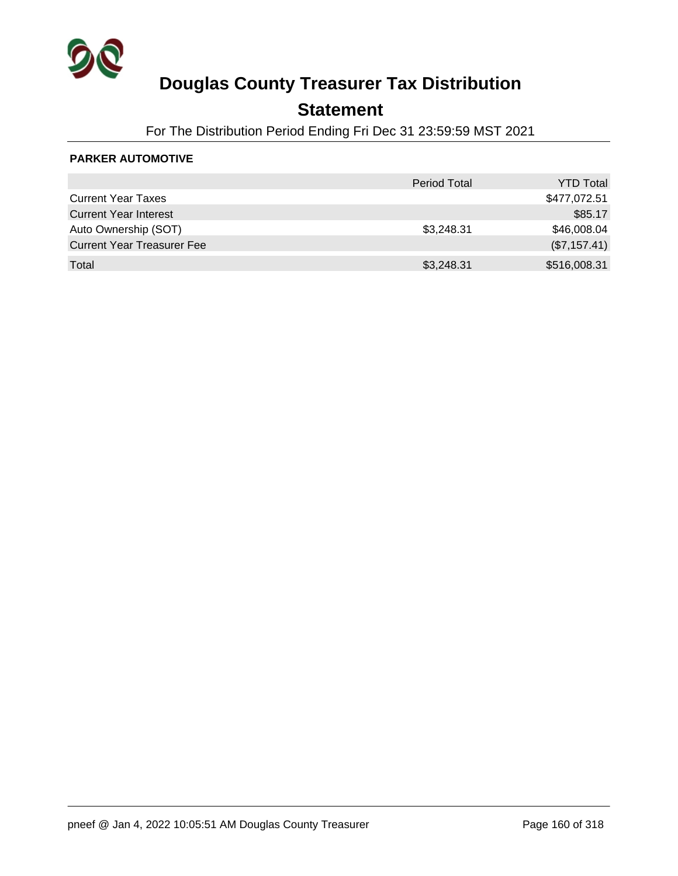

### **Statement**

For The Distribution Period Ending Fri Dec 31 23:59:59 MST 2021

### **PARKER AUTOMOTIVE**

|                                   | <b>Period Total</b> | <b>YTD Total</b> |
|-----------------------------------|---------------------|------------------|
| <b>Current Year Taxes</b>         |                     | \$477,072.51     |
| <b>Current Year Interest</b>      |                     | \$85.17          |
| Auto Ownership (SOT)              | \$3,248.31          | \$46,008.04      |
| <b>Current Year Treasurer Fee</b> |                     | (\$7,157.41)     |
| Total                             | \$3,248.31          | \$516,008.31     |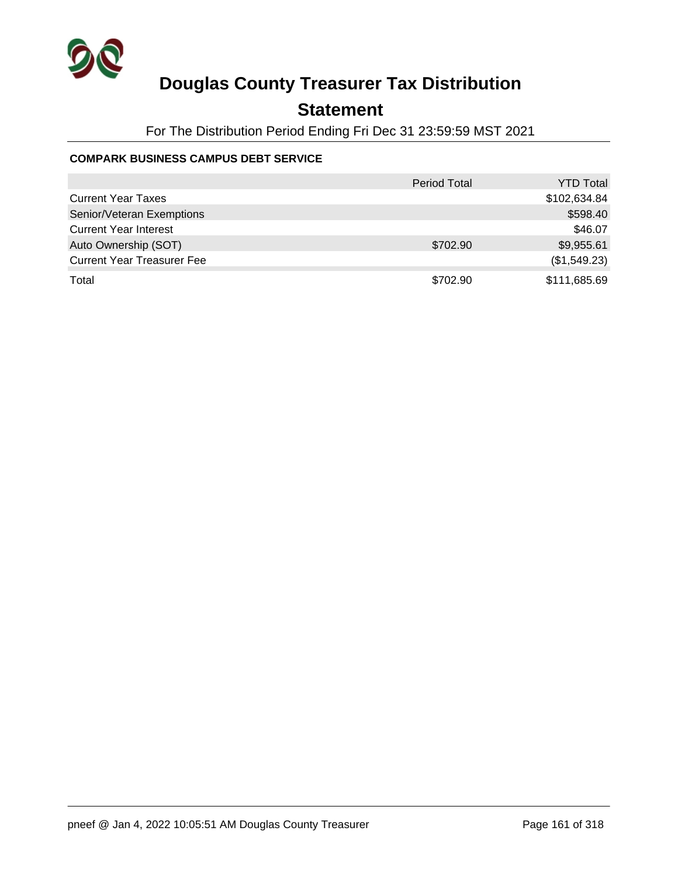

## **Statement**

For The Distribution Period Ending Fri Dec 31 23:59:59 MST 2021

### **COMPARK BUSINESS CAMPUS DEBT SERVICE**

|                                   | <b>Period Total</b> | <b>YTD Total</b> |
|-----------------------------------|---------------------|------------------|
| <b>Current Year Taxes</b>         |                     | \$102,634.84     |
| Senior/Veteran Exemptions         |                     | \$598.40         |
| <b>Current Year Interest</b>      |                     | \$46.07          |
| Auto Ownership (SOT)              | \$702.90            | \$9,955.61       |
| <b>Current Year Treasurer Fee</b> |                     | (\$1,549.23)     |
| Total                             | \$702.90            | \$111,685.69     |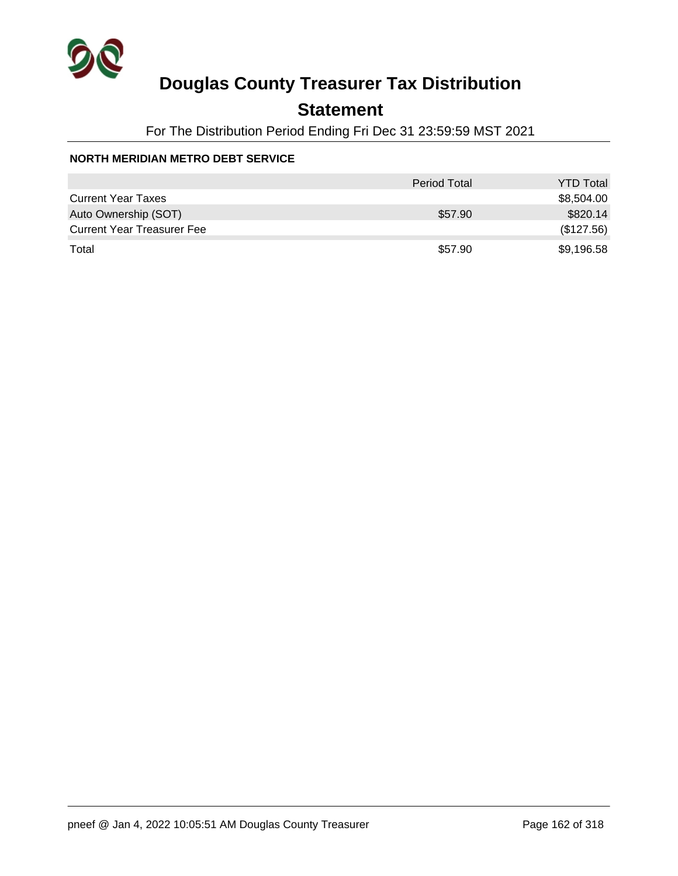

## **Statement**

For The Distribution Period Ending Fri Dec 31 23:59:59 MST 2021

### **NORTH MERIDIAN METRO DEBT SERVICE**

|                                   | <b>Period Total</b> | <b>YTD Total</b> |
|-----------------------------------|---------------------|------------------|
| <b>Current Year Taxes</b>         |                     | \$8,504.00       |
| Auto Ownership (SOT)              | \$57.90             | \$820.14         |
| <b>Current Year Treasurer Fee</b> |                     | (\$127.56)       |
| Total                             | \$57.90             | \$9,196.58       |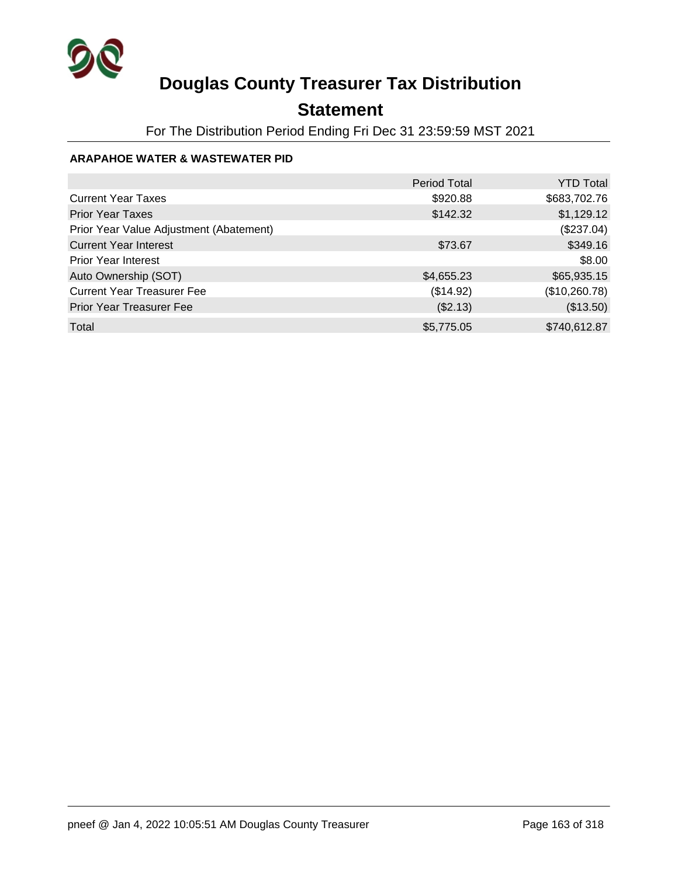

## **Statement**

For The Distribution Period Ending Fri Dec 31 23:59:59 MST 2021

### **ARAPAHOE WATER & WASTEWATER PID**

|                                         | <b>Period Total</b> | <b>YTD Total</b> |
|-----------------------------------------|---------------------|------------------|
| <b>Current Year Taxes</b>               | \$920.88            | \$683,702.76     |
| <b>Prior Year Taxes</b>                 | \$142.32            | \$1,129.12       |
| Prior Year Value Adjustment (Abatement) |                     | (\$237.04)       |
| <b>Current Year Interest</b>            | \$73.67             | \$349.16         |
| <b>Prior Year Interest</b>              |                     | \$8.00           |
| Auto Ownership (SOT)                    | \$4,655.23          | \$65,935.15      |
| <b>Current Year Treasurer Fee</b>       | (\$14.92)           | (\$10,260.78)    |
| Prior Year Treasurer Fee                | (\$2.13)            | (\$13.50)        |
| Total                                   | \$5,775.05          | \$740,612.87     |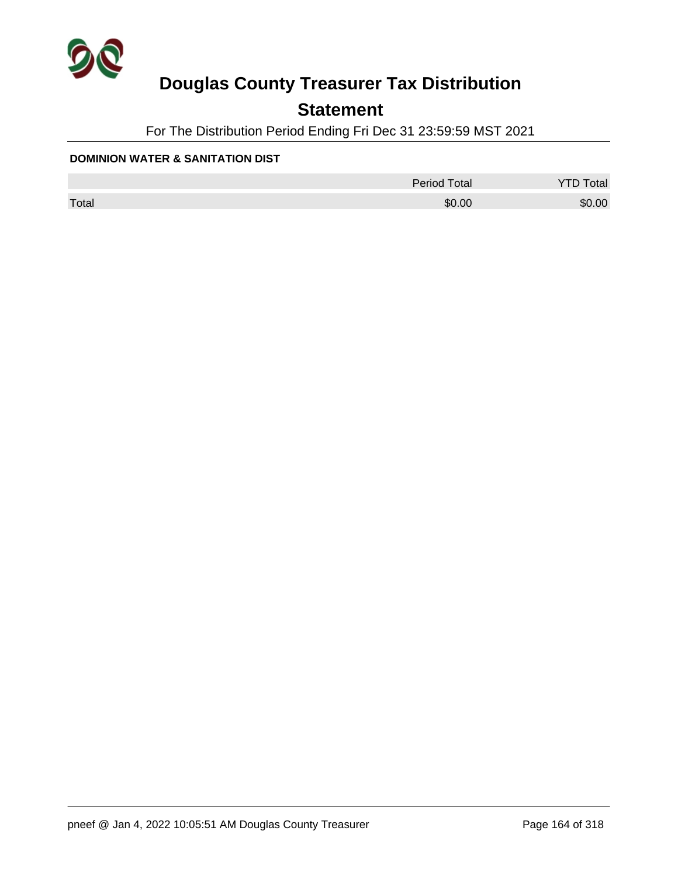

## **Statement**

For The Distribution Period Ending Fri Dec 31 23:59:59 MST 2021

#### **DOMINION WATER & SANITATION DIST**

|       | <b>Period Total</b> | otal   |
|-------|---------------------|--------|
| Total | \$0.00              | \$0.00 |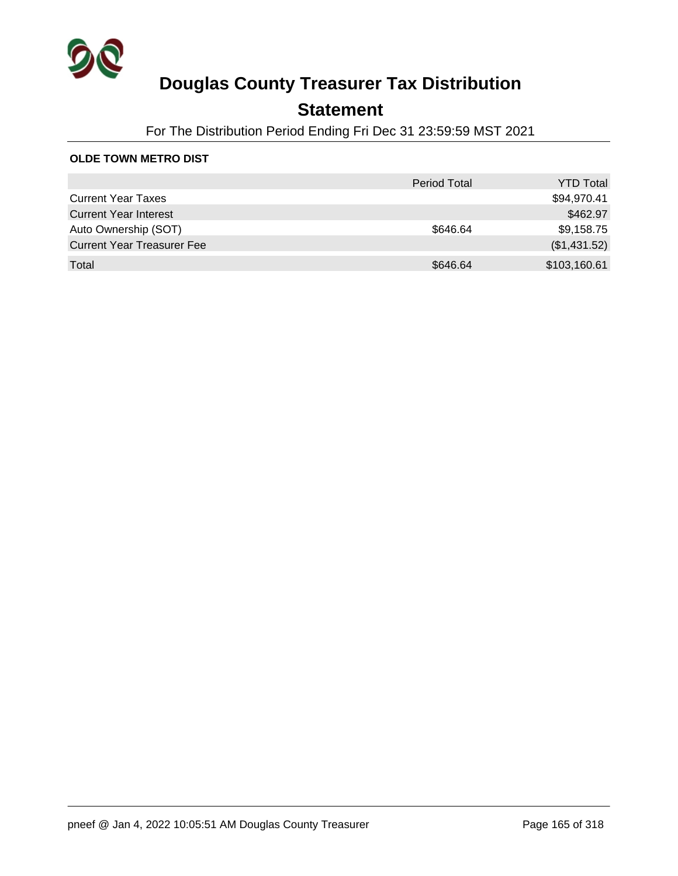

## **Statement**

For The Distribution Period Ending Fri Dec 31 23:59:59 MST 2021

### **OLDE TOWN METRO DIST**

|                                   | <b>Period Total</b> | <b>YTD Total</b> |
|-----------------------------------|---------------------|------------------|
| <b>Current Year Taxes</b>         |                     | \$94,970.41      |
| <b>Current Year Interest</b>      |                     | \$462.97         |
| Auto Ownership (SOT)              | \$646.64            | \$9,158.75       |
| <b>Current Year Treasurer Fee</b> |                     | (\$1,431.52)     |
| Total                             | \$646.64            | \$103,160.61     |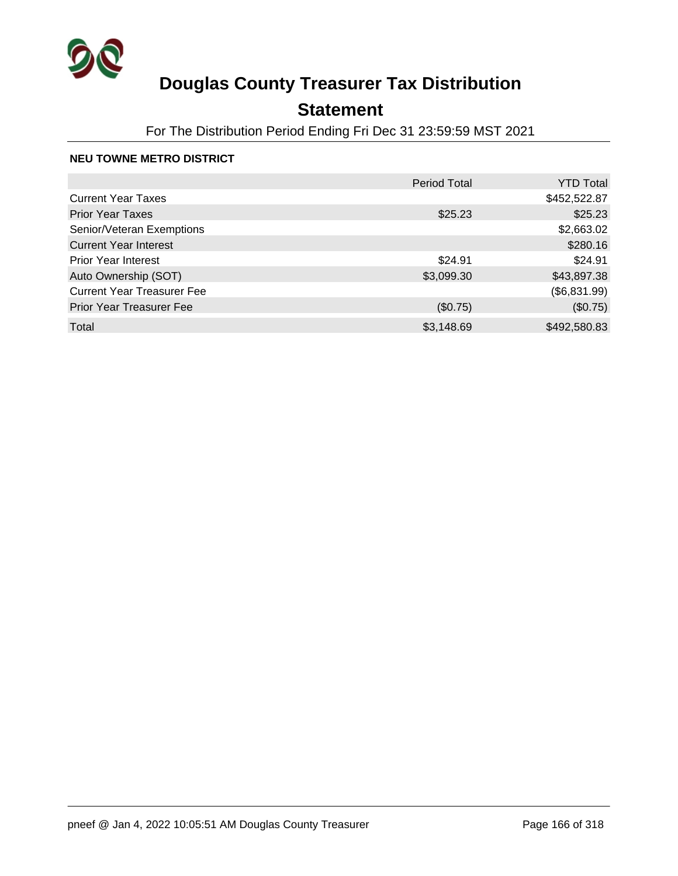

## **Statement**

For The Distribution Period Ending Fri Dec 31 23:59:59 MST 2021

### **NEU TOWNE METRO DISTRICT**

|                                   | <b>Period Total</b> | <b>YTD Total</b> |
|-----------------------------------|---------------------|------------------|
| <b>Current Year Taxes</b>         |                     | \$452,522.87     |
| <b>Prior Year Taxes</b>           | \$25.23             | \$25.23          |
| Senior/Veteran Exemptions         |                     | \$2,663.02       |
| <b>Current Year Interest</b>      |                     | \$280.16         |
| <b>Prior Year Interest</b>        | \$24.91             | \$24.91          |
| Auto Ownership (SOT)              | \$3,099.30          | \$43,897.38      |
| <b>Current Year Treasurer Fee</b> |                     | (\$6,831.99)     |
| <b>Prior Year Treasurer Fee</b>   | (\$0.75)            | (\$0.75)         |
| Total                             | \$3,148.69          | \$492,580.83     |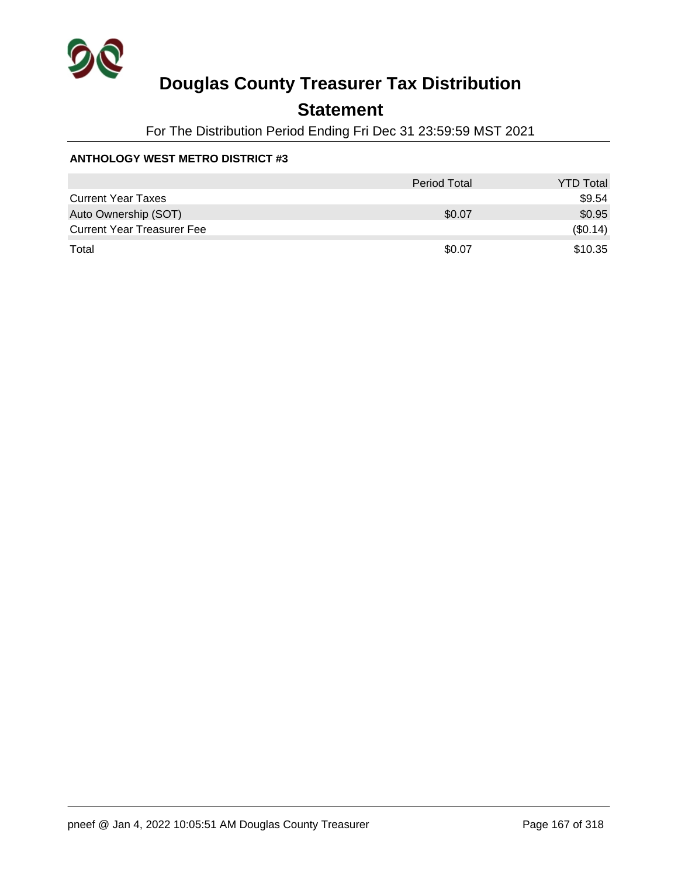

## **Statement**

For The Distribution Period Ending Fri Dec 31 23:59:59 MST 2021

### **ANTHOLOGY WEST METRO DISTRICT #3**

|                                   | <b>Period Total</b> | <b>YTD Total</b> |
|-----------------------------------|---------------------|------------------|
| <b>Current Year Taxes</b>         |                     | \$9.54           |
| Auto Ownership (SOT)              | \$0.07              | \$0.95           |
| <b>Current Year Treasurer Fee</b> |                     | (\$0.14)         |
| Total                             | \$0.07              | \$10.35          |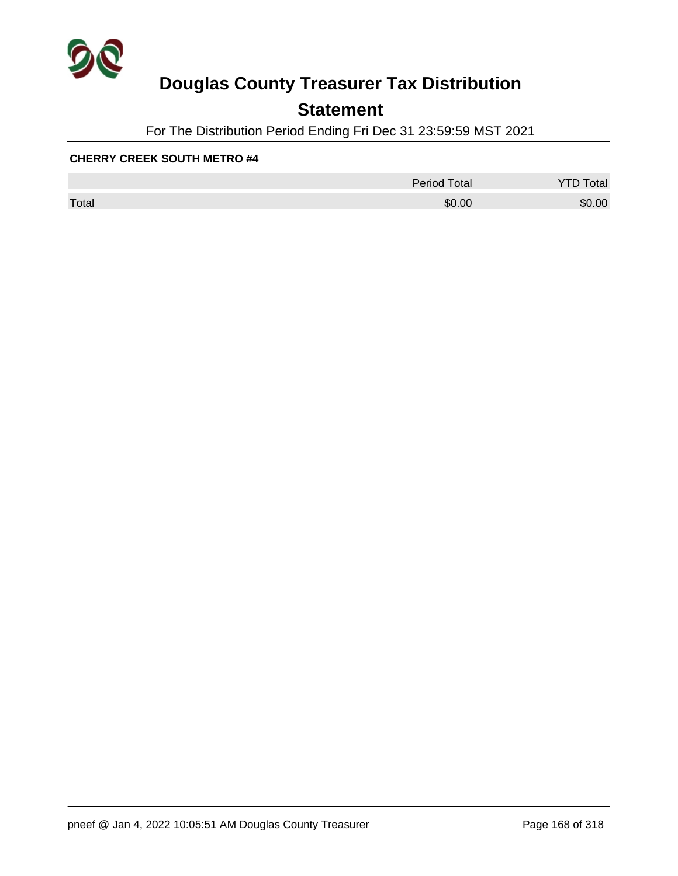

## **Statement**

For The Distribution Period Ending Fri Dec 31 23:59:59 MST 2021

|       | <b>Period Total</b> | otal   |
|-------|---------------------|--------|
| Total | \$0.00              | \$0.00 |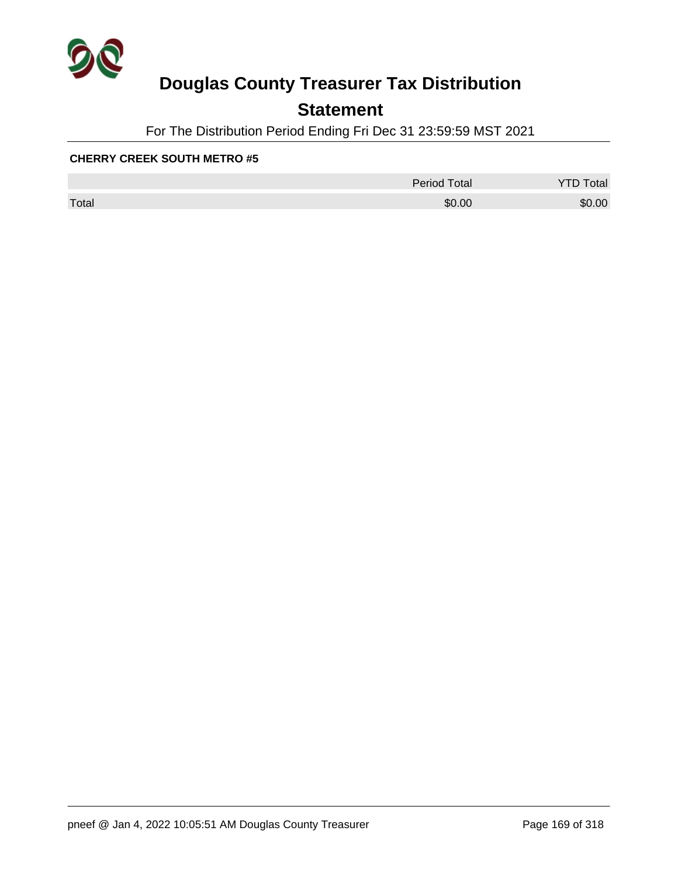

## **Statement**

For The Distribution Period Ending Fri Dec 31 23:59:59 MST 2021

|       | <b>Period Total</b> | otal   |
|-------|---------------------|--------|
| Total | \$0.00              | \$0.00 |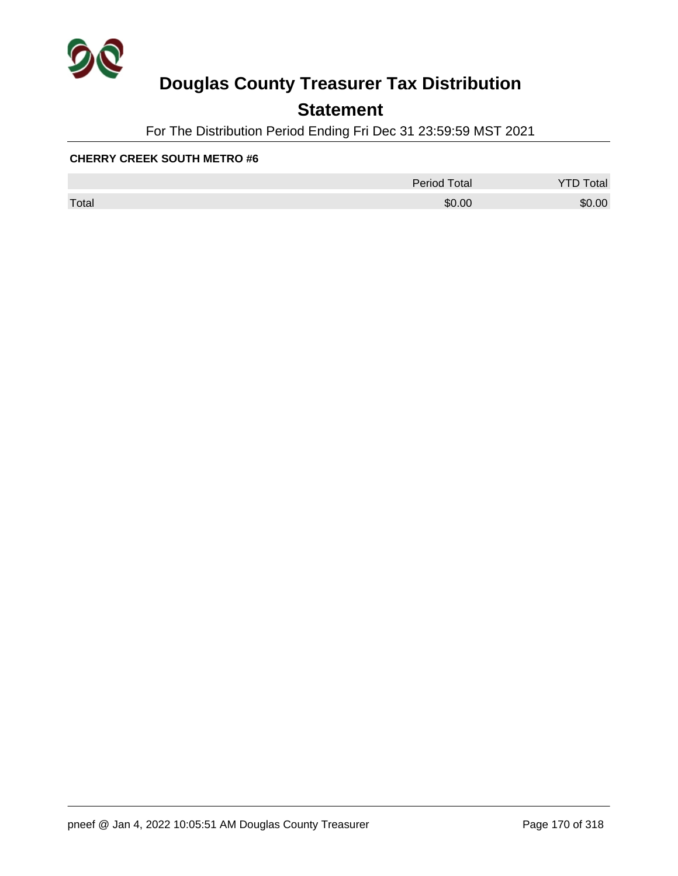

## **Statement**

For The Distribution Period Ending Fri Dec 31 23:59:59 MST 2021

|       | Period Total | otal<br>້ |
|-------|--------------|-----------|
| Total | \$0.00       | \$0.00    |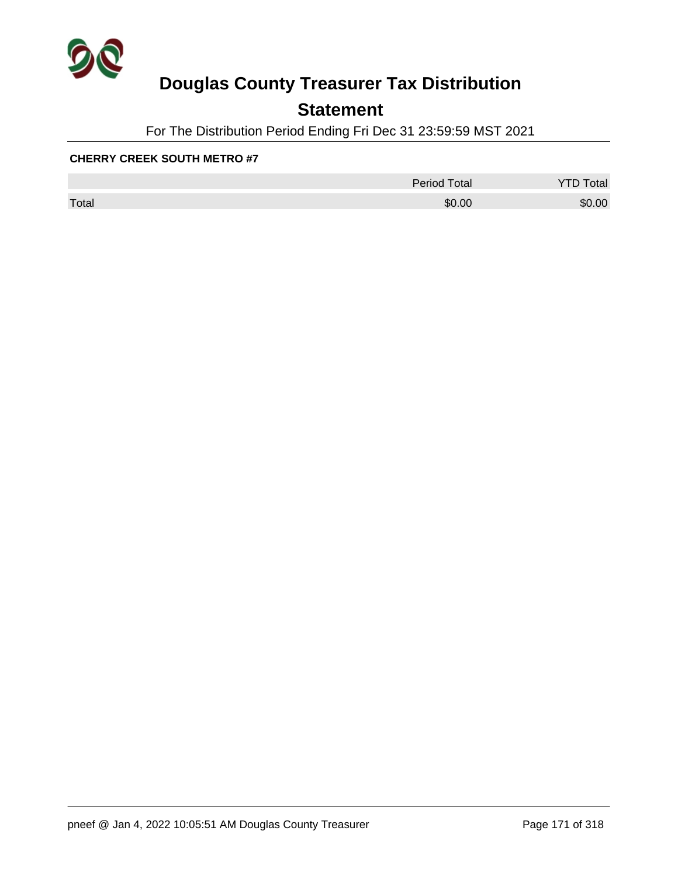

## **Statement**

For The Distribution Period Ending Fri Dec 31 23:59:59 MST 2021

|       | <b>Period Total</b> | otal   |
|-------|---------------------|--------|
| Total | \$0.00              | \$0.00 |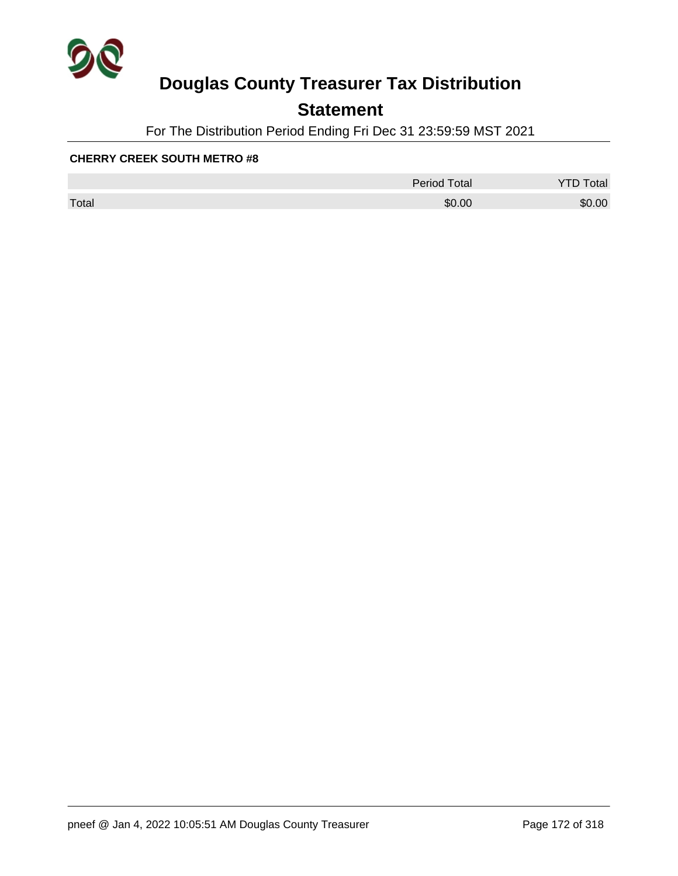

## **Statement**

For The Distribution Period Ending Fri Dec 31 23:59:59 MST 2021

|       | <b>Period Total</b> | otal<br>້ |
|-------|---------------------|-----------|
| Total | \$0.00              | \$0.00    |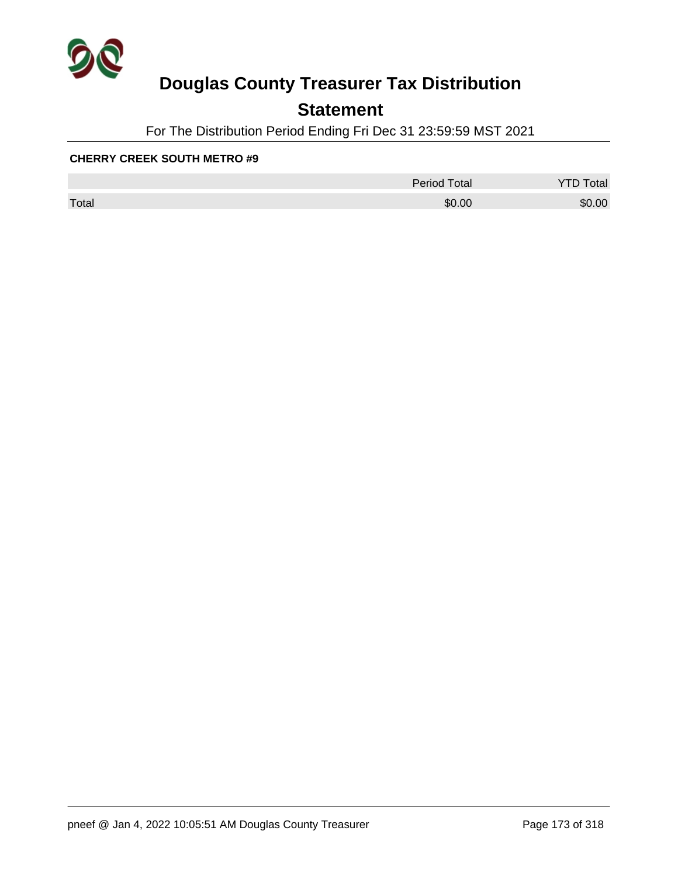

## **Statement**

For The Distribution Period Ending Fri Dec 31 23:59:59 MST 2021

|       | <b>Period Total</b> | otal   |
|-------|---------------------|--------|
| Total | \$0.00              | \$0.00 |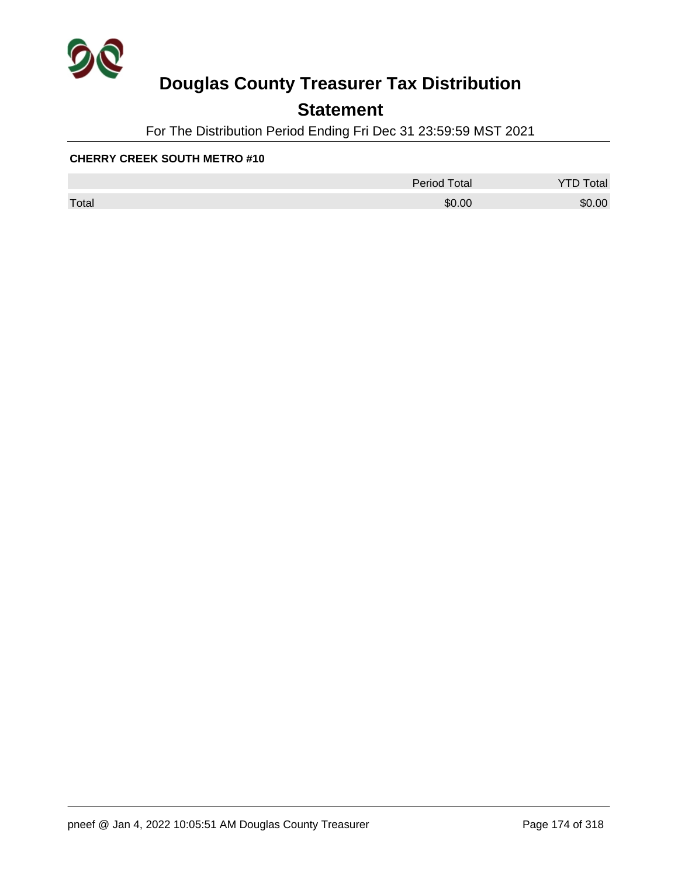

## **Statement**

For The Distribution Period Ending Fri Dec 31 23:59:59 MST 2021

|       | <b>Period Total</b> | otal   |
|-------|---------------------|--------|
| Total | \$0.00              | \$0.00 |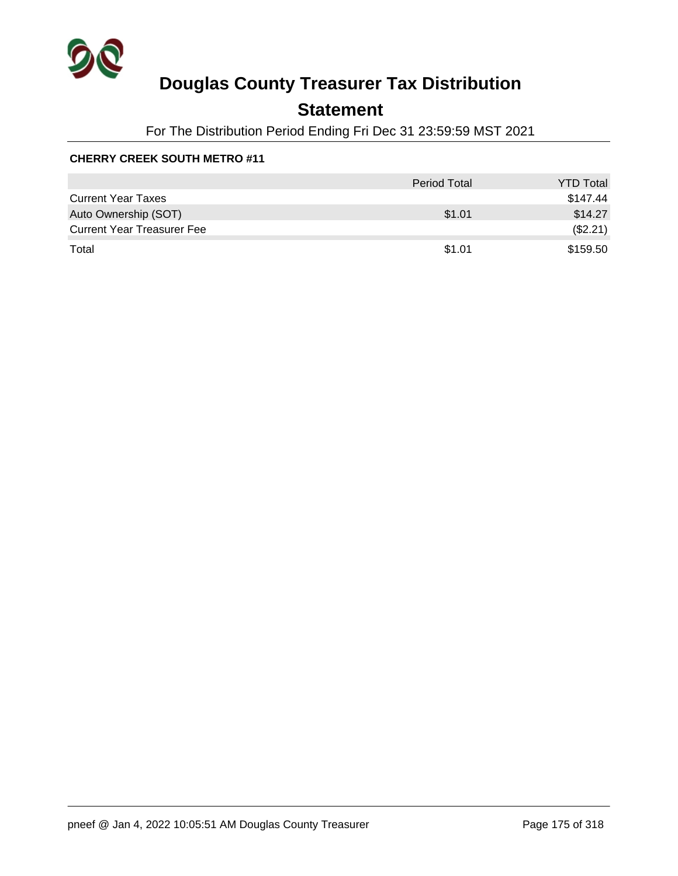

## **Statement**

For The Distribution Period Ending Fri Dec 31 23:59:59 MST 2021

|                                   | Period Total | <b>YTD Total</b> |
|-----------------------------------|--------------|------------------|
| <b>Current Year Taxes</b>         |              | \$147.44         |
| Auto Ownership (SOT)              | \$1.01       | \$14.27          |
| <b>Current Year Treasurer Fee</b> |              | (\$2.21)         |
| Total                             | \$1.01       | \$159.50         |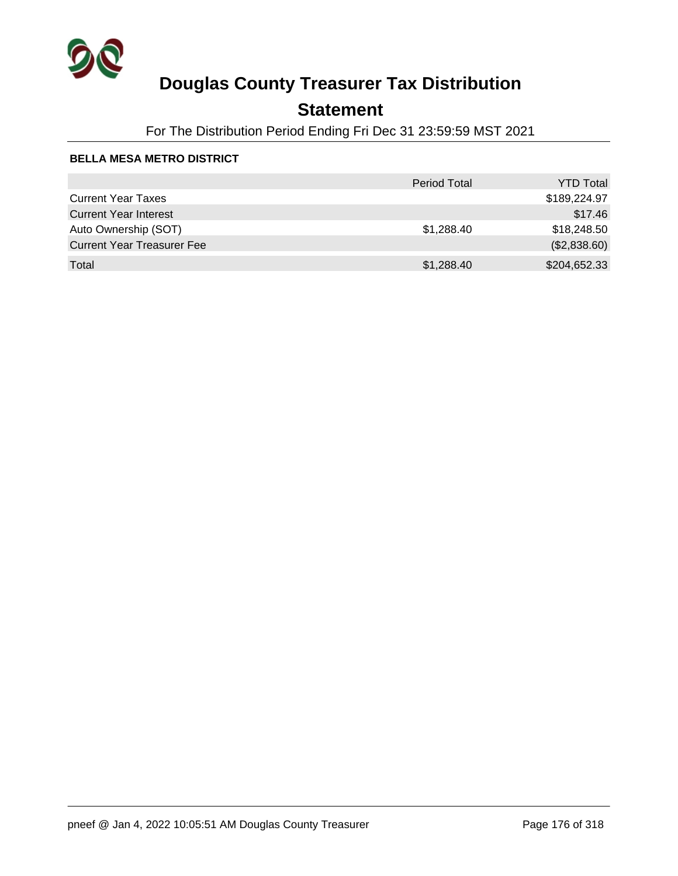

## **Statement**

For The Distribution Period Ending Fri Dec 31 23:59:59 MST 2021

### **BELLA MESA METRO DISTRICT**

|                                   | <b>Period Total</b> | <b>YTD Total</b> |
|-----------------------------------|---------------------|------------------|
| <b>Current Year Taxes</b>         |                     | \$189,224.97     |
| <b>Current Year Interest</b>      |                     | \$17.46          |
| Auto Ownership (SOT)              | \$1,288.40          | \$18,248.50      |
| <b>Current Year Treasurer Fee</b> |                     | (\$2,838.60)     |
| Total                             | \$1,288.40          | \$204,652.33     |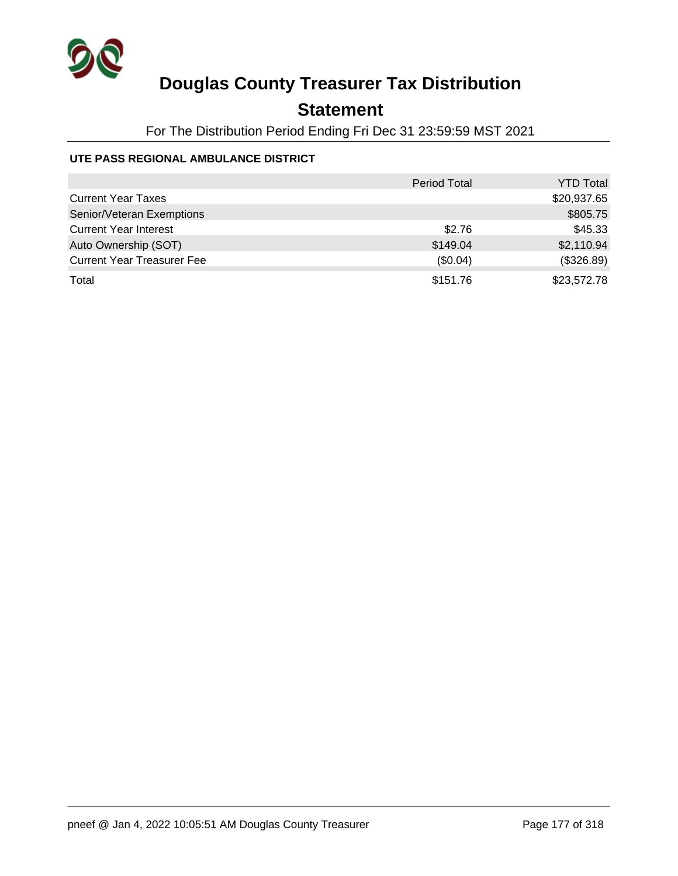

## **Statement**

For The Distribution Period Ending Fri Dec 31 23:59:59 MST 2021

### **UTE PASS REGIONAL AMBULANCE DISTRICT**

|                                   | <b>Period Total</b> | <b>YTD Total</b> |
|-----------------------------------|---------------------|------------------|
| <b>Current Year Taxes</b>         |                     | \$20,937.65      |
| Senior/Veteran Exemptions         |                     | \$805.75         |
| <b>Current Year Interest</b>      | \$2.76              | \$45.33          |
| Auto Ownership (SOT)              | \$149.04            | \$2,110.94       |
| <b>Current Year Treasurer Fee</b> | (\$0.04)            | (\$326.89)       |
| Total                             | \$151.76            | \$23,572.78      |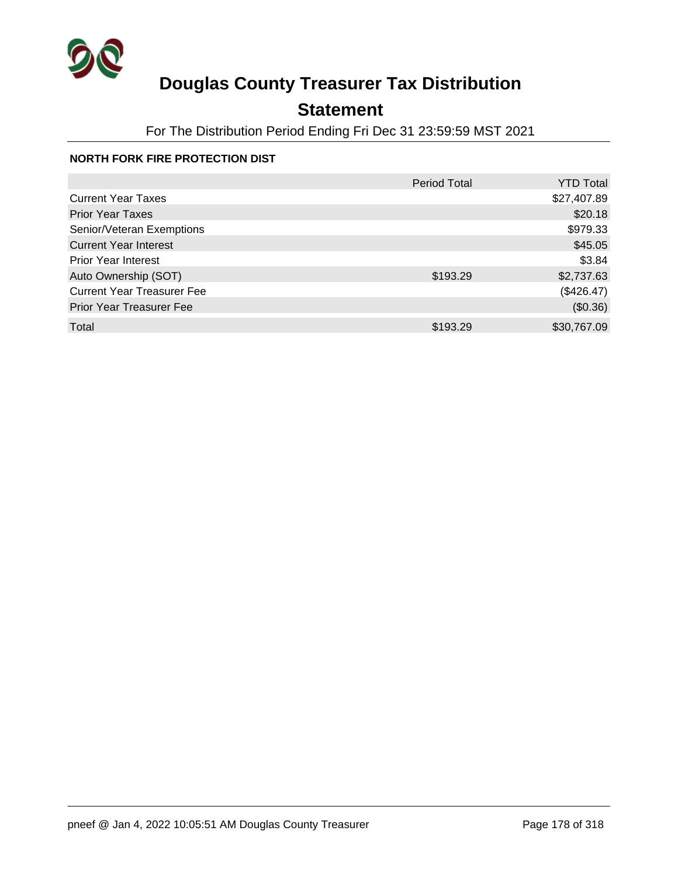

## **Statement**

For The Distribution Period Ending Fri Dec 31 23:59:59 MST 2021

### **NORTH FORK FIRE PROTECTION DIST**

|                                   | <b>Period Total</b> | <b>YTD Total</b> |
|-----------------------------------|---------------------|------------------|
| <b>Current Year Taxes</b>         |                     | \$27,407.89      |
| <b>Prior Year Taxes</b>           |                     | \$20.18          |
| Senior/Veteran Exemptions         |                     | \$979.33         |
| <b>Current Year Interest</b>      |                     | \$45.05          |
| <b>Prior Year Interest</b>        |                     | \$3.84           |
| Auto Ownership (SOT)              | \$193.29            | \$2,737.63       |
| <b>Current Year Treasurer Fee</b> |                     | (\$426.47)       |
| <b>Prior Year Treasurer Fee</b>   |                     | (\$0.36)         |
| Total                             | \$193.29            | \$30,767.09      |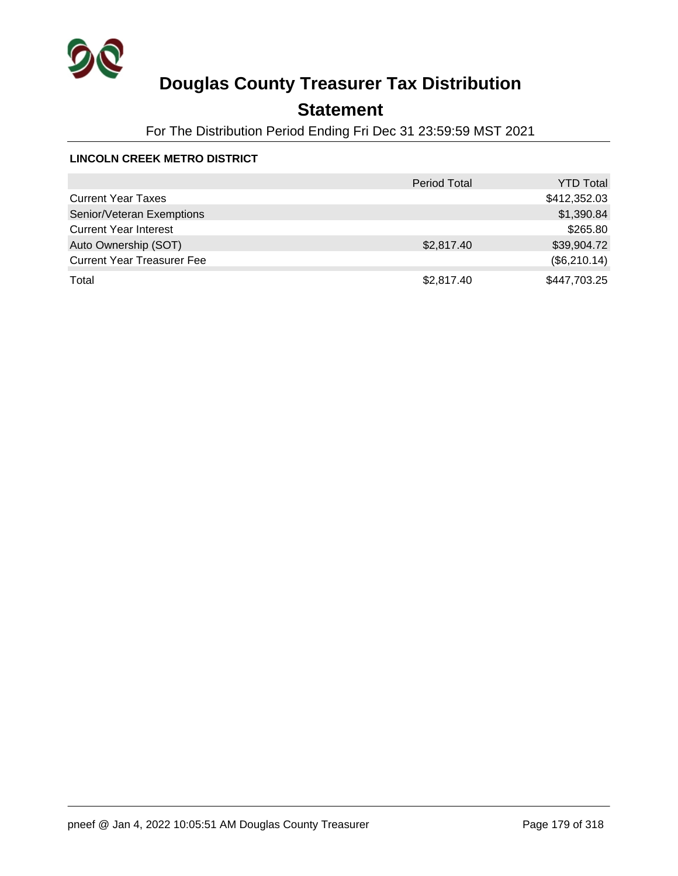

## **Statement**

For The Distribution Period Ending Fri Dec 31 23:59:59 MST 2021

### **LINCOLN CREEK METRO DISTRICT**

|                                   | <b>Period Total</b> | <b>YTD Total</b> |
|-----------------------------------|---------------------|------------------|
| <b>Current Year Taxes</b>         |                     | \$412,352.03     |
| Senior/Veteran Exemptions         |                     | \$1,390.84       |
| <b>Current Year Interest</b>      |                     | \$265.80         |
| Auto Ownership (SOT)              | \$2,817.40          | \$39,904.72      |
| <b>Current Year Treasurer Fee</b> |                     | (\$6,210.14)     |
| Total                             | \$2,817.40          | \$447,703.25     |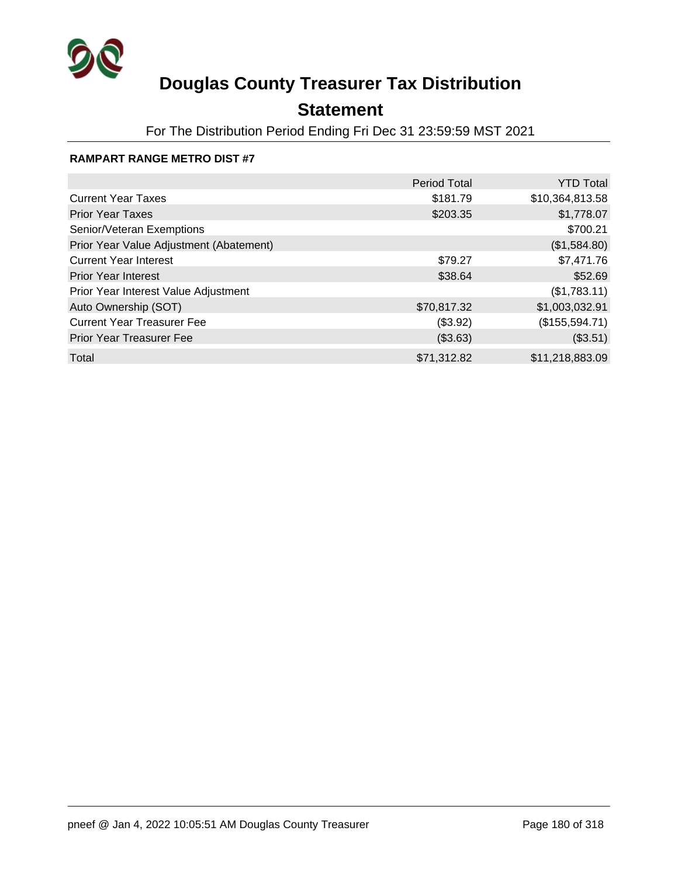

## **Statement**

For The Distribution Period Ending Fri Dec 31 23:59:59 MST 2021

### **RAMPART RANGE METRO DIST #7**

|                                         | <b>Period Total</b> | <b>YTD Total</b> |
|-----------------------------------------|---------------------|------------------|
| <b>Current Year Taxes</b>               | \$181.79            | \$10,364,813.58  |
| <b>Prior Year Taxes</b>                 | \$203.35            | \$1,778.07       |
| Senior/Veteran Exemptions               |                     | \$700.21         |
| Prior Year Value Adjustment (Abatement) |                     | (\$1,584.80)     |
| <b>Current Year Interest</b>            | \$79.27             | \$7,471.76       |
| <b>Prior Year Interest</b>              | \$38.64             | \$52.69          |
| Prior Year Interest Value Adjustment    |                     | (\$1,783.11)     |
| Auto Ownership (SOT)                    | \$70,817.32         | \$1,003,032.91   |
| <b>Current Year Treasurer Fee</b>       | (\$3.92)            | (\$155,594.71)   |
| <b>Prior Year Treasurer Fee</b>         | (\$3.63)            | (\$3.51)         |
| Total                                   | \$71,312.82         | \$11,218,883.09  |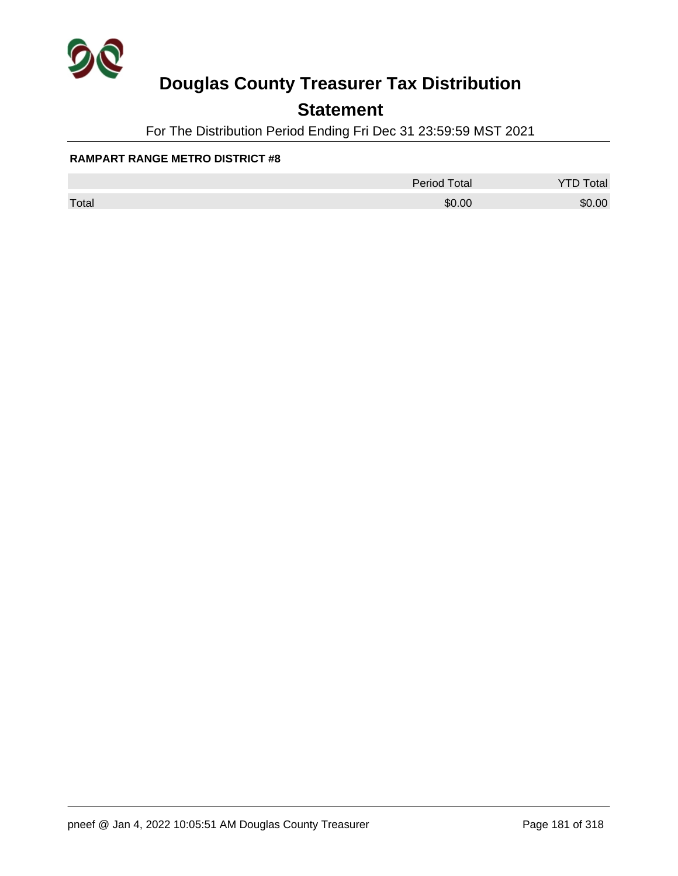

### **Statement**

For The Distribution Period Ending Fri Dec 31 23:59:59 MST 2021

#### **RAMPART RANGE METRO DISTRICT #8**

|       | <b>Period Total</b> | otal   |
|-------|---------------------|--------|
| Total | \$0.00              | \$0.00 |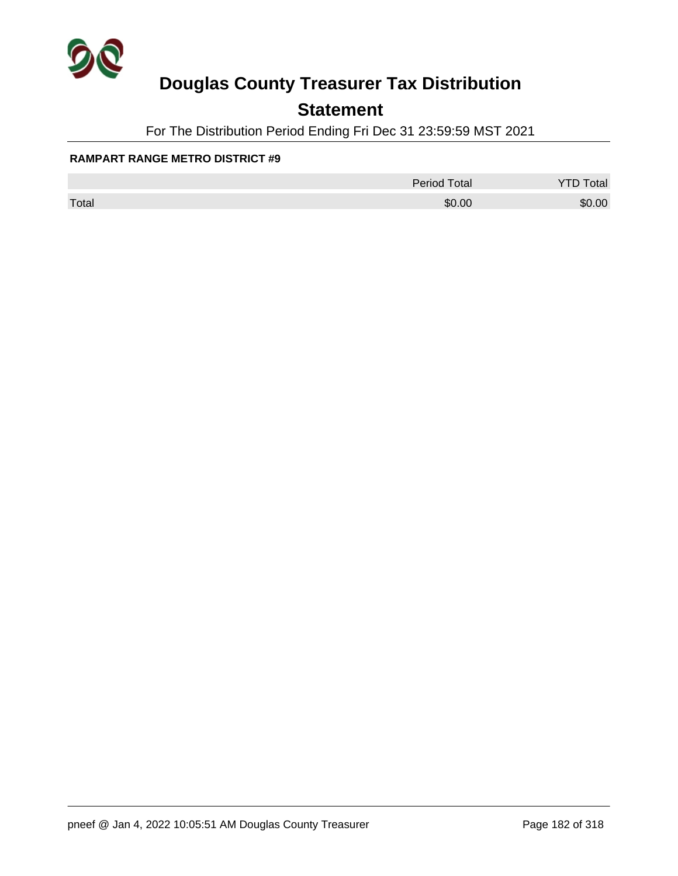

### **Statement**

For The Distribution Period Ending Fri Dec 31 23:59:59 MST 2021

#### **RAMPART RANGE METRO DISTRICT #9**

|       | <b>Period Total</b> | otal   |
|-------|---------------------|--------|
| Total | \$0.00              | \$0.00 |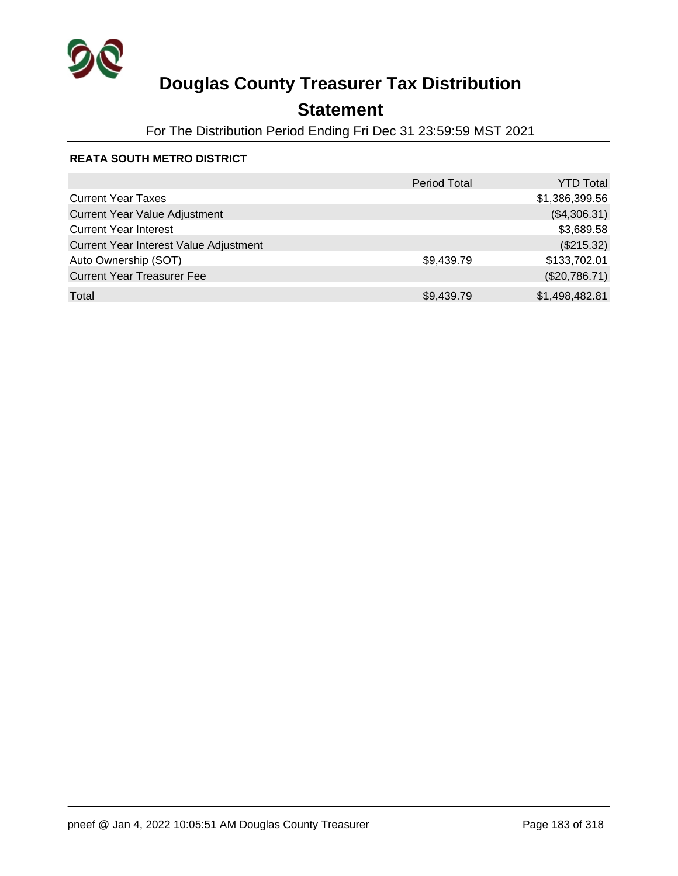

### **Statement**

For The Distribution Period Ending Fri Dec 31 23:59:59 MST 2021

#### **REATA SOUTH METRO DISTRICT**

|                                        | <b>Period Total</b> | <b>YTD Total</b> |
|----------------------------------------|---------------------|------------------|
| <b>Current Year Taxes</b>              |                     | \$1,386,399.56   |
| <b>Current Year Value Adjustment</b>   |                     | (\$4,306.31)     |
| <b>Current Year Interest</b>           |                     | \$3,689.58       |
| Current Year Interest Value Adjustment |                     | (\$215.32)       |
| Auto Ownership (SOT)                   | \$9,439.79          | \$133,702.01     |
| <b>Current Year Treasurer Fee</b>      |                     | (\$20,786.71)    |
| Total                                  | \$9,439.79          | \$1,498,482.81   |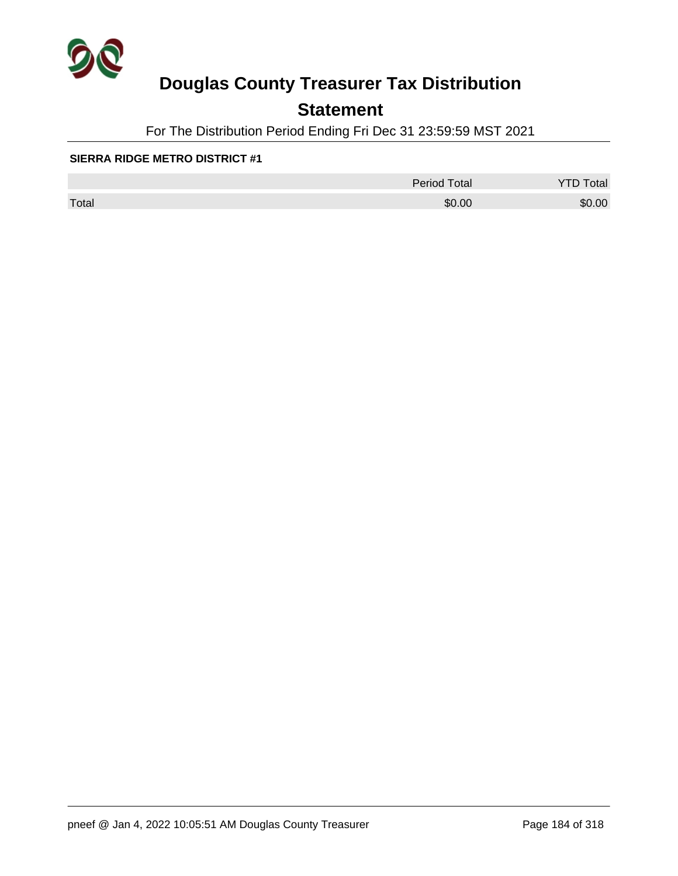

### **Statement**

For The Distribution Period Ending Fri Dec 31 23:59:59 MST 2021

#### **SIERRA RIDGE METRO DISTRICT #1**

|       | Period Total | otal   |
|-------|--------------|--------|
| Total | \$0.00       | \$0.00 |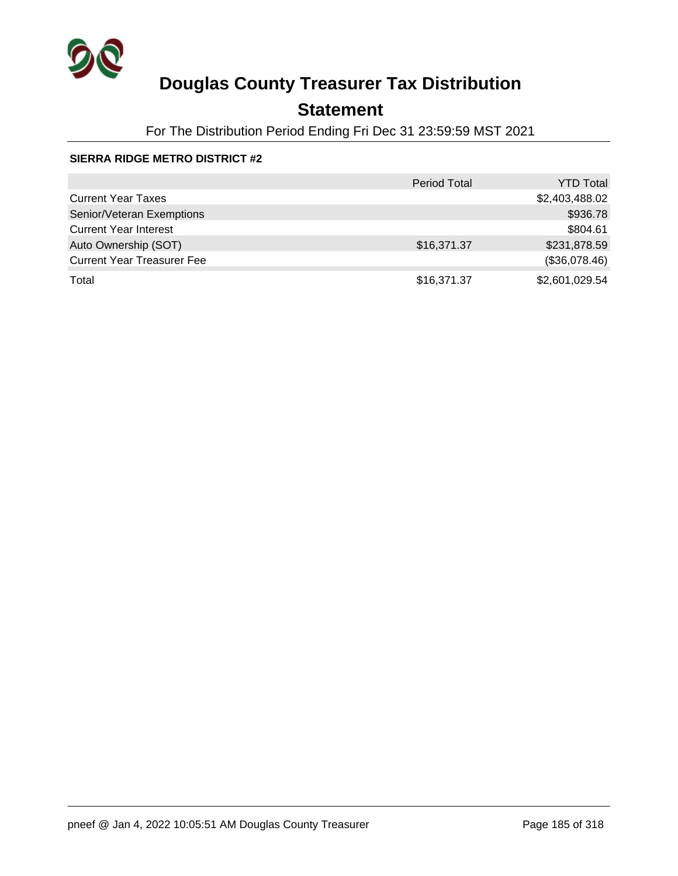

### **Statement**

For The Distribution Period Ending Fri Dec 31 23:59:59 MST 2021

#### **SIERRA RIDGE METRO DISTRICT #2**

|                                   | <b>Period Total</b> | <b>YTD Total</b> |
|-----------------------------------|---------------------|------------------|
| <b>Current Year Taxes</b>         |                     | \$2,403,488.02   |
| Senior/Veteran Exemptions         |                     | \$936.78         |
| <b>Current Year Interest</b>      |                     | \$804.61         |
| Auto Ownership (SOT)              | \$16,371.37         | \$231,878.59     |
| <b>Current Year Treasurer Fee</b> |                     | (\$36,078.46)    |
| Total                             | \$16,371.37         | \$2,601,029.54   |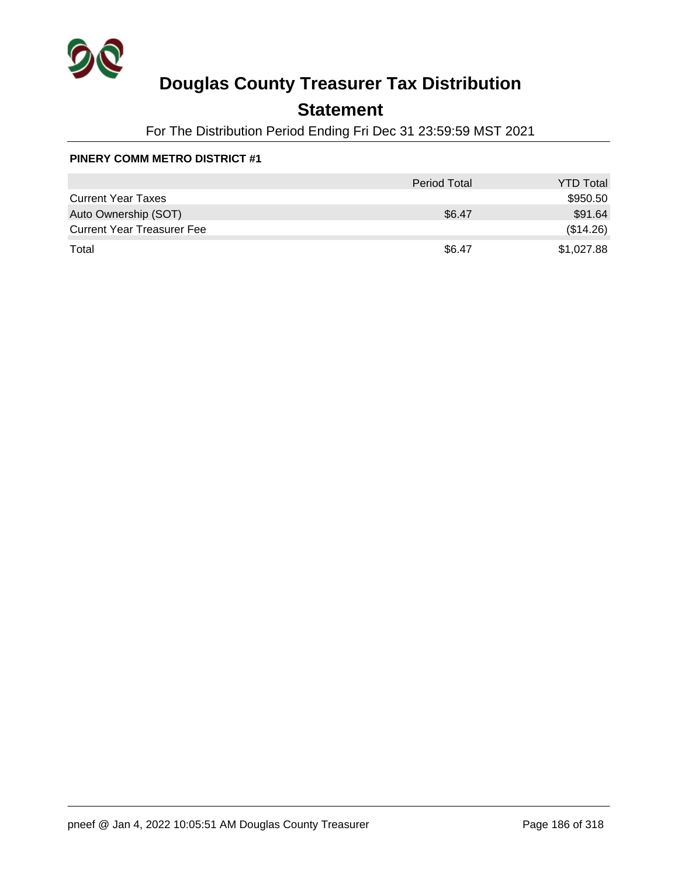

### **Statement**

For The Distribution Period Ending Fri Dec 31 23:59:59 MST 2021

#### **PINERY COMM METRO DISTRICT #1**

|                                   | <b>Period Total</b> | <b>YTD Total</b> |
|-----------------------------------|---------------------|------------------|
| <b>Current Year Taxes</b>         |                     | \$950.50         |
| Auto Ownership (SOT)              | \$6.47              | \$91.64          |
| <b>Current Year Treasurer Fee</b> |                     | (\$14.26)        |
| Total                             | \$6.47              | \$1,027.88       |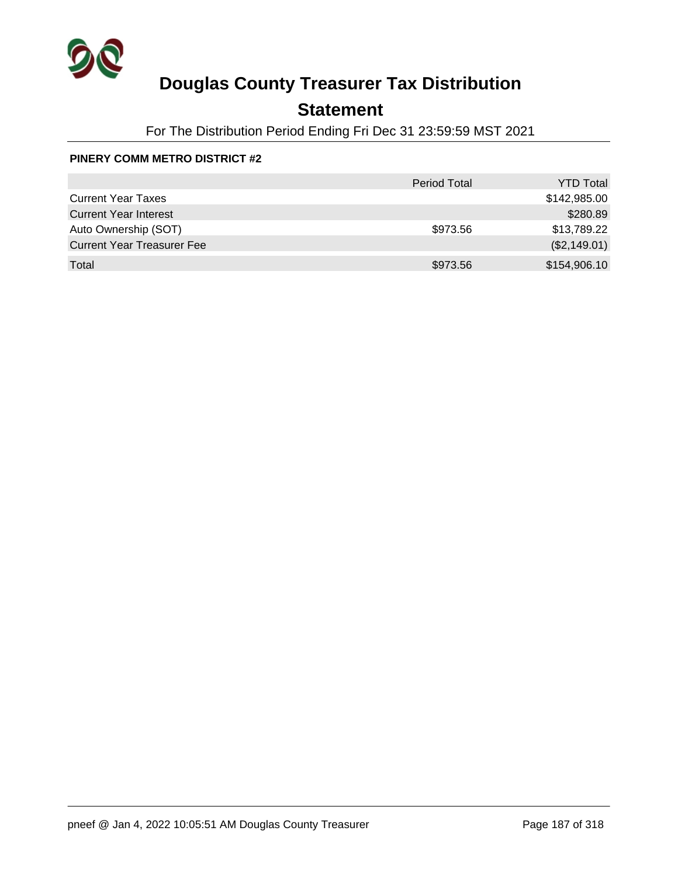

## **Statement**

For The Distribution Period Ending Fri Dec 31 23:59:59 MST 2021

#### **PINERY COMM METRO DISTRICT #2**

|                                   | <b>Period Total</b> | <b>YTD Total</b> |
|-----------------------------------|---------------------|------------------|
| <b>Current Year Taxes</b>         |                     | \$142,985.00     |
| <b>Current Year Interest</b>      |                     | \$280.89         |
| Auto Ownership (SOT)              | \$973.56            | \$13,789.22      |
| <b>Current Year Treasurer Fee</b> |                     | (\$2,149.01)     |
| Total                             | \$973.56            | \$154,906.10     |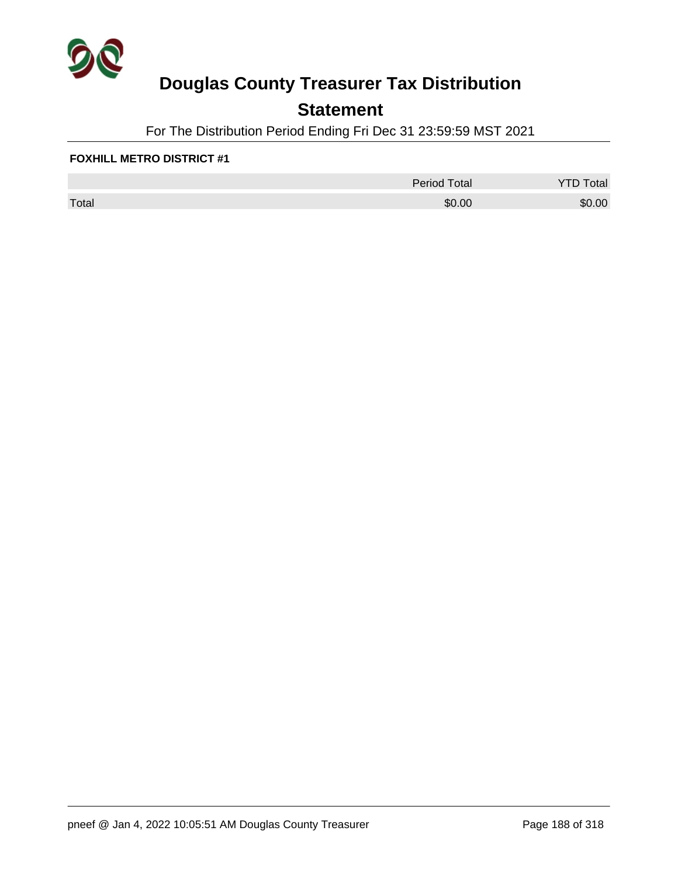

### **Statement**

For The Distribution Period Ending Fri Dec 31 23:59:59 MST 2021

#### **FOXHILL METRO DISTRICT #1**

|       | <b>Period Total</b> | otal   |
|-------|---------------------|--------|
| Total | \$0.00              | \$0.00 |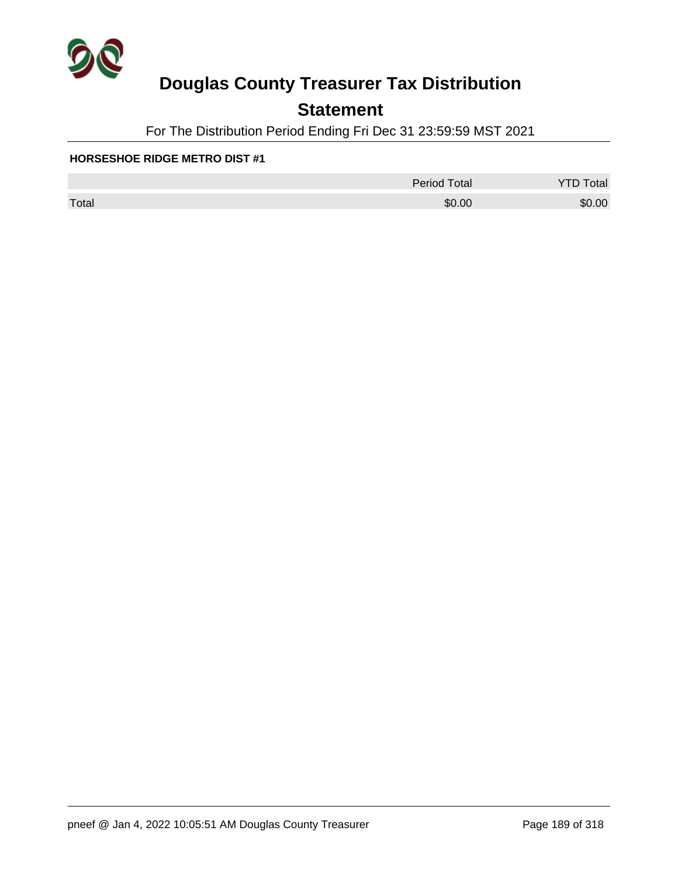

### **Statement**

For The Distribution Period Ending Fri Dec 31 23:59:59 MST 2021

#### **HORSESHOE RIDGE METRO DIST #1**

|       | <b>Period Total</b> | otal<br>້ |
|-------|---------------------|-----------|
| Total | \$0.00              | \$0.00    |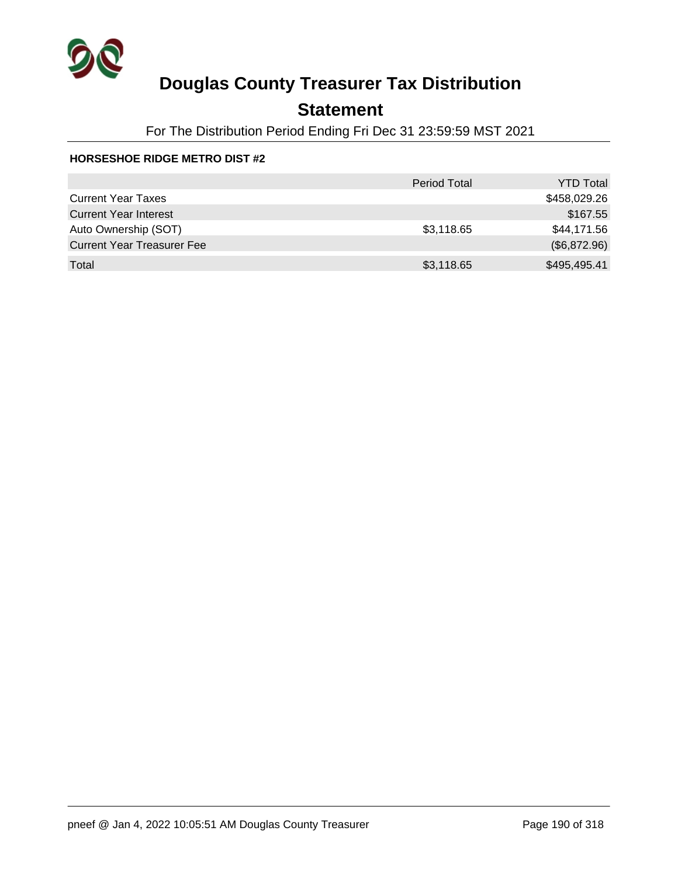

## **Statement**

For The Distribution Period Ending Fri Dec 31 23:59:59 MST 2021

#### **HORSESHOE RIDGE METRO DIST #2**

|                                   | <b>Period Total</b> | <b>YTD Total</b> |
|-----------------------------------|---------------------|------------------|
| <b>Current Year Taxes</b>         |                     | \$458,029.26     |
| <b>Current Year Interest</b>      |                     | \$167.55         |
| Auto Ownership (SOT)              | \$3,118.65          | \$44,171.56      |
| <b>Current Year Treasurer Fee</b> |                     | (\$6,872.96)     |
| Total                             | \$3,118.65          | \$495,495.41     |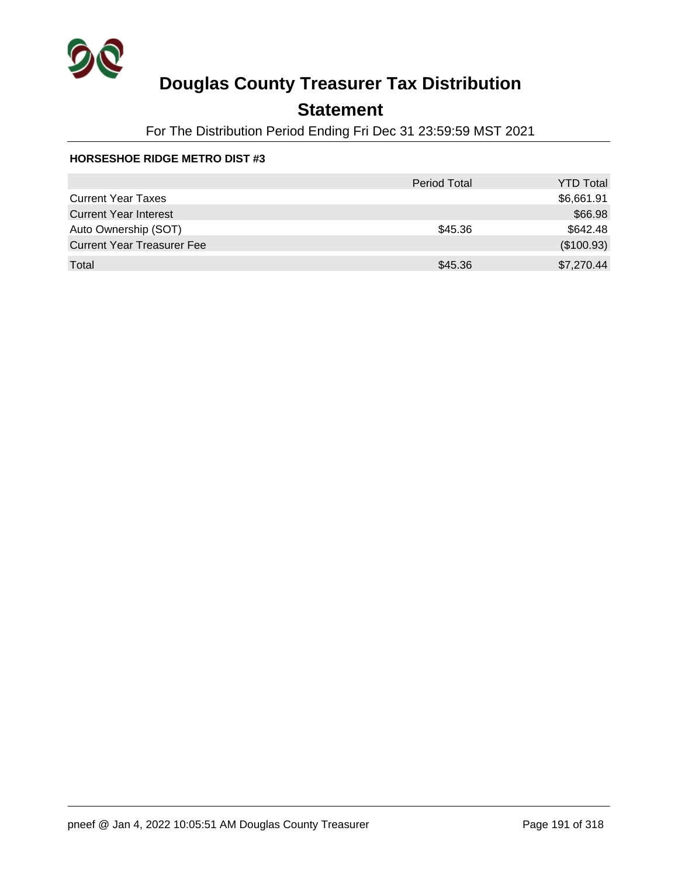

## **Statement**

For The Distribution Period Ending Fri Dec 31 23:59:59 MST 2021

#### **HORSESHOE RIDGE METRO DIST #3**

|                                   | <b>Period Total</b> | <b>YTD Total</b> |
|-----------------------------------|---------------------|------------------|
| <b>Current Year Taxes</b>         |                     | \$6,661.91       |
| <b>Current Year Interest</b>      |                     | \$66.98          |
| Auto Ownership (SOT)              | \$45.36             | \$642.48         |
| <b>Current Year Treasurer Fee</b> |                     | (\$100.93)       |
| Total                             | \$45.36             | \$7,270.44       |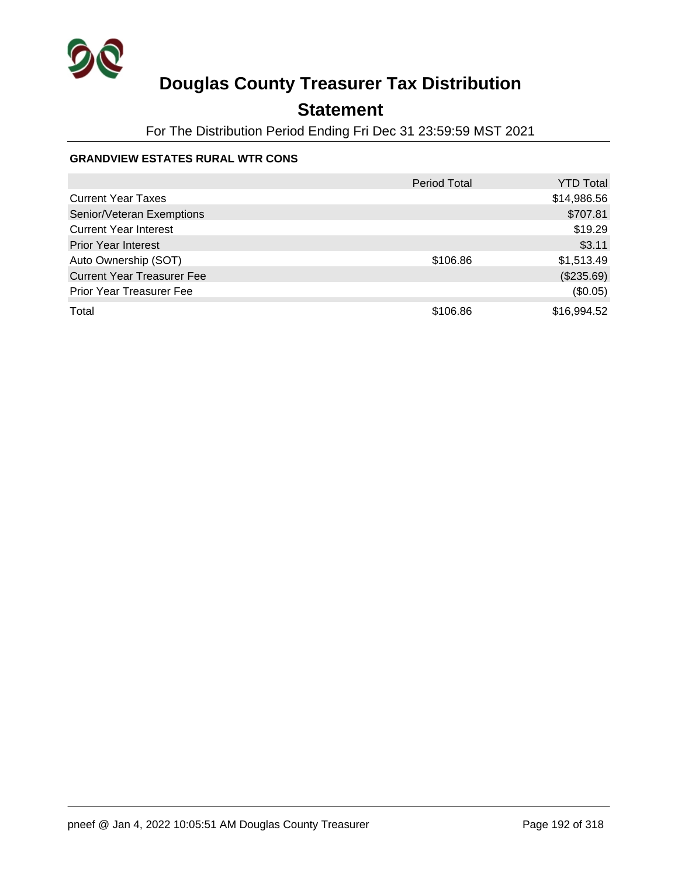

## **Statement**

For The Distribution Period Ending Fri Dec 31 23:59:59 MST 2021

#### **GRANDVIEW ESTATES RURAL WTR CONS**

|                                   | <b>Period Total</b> | YTD Total   |
|-----------------------------------|---------------------|-------------|
| <b>Current Year Taxes</b>         |                     | \$14,986.56 |
| Senior/Veteran Exemptions         |                     | \$707.81    |
| <b>Current Year Interest</b>      |                     | \$19.29     |
| <b>Prior Year Interest</b>        |                     | \$3.11      |
| Auto Ownership (SOT)              | \$106.86            | \$1,513.49  |
| <b>Current Year Treasurer Fee</b> |                     | (\$235.69)  |
| <b>Prior Year Treasurer Fee</b>   |                     | (\$0.05)    |
| Total                             | \$106.86            | \$16,994.52 |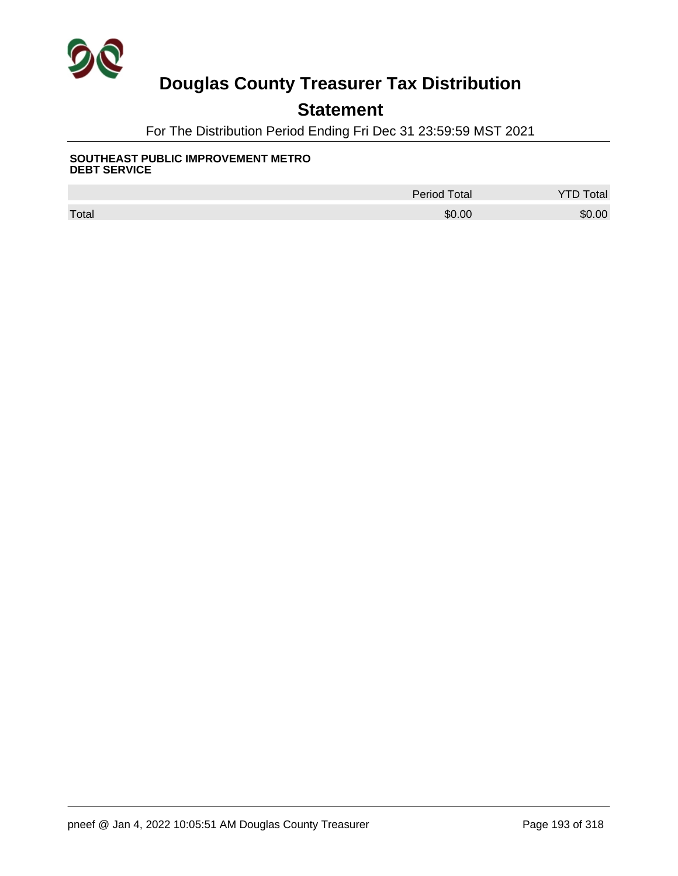

## **Statement**

For The Distribution Period Ending Fri Dec 31 23:59:59 MST 2021

#### **SOUTHEAST PUBLIC IMPROVEMENT METRO DEBT SERVICE**

|       | <b>Period Total</b> | otal   |
|-------|---------------------|--------|
| Total | \$0.00              | \$0.00 |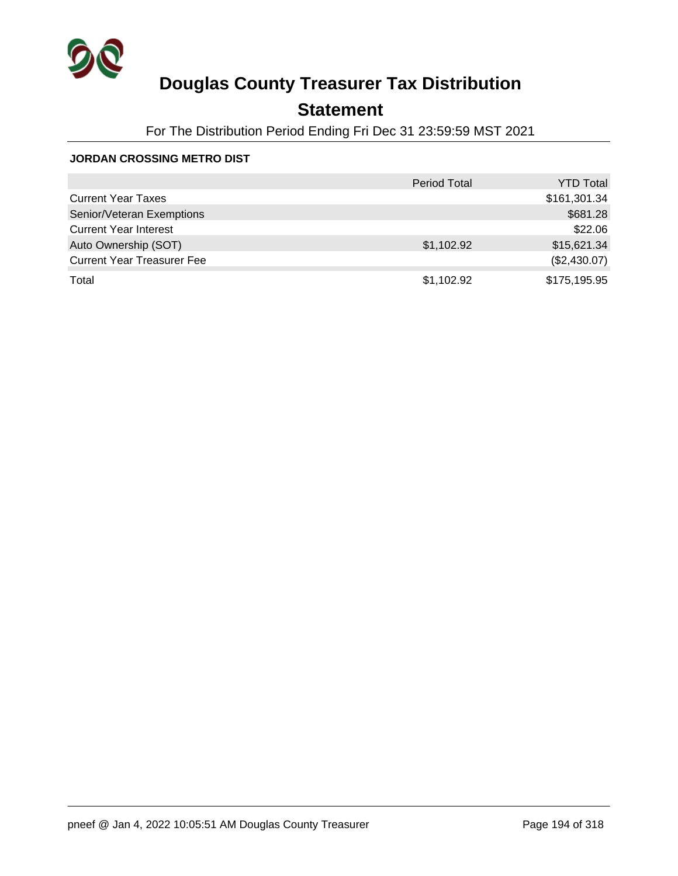

## **Statement**

For The Distribution Period Ending Fri Dec 31 23:59:59 MST 2021

#### **JORDAN CROSSING METRO DIST**

|                                   | <b>Period Total</b> | <b>YTD Total</b> |
|-----------------------------------|---------------------|------------------|
| <b>Current Year Taxes</b>         |                     | \$161,301.34     |
| Senior/Veteran Exemptions         |                     | \$681.28         |
| <b>Current Year Interest</b>      |                     | \$22.06          |
| Auto Ownership (SOT)              | \$1,102.92          | \$15,621.34      |
| <b>Current Year Treasurer Fee</b> |                     | (\$2,430.07)     |
| Total                             | \$1,102.92          | \$175,195.95     |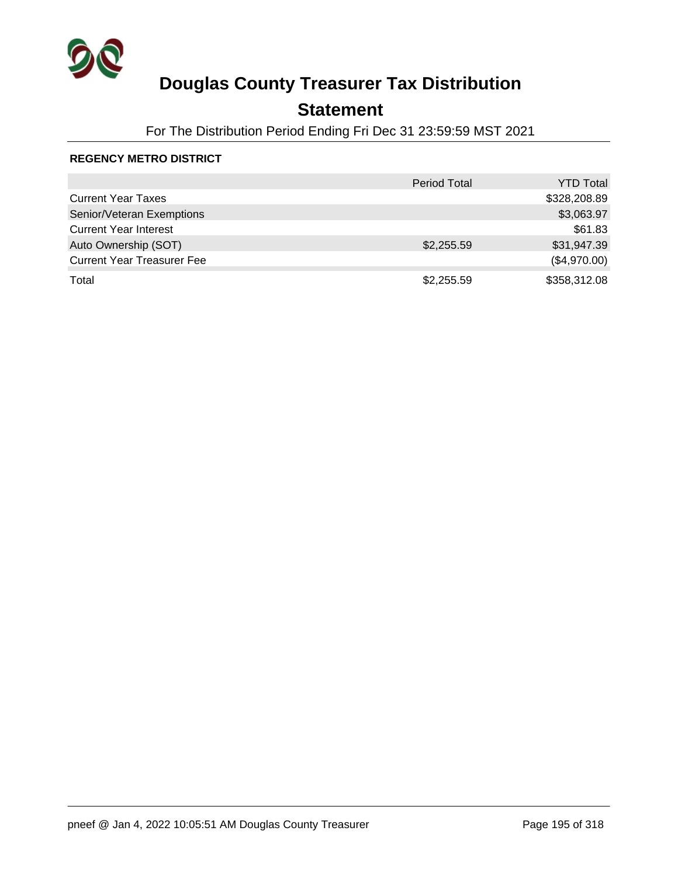

### **Statement**

For The Distribution Period Ending Fri Dec 31 23:59:59 MST 2021

#### **REGENCY METRO DISTRICT**

|                                   | <b>Period Total</b> | <b>YTD Total</b> |
|-----------------------------------|---------------------|------------------|
| <b>Current Year Taxes</b>         |                     | \$328,208.89     |
| Senior/Veteran Exemptions         |                     | \$3,063.97       |
| <b>Current Year Interest</b>      |                     | \$61.83          |
| Auto Ownership (SOT)              | \$2,255.59          | \$31,947.39      |
| <b>Current Year Treasurer Fee</b> |                     | (\$4,970.00)     |
| Total                             | \$2,255.59          | \$358,312.08     |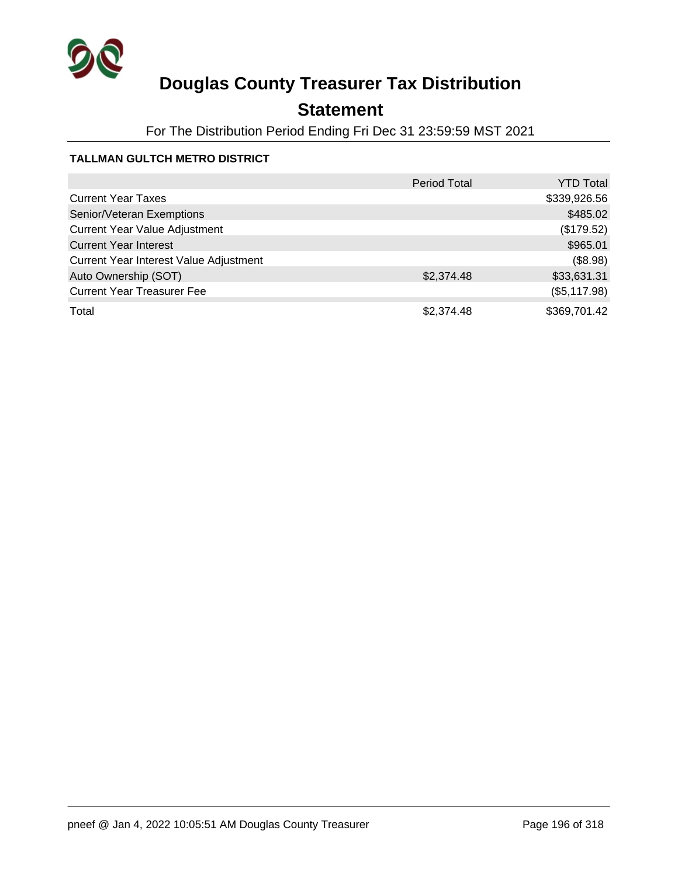

## **Statement**

For The Distribution Period Ending Fri Dec 31 23:59:59 MST 2021

### **TALLMAN GULTCH METRO DISTRICT**

|                                        | <b>Period Total</b> | <b>YTD Total</b> |
|----------------------------------------|---------------------|------------------|
| <b>Current Year Taxes</b>              |                     | \$339,926.56     |
| Senior/Veteran Exemptions              |                     | \$485.02         |
| <b>Current Year Value Adjustment</b>   |                     | (\$179.52)       |
| <b>Current Year Interest</b>           |                     | \$965.01         |
| Current Year Interest Value Adjustment |                     | (\$8.98)         |
| Auto Ownership (SOT)                   | \$2,374.48          | \$33,631.31      |
| <b>Current Year Treasurer Fee</b>      |                     | (\$5,117.98)     |
| Total                                  | \$2,374.48          | \$369,701.42     |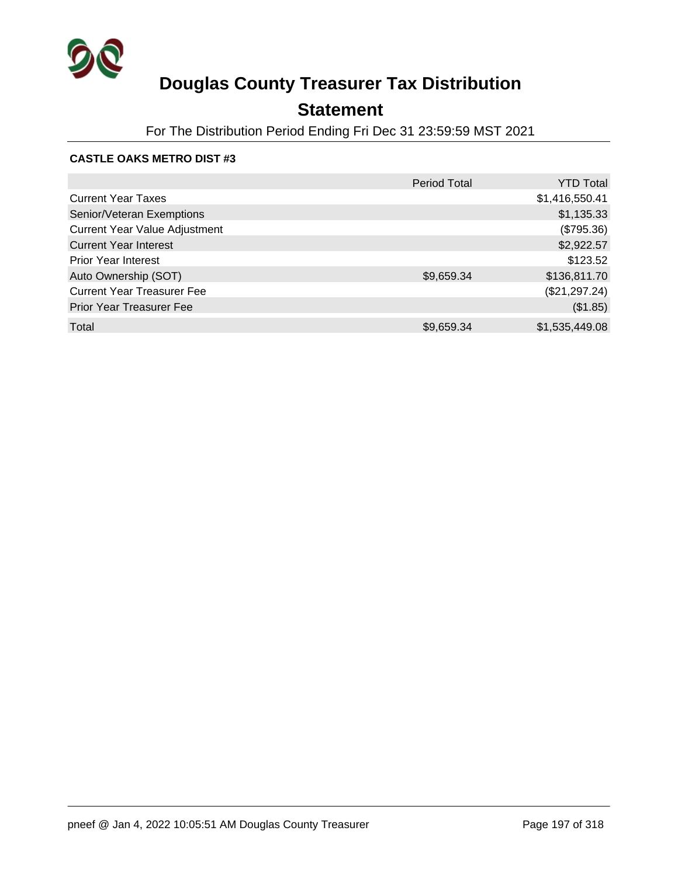

## **Statement**

For The Distribution Period Ending Fri Dec 31 23:59:59 MST 2021

#### **CASTLE OAKS METRO DIST #3**

|                                      | <b>Period Total</b> | <b>YTD Total</b> |
|--------------------------------------|---------------------|------------------|
| <b>Current Year Taxes</b>            |                     | \$1,416,550.41   |
| Senior/Veteran Exemptions            |                     | \$1,135.33       |
| <b>Current Year Value Adjustment</b> |                     | (\$795.36)       |
| <b>Current Year Interest</b>         |                     | \$2,922.57       |
| <b>Prior Year Interest</b>           |                     | \$123.52         |
| Auto Ownership (SOT)                 | \$9,659.34          | \$136,811.70     |
| <b>Current Year Treasurer Fee</b>    |                     | (\$21,297.24)    |
| <b>Prior Year Treasurer Fee</b>      |                     | (\$1.85)         |
| Total                                | \$9,659.34          | \$1,535,449.08   |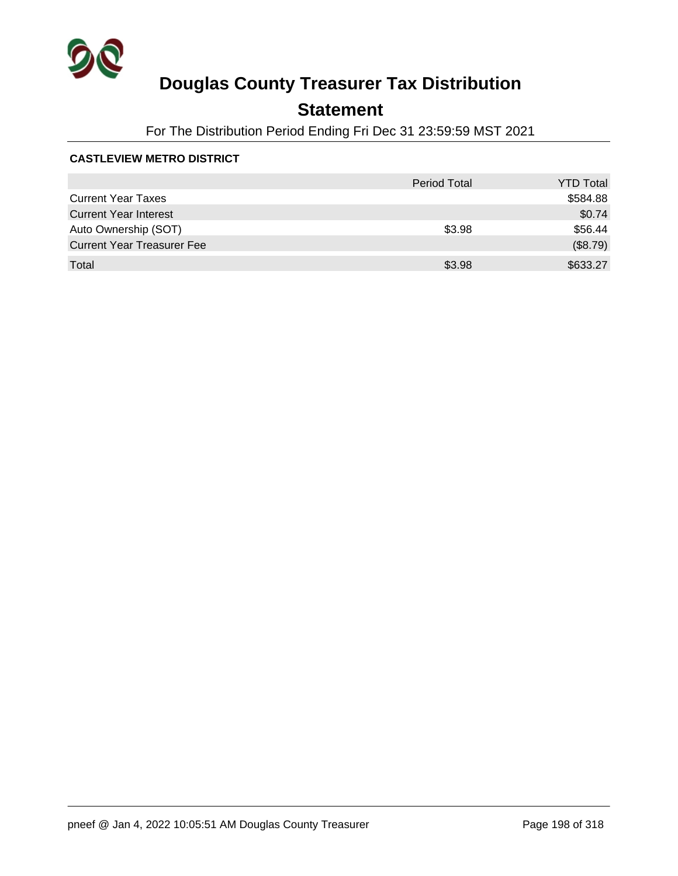

## **Statement**

For The Distribution Period Ending Fri Dec 31 23:59:59 MST 2021

#### **CASTLEVIEW METRO DISTRICT**

|                                   | <b>Period Total</b> | <b>YTD Total</b> |
|-----------------------------------|---------------------|------------------|
| <b>Current Year Taxes</b>         |                     | \$584.88         |
| <b>Current Year Interest</b>      |                     | \$0.74           |
| Auto Ownership (SOT)              | \$3.98              | \$56.44          |
| <b>Current Year Treasurer Fee</b> |                     | (\$8.79)         |
| Total                             | \$3.98              | \$633.27         |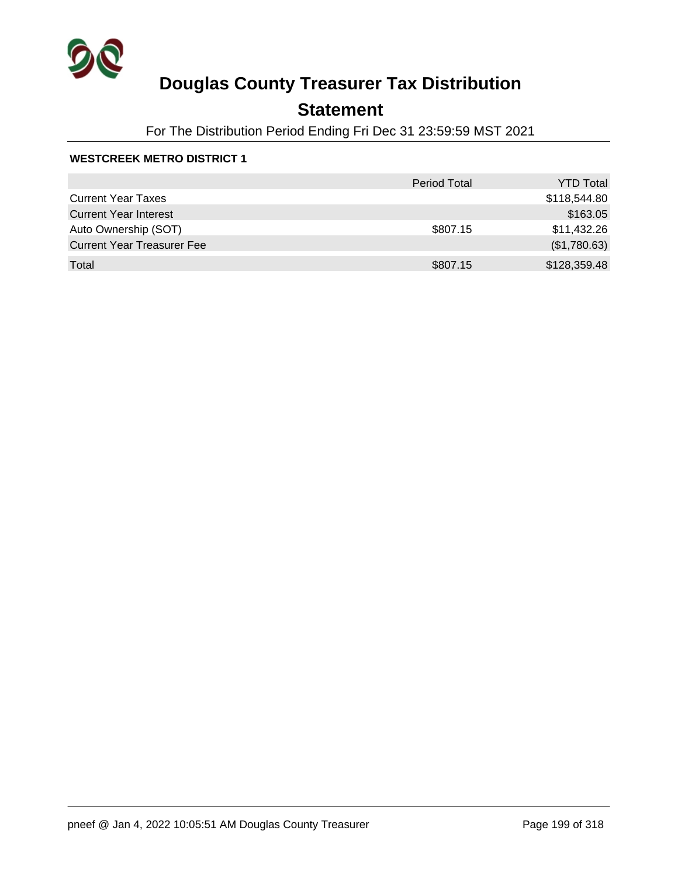

## **Statement**

For The Distribution Period Ending Fri Dec 31 23:59:59 MST 2021

#### **WESTCREEK METRO DISTRICT 1**

|                                   | <b>Period Total</b> | <b>YTD Total</b> |
|-----------------------------------|---------------------|------------------|
| <b>Current Year Taxes</b>         |                     | \$118,544.80     |
| <b>Current Year Interest</b>      |                     | \$163.05         |
| Auto Ownership (SOT)              | \$807.15            | \$11,432.26      |
| <b>Current Year Treasurer Fee</b> |                     | (\$1,780.63)     |
| Total                             | \$807.15            | \$128,359.48     |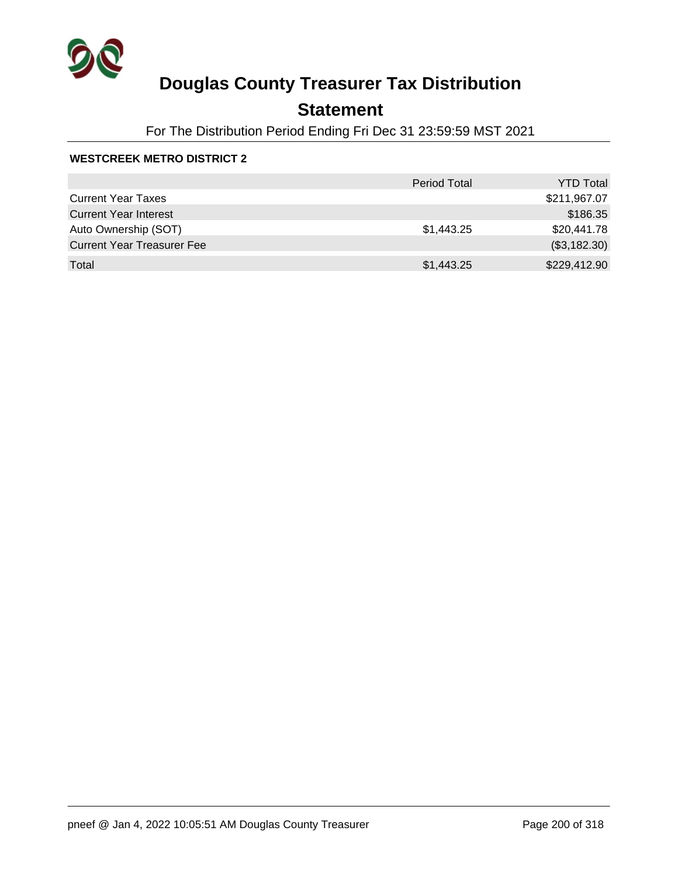

## **Statement**

For The Distribution Period Ending Fri Dec 31 23:59:59 MST 2021

#### **WESTCREEK METRO DISTRICT 2**

|                                   | <b>Period Total</b> | <b>YTD Total</b> |
|-----------------------------------|---------------------|------------------|
| <b>Current Year Taxes</b>         |                     | \$211,967.07     |
| <b>Current Year Interest</b>      |                     | \$186.35         |
| Auto Ownership (SOT)              | \$1,443.25          | \$20,441.78      |
| <b>Current Year Treasurer Fee</b> |                     | (\$3,182.30)     |
| Total                             | \$1,443.25          | \$229,412.90     |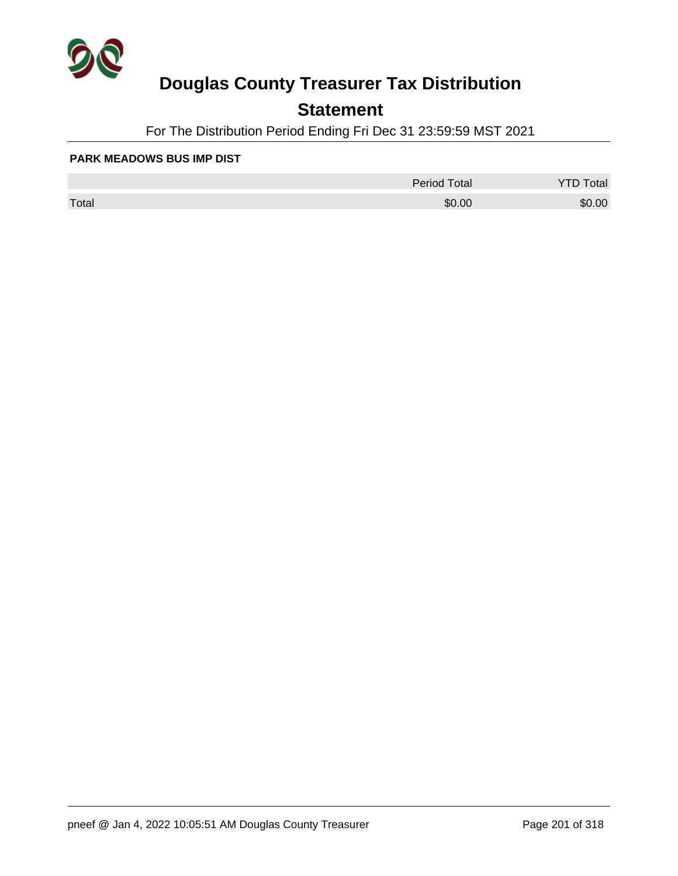

### **Statement**

For The Distribution Period Ending Fri Dec 31 23:59:59 MST 2021

#### **PARK MEADOWS BUS IMP DIST**

|       | <b>Period Total</b> | otal   |
|-------|---------------------|--------|
| Total | \$0.00              | \$0.00 |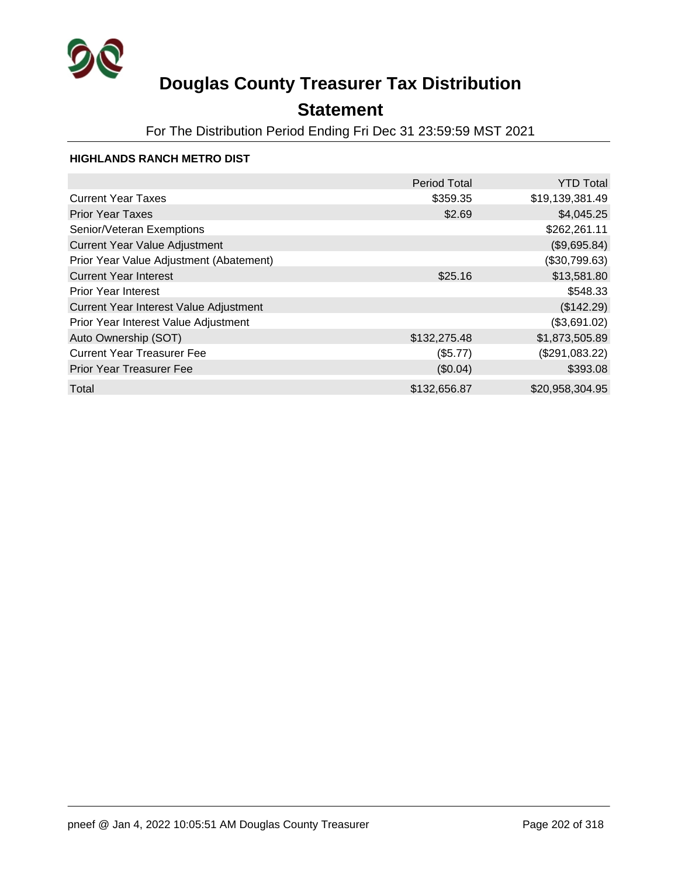

### **Statement**

For The Distribution Period Ending Fri Dec 31 23:59:59 MST 2021

#### **HIGHLANDS RANCH METRO DIST**

|                                         | <b>Period Total</b> | <b>YTD Total</b> |
|-----------------------------------------|---------------------|------------------|
| <b>Current Year Taxes</b>               | \$359.35            | \$19,139,381.49  |
| <b>Prior Year Taxes</b>                 | \$2.69              | \$4,045.25       |
| Senior/Veteran Exemptions               |                     | \$262,261.11     |
| <b>Current Year Value Adjustment</b>    |                     | (\$9,695.84)     |
| Prior Year Value Adjustment (Abatement) |                     | (\$30,799.63)    |
| <b>Current Year Interest</b>            | \$25.16             | \$13,581.80      |
| <b>Prior Year Interest</b>              |                     | \$548.33         |
| Current Year Interest Value Adjustment  |                     | (\$142.29)       |
| Prior Year Interest Value Adjustment    |                     | (\$3,691.02)     |
| Auto Ownership (SOT)                    | \$132,275.48        | \$1,873,505.89   |
| <b>Current Year Treasurer Fee</b>       | (\$5.77)            | (\$291,083.22)   |
| <b>Prior Year Treasurer Fee</b>         | (\$0.04)            | \$393.08         |
| Total                                   | \$132,656.87        | \$20,958,304.95  |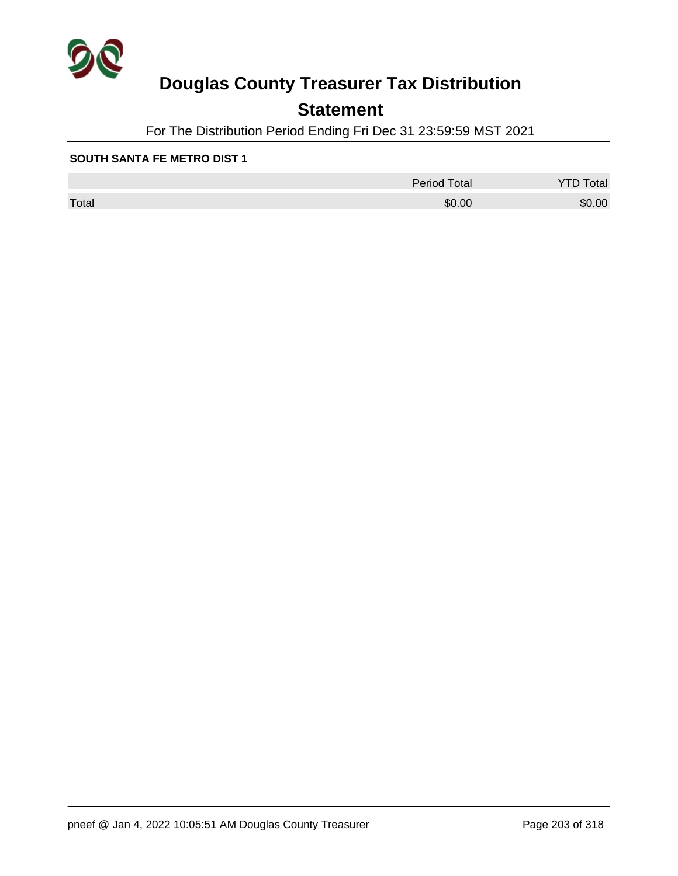

### **Statement**

For The Distribution Period Ending Fri Dec 31 23:59:59 MST 2021

#### **SOUTH SANTA FE METRO DIST 1**

|       | <b>Period Total</b> | otal<br>້ |
|-------|---------------------|-----------|
| Total | \$0.00              | \$0.00    |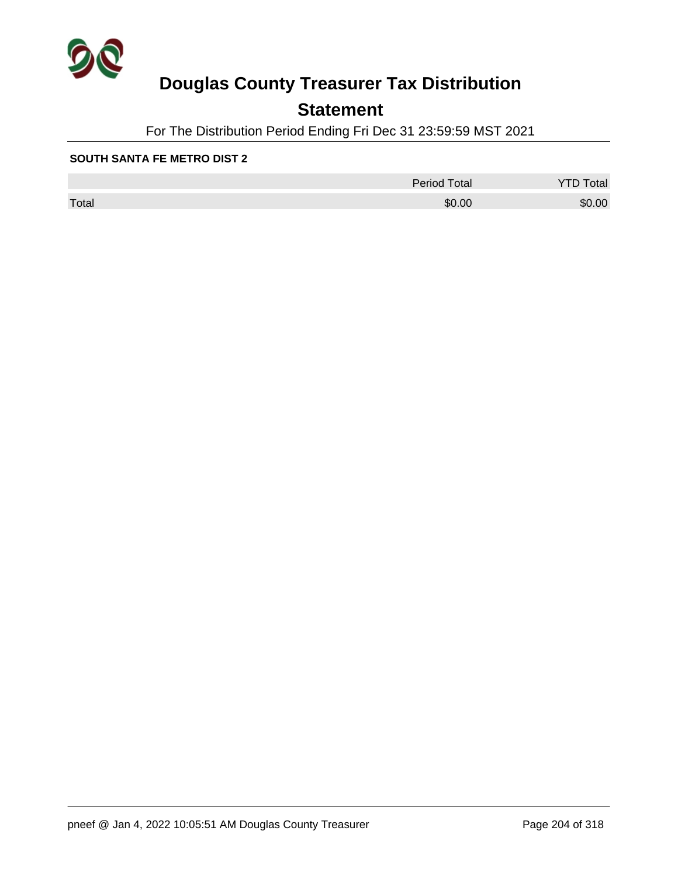

### **Statement**

For The Distribution Period Ending Fri Dec 31 23:59:59 MST 2021

#### **SOUTH SANTA FE METRO DIST 2**

|       | <b>Period Total</b> | otal   |
|-------|---------------------|--------|
| Total | \$0.00              | \$0.00 |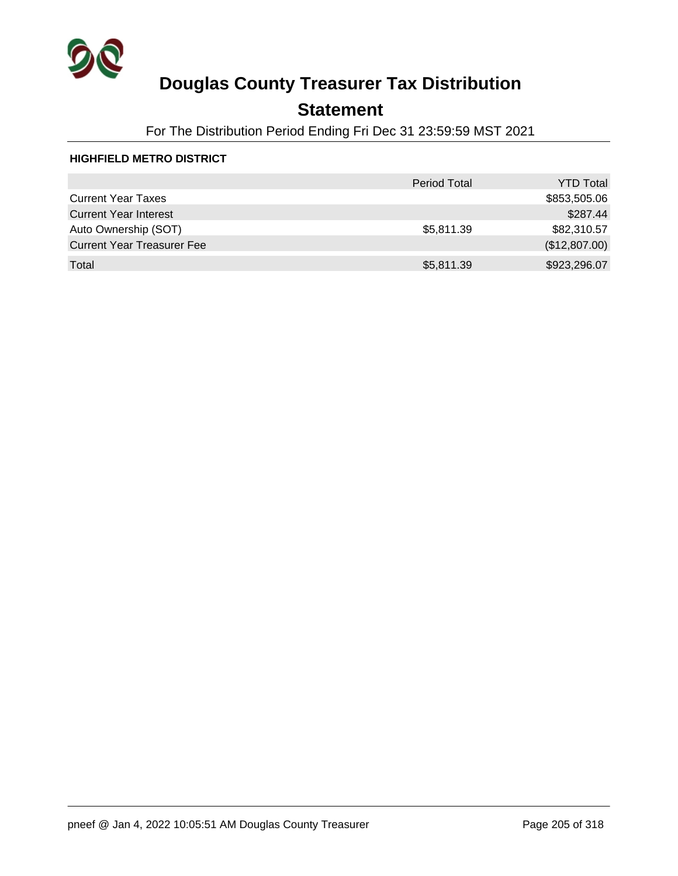

### **Statement**

For The Distribution Period Ending Fri Dec 31 23:59:59 MST 2021

#### **HIGHFIELD METRO DISTRICT**

|                                   | <b>Period Total</b> | <b>YTD Total</b> |
|-----------------------------------|---------------------|------------------|
| <b>Current Year Taxes</b>         |                     | \$853,505.06     |
| <b>Current Year Interest</b>      |                     | \$287.44         |
| Auto Ownership (SOT)              | \$5,811.39          | \$82,310.57      |
| <b>Current Year Treasurer Fee</b> |                     | (\$12,807.00)    |
| Total                             | \$5,811.39          | \$923,296.07     |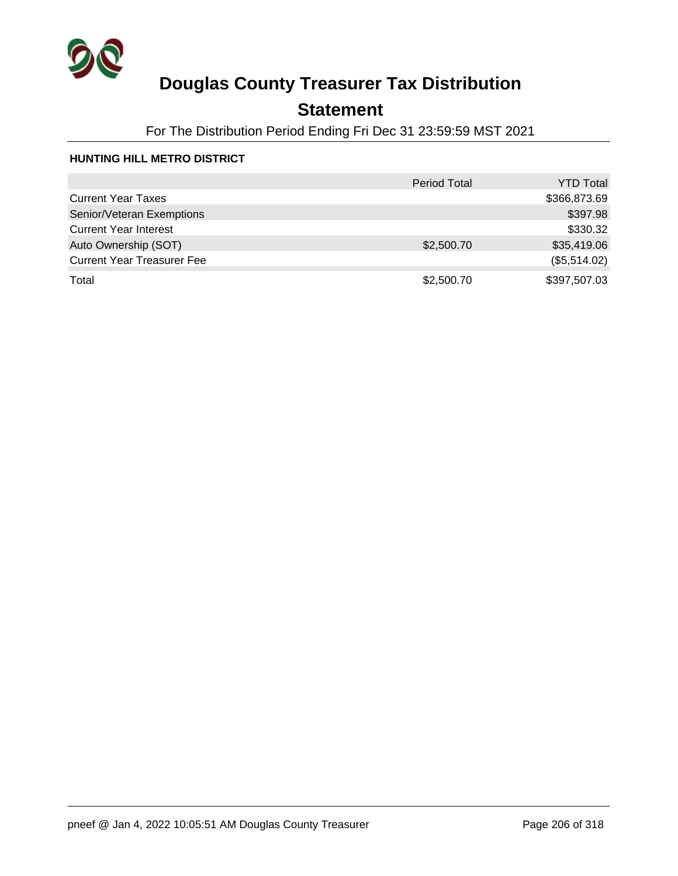

## **Statement**

For The Distribution Period Ending Fri Dec 31 23:59:59 MST 2021

#### **HUNTING HILL METRO DISTRICT**

|                                   | <b>Period Total</b> | <b>YTD Total</b> |
|-----------------------------------|---------------------|------------------|
| <b>Current Year Taxes</b>         |                     | \$366,873.69     |
| Senior/Veteran Exemptions         |                     | \$397.98         |
| <b>Current Year Interest</b>      |                     | \$330.32         |
| Auto Ownership (SOT)              | \$2,500.70          | \$35,419.06      |
| <b>Current Year Treasurer Fee</b> |                     | (\$5,514.02)     |
| Total                             | \$2,500.70          | \$397,507.03     |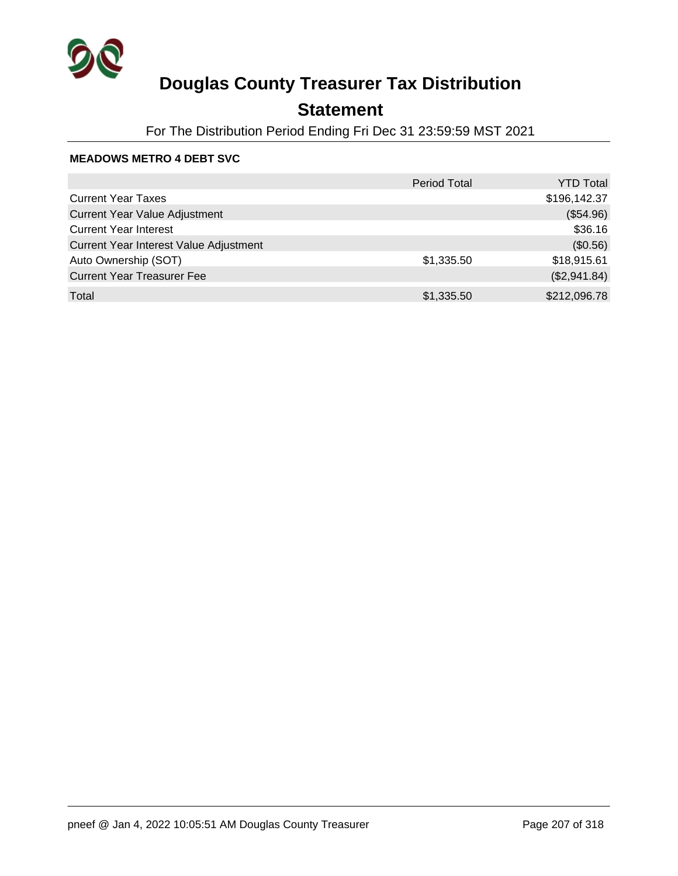

### **Statement**

For The Distribution Period Ending Fri Dec 31 23:59:59 MST 2021

#### **MEADOWS METRO 4 DEBT SVC**

|                                        | <b>Period Total</b> | YTD Total    |
|----------------------------------------|---------------------|--------------|
| <b>Current Year Taxes</b>              |                     | \$196,142.37 |
| <b>Current Year Value Adjustment</b>   |                     | (\$54.96)    |
| <b>Current Year Interest</b>           |                     | \$36.16      |
| Current Year Interest Value Adjustment |                     | (\$0.56)     |
| Auto Ownership (SOT)                   | \$1,335.50          | \$18,915.61  |
| <b>Current Year Treasurer Fee</b>      |                     | (\$2,941.84) |
| Total                                  | \$1,335.50          | \$212,096.78 |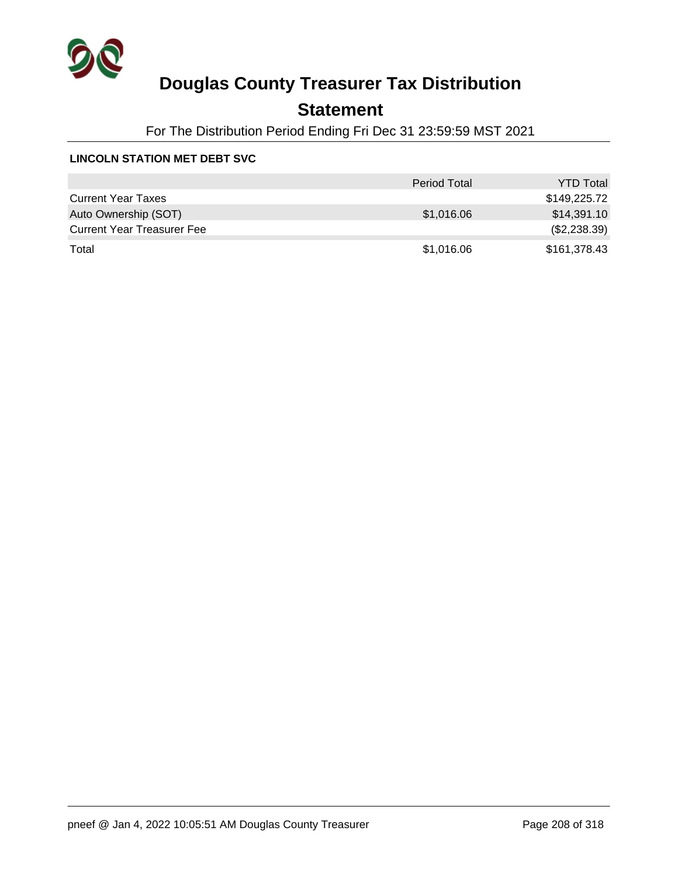

## **Statement**

For The Distribution Period Ending Fri Dec 31 23:59:59 MST 2021

#### **LINCOLN STATION MET DEBT SVC**

|                                   | <b>Period Total</b> | <b>YTD Total</b> |
|-----------------------------------|---------------------|------------------|
| <b>Current Year Taxes</b>         |                     | \$149,225.72     |
| Auto Ownership (SOT)              | \$1,016.06          | \$14,391.10      |
| <b>Current Year Treasurer Fee</b> |                     | (\$2,238.39)     |
| Total                             | \$1,016.06          | \$161,378.43     |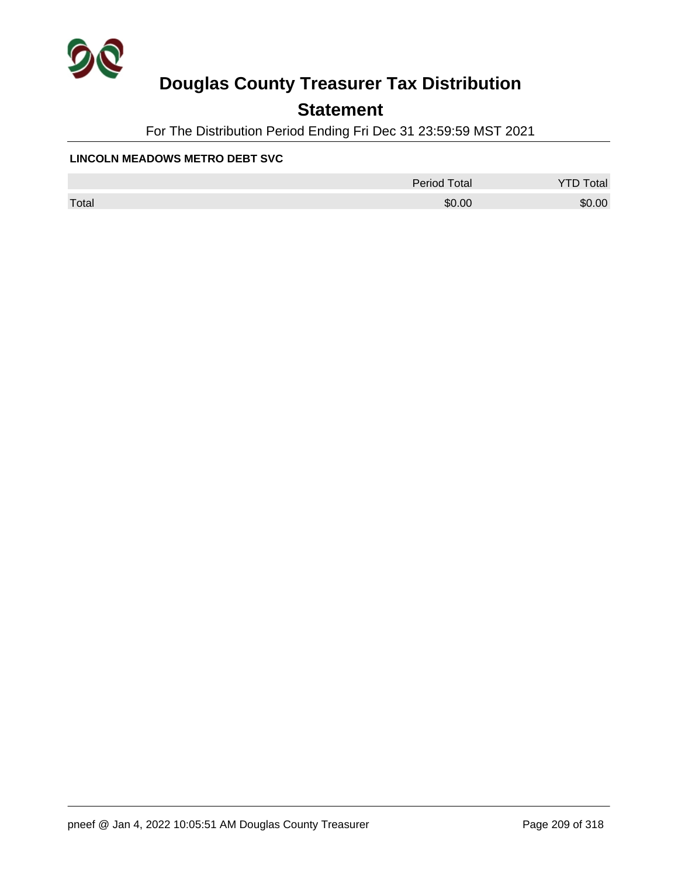

### **Statement**

For The Distribution Period Ending Fri Dec 31 23:59:59 MST 2021

#### **LINCOLN MEADOWS METRO DEBT SVC**

|       | <b>Period Total</b> | otal   |
|-------|---------------------|--------|
| Total | \$0.00              | \$0.00 |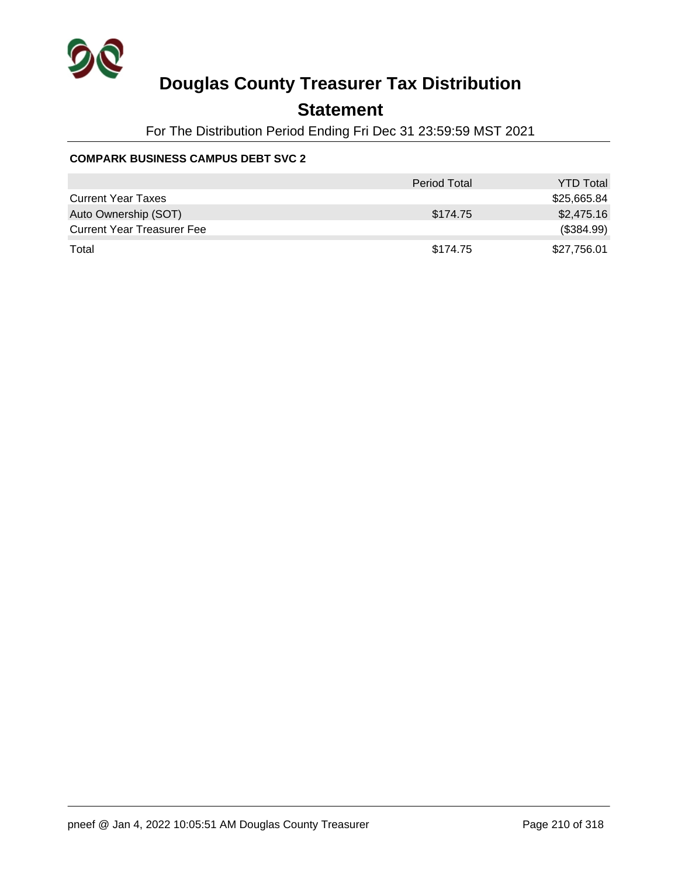

### **Statement**

For The Distribution Period Ending Fri Dec 31 23:59:59 MST 2021

#### **COMPARK BUSINESS CAMPUS DEBT SVC 2**

|                                   | <b>Period Total</b> | <b>YTD Total</b> |
|-----------------------------------|---------------------|------------------|
| <b>Current Year Taxes</b>         |                     | \$25,665.84      |
| Auto Ownership (SOT)              | \$174.75            | \$2,475.16       |
| <b>Current Year Treasurer Fee</b> |                     | (\$384.99)       |
| Total                             | \$174.75            | \$27,756.01      |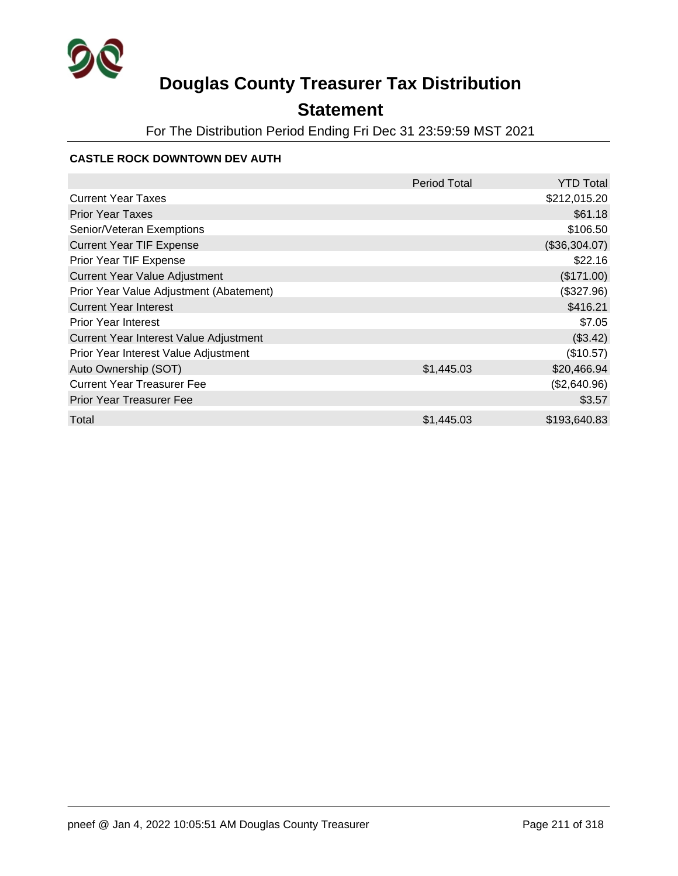

## **Statement**

For The Distribution Period Ending Fri Dec 31 23:59:59 MST 2021

#### **CASTLE ROCK DOWNTOWN DEV AUTH**

|                                         | <b>Period Total</b> | <b>YTD Total</b> |
|-----------------------------------------|---------------------|------------------|
| <b>Current Year Taxes</b>               |                     | \$212,015.20     |
| <b>Prior Year Taxes</b>                 |                     | \$61.18          |
| Senior/Veteran Exemptions               |                     | \$106.50         |
| <b>Current Year TIF Expense</b>         |                     | (\$36,304.07)    |
| Prior Year TIF Expense                  |                     | \$22.16          |
| <b>Current Year Value Adjustment</b>    |                     | (\$171.00)       |
| Prior Year Value Adjustment (Abatement) |                     | (\$327.96)       |
| <b>Current Year Interest</b>            |                     | \$416.21         |
| <b>Prior Year Interest</b>              |                     | \$7.05           |
| Current Year Interest Value Adjustment  |                     | (\$3.42)         |
| Prior Year Interest Value Adjustment    |                     | (\$10.57)        |
| Auto Ownership (SOT)                    | \$1,445.03          | \$20,466.94      |
| <b>Current Year Treasurer Fee</b>       |                     | (\$2,640.96)     |
| <b>Prior Year Treasurer Fee</b>         |                     | \$3.57           |
| Total                                   | \$1,445.03          | \$193,640.83     |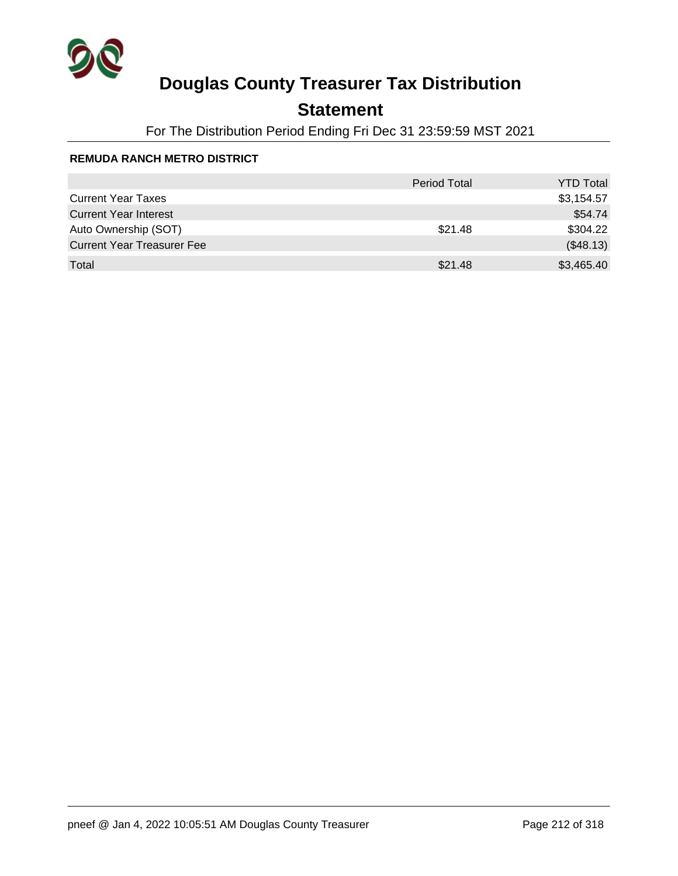

## **Statement**

For The Distribution Period Ending Fri Dec 31 23:59:59 MST 2021

#### **REMUDA RANCH METRO DISTRICT**

|                                   | <b>Period Total</b> | <b>YTD Total</b> |
|-----------------------------------|---------------------|------------------|
| <b>Current Year Taxes</b>         |                     | \$3,154.57       |
| <b>Current Year Interest</b>      |                     | \$54.74          |
| Auto Ownership (SOT)              | \$21.48             | \$304.22         |
| <b>Current Year Treasurer Fee</b> |                     | (\$48.13)        |
| Total                             | \$21.48             | \$3,465.40       |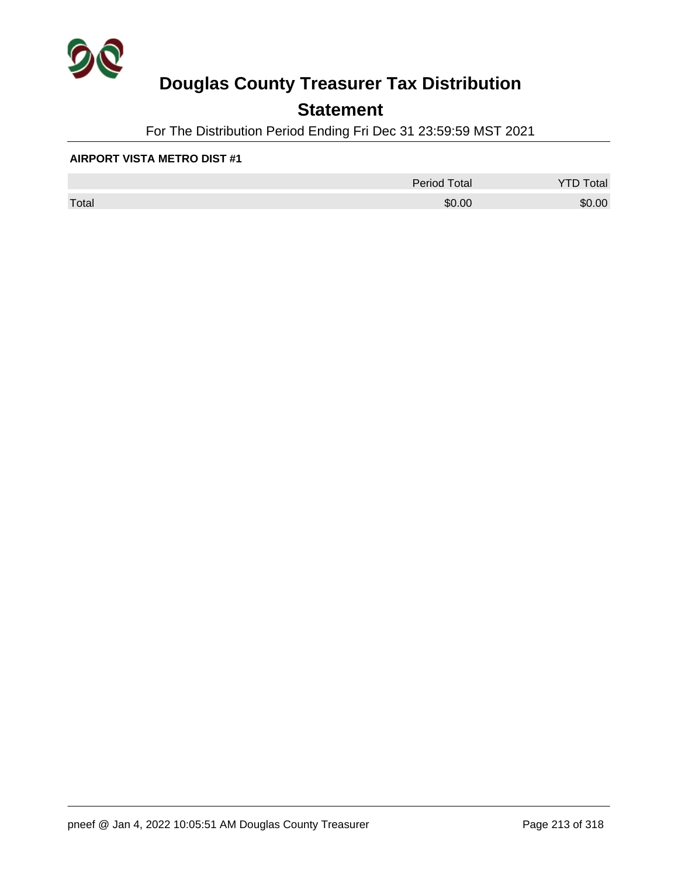

### **Statement**

For The Distribution Period Ending Fri Dec 31 23:59:59 MST 2021

#### **AIRPORT VISTA METRO DIST #1**

|       | <b>Period Total</b> | otal<br>້ |
|-------|---------------------|-----------|
| Total | \$0.00              | \$0.00    |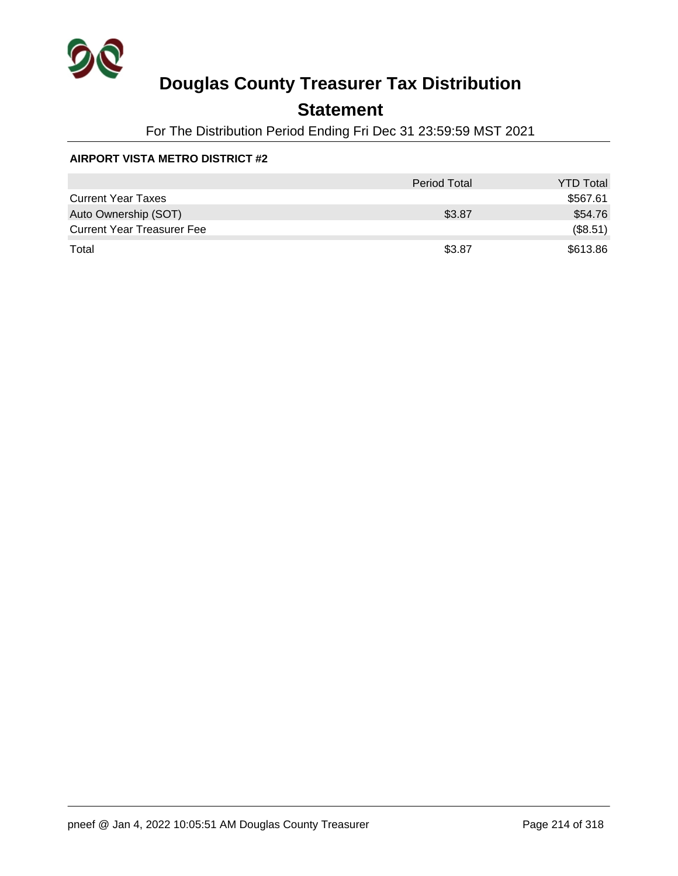

### **Statement**

For The Distribution Period Ending Fri Dec 31 23:59:59 MST 2021

#### **AIRPORT VISTA METRO DISTRICT #2**

|                                   | <b>Period Total</b> | <b>YTD Total</b> |
|-----------------------------------|---------------------|------------------|
| <b>Current Year Taxes</b>         |                     | \$567.61         |
| Auto Ownership (SOT)              | \$3.87              | \$54.76          |
| <b>Current Year Treasurer Fee</b> |                     | (\$8.51)         |
| Total                             | \$3.87              | \$613.86         |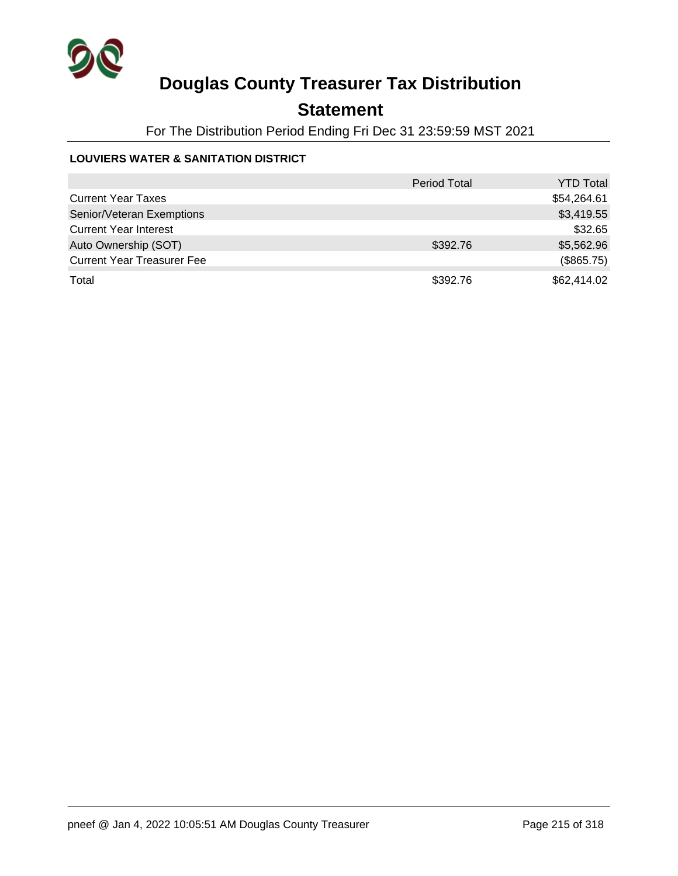

### **Statement**

For The Distribution Period Ending Fri Dec 31 23:59:59 MST 2021

#### **LOUVIERS WATER & SANITATION DISTRICT**

|                                   | <b>Period Total</b> | <b>YTD Total</b> |
|-----------------------------------|---------------------|------------------|
| <b>Current Year Taxes</b>         |                     | \$54,264.61      |
| Senior/Veteran Exemptions         |                     | \$3,419.55       |
| <b>Current Year Interest</b>      |                     | \$32.65          |
| Auto Ownership (SOT)              | \$392.76            | \$5,562.96       |
| <b>Current Year Treasurer Fee</b> |                     | (\$865.75)       |
| Total                             | \$392.76            | \$62,414.02      |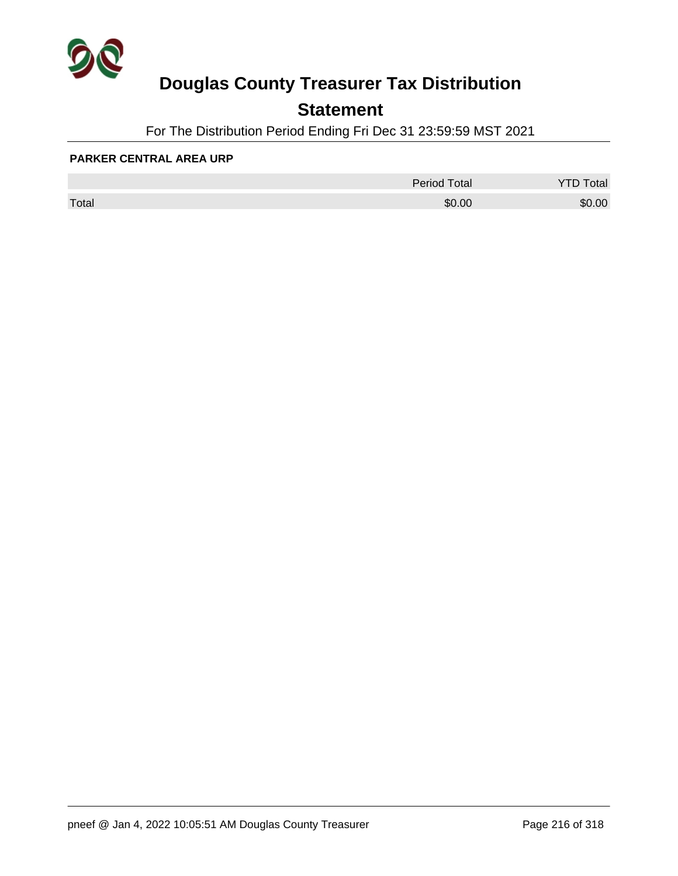

### **Statement**

For The Distribution Period Ending Fri Dec 31 23:59:59 MST 2021

#### **PARKER CENTRAL AREA URP**

|       | <b>Period Total</b> | otal   |
|-------|---------------------|--------|
| Total | \$0.00              | \$0.00 |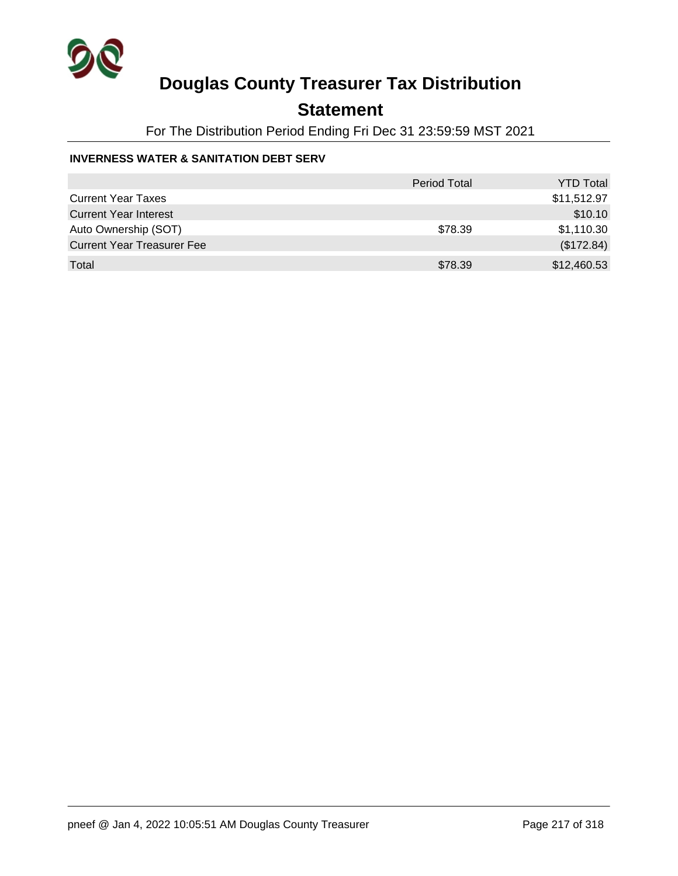

### **Statement**

For The Distribution Period Ending Fri Dec 31 23:59:59 MST 2021

### **INVERNESS WATER & SANITATION DEBT SERV**

|                                   | <b>Period Total</b> | <b>YTD Total</b> |
|-----------------------------------|---------------------|------------------|
| <b>Current Year Taxes</b>         |                     | \$11,512.97      |
| <b>Current Year Interest</b>      |                     | \$10.10          |
| Auto Ownership (SOT)              | \$78.39             | \$1,110.30       |
| <b>Current Year Treasurer Fee</b> |                     | (\$172.84)       |
| Total                             | \$78.39             | \$12,460.53      |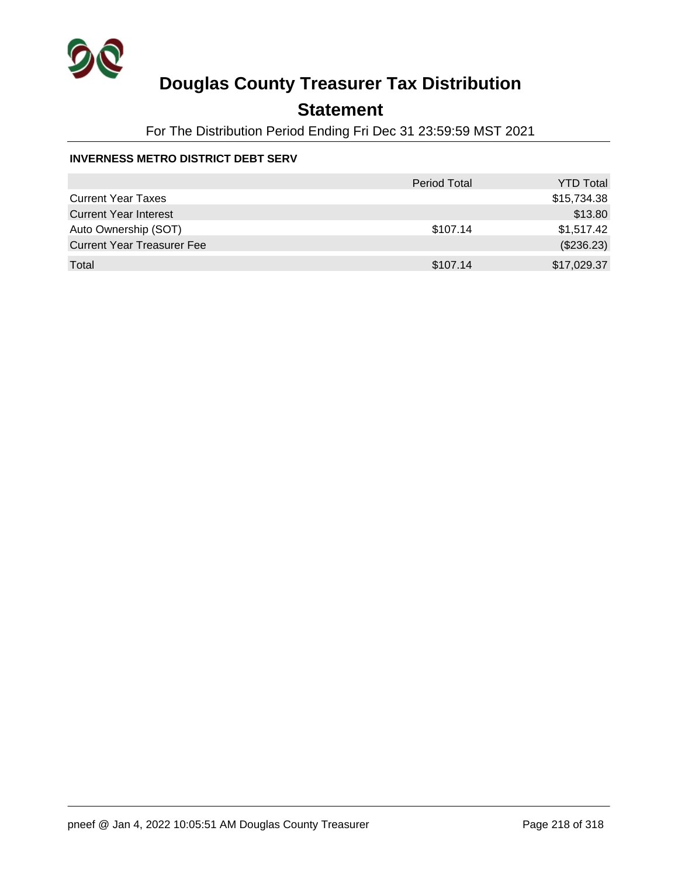

## **Statement**

For The Distribution Period Ending Fri Dec 31 23:59:59 MST 2021

### **INVERNESS METRO DISTRICT DEBT SERV**

|                                   | <b>Period Total</b> | <b>YTD Total</b> |
|-----------------------------------|---------------------|------------------|
| <b>Current Year Taxes</b>         |                     | \$15,734.38      |
| <b>Current Year Interest</b>      |                     | \$13.80          |
| Auto Ownership (SOT)              | \$107.14            | \$1,517.42       |
| <b>Current Year Treasurer Fee</b> |                     | (\$236.23)       |
| Total                             | \$107.14            | \$17,029.37      |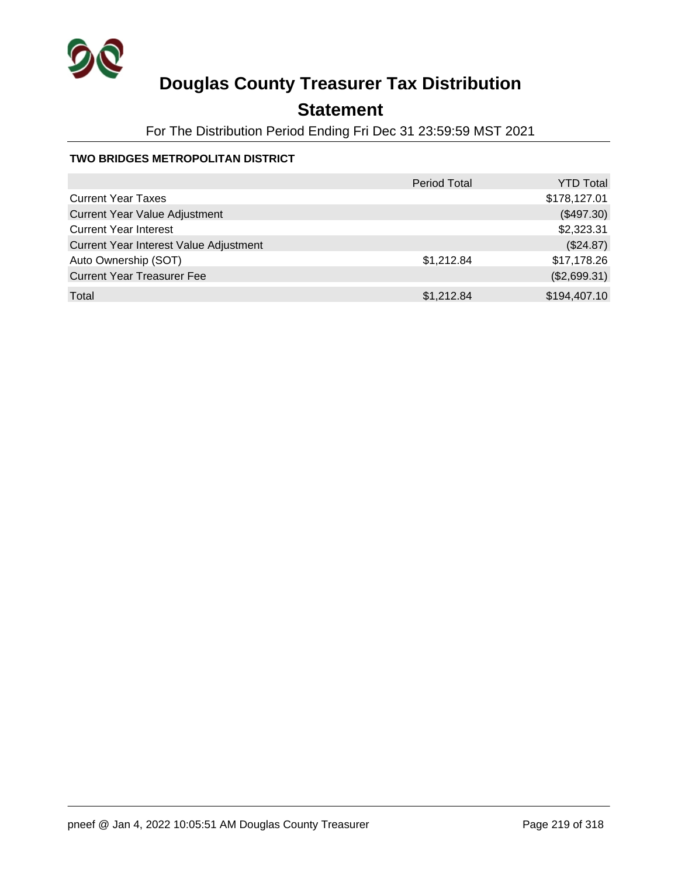

## **Statement**

For The Distribution Period Ending Fri Dec 31 23:59:59 MST 2021

### **TWO BRIDGES METROPOLITAN DISTRICT**

|                                        | <b>Period Total</b> | <b>YTD Total</b> |
|----------------------------------------|---------------------|------------------|
| <b>Current Year Taxes</b>              |                     | \$178,127.01     |
| <b>Current Year Value Adjustment</b>   |                     | (\$497.30)       |
| <b>Current Year Interest</b>           |                     | \$2,323.31       |
| Current Year Interest Value Adjustment |                     | (\$24.87)        |
| Auto Ownership (SOT)                   | \$1,212.84          | \$17,178.26      |
| <b>Current Year Treasurer Fee</b>      |                     | (\$2,699.31)     |
| Total                                  | \$1,212.84          | \$194,407.10     |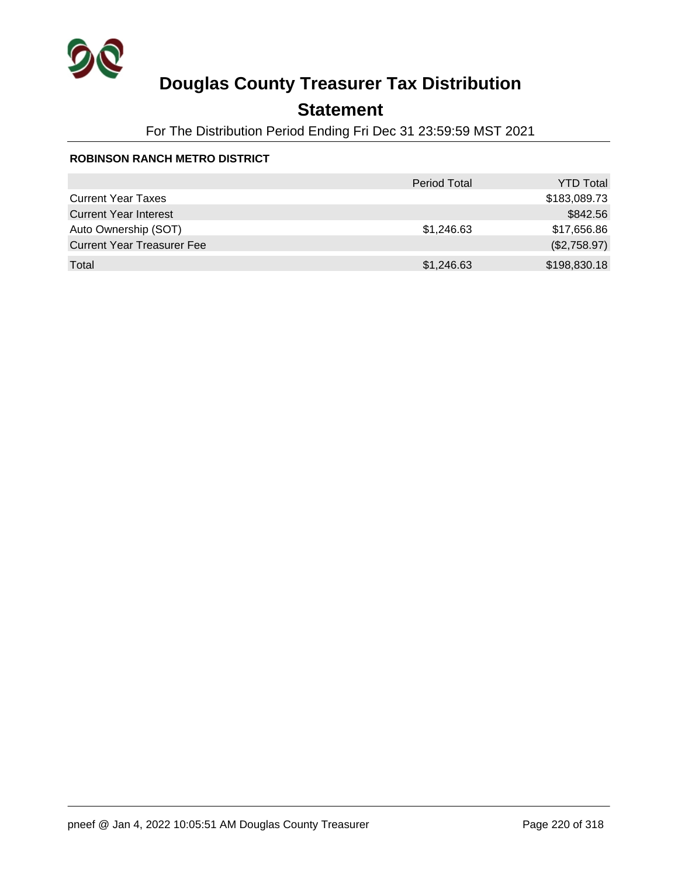

## **Statement**

For The Distribution Period Ending Fri Dec 31 23:59:59 MST 2021

### **ROBINSON RANCH METRO DISTRICT**

|                                   | <b>Period Total</b> | <b>YTD Total</b> |
|-----------------------------------|---------------------|------------------|
| <b>Current Year Taxes</b>         |                     | \$183,089.73     |
| <b>Current Year Interest</b>      |                     | \$842.56         |
| Auto Ownership (SOT)              | \$1,246.63          | \$17,656.86      |
| <b>Current Year Treasurer Fee</b> |                     | (\$2,758.97)     |
| Total                             | \$1,246.63          | \$198,830.18     |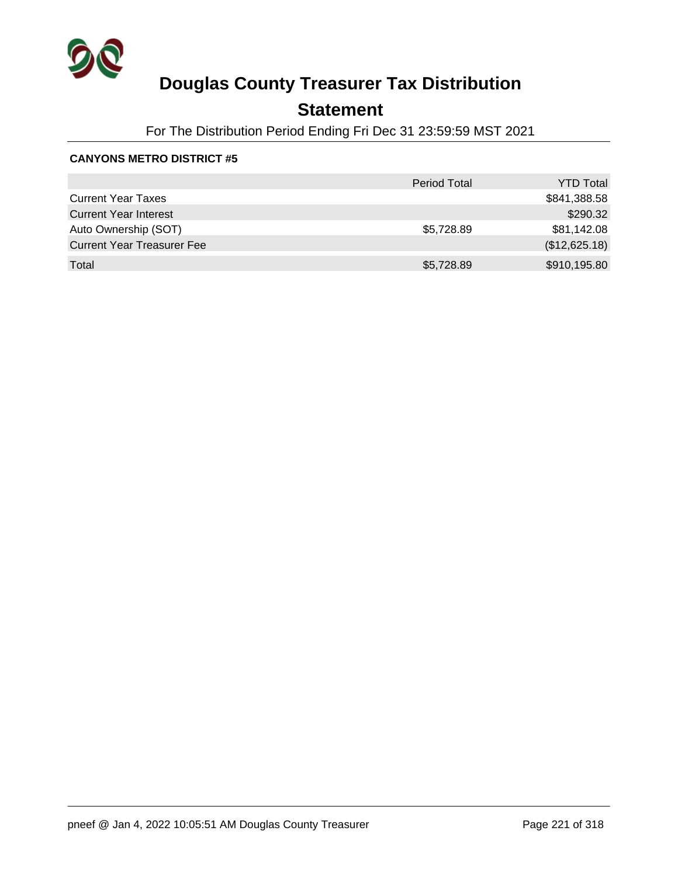

## **Statement**

For The Distribution Period Ending Fri Dec 31 23:59:59 MST 2021

|                                   | <b>Period Total</b> | <b>YTD Total</b> |
|-----------------------------------|---------------------|------------------|
| <b>Current Year Taxes</b>         |                     | \$841,388.58     |
| <b>Current Year Interest</b>      |                     | \$290.32         |
| Auto Ownership (SOT)              | \$5,728.89          | \$81,142.08      |
| <b>Current Year Treasurer Fee</b> |                     | (\$12,625.18)    |
| Total                             | \$5,728.89          | \$910,195.80     |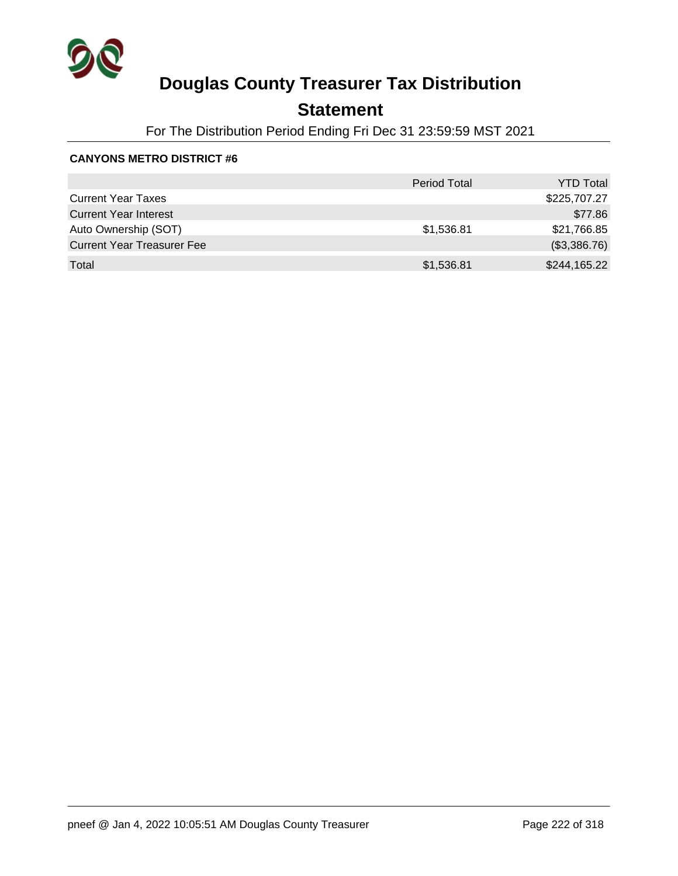

## **Statement**

For The Distribution Period Ending Fri Dec 31 23:59:59 MST 2021

|                                   | <b>Period Total</b> | <b>YTD Total</b> |
|-----------------------------------|---------------------|------------------|
| <b>Current Year Taxes</b>         |                     | \$225,707.27     |
| <b>Current Year Interest</b>      |                     | \$77.86          |
| Auto Ownership (SOT)              | \$1,536.81          | \$21,766.85      |
| <b>Current Year Treasurer Fee</b> |                     | (\$3,386.76)     |
| Total                             | \$1,536.81          | \$244,165.22     |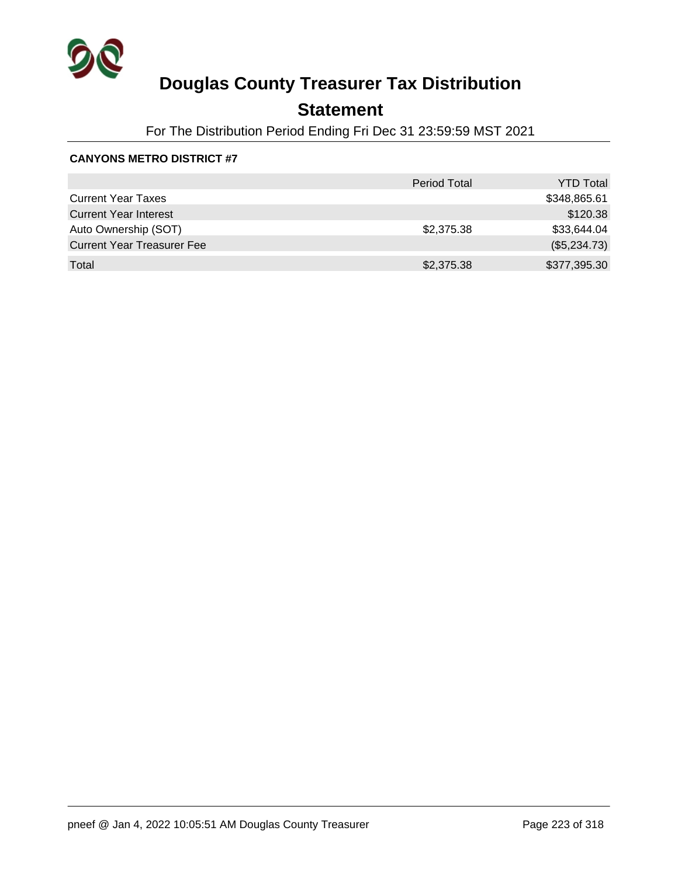

## **Statement**

For The Distribution Period Ending Fri Dec 31 23:59:59 MST 2021

|                                   | <b>Period Total</b> | <b>YTD Total</b> |
|-----------------------------------|---------------------|------------------|
| <b>Current Year Taxes</b>         |                     | \$348,865.61     |
| <b>Current Year Interest</b>      |                     | \$120.38         |
| Auto Ownership (SOT)              | \$2,375.38          | \$33,644.04      |
| <b>Current Year Treasurer Fee</b> |                     | (\$5,234.73)     |
| Total                             | \$2,375.38          | \$377,395.30     |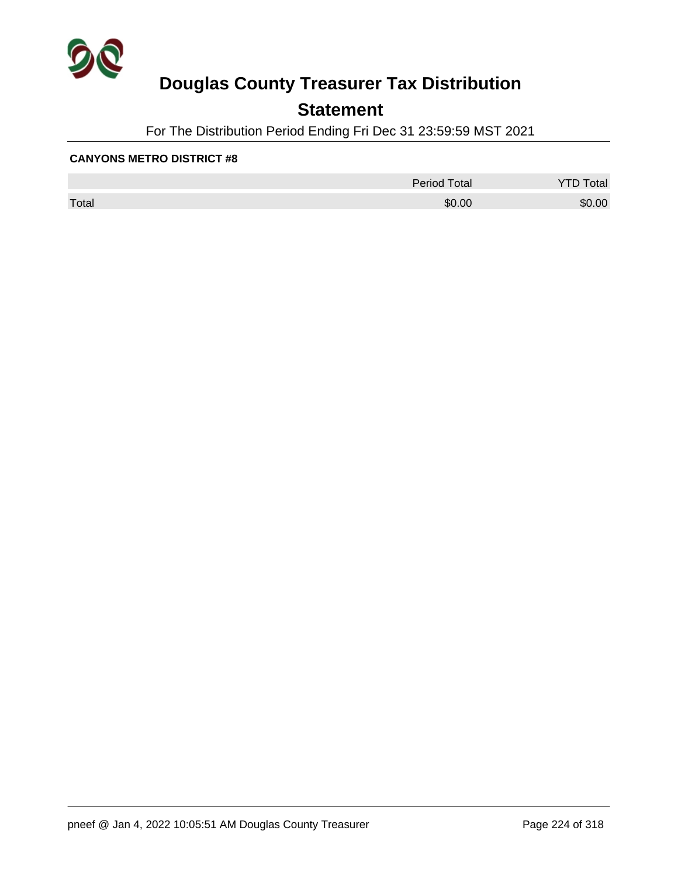

## **Statement**

For The Distribution Period Ending Fri Dec 31 23:59:59 MST 2021

|       | <b>Period Total</b> | otal<br>້ |
|-------|---------------------|-----------|
| Total | \$0.00              | \$0.00    |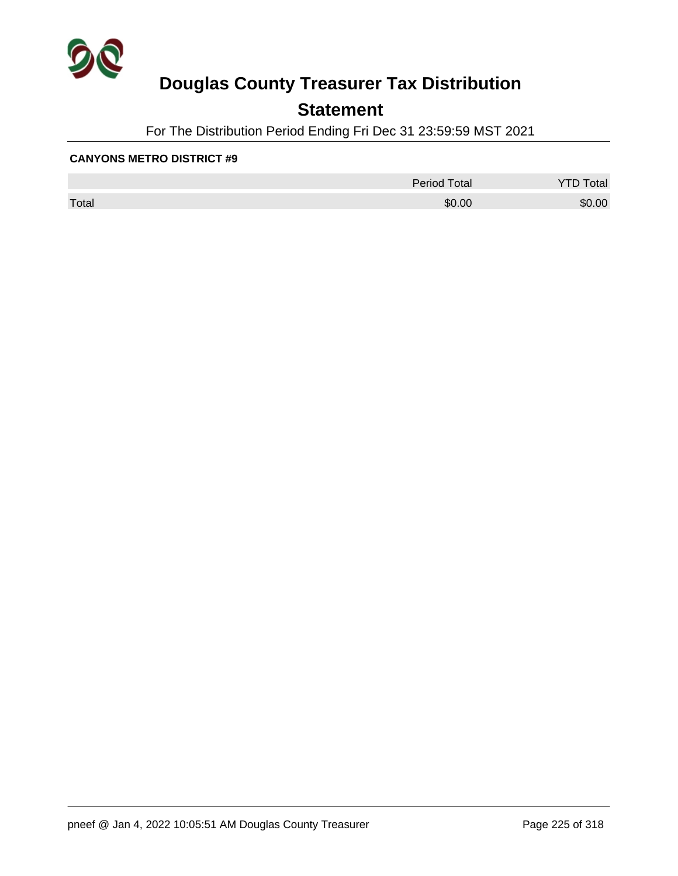

## **Statement**

For The Distribution Period Ending Fri Dec 31 23:59:59 MST 2021

|       | <b>Period Total</b> | otal<br>້ |
|-------|---------------------|-----------|
| Total | \$0.00              | \$0.00    |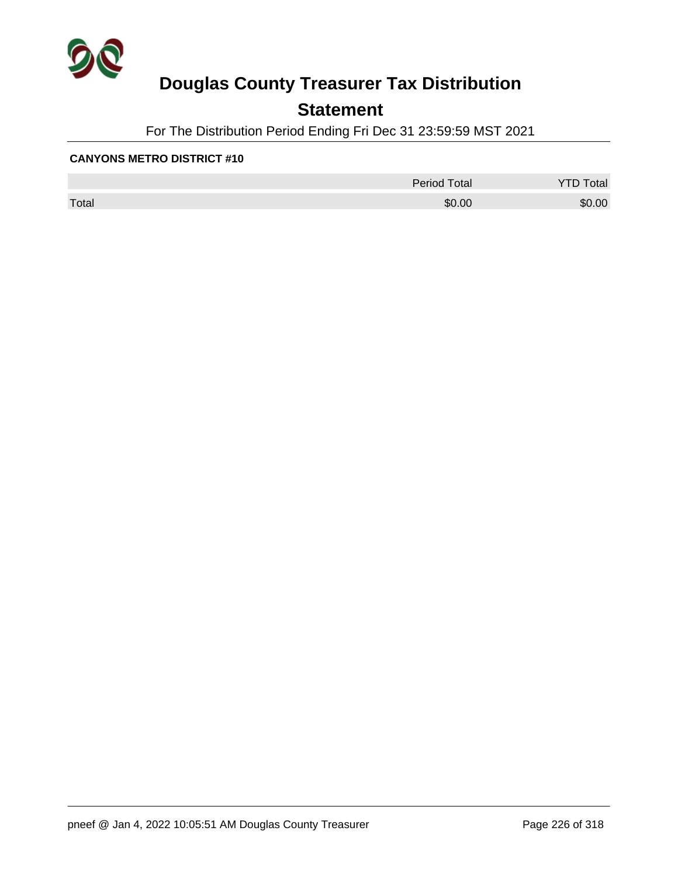

## **Statement**

For The Distribution Period Ending Fri Dec 31 23:59:59 MST 2021

|       | Period Total | otal   |
|-------|--------------|--------|
| Total | \$0.00       | \$0.00 |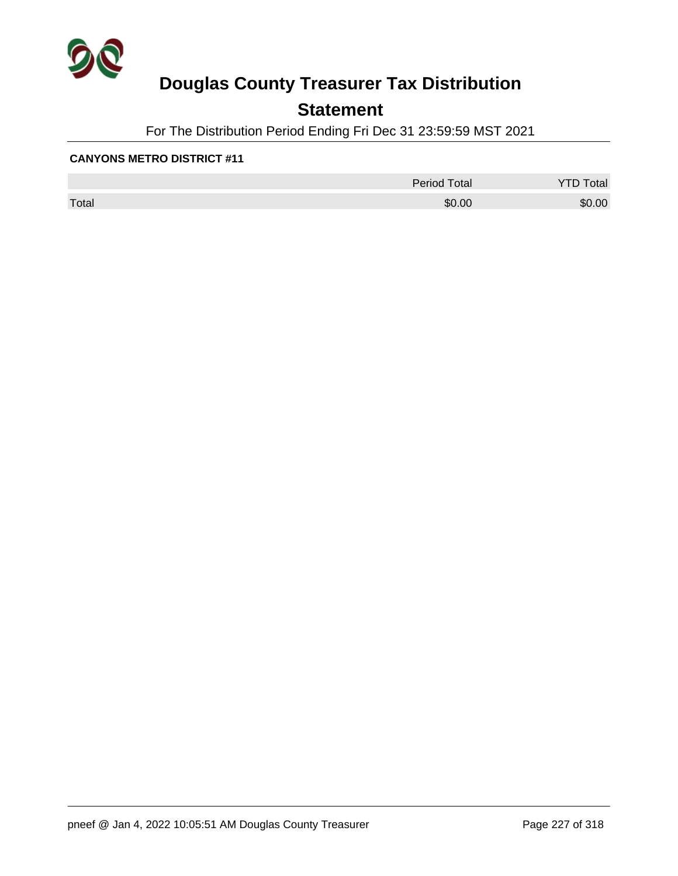

## **Statement**

For The Distribution Period Ending Fri Dec 31 23:59:59 MST 2021

|       | <b>Period Total</b> | otal<br>້ |
|-------|---------------------|-----------|
| Total | \$0.00              | \$0.00    |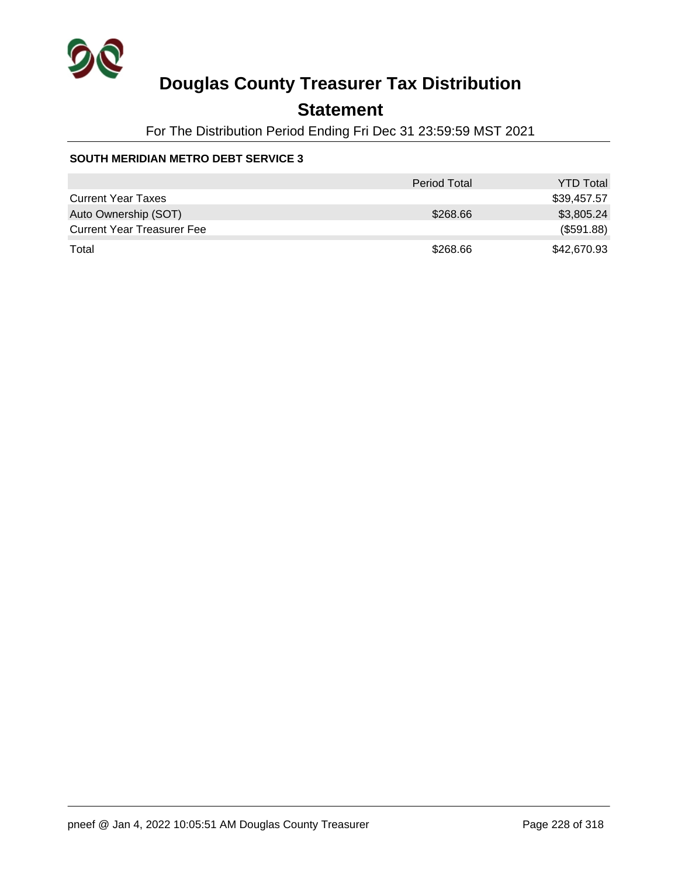

### **Statement**

For The Distribution Period Ending Fri Dec 31 23:59:59 MST 2021

#### **SOUTH MERIDIAN METRO DEBT SERVICE 3**

|                                   | <b>Period Total</b> | <b>YTD Total</b> |
|-----------------------------------|---------------------|------------------|
| <b>Current Year Taxes</b>         |                     | \$39,457.57      |
| Auto Ownership (SOT)              | \$268.66            | \$3,805.24       |
| <b>Current Year Treasurer Fee</b> |                     | (\$591.88)       |
| Total                             | \$268.66            | \$42,670.93      |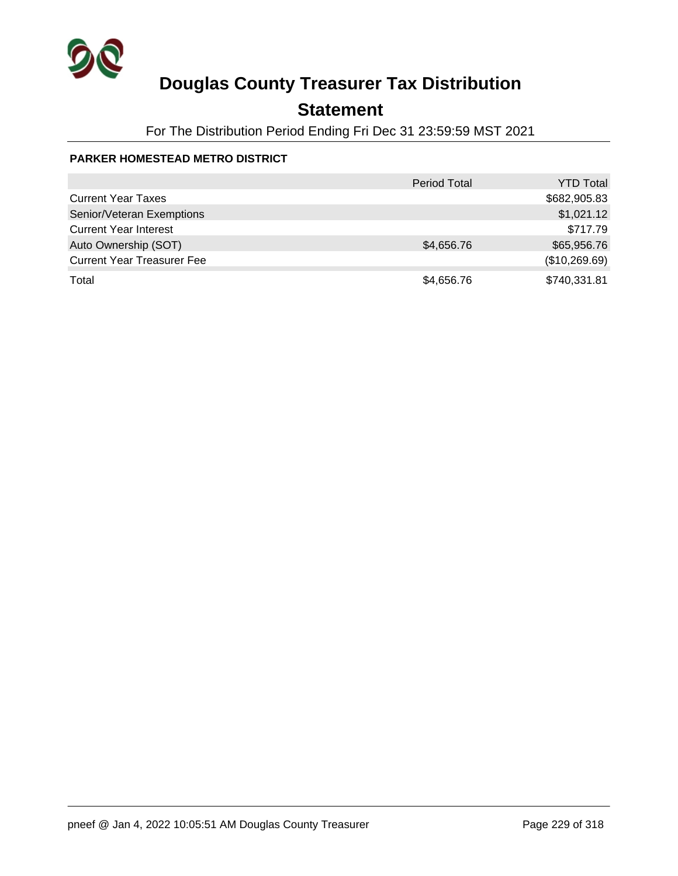

## **Statement**

For The Distribution Period Ending Fri Dec 31 23:59:59 MST 2021

### **PARKER HOMESTEAD METRO DISTRICT**

|                                   | <b>Period Total</b> | <b>YTD Total</b> |
|-----------------------------------|---------------------|------------------|
| <b>Current Year Taxes</b>         |                     | \$682,905.83     |
| Senior/Veteran Exemptions         |                     | \$1,021.12       |
| <b>Current Year Interest</b>      |                     | \$717.79         |
| Auto Ownership (SOT)              | \$4,656.76          | \$65,956.76      |
| <b>Current Year Treasurer Fee</b> |                     | (\$10,269.69)    |
| Total                             | \$4,656.76          | \$740,331.81     |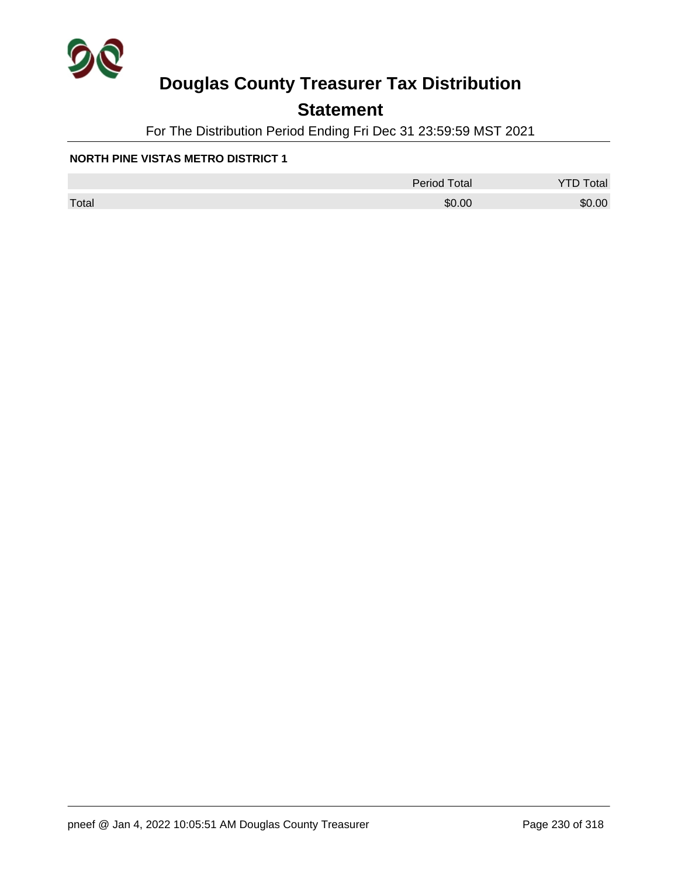

## **Statement**

For The Distribution Period Ending Fri Dec 31 23:59:59 MST 2021

#### **NORTH PINE VISTAS METRO DISTRICT 1**

|       | <b>Period Total</b> | otal<br>້ |
|-------|---------------------|-----------|
| Total | \$0.00              | \$0.00    |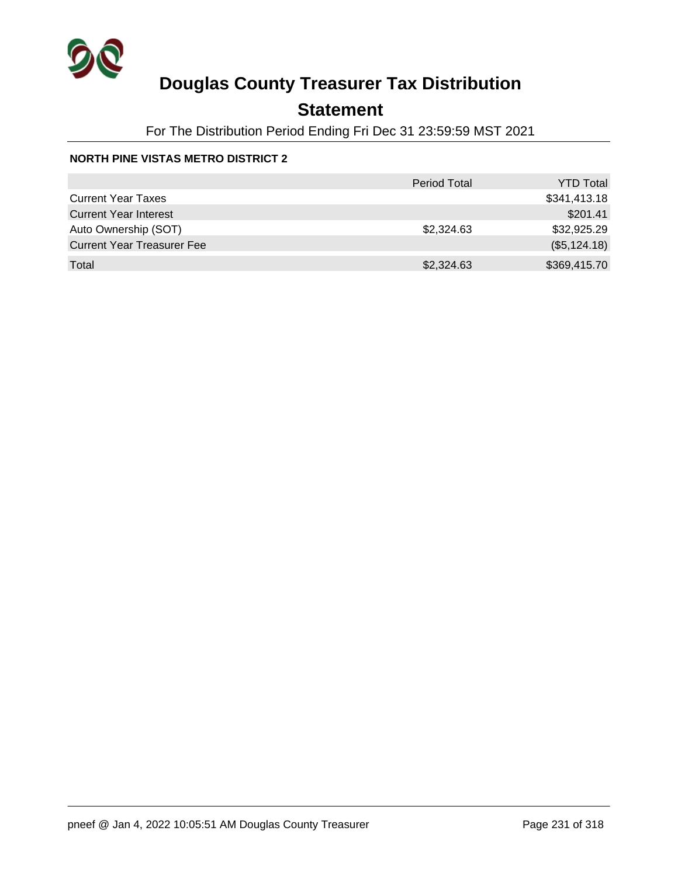

## **Statement**

For The Distribution Period Ending Fri Dec 31 23:59:59 MST 2021

### **NORTH PINE VISTAS METRO DISTRICT 2**

|                                   | <b>Period Total</b> | <b>YTD Total</b> |
|-----------------------------------|---------------------|------------------|
| <b>Current Year Taxes</b>         |                     | \$341,413.18     |
| <b>Current Year Interest</b>      |                     | \$201.41         |
| Auto Ownership (SOT)              | \$2,324.63          | \$32,925.29      |
| <b>Current Year Treasurer Fee</b> |                     | (\$5,124.18)     |
| Total                             | \$2,324.63          | \$369,415.70     |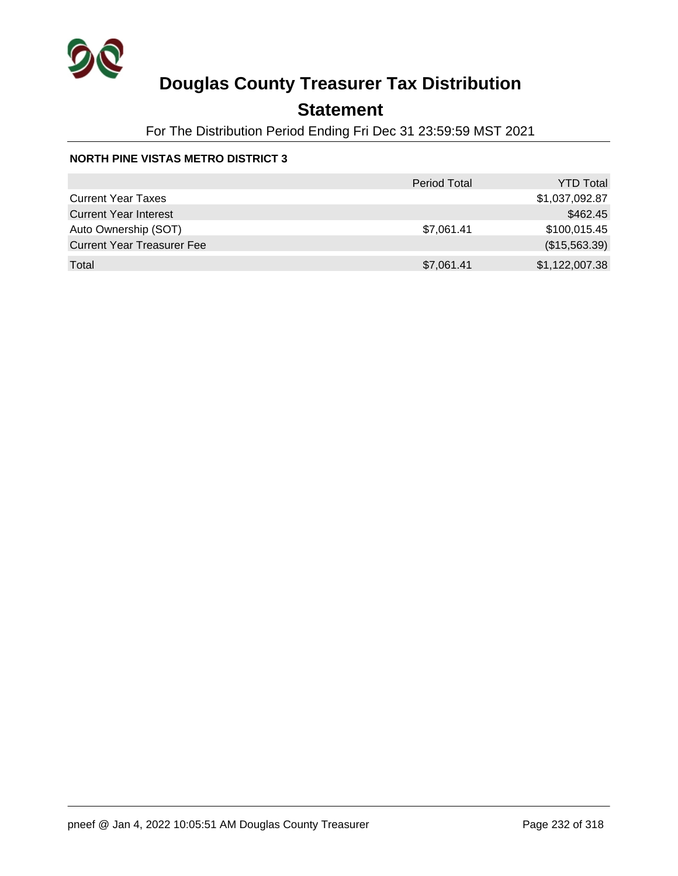

## **Statement**

For The Distribution Period Ending Fri Dec 31 23:59:59 MST 2021

### **NORTH PINE VISTAS METRO DISTRICT 3**

|                                   | <b>Period Total</b> | <b>YTD Total</b> |
|-----------------------------------|---------------------|------------------|
| <b>Current Year Taxes</b>         |                     | \$1,037,092.87   |
| <b>Current Year Interest</b>      |                     | \$462.45         |
| Auto Ownership (SOT)              | \$7,061.41          | \$100,015.45     |
| <b>Current Year Treasurer Fee</b> |                     | (\$15,563.39)    |
| Total                             | \$7,061.41          | \$1,122,007.38   |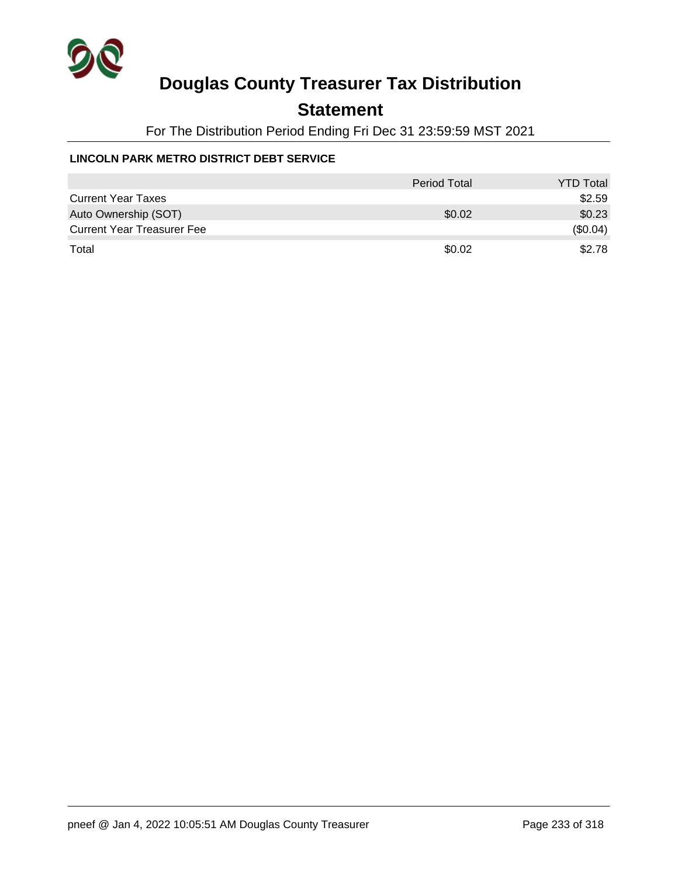

### **Statement**

For The Distribution Period Ending Fri Dec 31 23:59:59 MST 2021

### **LINCOLN PARK METRO DISTRICT DEBT SERVICE**

|                                   | Period Total | <b>YTD Total</b> |
|-----------------------------------|--------------|------------------|
| <b>Current Year Taxes</b>         |              | \$2.59           |
| Auto Ownership (SOT)              | \$0.02       | \$0.23           |
| <b>Current Year Treasurer Fee</b> |              | (\$0.04)         |
| Total                             | \$0.02       | \$2.78           |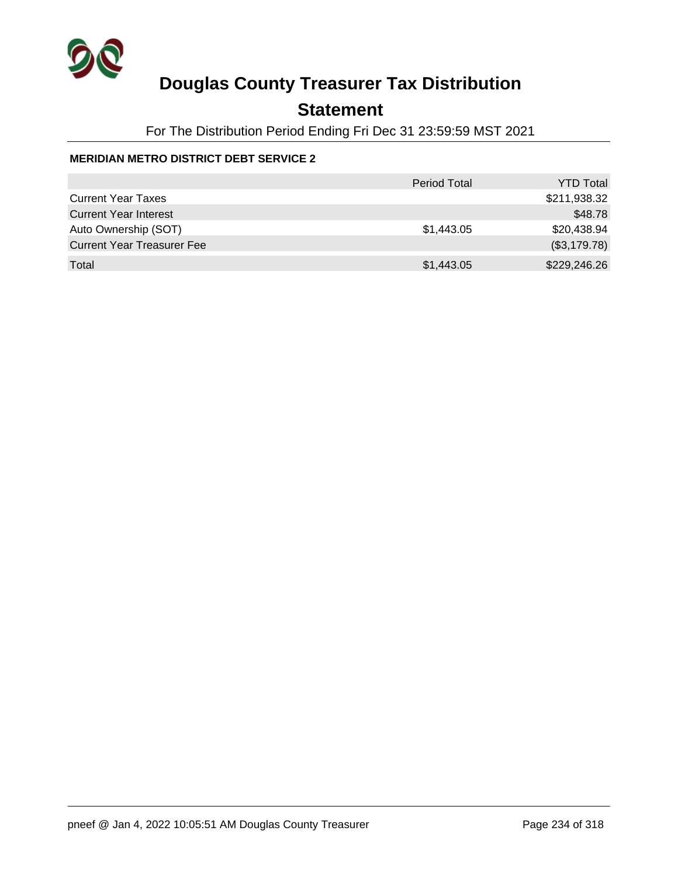

## **Statement**

For The Distribution Period Ending Fri Dec 31 23:59:59 MST 2021

### **MERIDIAN METRO DISTRICT DEBT SERVICE 2**

|                                   | <b>Period Total</b> | <b>YTD Total</b> |
|-----------------------------------|---------------------|------------------|
| <b>Current Year Taxes</b>         |                     | \$211,938.32     |
| <b>Current Year Interest</b>      |                     | \$48.78          |
| Auto Ownership (SOT)              | \$1,443.05          | \$20,438.94      |
| <b>Current Year Treasurer Fee</b> |                     | (\$3,179.78)     |
| Total                             | \$1,443.05          | \$229,246.26     |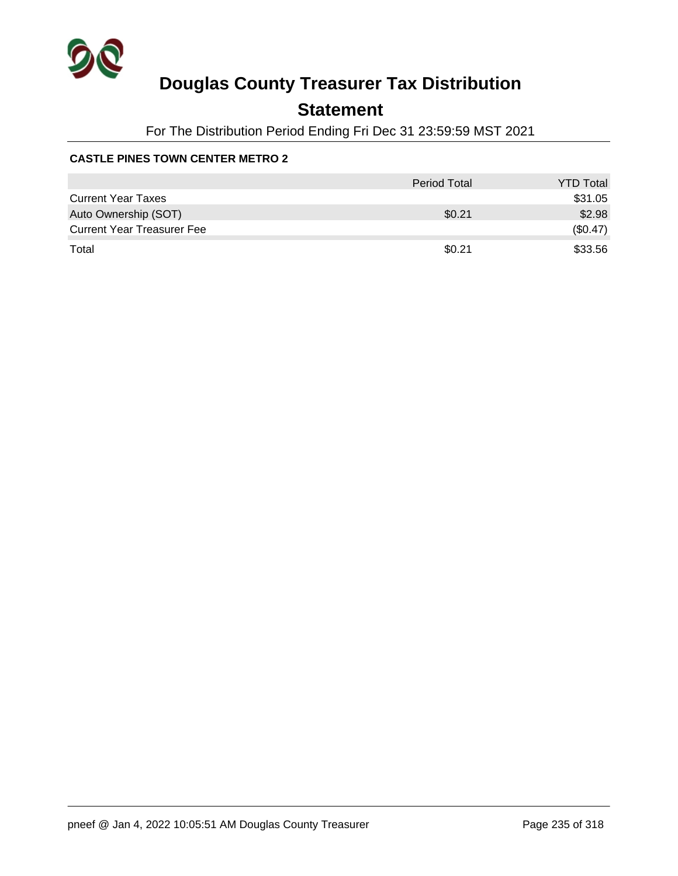

## **Statement**

For The Distribution Period Ending Fri Dec 31 23:59:59 MST 2021

### **CASTLE PINES TOWN CENTER METRO 2**

|                                   | Period Total | <b>YTD Total</b> |
|-----------------------------------|--------------|------------------|
| <b>Current Year Taxes</b>         |              | \$31.05          |
| Auto Ownership (SOT)              | \$0.21       | \$2.98           |
| <b>Current Year Treasurer Fee</b> |              | (\$0.47)         |
| Total                             | \$0.21       | \$33.56          |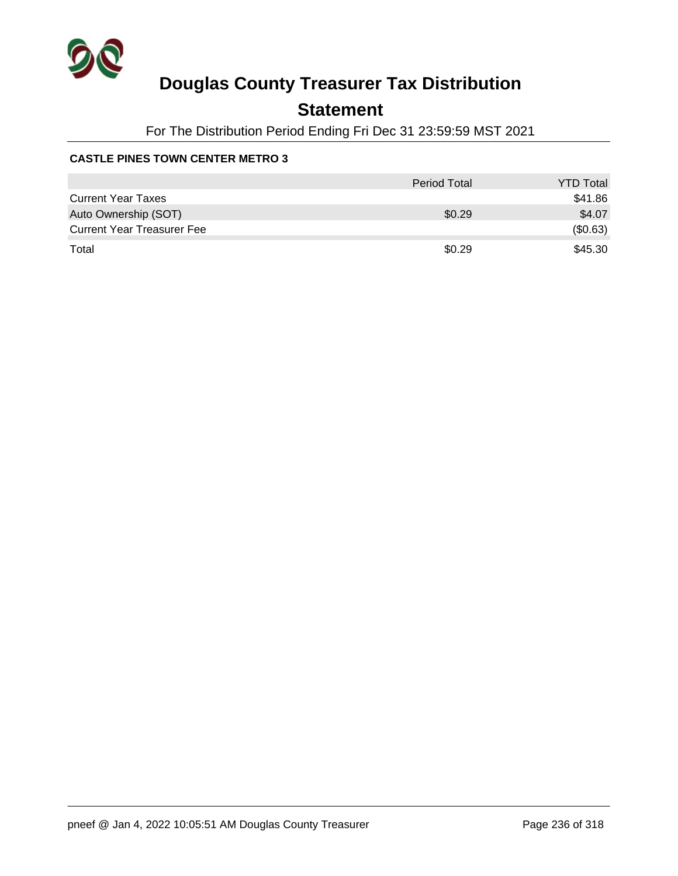

## **Statement**

For The Distribution Period Ending Fri Dec 31 23:59:59 MST 2021

### **CASTLE PINES TOWN CENTER METRO 3**

|                                   | Period Total | <b>YTD Total</b> |
|-----------------------------------|--------------|------------------|
| <b>Current Year Taxes</b>         |              | \$41.86          |
| Auto Ownership (SOT)              | \$0.29       | \$4.07           |
| <b>Current Year Treasurer Fee</b> |              | (\$0.63)         |
| Total                             | \$0.29       | \$45.30          |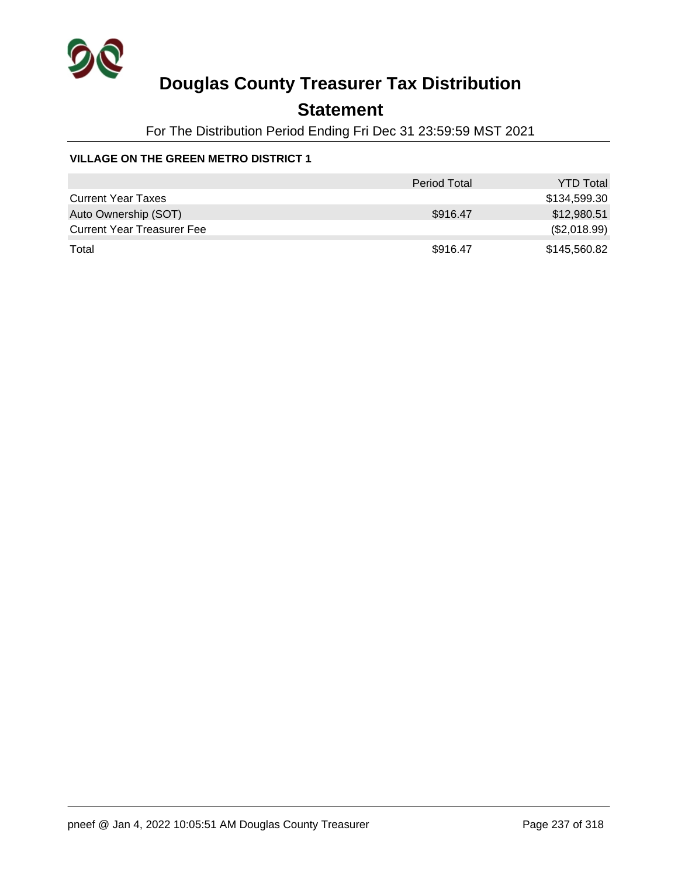

### **Statement**

For The Distribution Period Ending Fri Dec 31 23:59:59 MST 2021

### **VILLAGE ON THE GREEN METRO DISTRICT 1**

|                                   | <b>Period Total</b> | <b>YTD Total</b> |
|-----------------------------------|---------------------|------------------|
| <b>Current Year Taxes</b>         |                     | \$134,599.30     |
| Auto Ownership (SOT)              | \$916.47            | \$12,980.51      |
| <b>Current Year Treasurer Fee</b> |                     | (\$2,018.99)     |
| Total                             | \$916.47            | \$145,560.82     |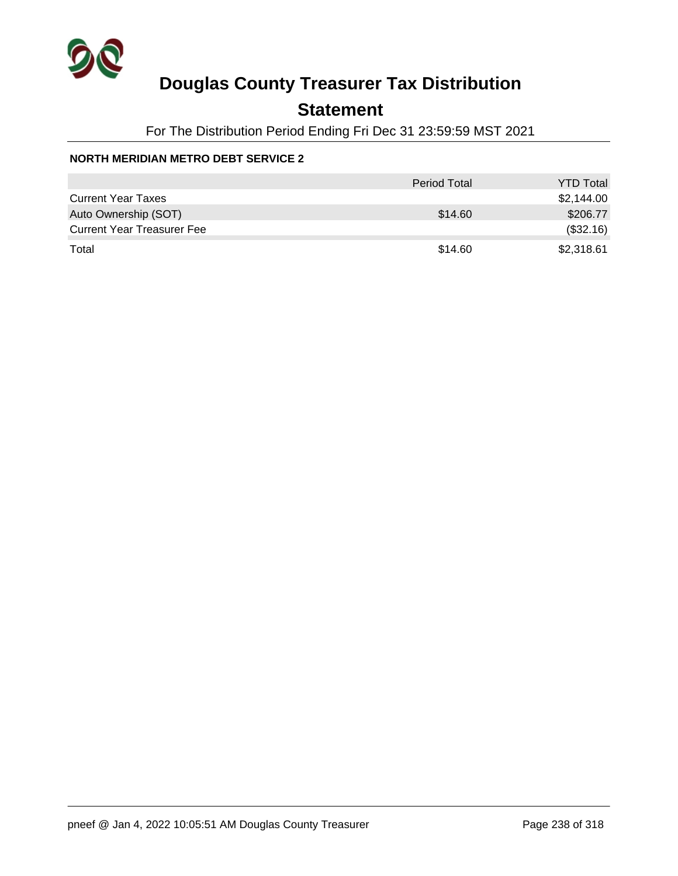

## **Statement**

For The Distribution Period Ending Fri Dec 31 23:59:59 MST 2021

### **NORTH MERIDIAN METRO DEBT SERVICE 2**

|                                   | <b>Period Total</b> | <b>YTD Total</b> |
|-----------------------------------|---------------------|------------------|
| <b>Current Year Taxes</b>         |                     | \$2,144.00       |
| Auto Ownership (SOT)              | \$14.60             | \$206.77         |
| <b>Current Year Treasurer Fee</b> |                     | (\$32.16)        |
| Total                             | \$14.60             | \$2,318.61       |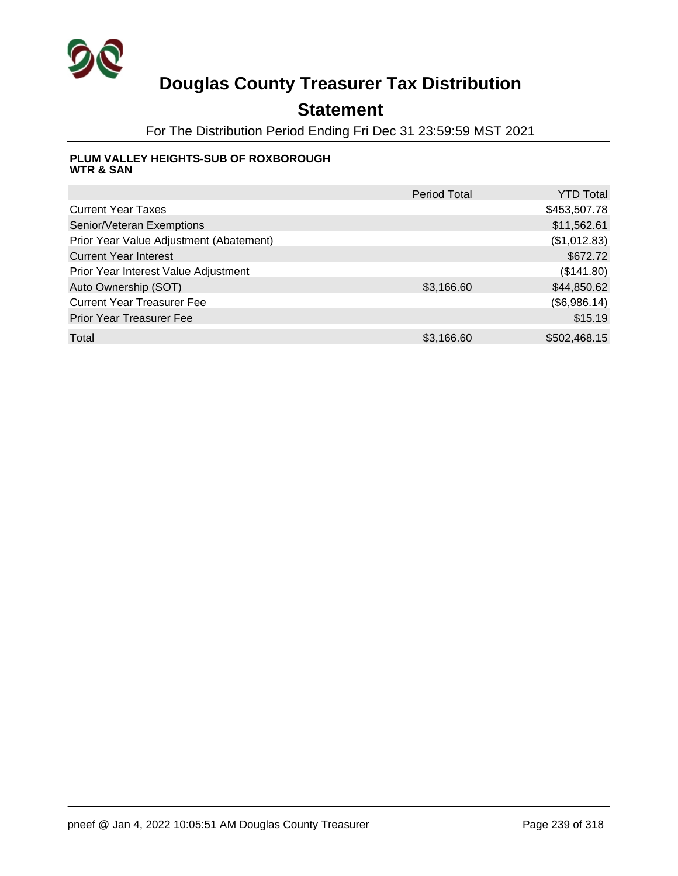

## **Statement**

For The Distribution Period Ending Fri Dec 31 23:59:59 MST 2021

#### **PLUM VALLEY HEIGHTS-SUB OF ROXBOROUGH WTR & SAN**

|                                         | <b>Period Total</b> | YTD Total    |
|-----------------------------------------|---------------------|--------------|
| <b>Current Year Taxes</b>               |                     | \$453,507.78 |
| Senior/Veteran Exemptions               |                     | \$11,562.61  |
| Prior Year Value Adjustment (Abatement) |                     | (\$1,012.83) |
| <b>Current Year Interest</b>            |                     | \$672.72     |
| Prior Year Interest Value Adjustment    |                     | (\$141.80)   |
| Auto Ownership (SOT)                    | \$3,166.60          | \$44,850.62  |
| <b>Current Year Treasurer Fee</b>       |                     | (\$6,986.14) |
| <b>Prior Year Treasurer Fee</b>         |                     | \$15.19      |
| Total                                   | \$3,166.60          | \$502,468.15 |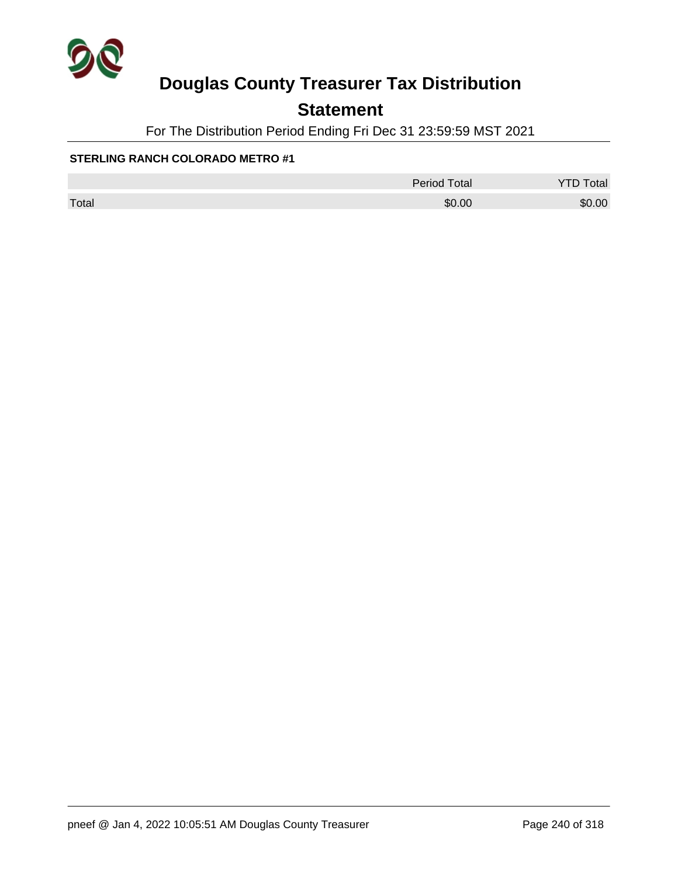

## **Statement**

For The Distribution Period Ending Fri Dec 31 23:59:59 MST 2021

|       | <b>Period Total</b> | otal   |
|-------|---------------------|--------|
| Total | \$0.00              | \$0.00 |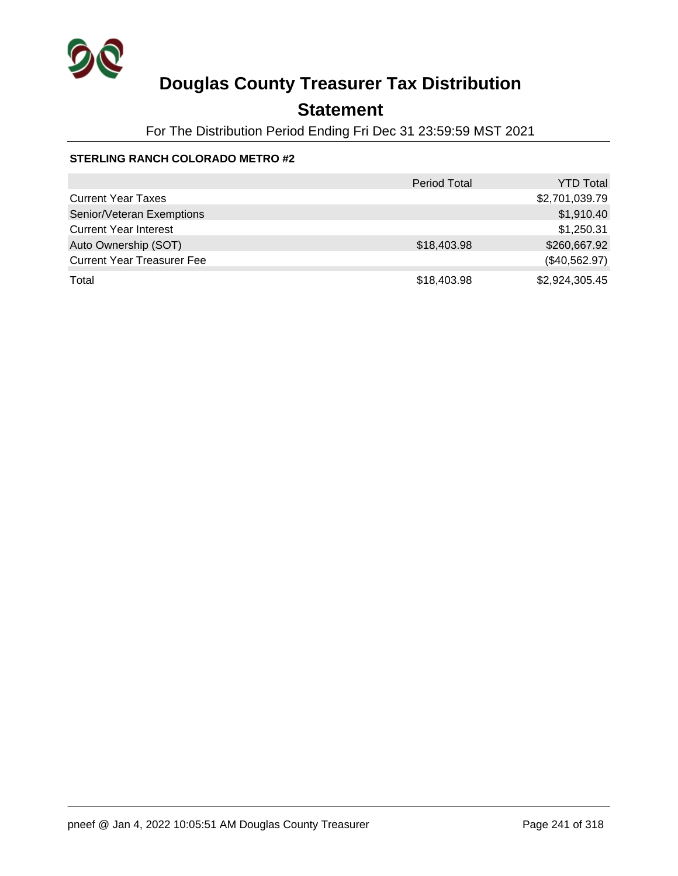

## **Statement**

For The Distribution Period Ending Fri Dec 31 23:59:59 MST 2021

|                                   | <b>Period Total</b> | <b>YTD Total</b> |
|-----------------------------------|---------------------|------------------|
| <b>Current Year Taxes</b>         |                     | \$2,701,039.79   |
| Senior/Veteran Exemptions         |                     | \$1,910.40       |
| <b>Current Year Interest</b>      |                     | \$1,250.31       |
| Auto Ownership (SOT)              | \$18,403.98         | \$260,667.92     |
| <b>Current Year Treasurer Fee</b> |                     | (\$40,562.97)    |
| Total                             | \$18,403.98         | \$2,924,305.45   |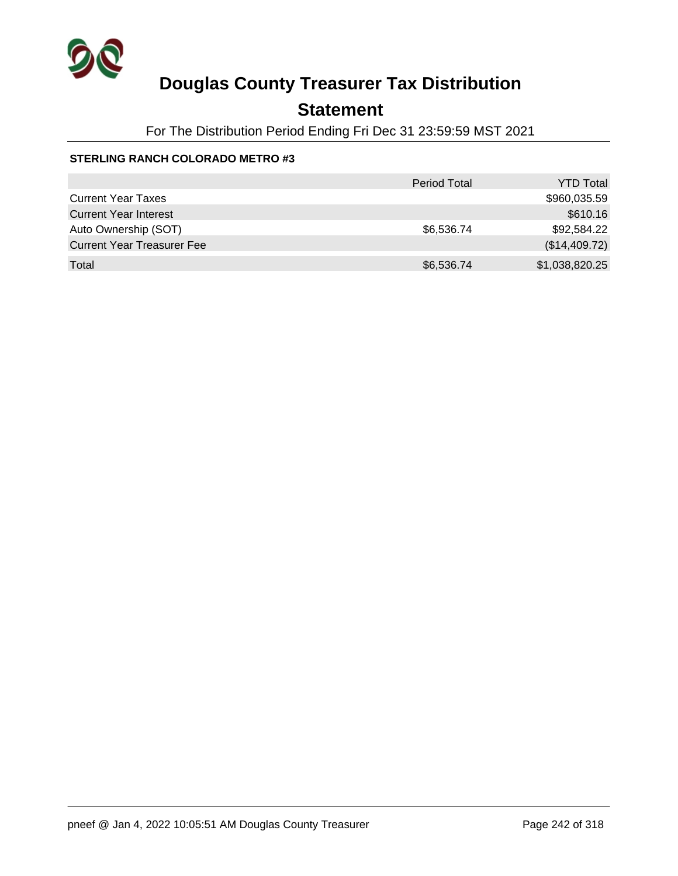

## **Statement**

For The Distribution Period Ending Fri Dec 31 23:59:59 MST 2021

|                                   | <b>Period Total</b> | <b>YTD Total</b> |
|-----------------------------------|---------------------|------------------|
| <b>Current Year Taxes</b>         |                     | \$960,035.59     |
| <b>Current Year Interest</b>      |                     | \$610.16         |
| Auto Ownership (SOT)              | \$6,536.74          | \$92,584.22      |
| <b>Current Year Treasurer Fee</b> |                     | (\$14,409.72)    |
| Total                             | \$6,536.74          | \$1,038,820.25   |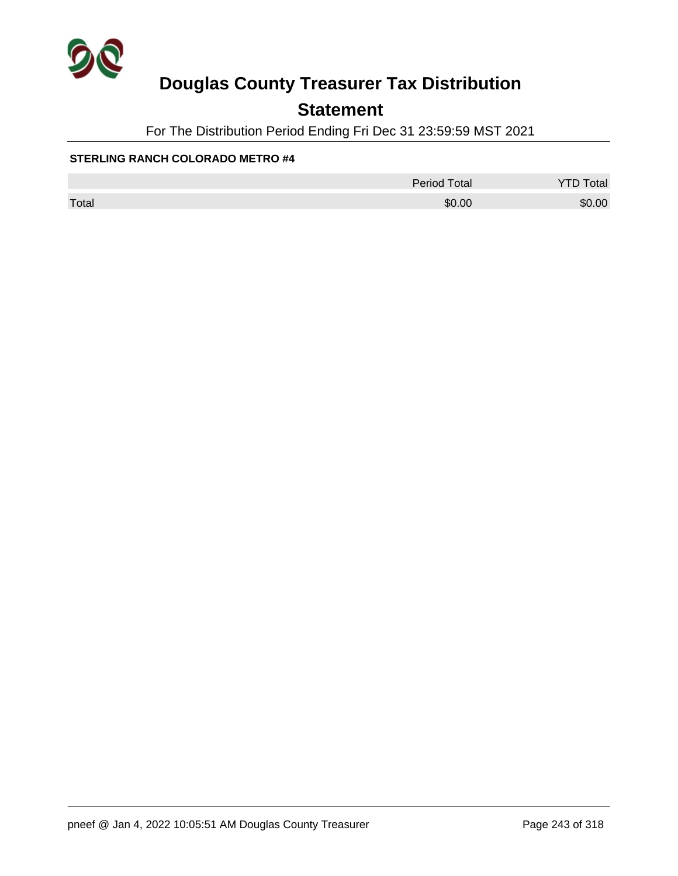

## **Statement**

For The Distribution Period Ending Fri Dec 31 23:59:59 MST 2021

|       | <b>Period Total</b> | <b>YTD Total</b> |
|-------|---------------------|------------------|
| Total | \$0.00              | \$0.00           |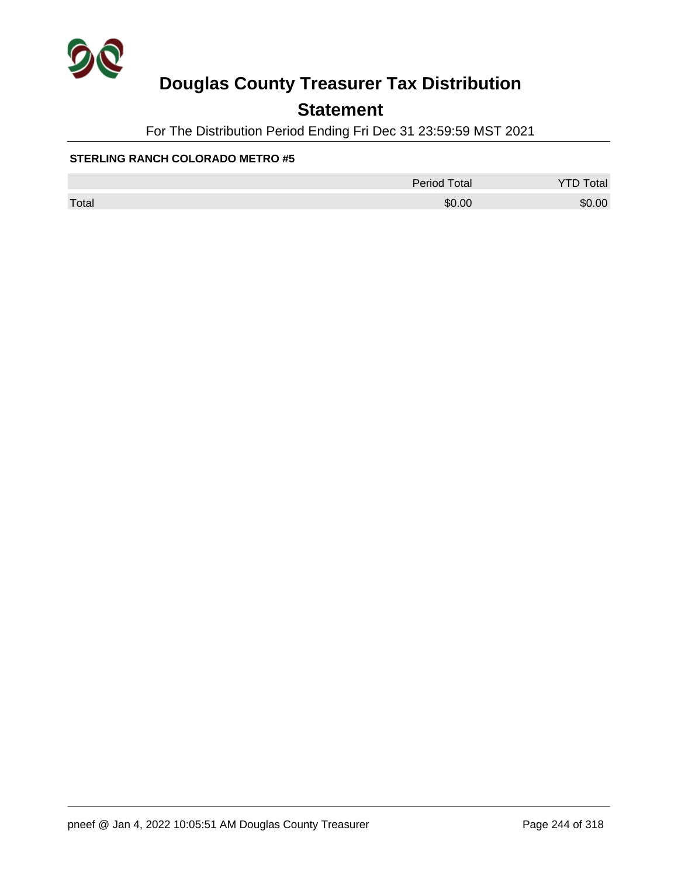

## **Statement**

For The Distribution Period Ending Fri Dec 31 23:59:59 MST 2021

|       | <b>Period Total</b> | otal   |
|-------|---------------------|--------|
| Total | \$0.00              | \$0.00 |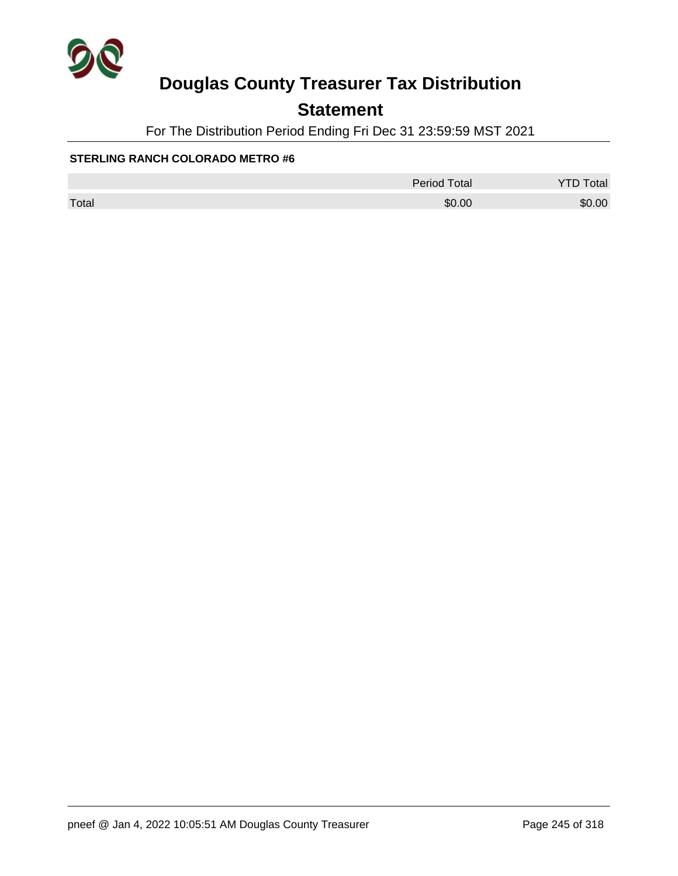

## **Statement**

For The Distribution Period Ending Fri Dec 31 23:59:59 MST 2021

|       | <b>Period Total</b> | otal   |
|-------|---------------------|--------|
| Total | \$0.00              | \$0.00 |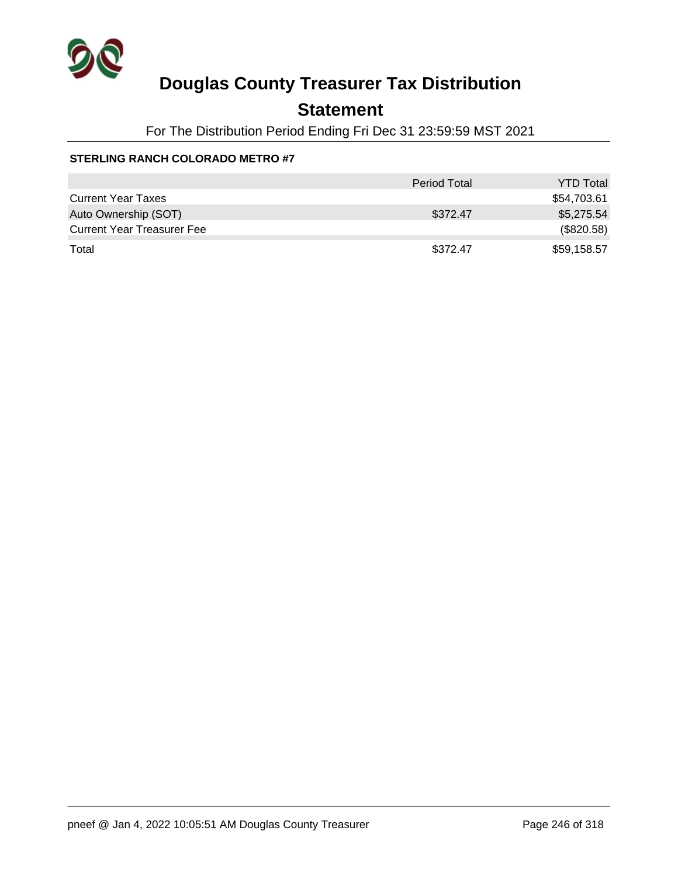

### **Statement**

For The Distribution Period Ending Fri Dec 31 23:59:59 MST 2021

|                                   | Period Total | <b>YTD Total</b> |
|-----------------------------------|--------------|------------------|
| <b>Current Year Taxes</b>         |              | \$54,703.61      |
| Auto Ownership (SOT)              | \$372.47     | \$5,275.54       |
| <b>Current Year Treasurer Fee</b> |              | (\$820.58)       |
| Total                             | \$372.47     | \$59,158.57      |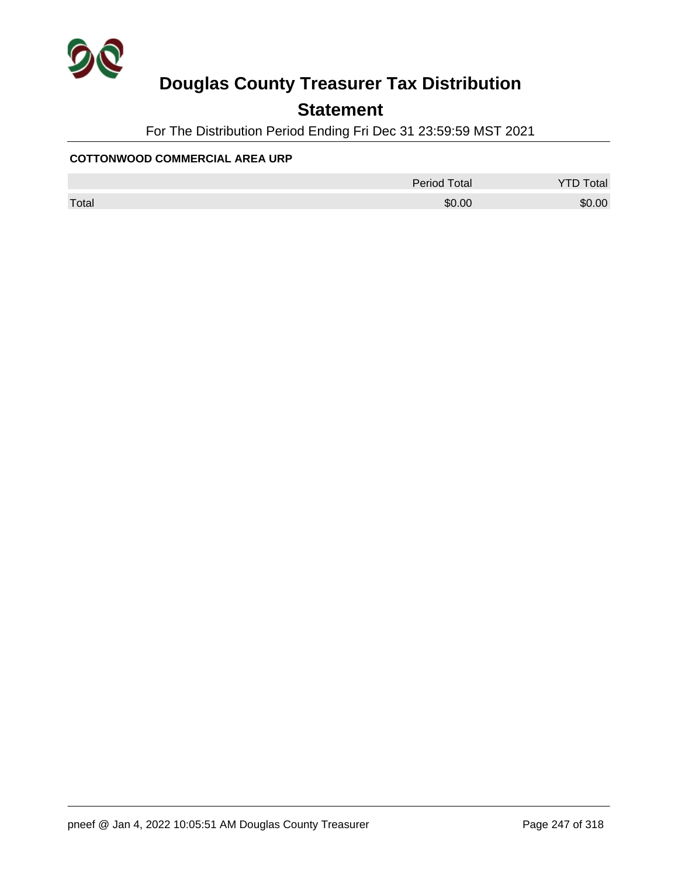

## **Statement**

For The Distribution Period Ending Fri Dec 31 23:59:59 MST 2021

#### **COTTONWOOD COMMERCIAL AREA URP**

|       | Period Total | otal<br>◡ |
|-------|--------------|-----------|
| Total | \$0.00       | \$0.00    |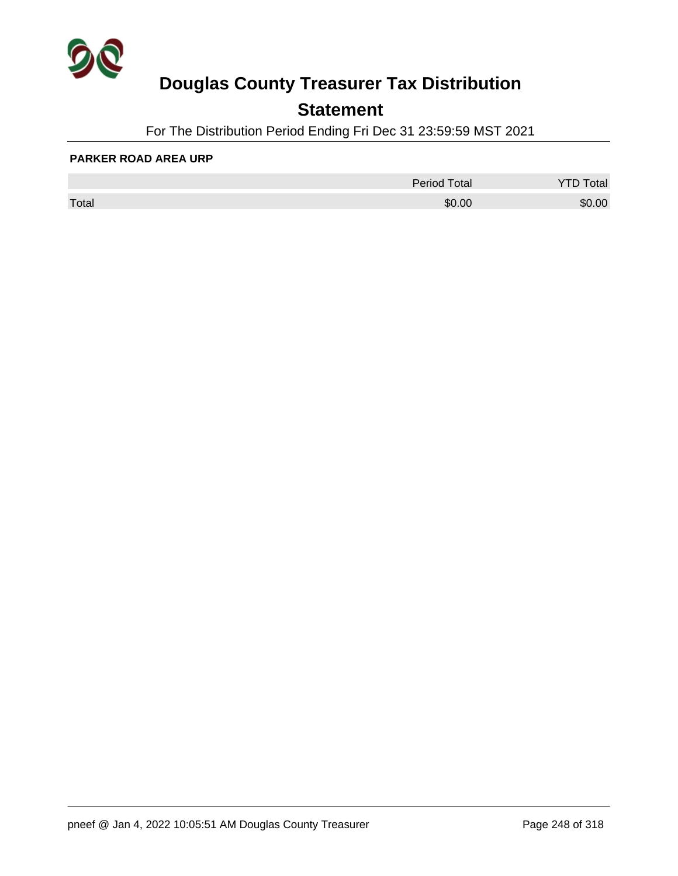

## **Statement**

For The Distribution Period Ending Fri Dec 31 23:59:59 MST 2021

#### **PARKER ROAD AREA URP**

|       | <b>Period Total</b> | otal   |
|-------|---------------------|--------|
| Total | \$0.00              | \$0.00 |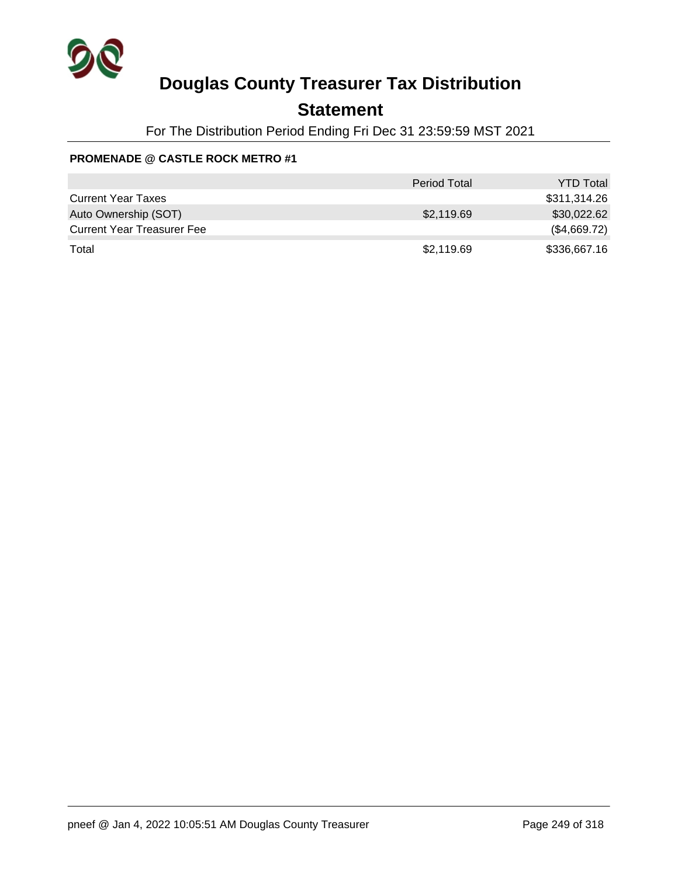

### **Statement**

For The Distribution Period Ending Fri Dec 31 23:59:59 MST 2021

### **PROMENADE @ CASTLE ROCK METRO #1**

|                                   | <b>Period Total</b> | <b>YTD Total</b> |
|-----------------------------------|---------------------|------------------|
| <b>Current Year Taxes</b>         |                     | \$311,314.26     |
| Auto Ownership (SOT)              | \$2,119.69          | \$30,022.62      |
| <b>Current Year Treasurer Fee</b> |                     | (\$4,669.72)     |
| Total                             | \$2,119.69          | \$336,667.16     |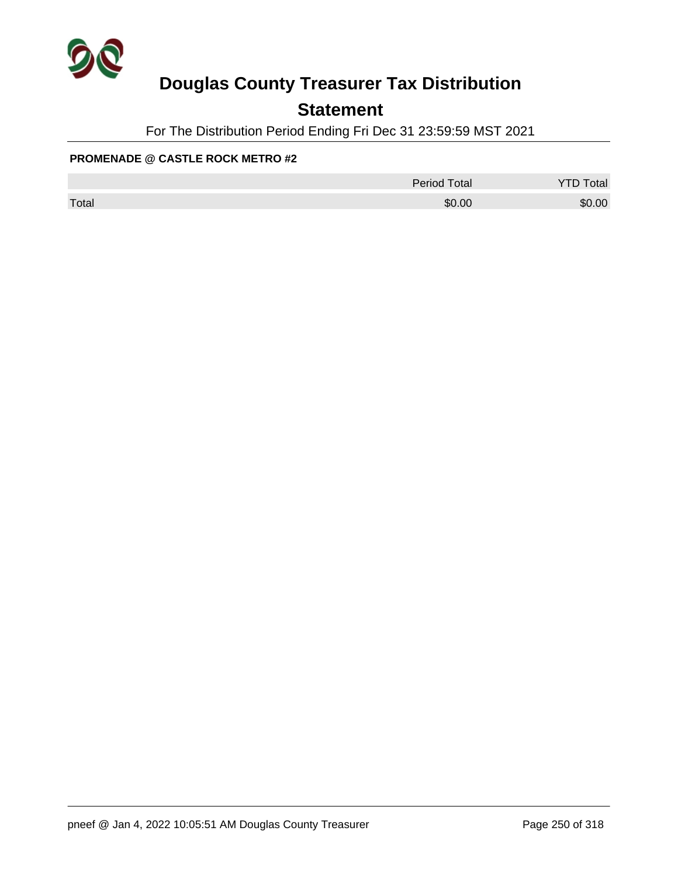

### **Statement**

For The Distribution Period Ending Fri Dec 31 23:59:59 MST 2021

### **PROMENADE @ CASTLE ROCK METRO #2**

|       | <b>Period Total</b> | <b>YTD Total</b> |
|-------|---------------------|------------------|
| Total | \$0.00              | \$0.00           |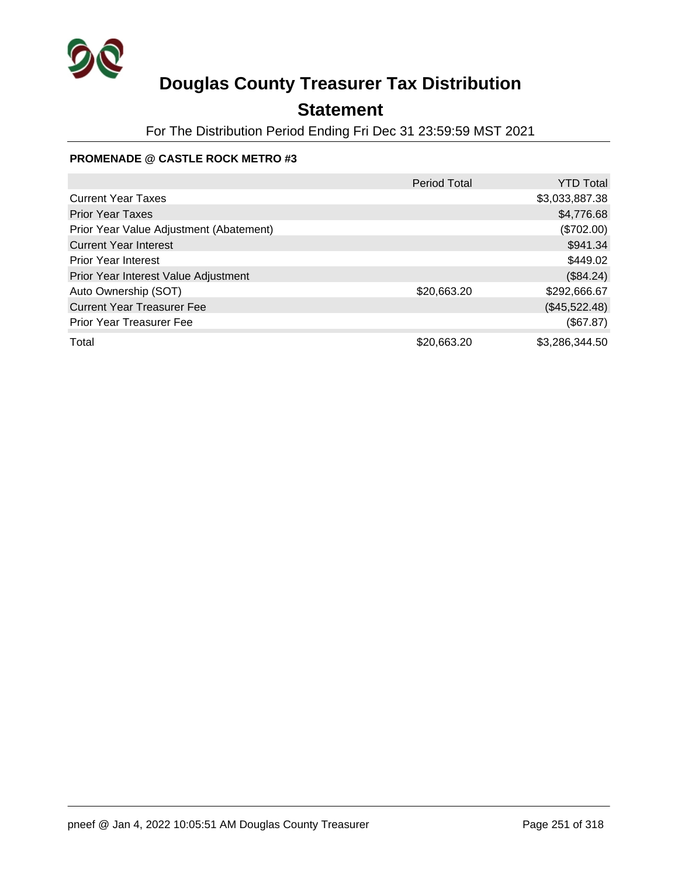

## **Statement**

For The Distribution Period Ending Fri Dec 31 23:59:59 MST 2021

### **PROMENADE @ CASTLE ROCK METRO #3**

|                                         | <b>Period Total</b> | <b>YTD Total</b> |
|-----------------------------------------|---------------------|------------------|
| <b>Current Year Taxes</b>               |                     | \$3,033,887.38   |
| <b>Prior Year Taxes</b>                 |                     | \$4,776.68       |
| Prior Year Value Adjustment (Abatement) |                     | (\$702.00)       |
| <b>Current Year Interest</b>            |                     | \$941.34         |
| <b>Prior Year Interest</b>              |                     | \$449.02         |
| Prior Year Interest Value Adjustment    |                     | (\$84.24)        |
| Auto Ownership (SOT)                    | \$20,663.20         | \$292,666.67     |
| <b>Current Year Treasurer Fee</b>       |                     | (\$45,522.48)    |
| <b>Prior Year Treasurer Fee</b>         |                     | (\$67.87)        |
| Total                                   | \$20,663.20         | \$3,286,344.50   |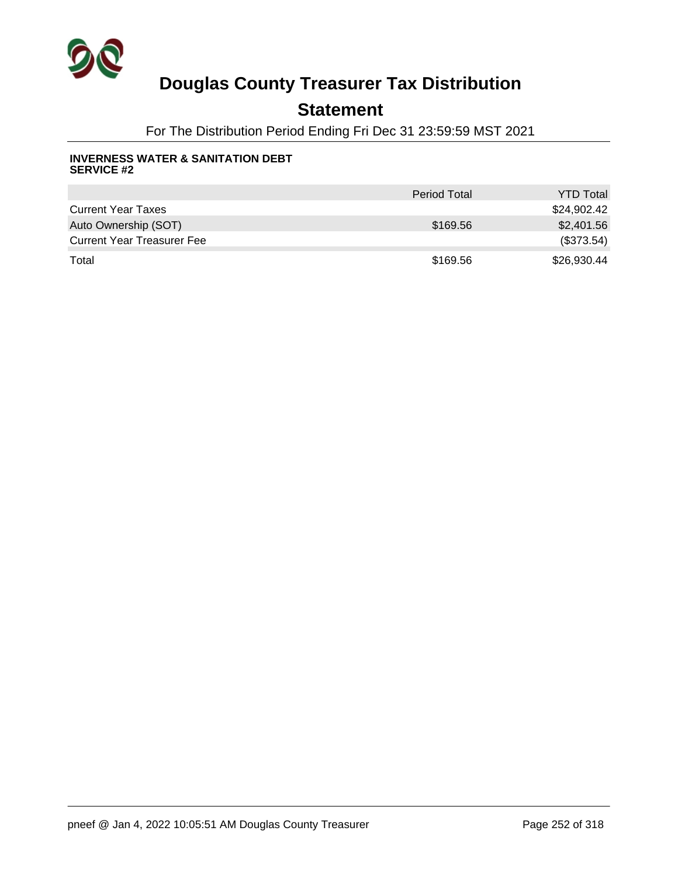

### **Statement**

For The Distribution Period Ending Fri Dec 31 23:59:59 MST 2021

#### **INVERNESS WATER & SANITATION DEBT SERVICE #2**

|                                   | <b>Period Total</b> | <b>YTD Total</b> |
|-----------------------------------|---------------------|------------------|
| <b>Current Year Taxes</b>         |                     | \$24,902.42      |
| Auto Ownership (SOT)              | \$169.56            | \$2,401.56       |
| <b>Current Year Treasurer Fee</b> |                     | (\$373.54)       |
| Total                             | \$169.56            | \$26,930.44      |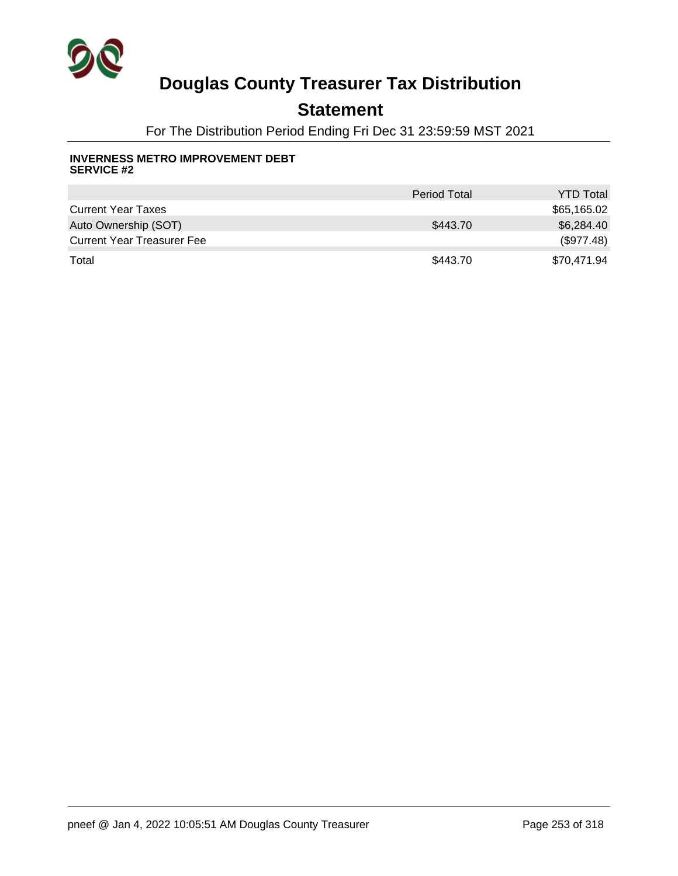

### **Statement**

For The Distribution Period Ending Fri Dec 31 23:59:59 MST 2021

#### **INVERNESS METRO IMPROVEMENT DEBT SERVICE #2**

|                                   | <b>Period Total</b> | <b>YTD Total</b> |
|-----------------------------------|---------------------|------------------|
| <b>Current Year Taxes</b>         |                     | \$65,165.02      |
| Auto Ownership (SOT)              | \$443.70            | \$6,284.40       |
| <b>Current Year Treasurer Fee</b> |                     | (\$977.48)       |
| Total                             | \$443.70            | \$70,471.94      |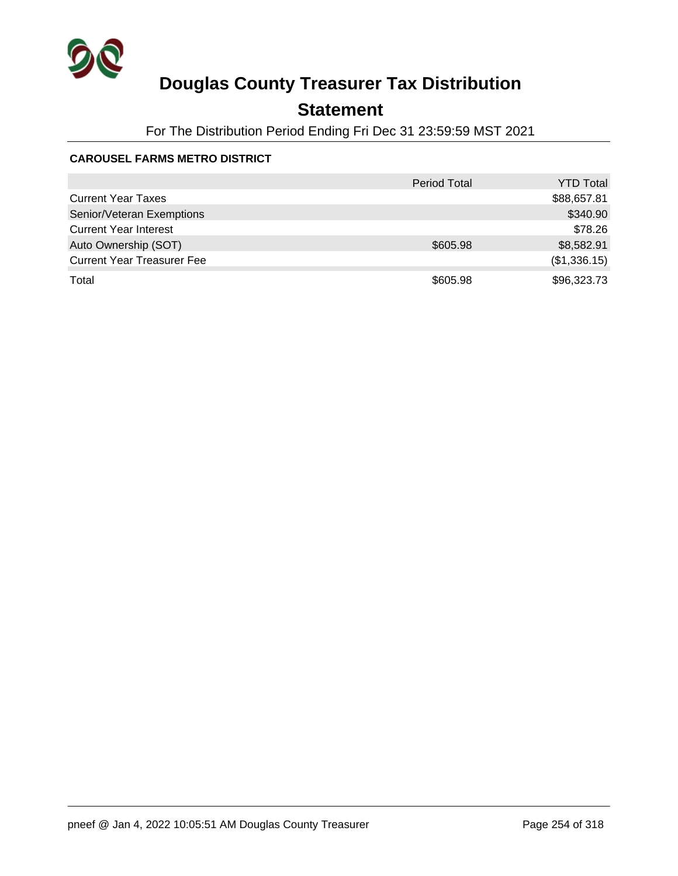

## **Statement**

For The Distribution Period Ending Fri Dec 31 23:59:59 MST 2021

### **CAROUSEL FARMS METRO DISTRICT**

|                                   | <b>Period Total</b> | <b>YTD Total</b> |
|-----------------------------------|---------------------|------------------|
| <b>Current Year Taxes</b>         |                     | \$88,657.81      |
| Senior/Veteran Exemptions         |                     | \$340.90         |
| <b>Current Year Interest</b>      |                     | \$78.26          |
| Auto Ownership (SOT)              | \$605.98            | \$8,582.91       |
| <b>Current Year Treasurer Fee</b> |                     | (\$1,336.15)     |
| Total                             | \$605.98            | \$96,323.73      |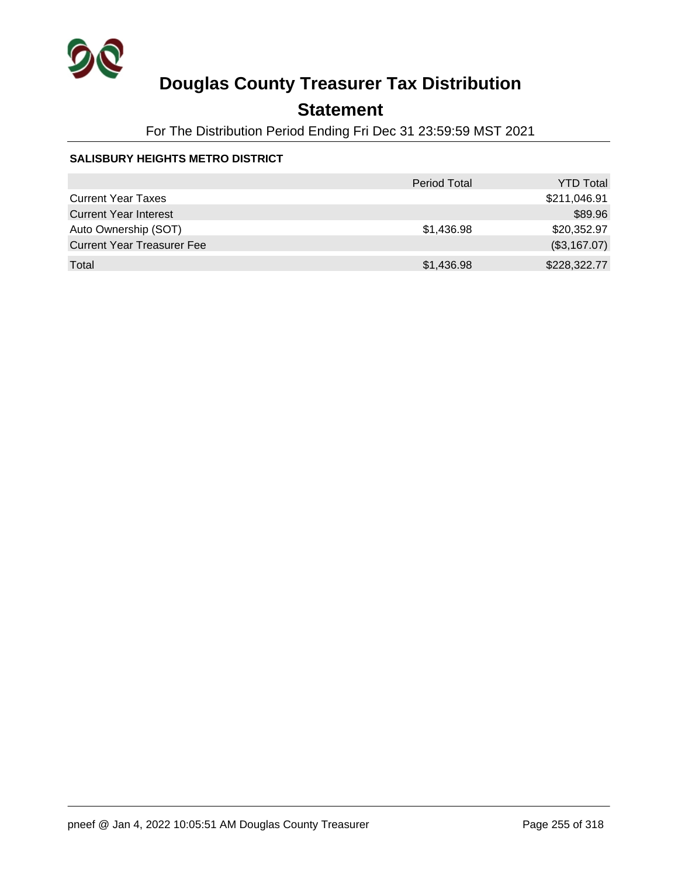

## **Statement**

For The Distribution Period Ending Fri Dec 31 23:59:59 MST 2021

### **SALISBURY HEIGHTS METRO DISTRICT**

|                                   | <b>Period Total</b> | <b>YTD Total</b> |
|-----------------------------------|---------------------|------------------|
| <b>Current Year Taxes</b>         |                     | \$211,046.91     |
| <b>Current Year Interest</b>      |                     | \$89.96          |
| Auto Ownership (SOT)              | \$1,436.98          | \$20,352.97      |
| <b>Current Year Treasurer Fee</b> |                     | (\$3,167.07)     |
| Total                             | \$1,436.98          | \$228,322.77     |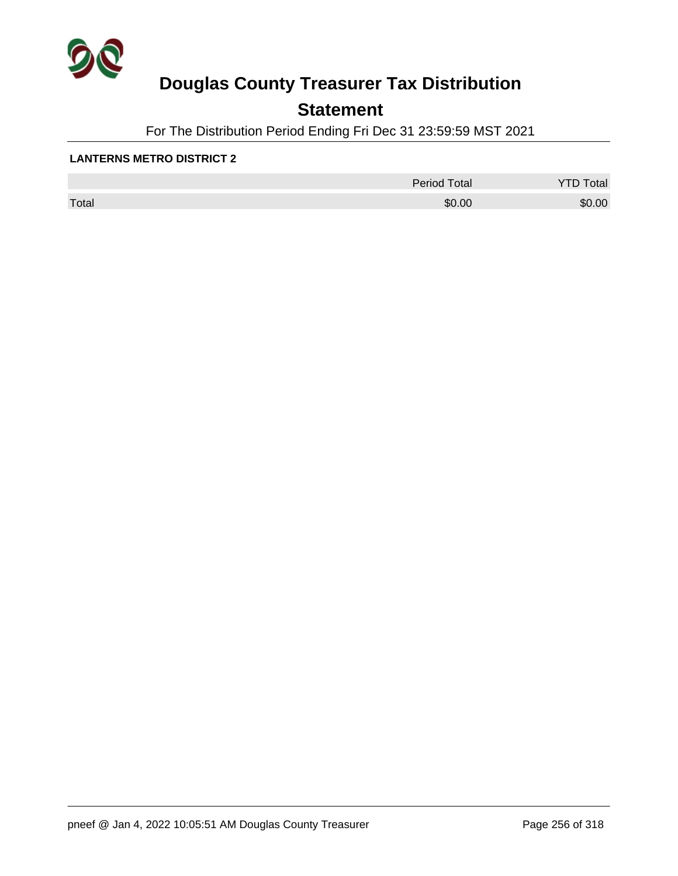

## **Statement**

For The Distribution Period Ending Fri Dec 31 23:59:59 MST 2021

#### **LANTERNS METRO DISTRICT 2**

|       | <b>Period Total</b> | otal<br>້ |
|-------|---------------------|-----------|
| Total | \$0.00              | \$0.00    |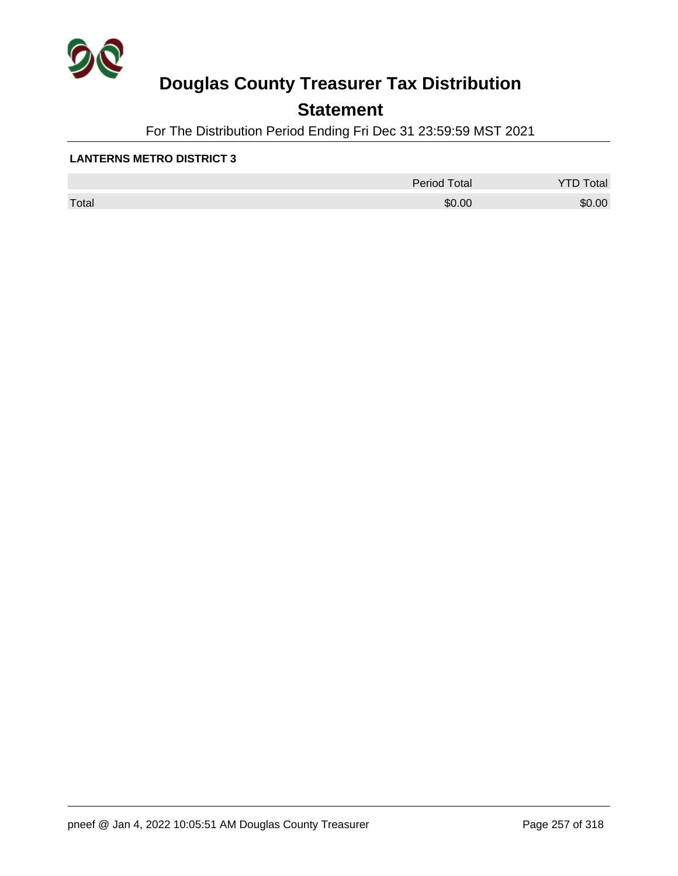

## **Statement**

For The Distribution Period Ending Fri Dec 31 23:59:59 MST 2021

#### **LANTERNS METRO DISTRICT 3**

|       | <b>Period Total</b> | otal<br>້ |
|-------|---------------------|-----------|
| Total | \$0.00              | \$0.00    |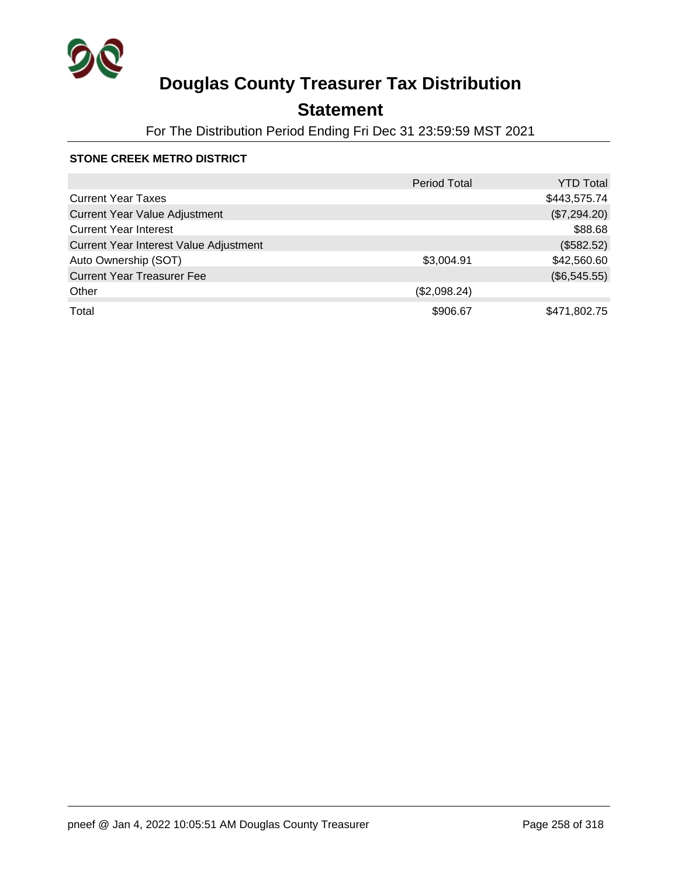

## **Statement**

For The Distribution Period Ending Fri Dec 31 23:59:59 MST 2021

### **STONE CREEK METRO DISTRICT**

|                                        | <b>Period Total</b> | YTD Total    |
|----------------------------------------|---------------------|--------------|
| <b>Current Year Taxes</b>              |                     | \$443,575.74 |
| <b>Current Year Value Adjustment</b>   |                     | (\$7,294.20) |
| <b>Current Year Interest</b>           |                     | \$88.68      |
| Current Year Interest Value Adjustment |                     | (\$582.52)   |
| Auto Ownership (SOT)                   | \$3,004.91          | \$42,560.60  |
| <b>Current Year Treasurer Fee</b>      |                     | (\$6,545.55) |
| Other                                  | (\$2,098.24)        |              |
| Total                                  | \$906.67            | \$471,802.75 |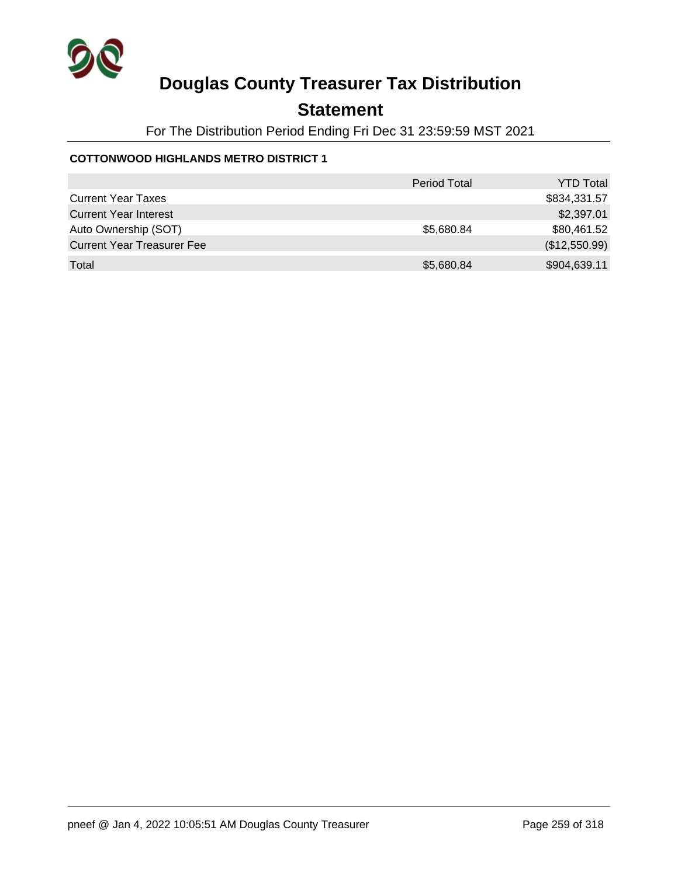

### **Statement**

For The Distribution Period Ending Fri Dec 31 23:59:59 MST 2021

### **COTTONWOOD HIGHLANDS METRO DISTRICT 1**

|                                   | <b>Period Total</b> | <b>YTD Total</b> |
|-----------------------------------|---------------------|------------------|
| <b>Current Year Taxes</b>         |                     | \$834,331.57     |
| <b>Current Year Interest</b>      |                     | \$2,397.01       |
| Auto Ownership (SOT)              | \$5,680.84          | \$80,461.52      |
| <b>Current Year Treasurer Fee</b> |                     | (\$12,550.99)    |
| Total                             | \$5,680.84          | \$904,639.11     |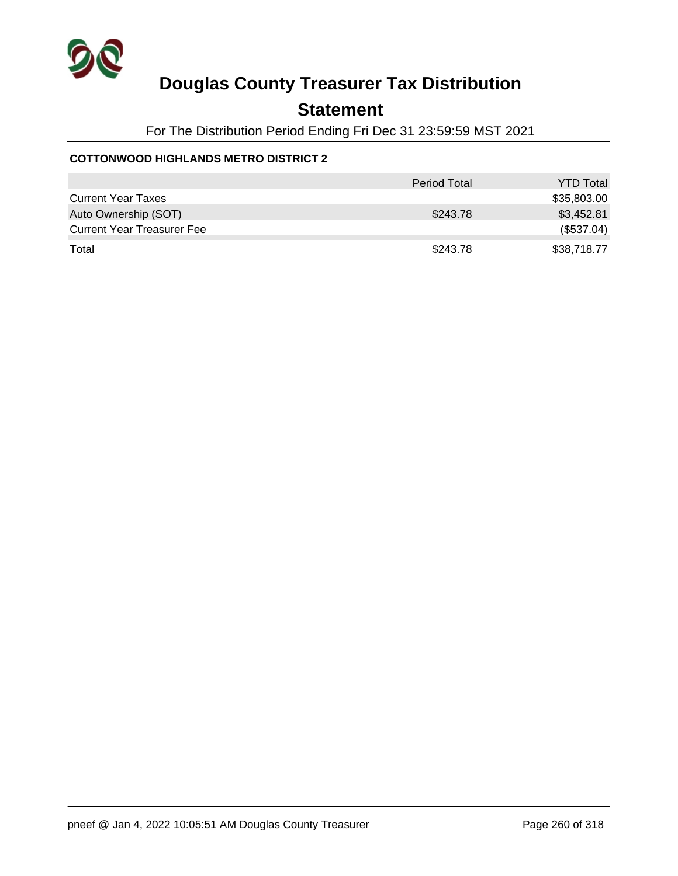

### **Statement**

For The Distribution Period Ending Fri Dec 31 23:59:59 MST 2021

### **COTTONWOOD HIGHLANDS METRO DISTRICT 2**

|                                   | <b>Period Total</b> | <b>YTD Total</b> |
|-----------------------------------|---------------------|------------------|
| <b>Current Year Taxes</b>         |                     | \$35,803.00      |
| Auto Ownership (SOT)              | \$243.78            | \$3,452.81       |
| <b>Current Year Treasurer Fee</b> |                     | (\$537.04)       |
| Total                             | \$243.78            | \$38,718.77      |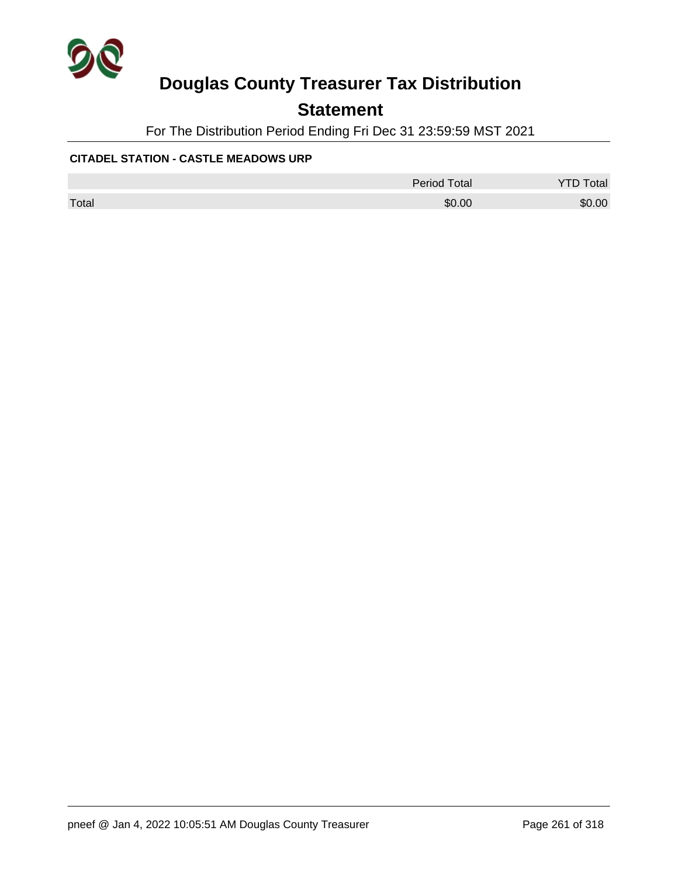

## **Statement**

For The Distribution Period Ending Fri Dec 31 23:59:59 MST 2021

#### **CITADEL STATION - CASTLE MEADOWS URP**

|       | <b>Period Total</b> | otal   |
|-------|---------------------|--------|
| Total | \$0.00              | \$0.00 |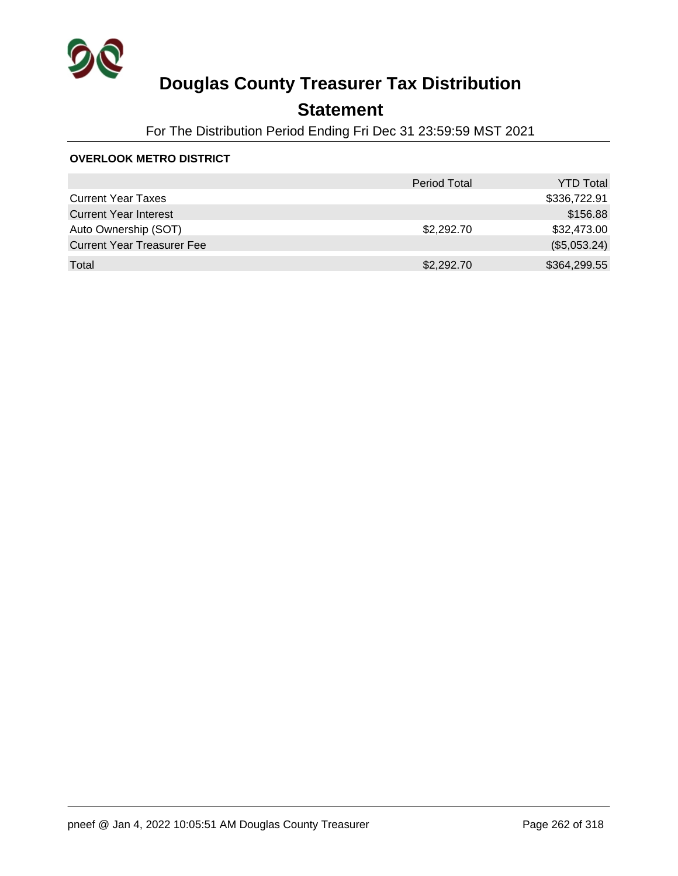

## **Statement**

For The Distribution Period Ending Fri Dec 31 23:59:59 MST 2021

#### **OVERLOOK METRO DISTRICT**

|                                   | <b>Period Total</b> | <b>YTD Total</b> |
|-----------------------------------|---------------------|------------------|
| <b>Current Year Taxes</b>         |                     | \$336,722.91     |
| <b>Current Year Interest</b>      |                     | \$156.88         |
| Auto Ownership (SOT)              | \$2,292.70          | \$32,473.00      |
| <b>Current Year Treasurer Fee</b> |                     | (\$5,053.24)     |
| Total                             | \$2,292.70          | \$364,299.55     |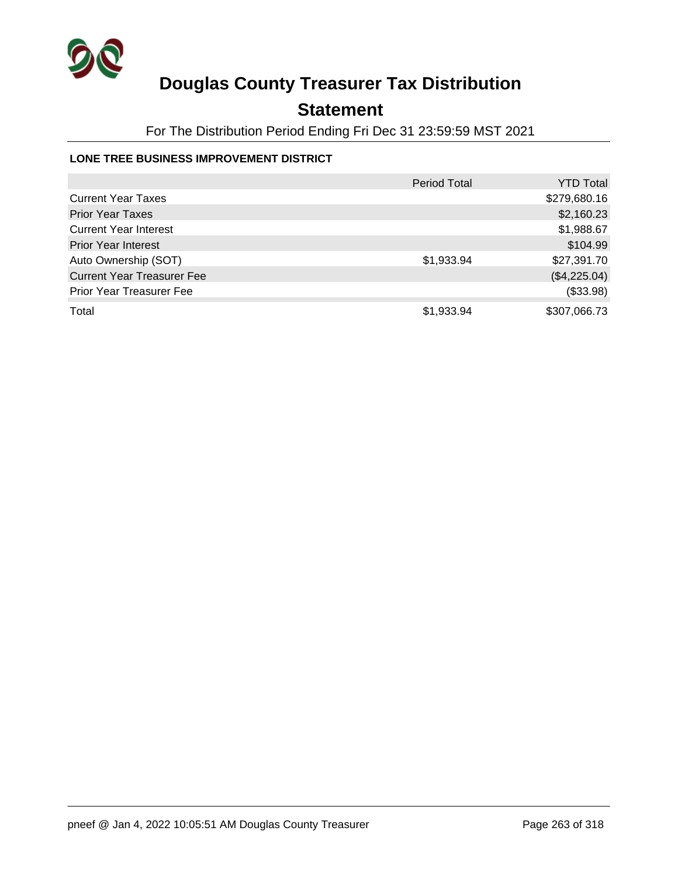

## **Statement**

For The Distribution Period Ending Fri Dec 31 23:59:59 MST 2021

### **LONE TREE BUSINESS IMPROVEMENT DISTRICT**

|                                   | <b>Period Total</b> | <b>YTD Total</b> |
|-----------------------------------|---------------------|------------------|
| <b>Current Year Taxes</b>         |                     | \$279,680.16     |
| <b>Prior Year Taxes</b>           |                     | \$2,160.23       |
| <b>Current Year Interest</b>      |                     | \$1,988.67       |
| <b>Prior Year Interest</b>        |                     | \$104.99         |
| Auto Ownership (SOT)              | \$1,933.94          | \$27,391.70      |
| <b>Current Year Treasurer Fee</b> |                     | (\$4,225.04)     |
| <b>Prior Year Treasurer Fee</b>   |                     | (\$33.98)        |
| Total                             | \$1,933.94          | \$307,066.73     |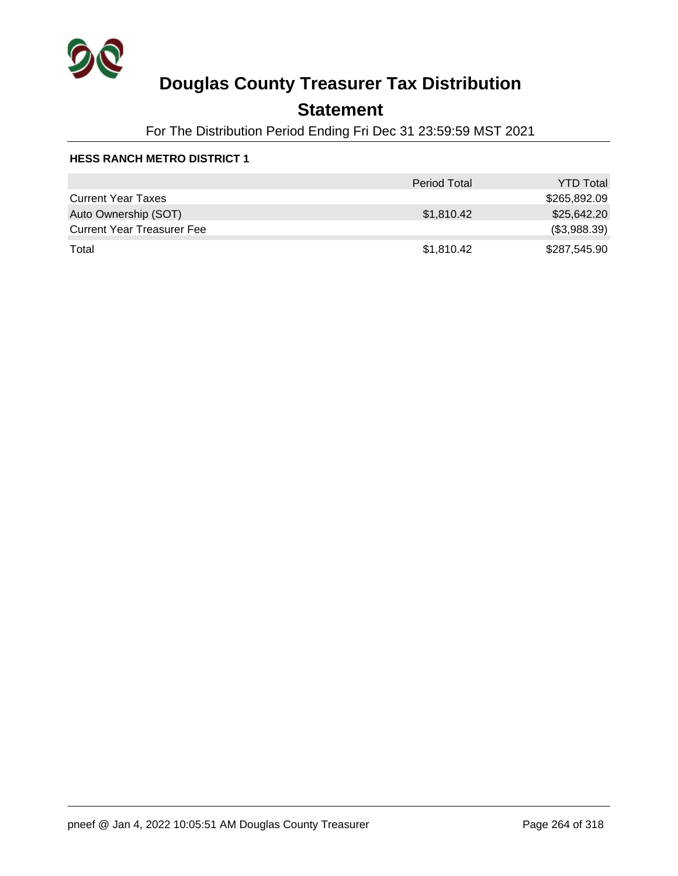

## **Statement**

For The Distribution Period Ending Fri Dec 31 23:59:59 MST 2021

|                                   | <b>Period Total</b> | <b>YTD Total</b> |
|-----------------------------------|---------------------|------------------|
| <b>Current Year Taxes</b>         |                     | \$265,892.09     |
| Auto Ownership (SOT)              | \$1,810.42          | \$25,642,20      |
| <b>Current Year Treasurer Fee</b> |                     | (\$3,988.39)     |
| Total                             | \$1,810.42          | \$287,545.90     |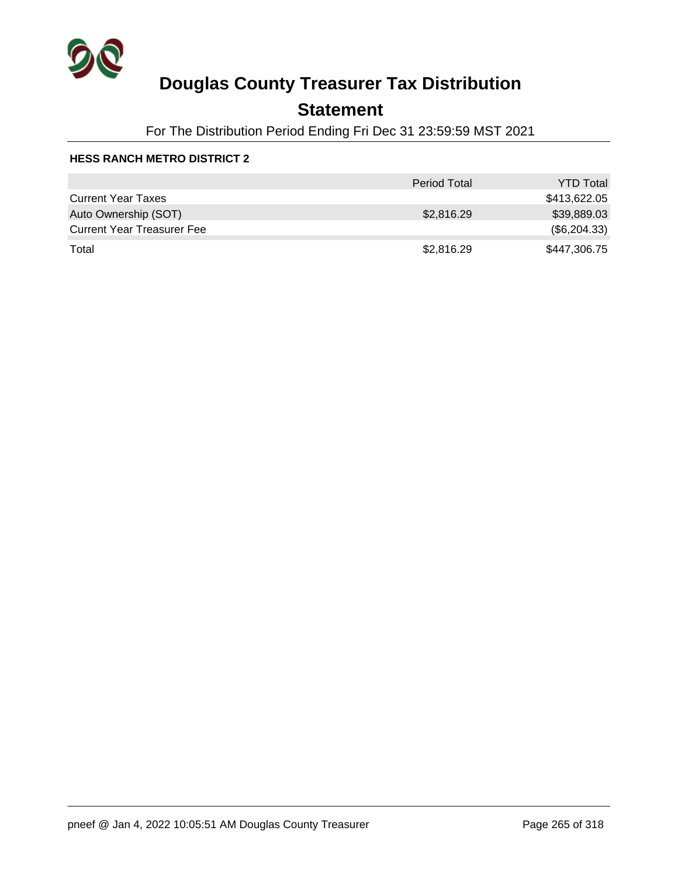

## **Statement**

For The Distribution Period Ending Fri Dec 31 23:59:59 MST 2021

|                                   | <b>Period Total</b> | <b>YTD Total</b> |
|-----------------------------------|---------------------|------------------|
| <b>Current Year Taxes</b>         |                     | \$413,622.05     |
| Auto Ownership (SOT)              | \$2,816.29          | \$39,889.03      |
| <b>Current Year Treasurer Fee</b> |                     | (\$6,204.33)     |
| Total                             | \$2,816.29          | \$447,306.75     |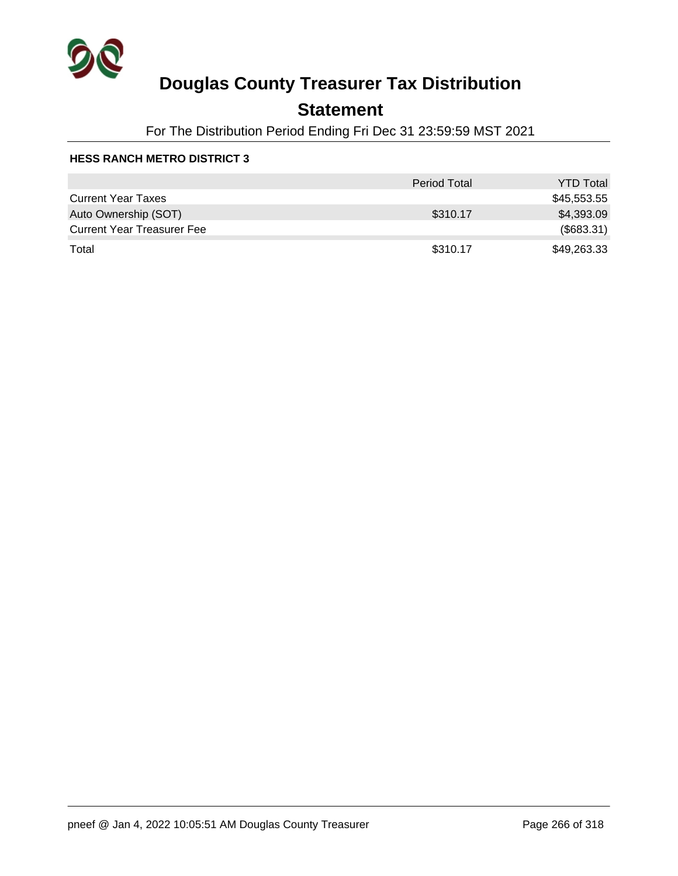

## **Statement**

For The Distribution Period Ending Fri Dec 31 23:59:59 MST 2021

|                                   | <b>Period Total</b> | <b>YTD Total</b> |
|-----------------------------------|---------------------|------------------|
| <b>Current Year Taxes</b>         |                     | \$45,553.55      |
| Auto Ownership (SOT)              | \$310.17            | \$4,393.09       |
| <b>Current Year Treasurer Fee</b> |                     | (\$683.31)       |
| Total                             | \$310.17            | \$49,263.33      |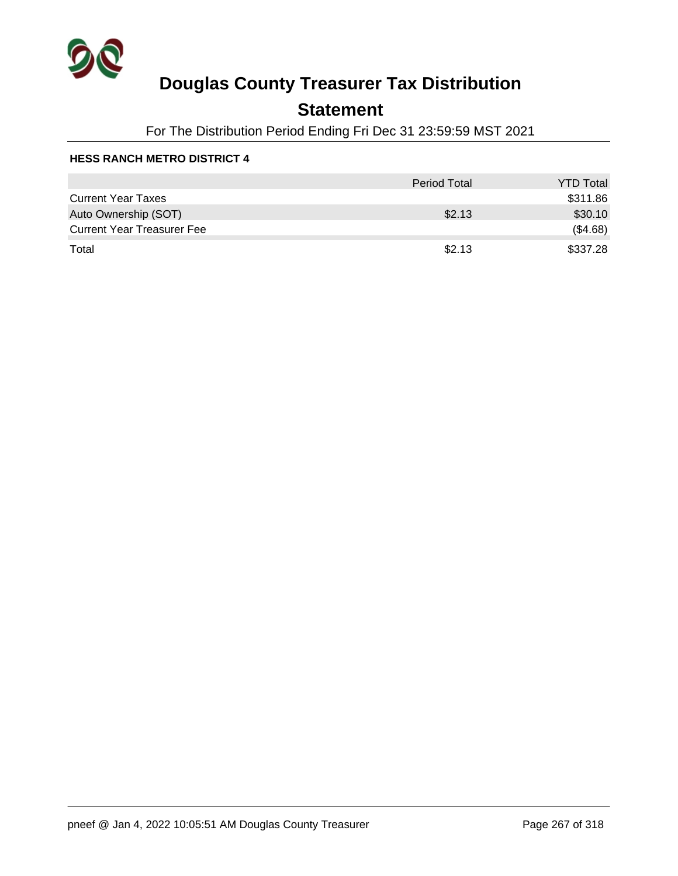

## **Statement**

For The Distribution Period Ending Fri Dec 31 23:59:59 MST 2021

|                                   | <b>Period Total</b> | <b>YTD Total</b> |
|-----------------------------------|---------------------|------------------|
| <b>Current Year Taxes</b>         |                     | \$311.86         |
| Auto Ownership (SOT)              | \$2.13              | \$30.10          |
| <b>Current Year Treasurer Fee</b> |                     | (\$4.68)         |
| Total                             | \$2.13              | \$337.28         |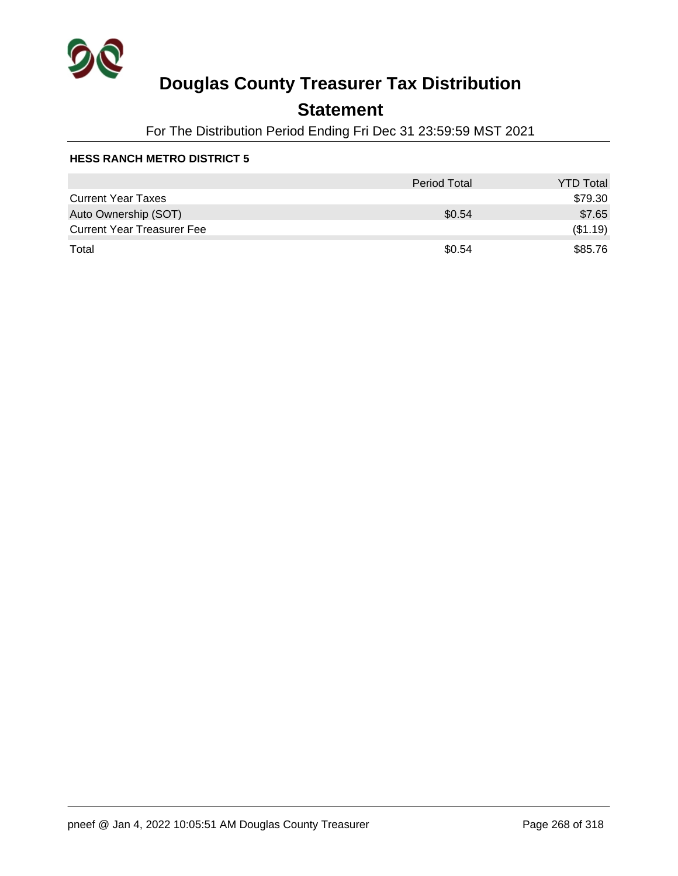

## **Statement**

For The Distribution Period Ending Fri Dec 31 23:59:59 MST 2021

|                                   | <b>Period Total</b> | <b>YTD Total</b> |
|-----------------------------------|---------------------|------------------|
| <b>Current Year Taxes</b>         |                     | \$79.30          |
| Auto Ownership (SOT)              | \$0.54              | \$7.65           |
| <b>Current Year Treasurer Fee</b> |                     | (\$1.19)         |
| Total                             | \$0.54              | \$85.76          |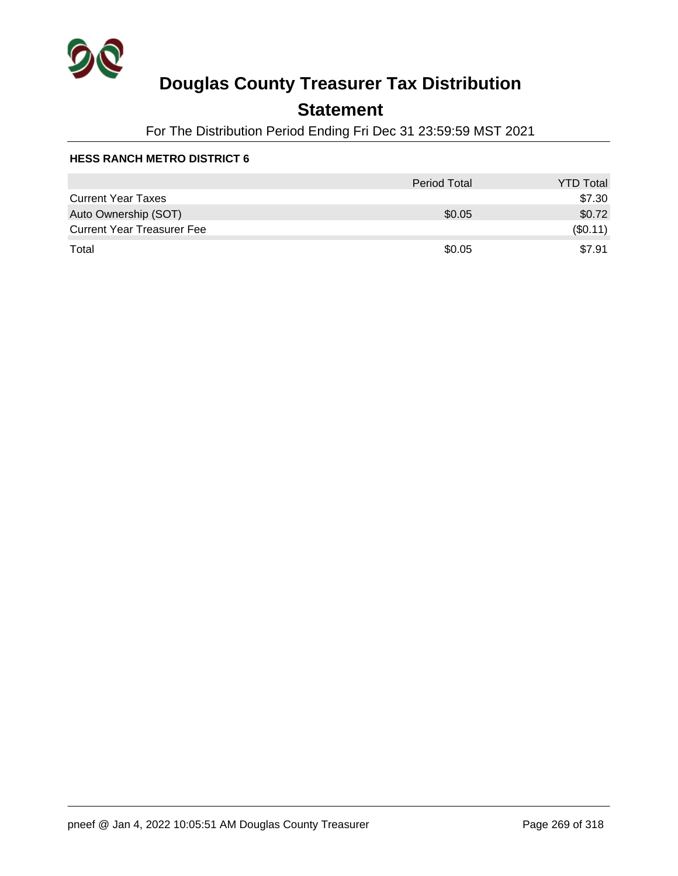

## **Statement**

For The Distribution Period Ending Fri Dec 31 23:59:59 MST 2021

|                                   | <b>Period Total</b> | <b>YTD Total</b> |
|-----------------------------------|---------------------|------------------|
| <b>Current Year Taxes</b>         |                     | \$7.30           |
| Auto Ownership (SOT)              | \$0.05              | \$0.72           |
| <b>Current Year Treasurer Fee</b> |                     | $(\$0.11)$       |
| Total                             | \$0.05              | \$7.91           |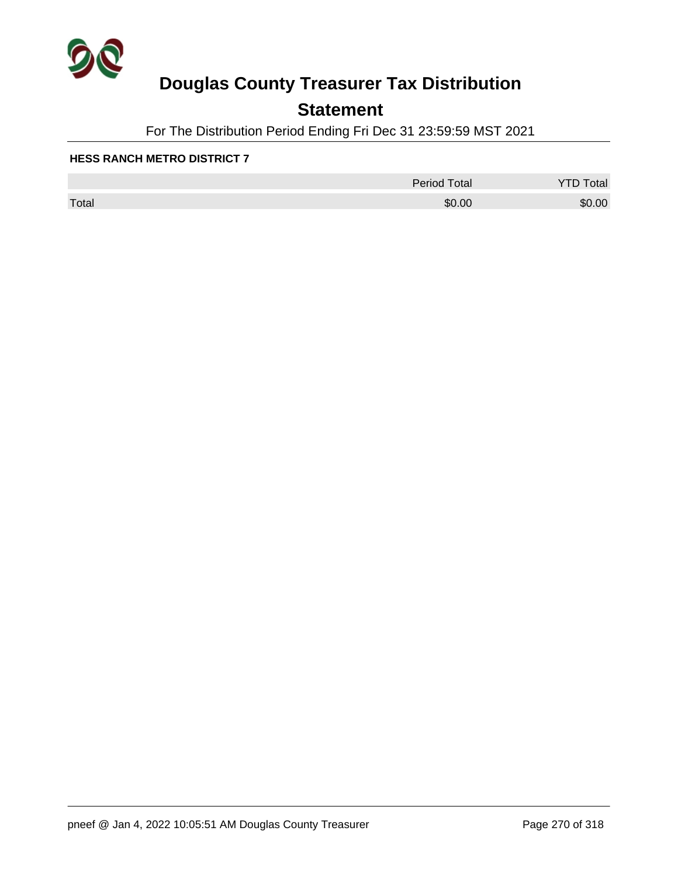

## **Statement**

For The Distribution Period Ending Fri Dec 31 23:59:59 MST 2021

|       | <b>Period Total</b> | otal<br>້ |
|-------|---------------------|-----------|
| Total | \$0.00              | \$0.00    |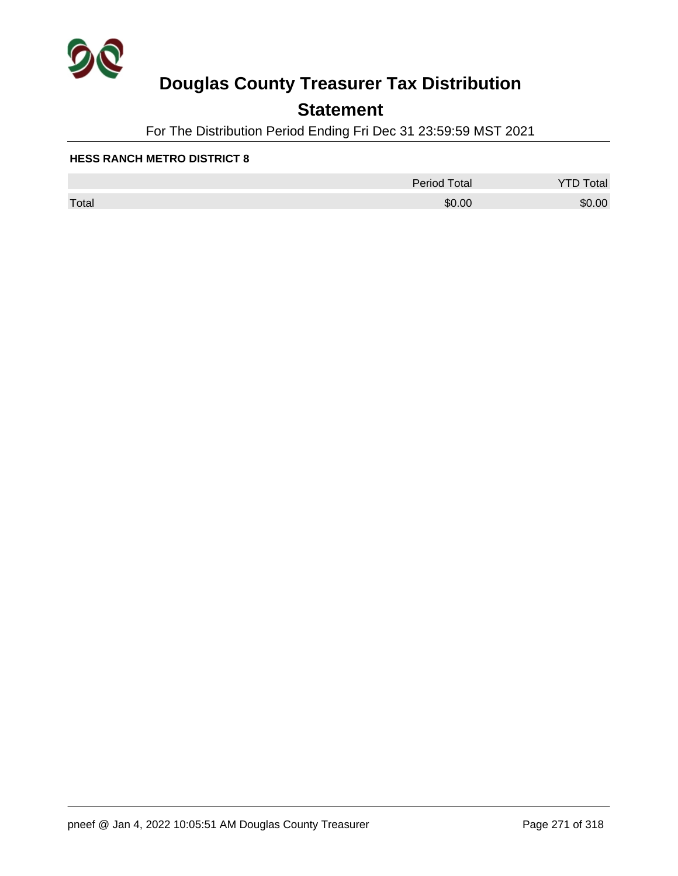

## **Statement**

For The Distribution Period Ending Fri Dec 31 23:59:59 MST 2021

|       | <b>Period Total</b> | otal<br>້ |
|-------|---------------------|-----------|
| Total | \$0.00              | \$0.00    |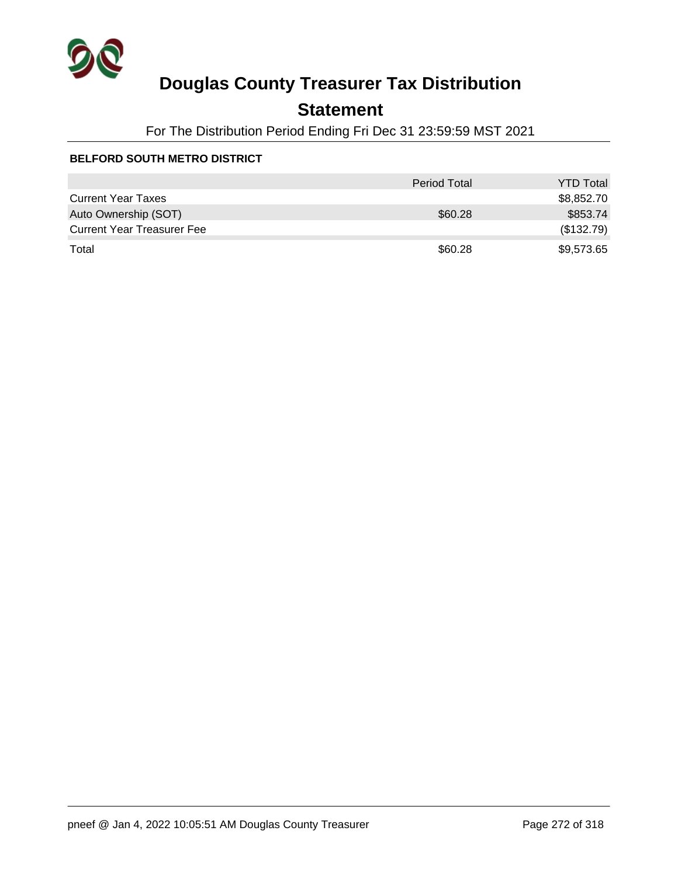

## **Statement**

For The Distribution Period Ending Fri Dec 31 23:59:59 MST 2021

### **BELFORD SOUTH METRO DISTRICT**

|                                   | <b>Period Total</b> | <b>YTD Total</b> |
|-----------------------------------|---------------------|------------------|
| <b>Current Year Taxes</b>         |                     | \$8,852.70       |
| Auto Ownership (SOT)              | \$60.28             | \$853.74         |
| <b>Current Year Treasurer Fee</b> |                     | (\$132.79)       |
| Total                             | \$60.28             | \$9,573.65       |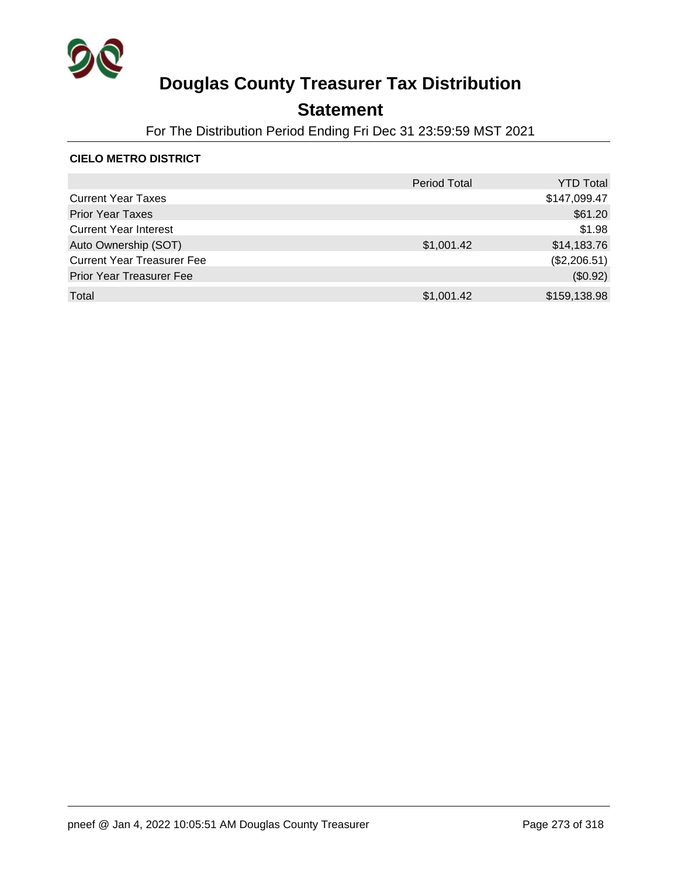

## **Statement**

For The Distribution Period Ending Fri Dec 31 23:59:59 MST 2021

#### **CIELO METRO DISTRICT**

|                                   | <b>Period Total</b> | YTD Total    |
|-----------------------------------|---------------------|--------------|
| <b>Current Year Taxes</b>         |                     | \$147,099.47 |
| <b>Prior Year Taxes</b>           |                     | \$61.20      |
| <b>Current Year Interest</b>      |                     | \$1.98       |
| Auto Ownership (SOT)              | \$1,001.42          | \$14,183.76  |
| <b>Current Year Treasurer Fee</b> |                     | (\$2,206.51) |
| <b>Prior Year Treasurer Fee</b>   |                     | (\$0.92)     |
| Total                             | \$1,001.42          | \$159,138.98 |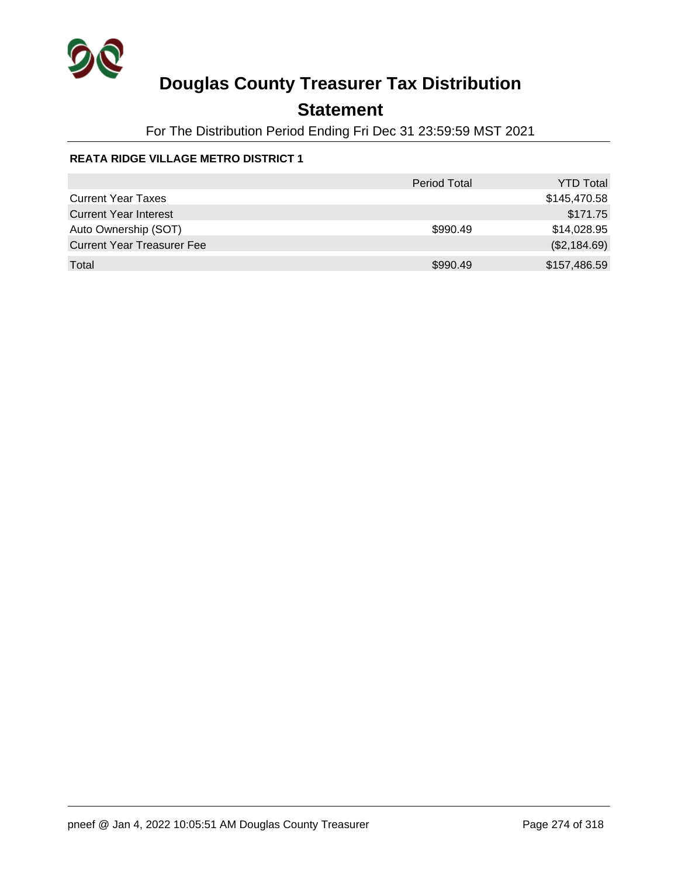

## **Statement**

For The Distribution Period Ending Fri Dec 31 23:59:59 MST 2021

### **REATA RIDGE VILLAGE METRO DISTRICT 1**

|                                   | <b>Period Total</b> | <b>YTD Total</b> |
|-----------------------------------|---------------------|------------------|
| <b>Current Year Taxes</b>         |                     | \$145,470.58     |
| <b>Current Year Interest</b>      |                     | \$171.75         |
| Auto Ownership (SOT)              | \$990.49            | \$14,028.95      |
| <b>Current Year Treasurer Fee</b> |                     | (\$2,184.69)     |
| Total                             | \$990.49            | \$157,486.59     |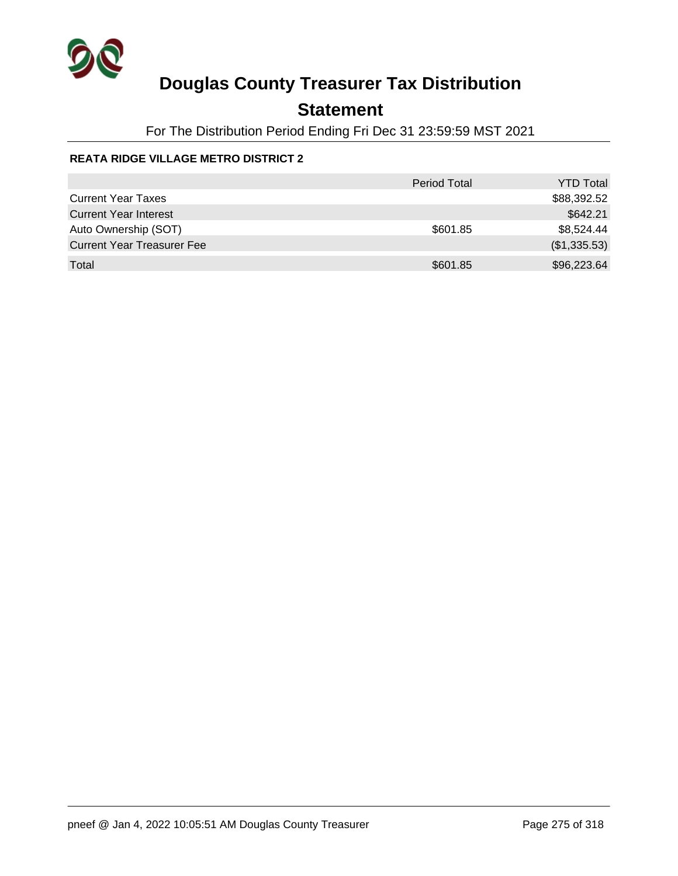

## **Statement**

For The Distribution Period Ending Fri Dec 31 23:59:59 MST 2021

### **REATA RIDGE VILLAGE METRO DISTRICT 2**

|                                   | <b>Period Total</b> | <b>YTD Total</b> |
|-----------------------------------|---------------------|------------------|
| <b>Current Year Taxes</b>         |                     | \$88,392.52      |
| <b>Current Year Interest</b>      |                     | \$642.21         |
| Auto Ownership (SOT)              | \$601.85            | \$8,524.44       |
| <b>Current Year Treasurer Fee</b> |                     | (\$1,335.53)     |
| Total                             | \$601.85            | \$96,223.64      |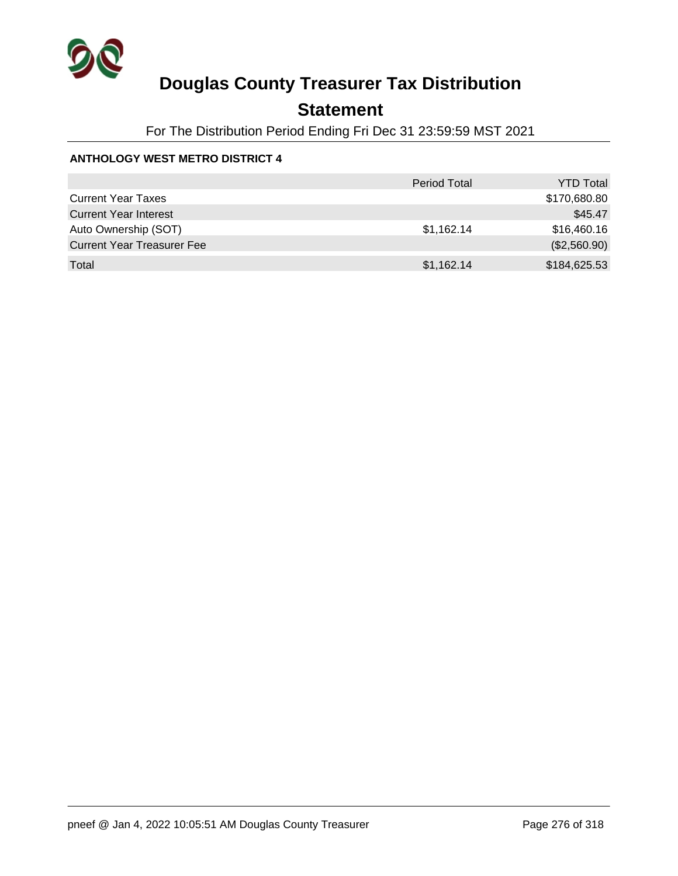

## **Statement**

For The Distribution Period Ending Fri Dec 31 23:59:59 MST 2021

### **ANTHOLOGY WEST METRO DISTRICT 4**

|                                   | <b>Period Total</b> | <b>YTD Total</b> |
|-----------------------------------|---------------------|------------------|
| <b>Current Year Taxes</b>         |                     | \$170,680.80     |
| <b>Current Year Interest</b>      |                     | \$45.47          |
| Auto Ownership (SOT)              | \$1,162.14          | \$16,460.16      |
| <b>Current Year Treasurer Fee</b> |                     | (\$2,560.90)     |
| Total                             | \$1,162.14          | \$184,625.53     |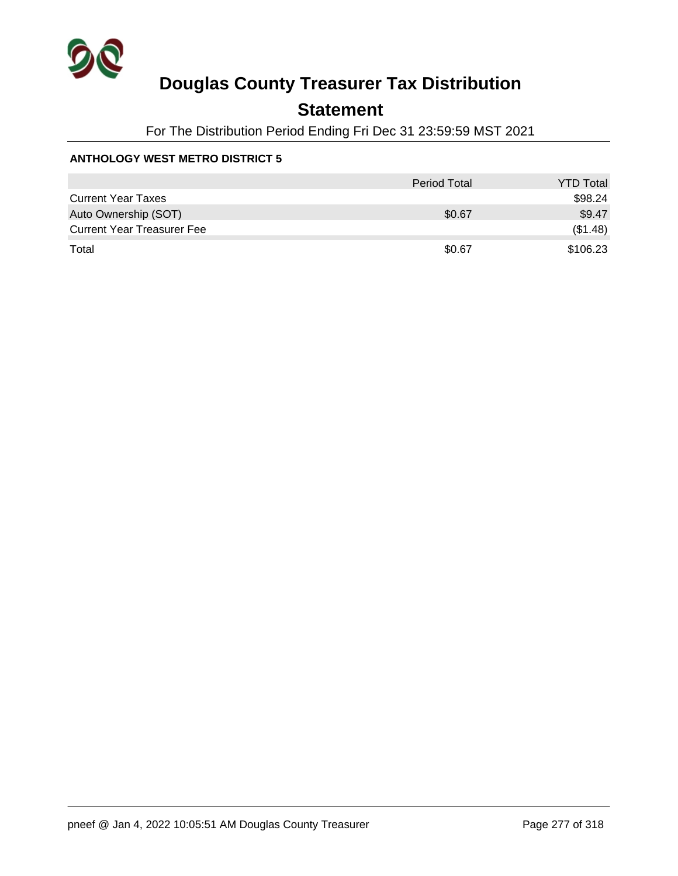

## **Statement**

For The Distribution Period Ending Fri Dec 31 23:59:59 MST 2021

### **ANTHOLOGY WEST METRO DISTRICT 5**

|                                   | <b>Period Total</b> | <b>YTD Total</b> |
|-----------------------------------|---------------------|------------------|
| <b>Current Year Taxes</b>         |                     | \$98.24          |
| Auto Ownership (SOT)              | \$0.67              | \$9.47           |
| <b>Current Year Treasurer Fee</b> |                     | (\$1.48)         |
| Total                             | \$0.67              | \$106.23         |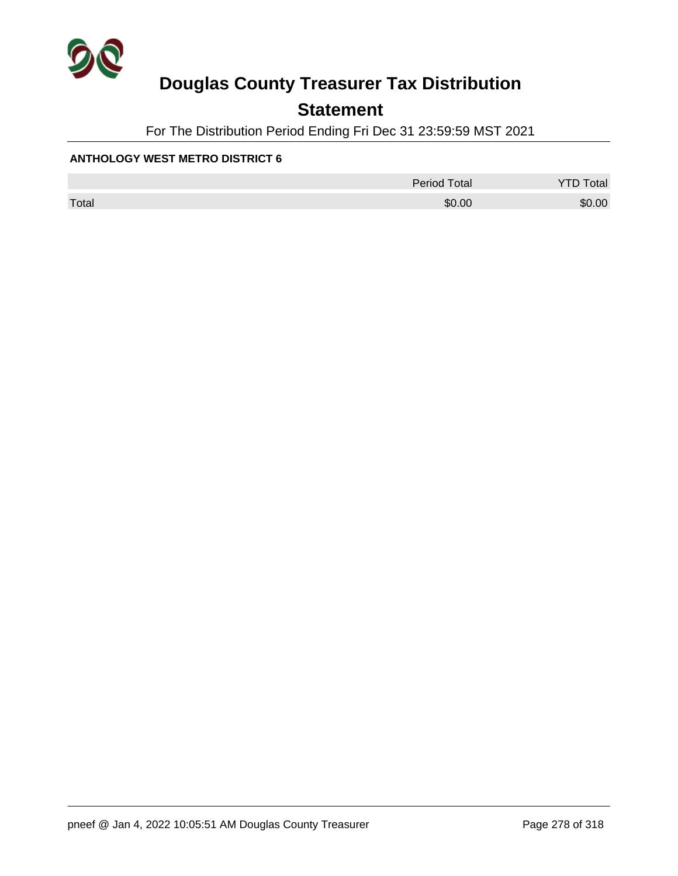

## **Statement**

For The Distribution Period Ending Fri Dec 31 23:59:59 MST 2021

#### **ANTHOLOGY WEST METRO DISTRICT 6**

|       | <b>Period Total</b> | otal   |
|-------|---------------------|--------|
| Total | \$0.00              | \$0.00 |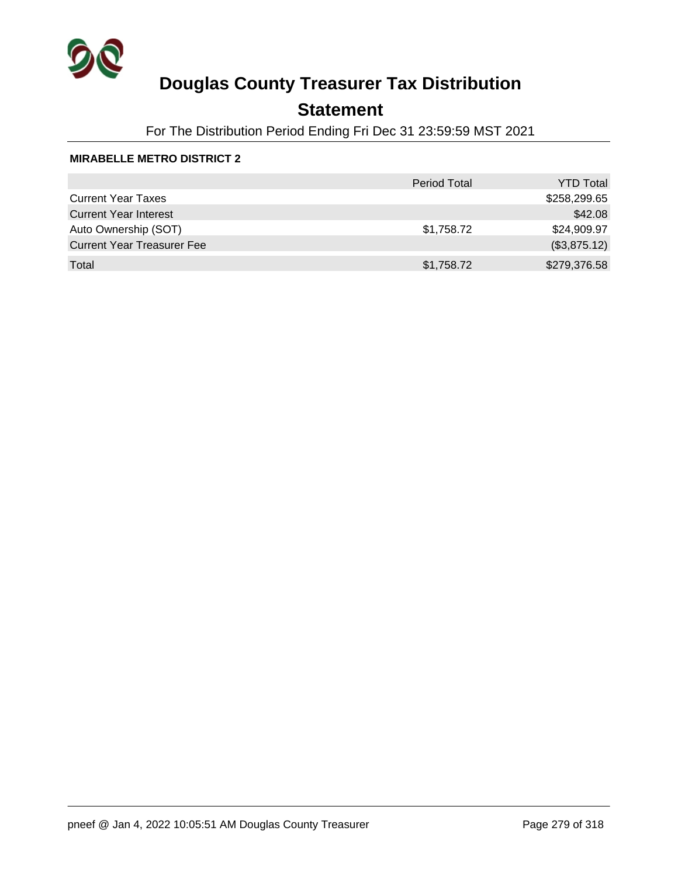

## **Statement**

For The Distribution Period Ending Fri Dec 31 23:59:59 MST 2021

#### **MIRABELLE METRO DISTRICT 2**

|                                   | <b>Period Total</b> | <b>YTD Total</b> |
|-----------------------------------|---------------------|------------------|
| <b>Current Year Taxes</b>         |                     | \$258,299.65     |
| <b>Current Year Interest</b>      |                     | \$42.08          |
| Auto Ownership (SOT)              | \$1,758.72          | \$24,909.97      |
| <b>Current Year Treasurer Fee</b> |                     | (\$3,875.12)     |
| Total                             | \$1,758.72          | \$279,376.58     |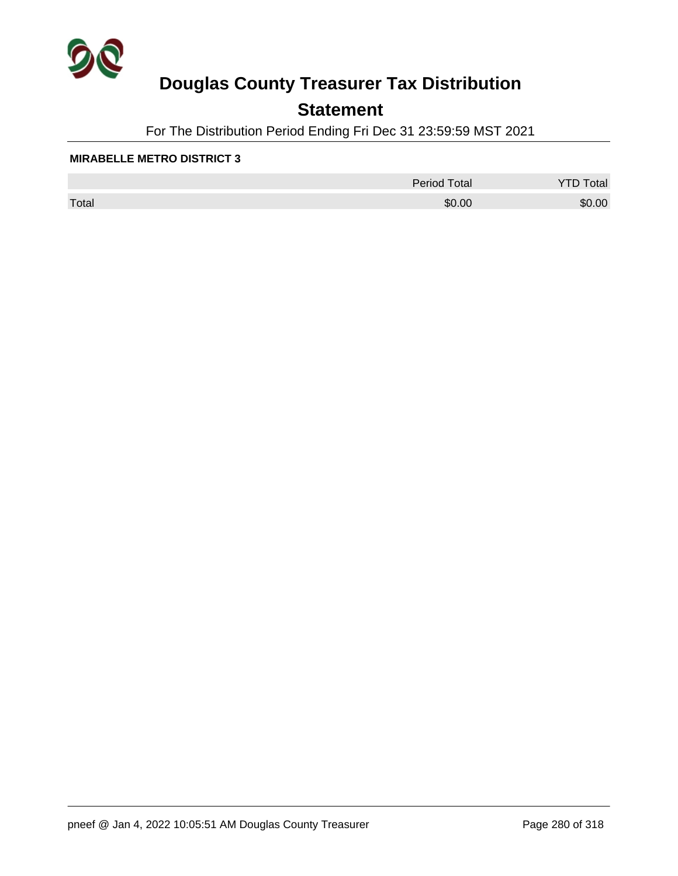

## **Statement**

For The Distribution Period Ending Fri Dec 31 23:59:59 MST 2021

#### **MIRABELLE METRO DISTRICT 3**

|       | <b>Period Total</b> | otal   |
|-------|---------------------|--------|
| Total | \$0.00              | \$0.00 |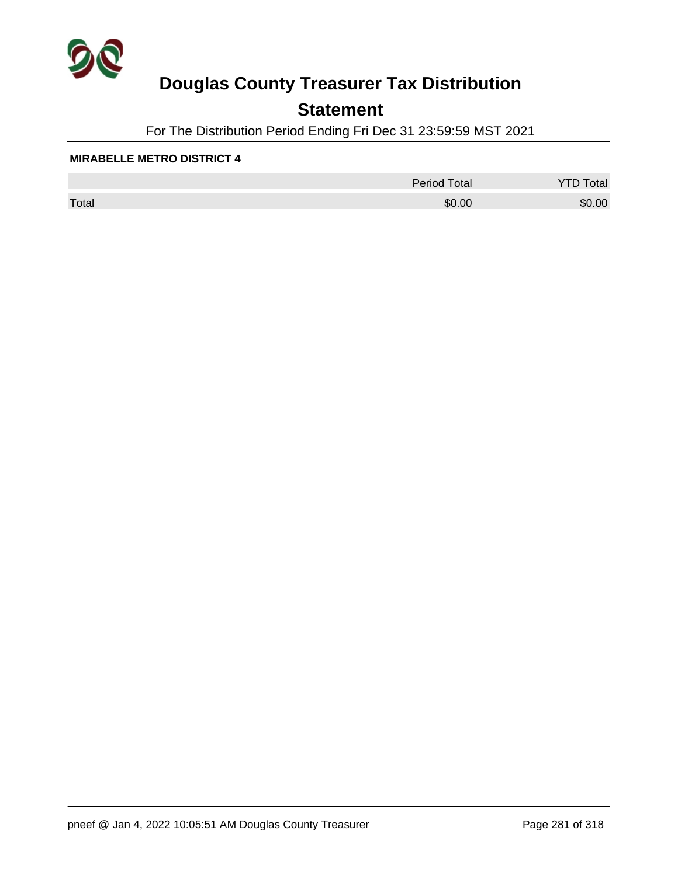

## **Statement**

For The Distribution Period Ending Fri Dec 31 23:59:59 MST 2021

#### **MIRABELLE METRO DISTRICT 4**

|       | <b>Period Total</b> | otal<br>້ |
|-------|---------------------|-----------|
| Total | \$0.00              | \$0.00    |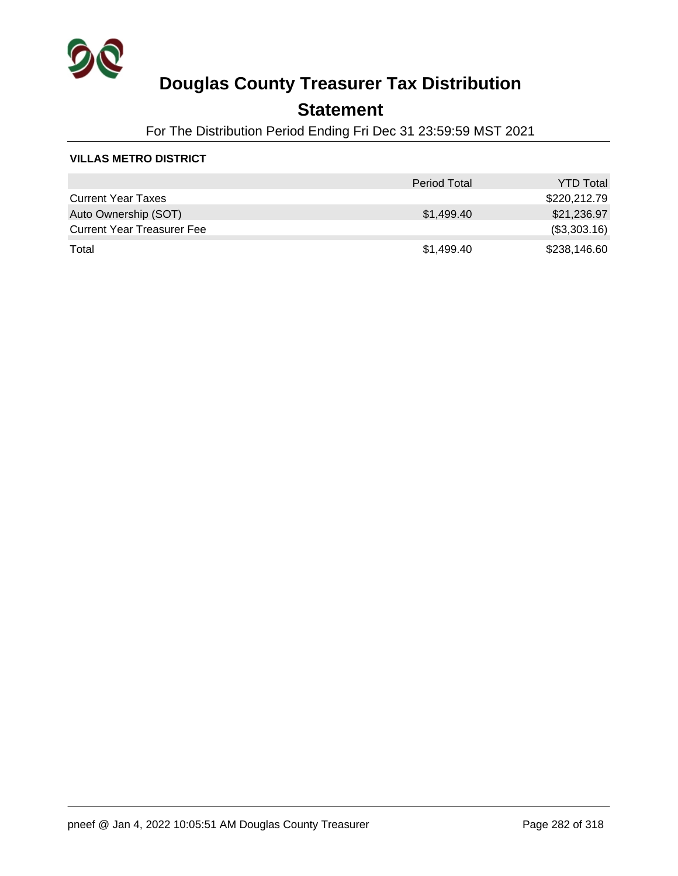

### **Statement**

For The Distribution Period Ending Fri Dec 31 23:59:59 MST 2021

#### **VILLAS METRO DISTRICT**

|                                   | <b>Period Total</b> | <b>YTD Total</b> |
|-----------------------------------|---------------------|------------------|
| <b>Current Year Taxes</b>         |                     | \$220,212.79     |
| Auto Ownership (SOT)              | \$1,499.40          | \$21,236.97      |
| <b>Current Year Treasurer Fee</b> |                     | (\$3,303.16)     |
| Total                             | \$1,499.40          | \$238,146.60     |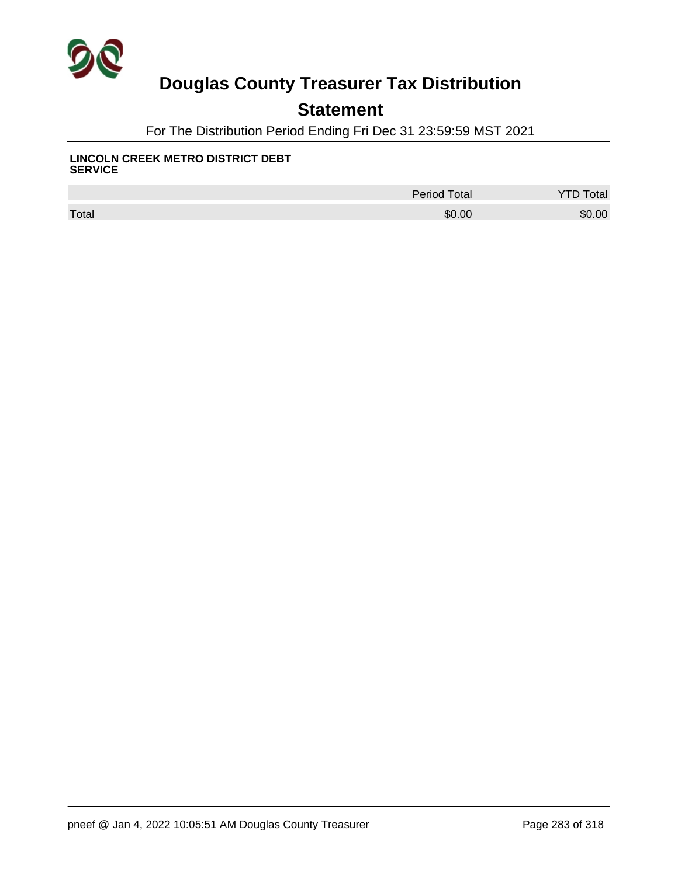

## **Statement**

For The Distribution Period Ending Fri Dec 31 23:59:59 MST 2021

#### **LINCOLN CREEK METRO DISTRICT DEBT SERVICE**

|       | <b>Period Total</b> | <b>Total</b> |
|-------|---------------------|--------------|
| Total | \$0.00              | \$0.00       |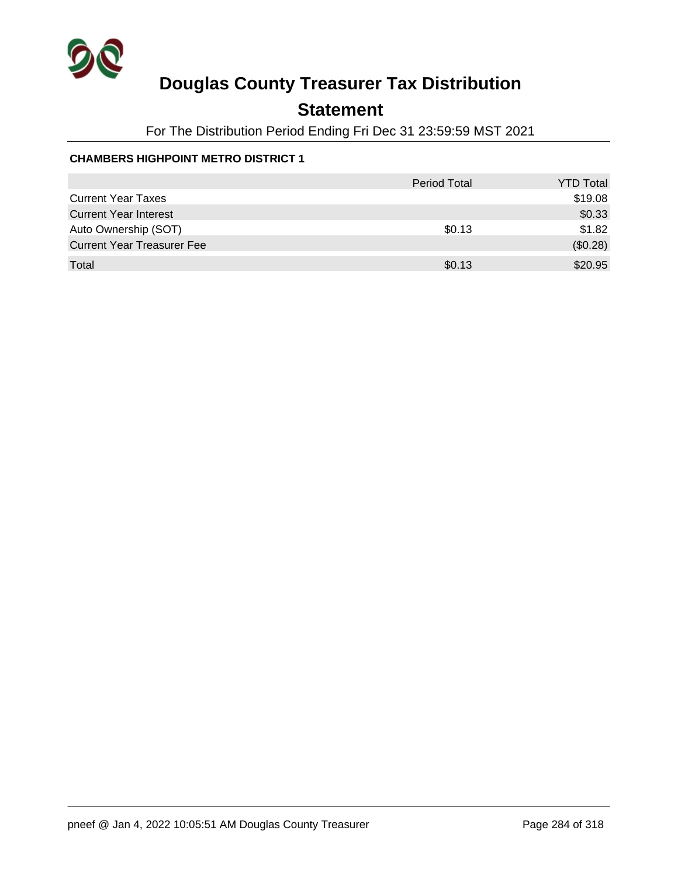

## **Statement**

For The Distribution Period Ending Fri Dec 31 23:59:59 MST 2021

### **CHAMBERS HIGHPOINT METRO DISTRICT 1**

|                                   | <b>Period Total</b> | <b>YTD Total</b> |
|-----------------------------------|---------------------|------------------|
| <b>Current Year Taxes</b>         |                     | \$19.08          |
| <b>Current Year Interest</b>      |                     | \$0.33           |
| Auto Ownership (SOT)              | \$0.13              | \$1.82           |
| <b>Current Year Treasurer Fee</b> |                     | (\$0.28)         |
| Total                             | \$0.13              | \$20.95          |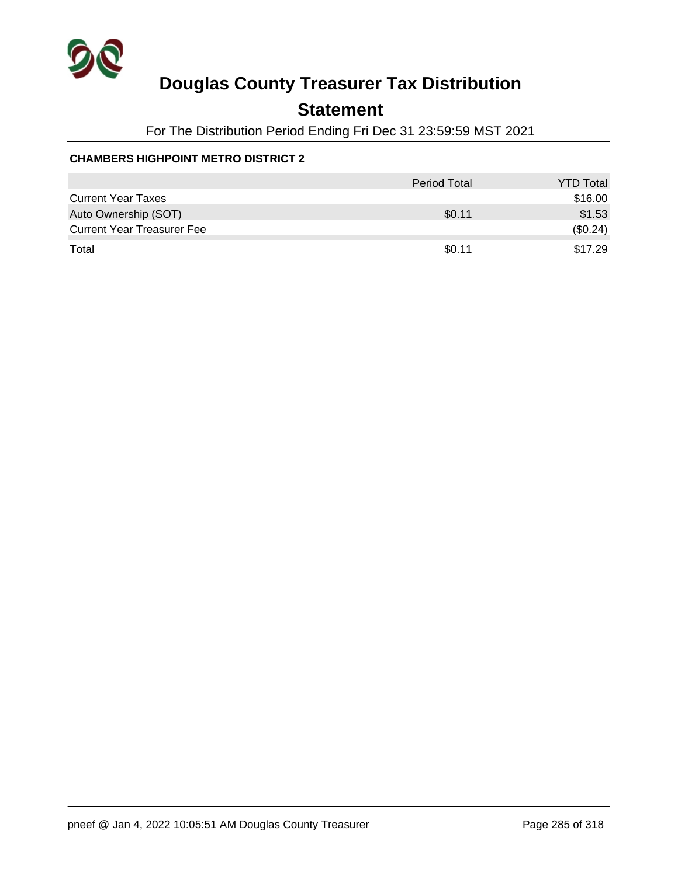

## **Statement**

For The Distribution Period Ending Fri Dec 31 23:59:59 MST 2021

### **CHAMBERS HIGHPOINT METRO DISTRICT 2**

|                                   | <b>Period Total</b> | <b>YTD Total</b> |
|-----------------------------------|---------------------|------------------|
| <b>Current Year Taxes</b>         |                     | \$16.00          |
| Auto Ownership (SOT)              | \$0.11              | \$1.53           |
| <b>Current Year Treasurer Fee</b> |                     | (\$0.24)         |
| Total                             | \$0.11              | \$17.29          |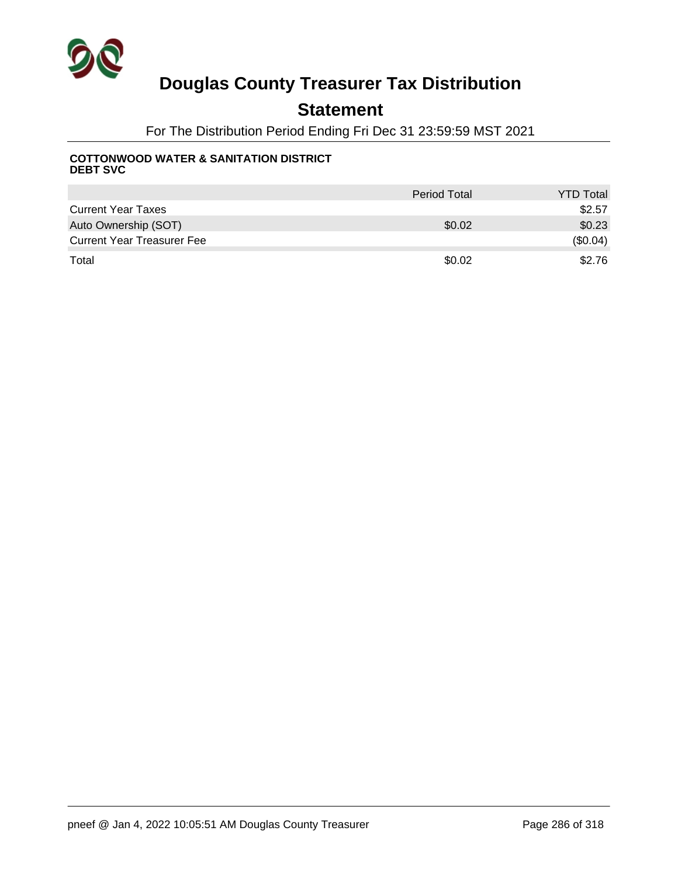

### **Statement**

For The Distribution Period Ending Fri Dec 31 23:59:59 MST 2021

#### **COTTONWOOD WATER & SANITATION DISTRICT DEBT SVC**

|                                   | <b>Period Total</b> | <b>YTD Total</b> |
|-----------------------------------|---------------------|------------------|
| <b>Current Year Taxes</b>         |                     | \$2.57           |
| Auto Ownership (SOT)              | \$0.02              | \$0.23           |
| <b>Current Year Treasurer Fee</b> |                     | (\$0.04)         |
| Total                             | \$0.02              | \$2.76           |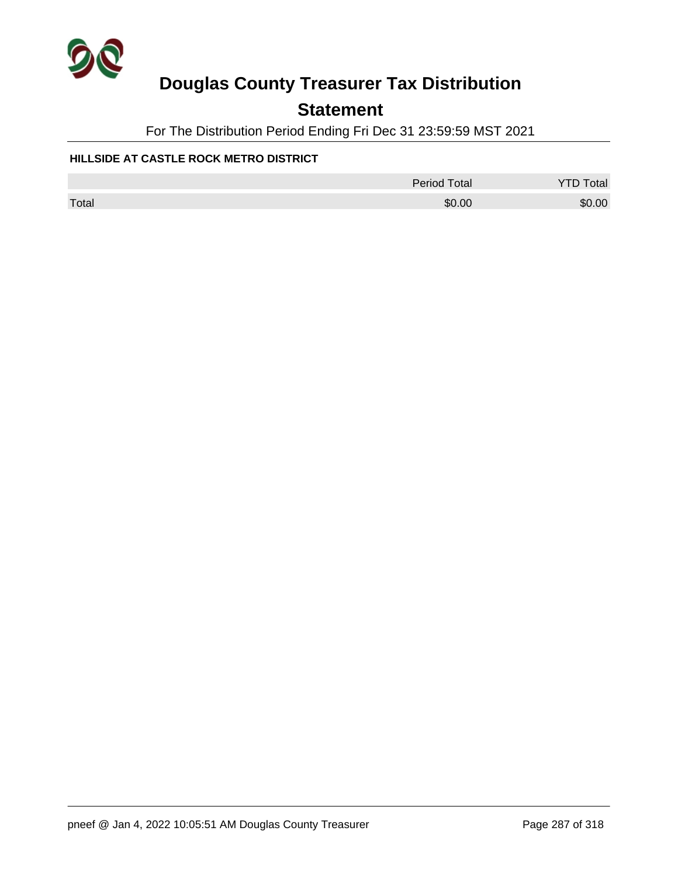

## **Statement**

For The Distribution Period Ending Fri Dec 31 23:59:59 MST 2021

### **HILLSIDE AT CASTLE ROCK METRO DISTRICT**

|       | Period Total | <b>YTD Total</b> |
|-------|--------------|------------------|
| Total | \$0.00       | \$0.00           |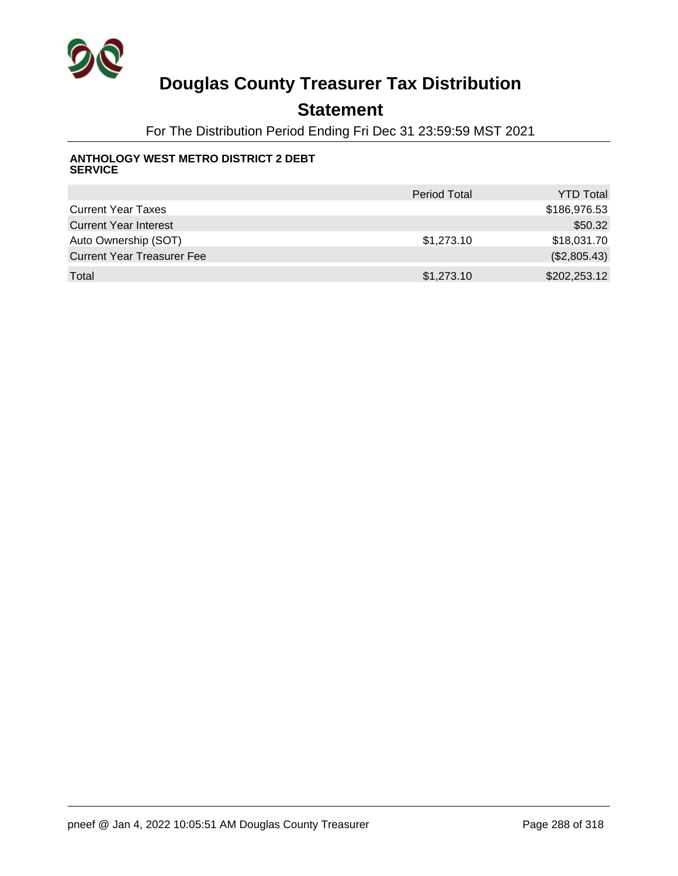

## **Statement**

For The Distribution Period Ending Fri Dec 31 23:59:59 MST 2021

#### **ANTHOLOGY WEST METRO DISTRICT 2 DEBT SERVICE**

|                                   | <b>Period Total</b> | <b>YTD Total</b> |
|-----------------------------------|---------------------|------------------|
| <b>Current Year Taxes</b>         |                     | \$186,976.53     |
| <b>Current Year Interest</b>      |                     | \$50.32          |
| Auto Ownership (SOT)              | \$1,273.10          | \$18,031.70      |
| <b>Current Year Treasurer Fee</b> |                     | (\$2,805.43)     |
| Total                             | \$1,273.10          | \$202,253.12     |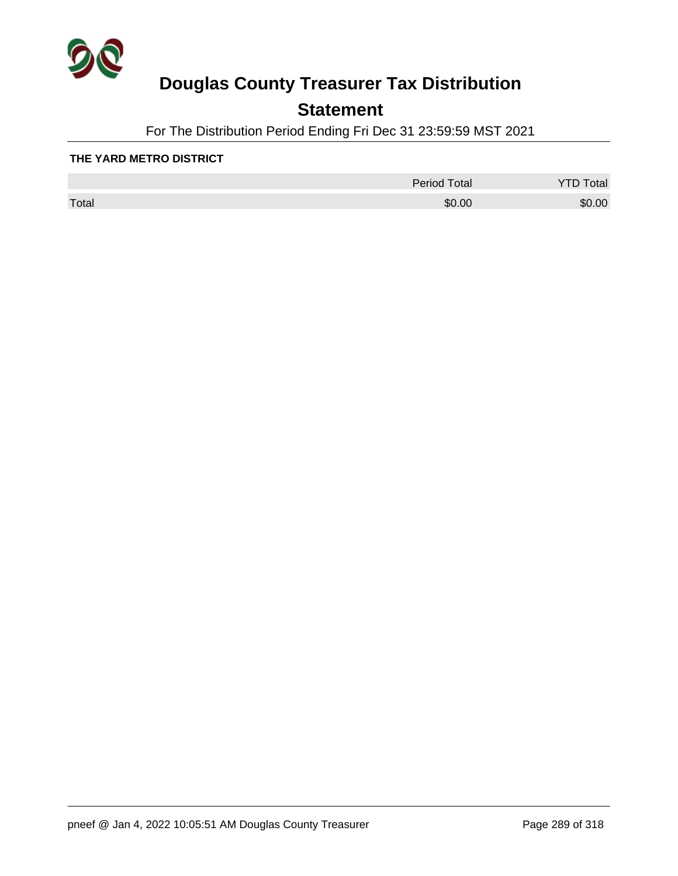

## **Statement**

For The Distribution Period Ending Fri Dec 31 23:59:59 MST 2021

#### **THE YARD METRO DISTRICT**

|       | <b>Period Total</b> | otal   |
|-------|---------------------|--------|
| Total | \$0.00              | \$0.00 |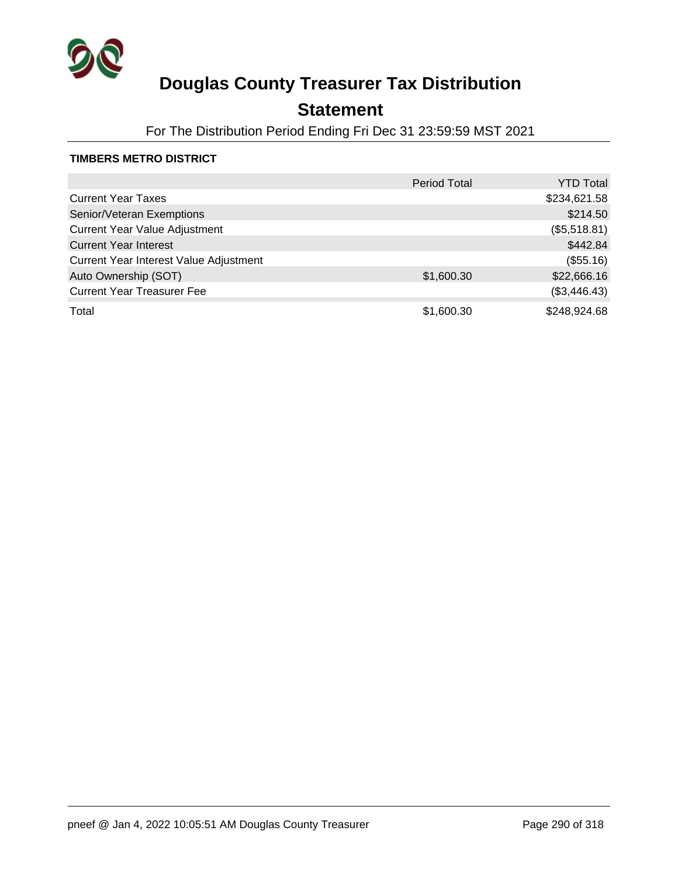

## **Statement**

For The Distribution Period Ending Fri Dec 31 23:59:59 MST 2021

#### **TIMBERS METRO DISTRICT**

|                                        | <b>Period Total</b> | <b>YTD Total</b> |
|----------------------------------------|---------------------|------------------|
| <b>Current Year Taxes</b>              |                     | \$234,621.58     |
| Senior/Veteran Exemptions              |                     | \$214.50         |
| <b>Current Year Value Adjustment</b>   |                     | (\$5,518.81)     |
| <b>Current Year Interest</b>           |                     | \$442.84         |
| Current Year Interest Value Adjustment |                     | (\$55.16)        |
| Auto Ownership (SOT)                   | \$1,600.30          | \$22,666.16      |
| <b>Current Year Treasurer Fee</b>      |                     | (\$3,446.43)     |
| Total                                  | \$1,600.30          | \$248,924.68     |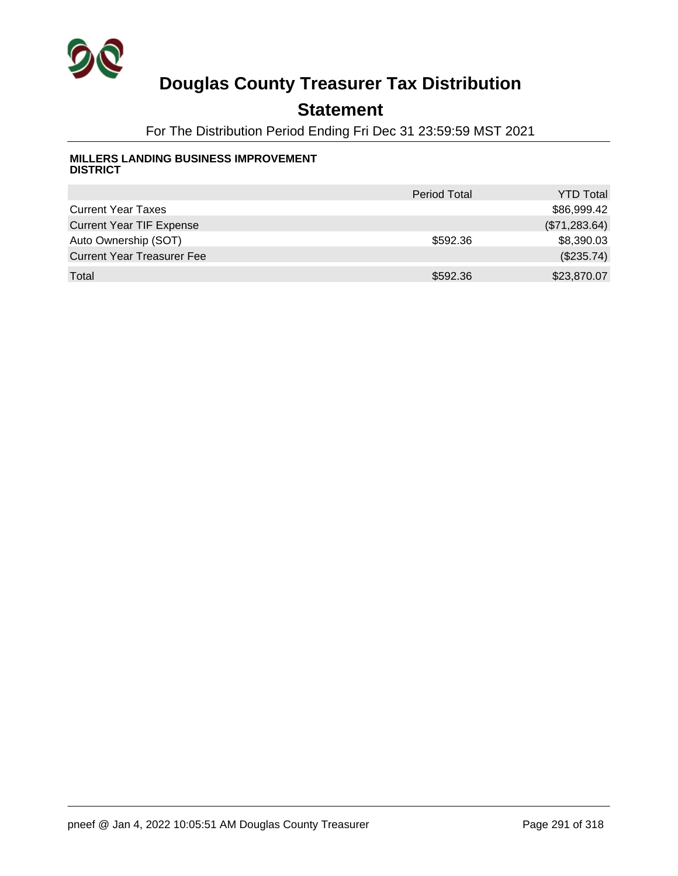

## **Statement**

For The Distribution Period Ending Fri Dec 31 23:59:59 MST 2021

#### **MILLERS LANDING BUSINESS IMPROVEMENT DISTRICT**

|                                   | <b>Period Total</b> | <b>YTD Total</b> |
|-----------------------------------|---------------------|------------------|
| <b>Current Year Taxes</b>         |                     | \$86,999.42      |
| <b>Current Year TIF Expense</b>   |                     | (\$71,283.64)    |
| Auto Ownership (SOT)              | \$592.36            | \$8,390.03       |
| <b>Current Year Treasurer Fee</b> |                     | $(\$235.74)$     |
| Total                             | \$592.36            | \$23,870.07      |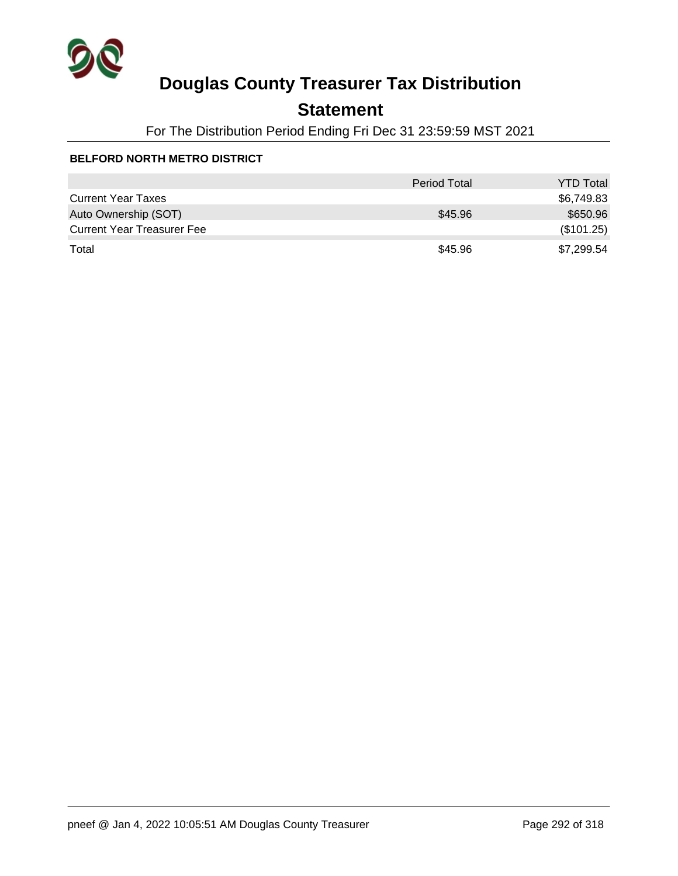

## **Statement**

For The Distribution Period Ending Fri Dec 31 23:59:59 MST 2021

#### **BELFORD NORTH METRO DISTRICT**

|                                   | <b>Period Total</b> | <b>YTD Total</b> |
|-----------------------------------|---------------------|------------------|
| <b>Current Year Taxes</b>         |                     | \$6,749.83       |
| Auto Ownership (SOT)              | \$45.96             | \$650.96         |
| <b>Current Year Treasurer Fee</b> |                     | (\$101.25)       |
| Total                             | \$45.96             | \$7,299.54       |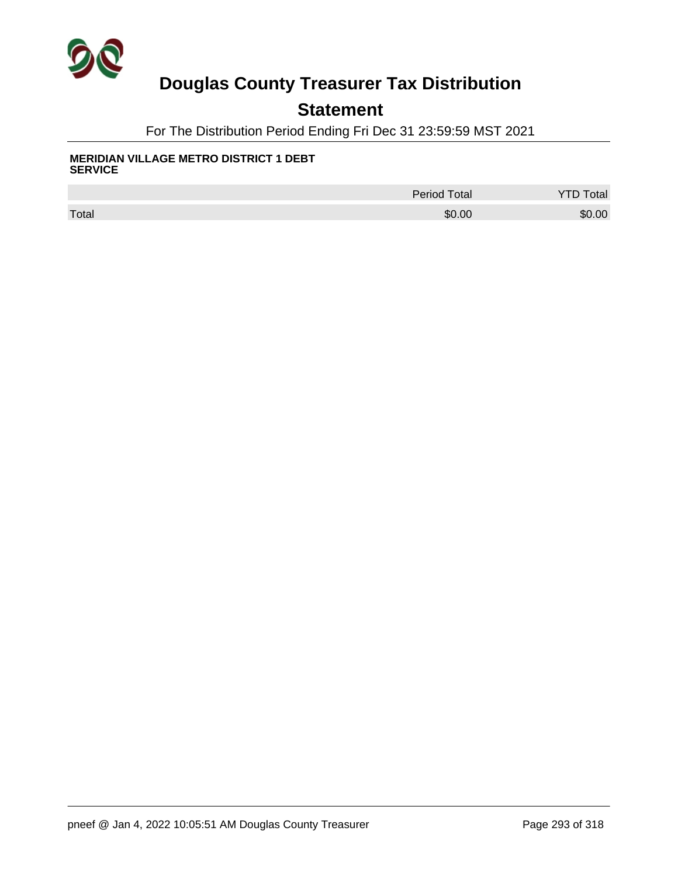

### **Statement**

For The Distribution Period Ending Fri Dec 31 23:59:59 MST 2021

#### **MERIDIAN VILLAGE METRO DISTRICT 1 DEBT SERVICE**

|       | <b>Period Total</b> | <b>Total</b> |
|-------|---------------------|--------------|
| Total | \$0.00              | \$0.00       |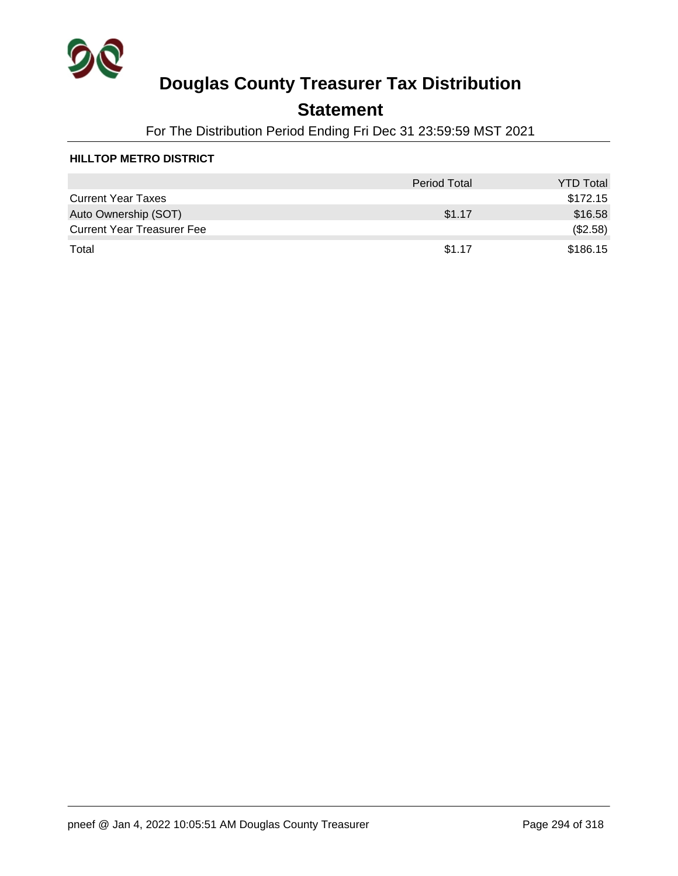

## **Statement**

For The Distribution Period Ending Fri Dec 31 23:59:59 MST 2021

#### **HILLTOP METRO DISTRICT**

|                                   | <b>Period Total</b> | <b>YTD Total</b> |
|-----------------------------------|---------------------|------------------|
| <b>Current Year Taxes</b>         |                     | \$172.15         |
| Auto Ownership (SOT)              | \$1.17              | \$16.58          |
| <b>Current Year Treasurer Fee</b> |                     | (\$2.58)         |
| Total                             | \$1.17              | \$186.15         |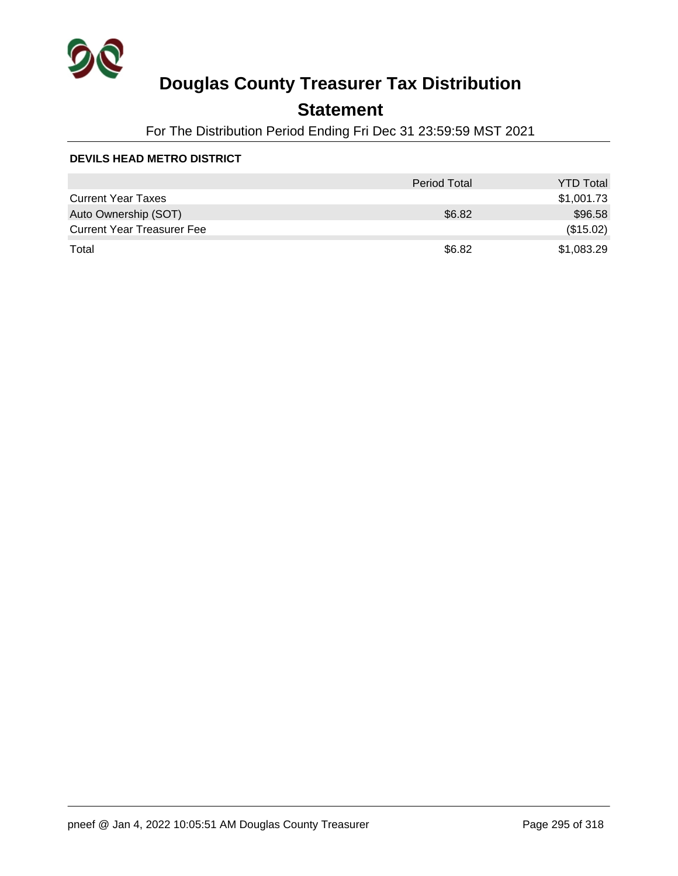

## **Statement**

For The Distribution Period Ending Fri Dec 31 23:59:59 MST 2021

#### **DEVILS HEAD METRO DISTRICT**

|                                   | <b>Period Total</b> | <b>YTD Total</b> |
|-----------------------------------|---------------------|------------------|
| <b>Current Year Taxes</b>         |                     | \$1,001.73       |
| Auto Ownership (SOT)              | \$6.82              | \$96.58          |
| <b>Current Year Treasurer Fee</b> |                     | (\$15.02)        |
| Total                             | \$6.82              | \$1,083.29       |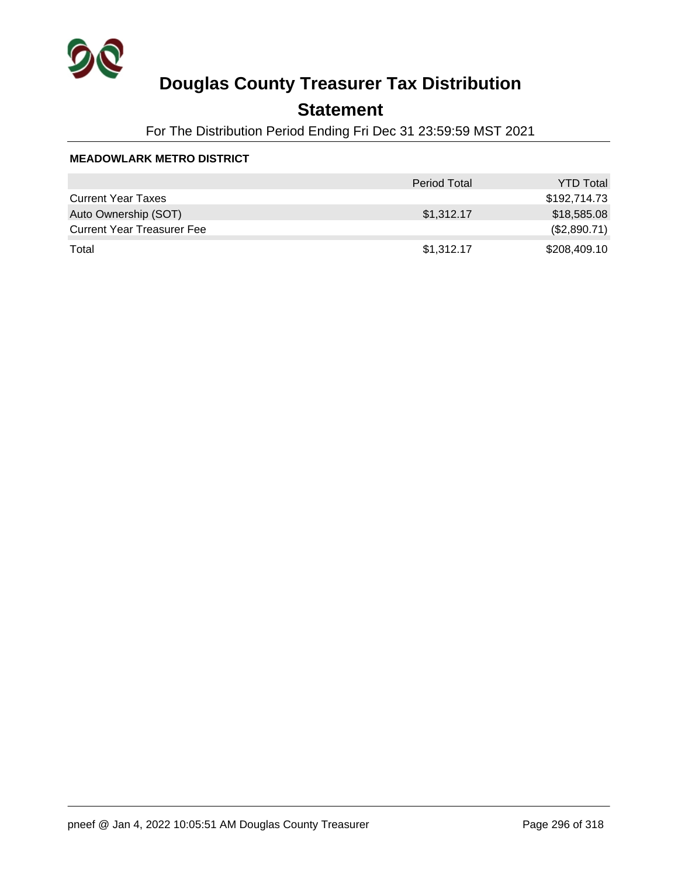

## **Statement**

For The Distribution Period Ending Fri Dec 31 23:59:59 MST 2021

#### **MEADOWLARK METRO DISTRICT**

|                                   | <b>Period Total</b> | <b>YTD Total</b> |
|-----------------------------------|---------------------|------------------|
| <b>Current Year Taxes</b>         |                     | \$192,714.73     |
| Auto Ownership (SOT)              | \$1,312.17          | \$18,585.08      |
| <b>Current Year Treasurer Fee</b> |                     | (\$2,890.71)     |
| Total                             | \$1,312.17          | \$208,409.10     |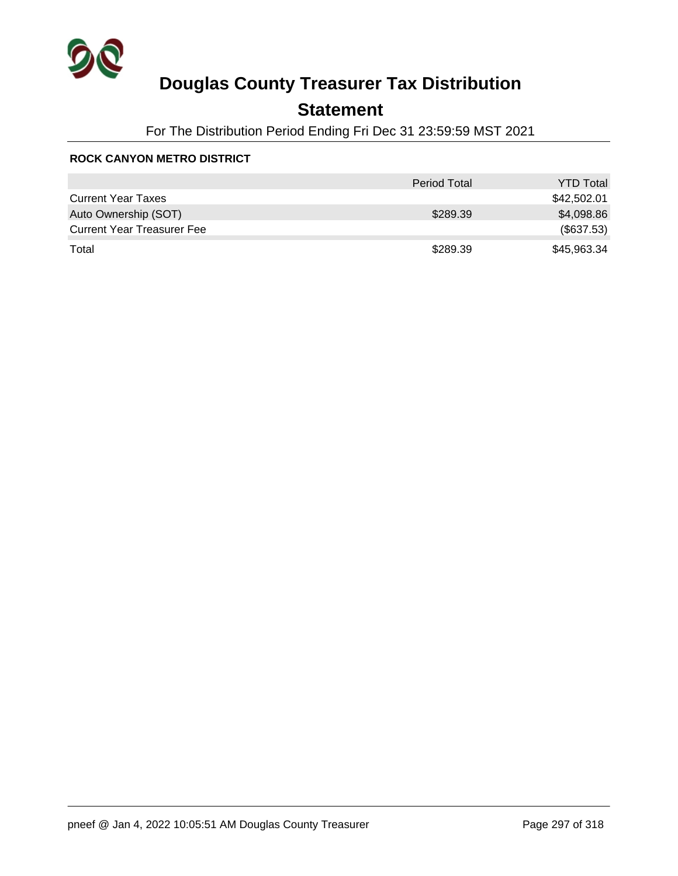

## **Statement**

For The Distribution Period Ending Fri Dec 31 23:59:59 MST 2021

#### **ROCK CANYON METRO DISTRICT**

|                                   | <b>Period Total</b> | <b>YTD Total</b> |
|-----------------------------------|---------------------|------------------|
| <b>Current Year Taxes</b>         |                     | \$42,502.01      |
| Auto Ownership (SOT)              | \$289.39            | \$4,098.86       |
| <b>Current Year Treasurer Fee</b> |                     | (\$637.53)       |
| Total                             | \$289.39            | \$45,963.34      |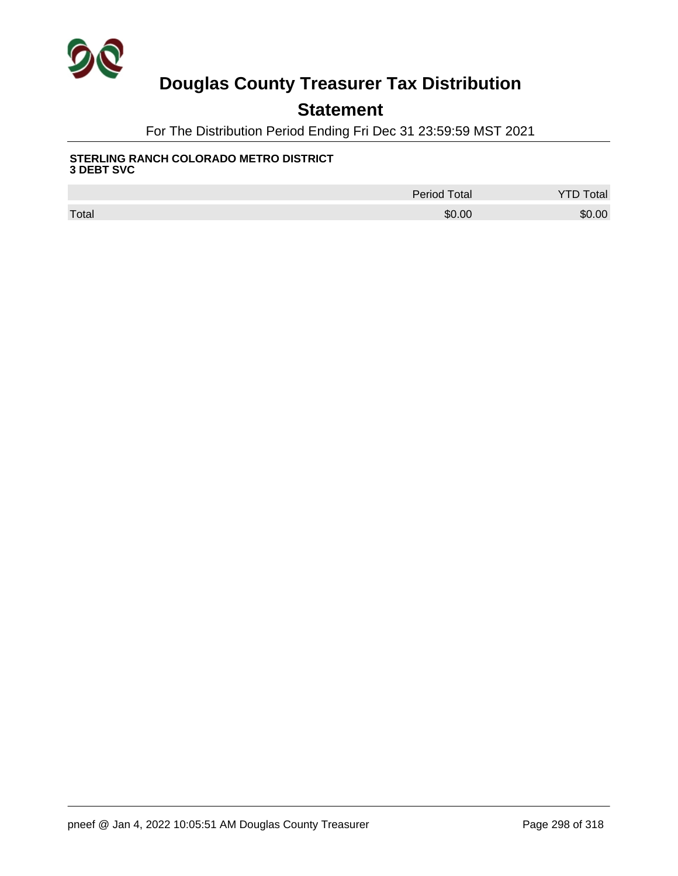

## **Statement**

For The Distribution Period Ending Fri Dec 31 23:59:59 MST 2021

#### **STERLING RANCH COLORADO METRO DISTRICT 3 DEBT SVC**

|       | <b>Period Total</b> | <b>Total</b> |
|-------|---------------------|--------------|
| Total | \$0.00              | \$0.00       |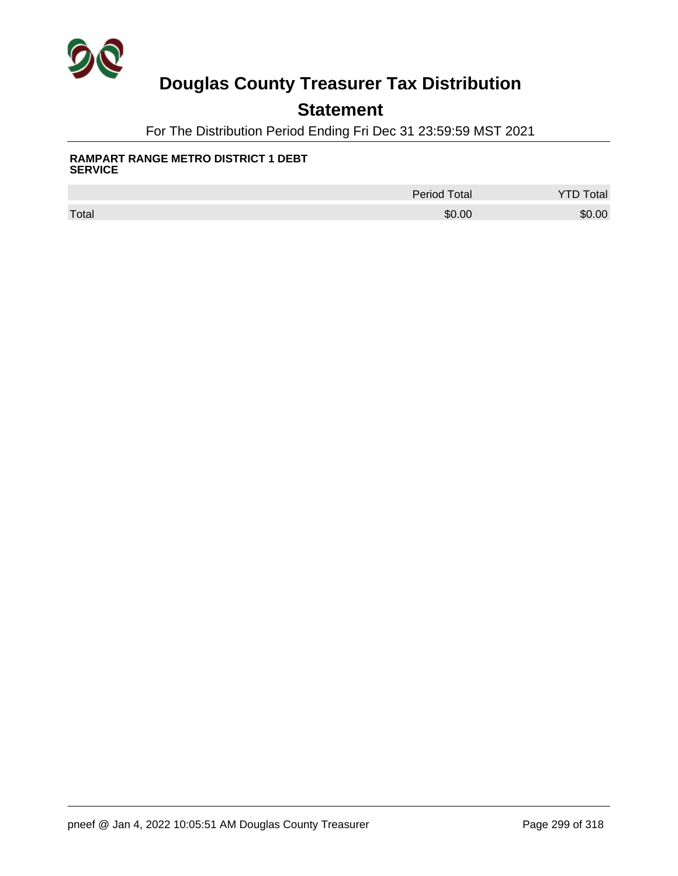

### **Statement**

For The Distribution Period Ending Fri Dec 31 23:59:59 MST 2021

#### **RAMPART RANGE METRO DISTRICT 1 DEBT SERVICE**

|       | <b>Period Total</b> | otal   |
|-------|---------------------|--------|
| Total | \$0.00              | \$0.00 |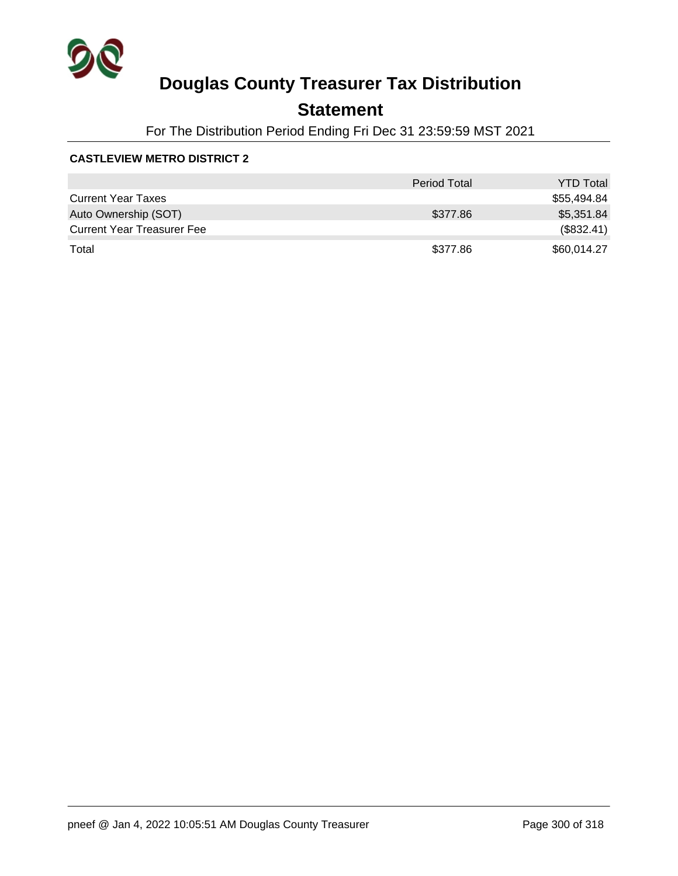

## **Statement**

For The Distribution Period Ending Fri Dec 31 23:59:59 MST 2021

#### **CASTLEVIEW METRO DISTRICT 2**

|                                   | <b>Period Total</b> | <b>YTD Total</b> |
|-----------------------------------|---------------------|------------------|
| <b>Current Year Taxes</b>         |                     | \$55,494.84      |
| Auto Ownership (SOT)              | \$377.86            | \$5,351.84       |
| <b>Current Year Treasurer Fee</b> |                     | (\$832.41)       |
| Total                             | \$377.86            | \$60,014.27      |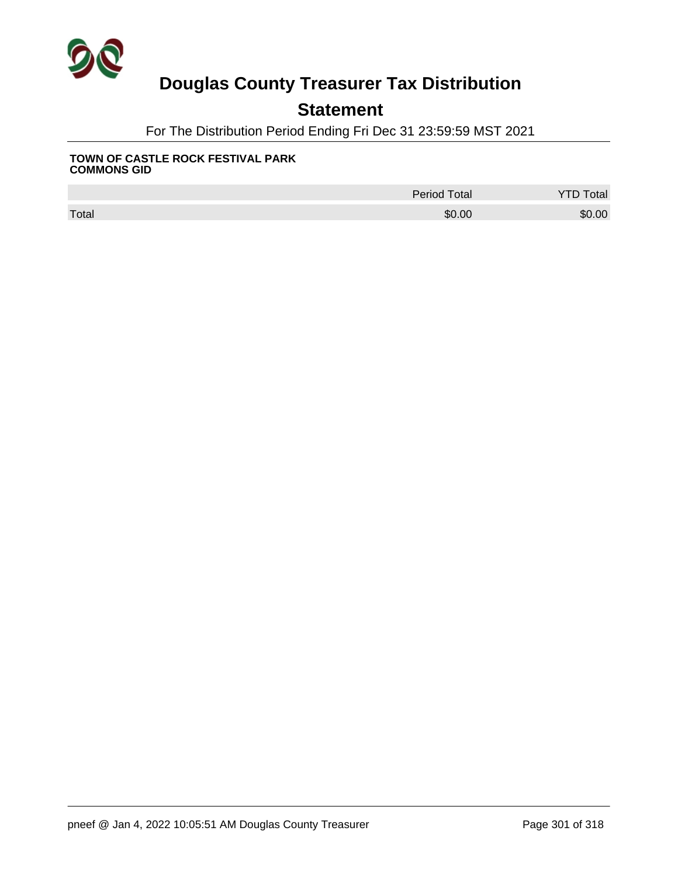

## **Statement**

For The Distribution Period Ending Fri Dec 31 23:59:59 MST 2021

#### **TOWN OF CASTLE ROCK FESTIVAL PARK COMMONS GID**

|       | <b>Period Total</b> | <b>Total</b><br><b>P</b> |
|-------|---------------------|--------------------------|
| Total | \$0.00              | \$0.00                   |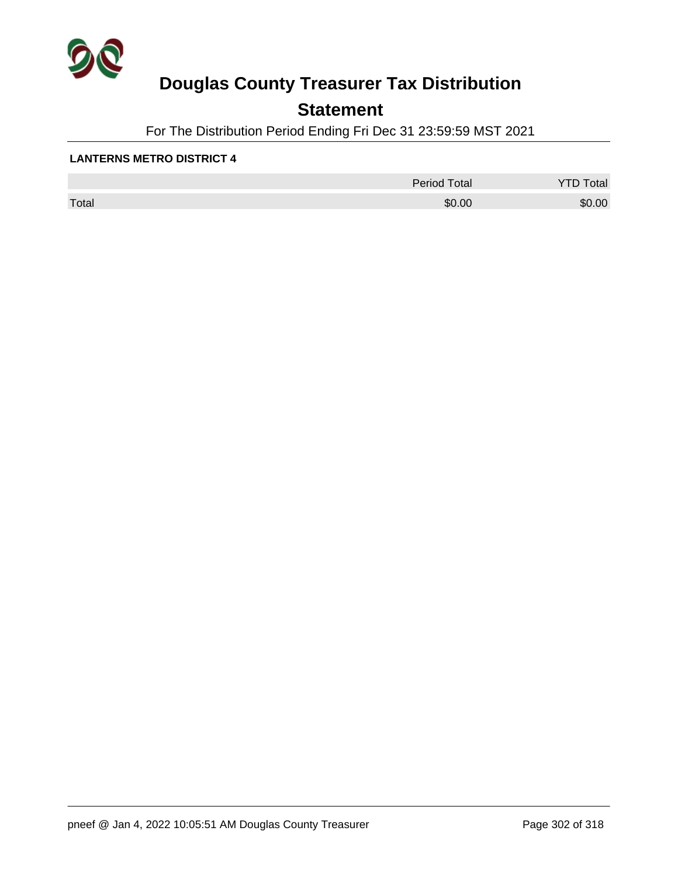

## **Statement**

For The Distribution Period Ending Fri Dec 31 23:59:59 MST 2021

#### **LANTERNS METRO DISTRICT 4**

|       | Period Total | otal   |
|-------|--------------|--------|
| Total | \$0.00       | \$0.00 |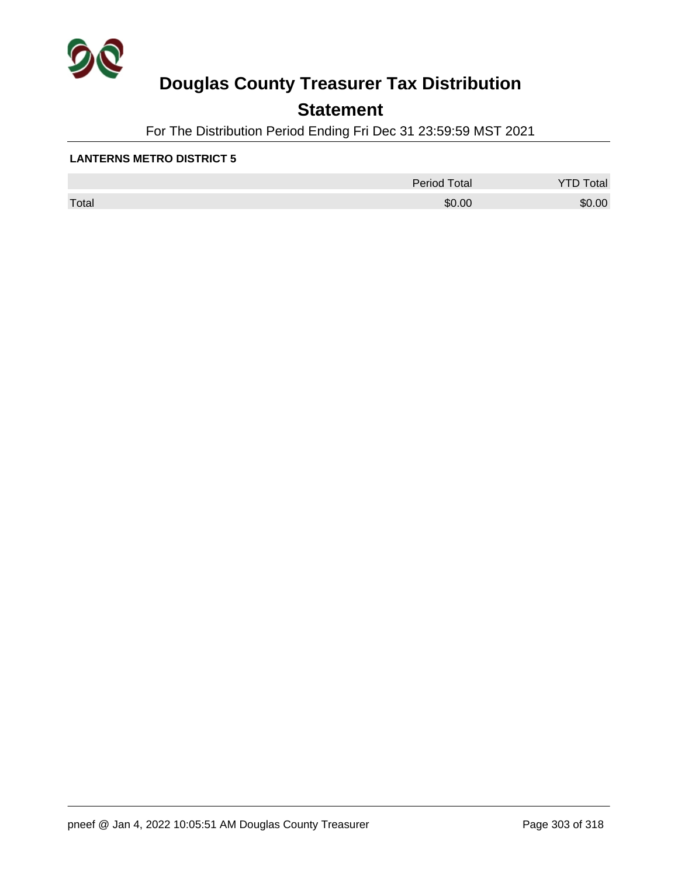

## **Statement**

For The Distribution Period Ending Fri Dec 31 23:59:59 MST 2021

#### **LANTERNS METRO DISTRICT 5**

|       | Period Total | otal<br>້ |
|-------|--------------|-----------|
| Total | \$0.00       | \$0.00    |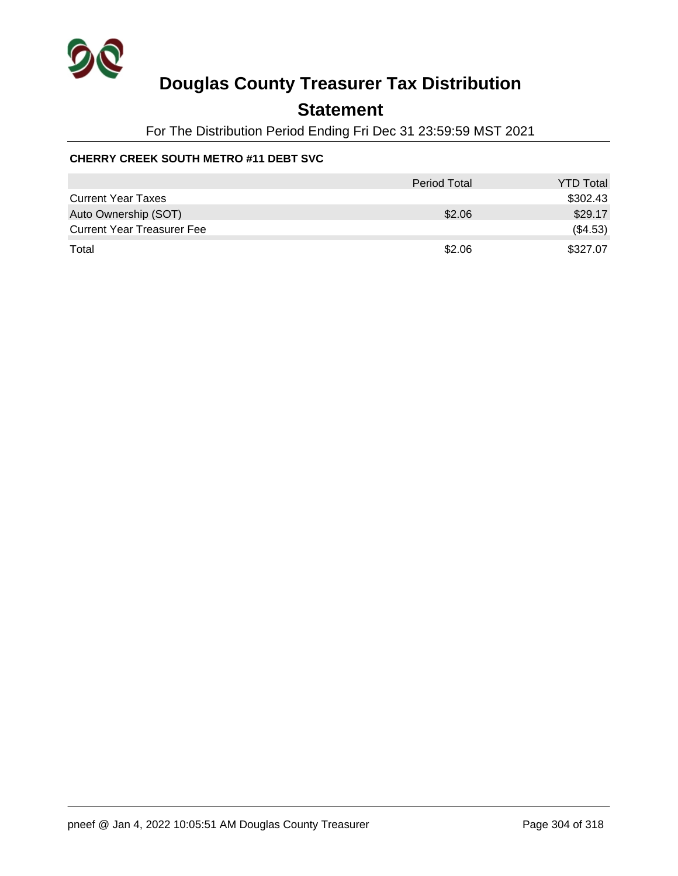

### **Statement**

For The Distribution Period Ending Fri Dec 31 23:59:59 MST 2021

#### **CHERRY CREEK SOUTH METRO #11 DEBT SVC**

|                                   | <b>Period Total</b> | <b>YTD Total</b> |
|-----------------------------------|---------------------|------------------|
| <b>Current Year Taxes</b>         |                     | \$302.43         |
| Auto Ownership (SOT)              | \$2.06              | \$29.17          |
| <b>Current Year Treasurer Fee</b> |                     | (\$4.53)         |
| Total                             | \$2.06              | \$327.07         |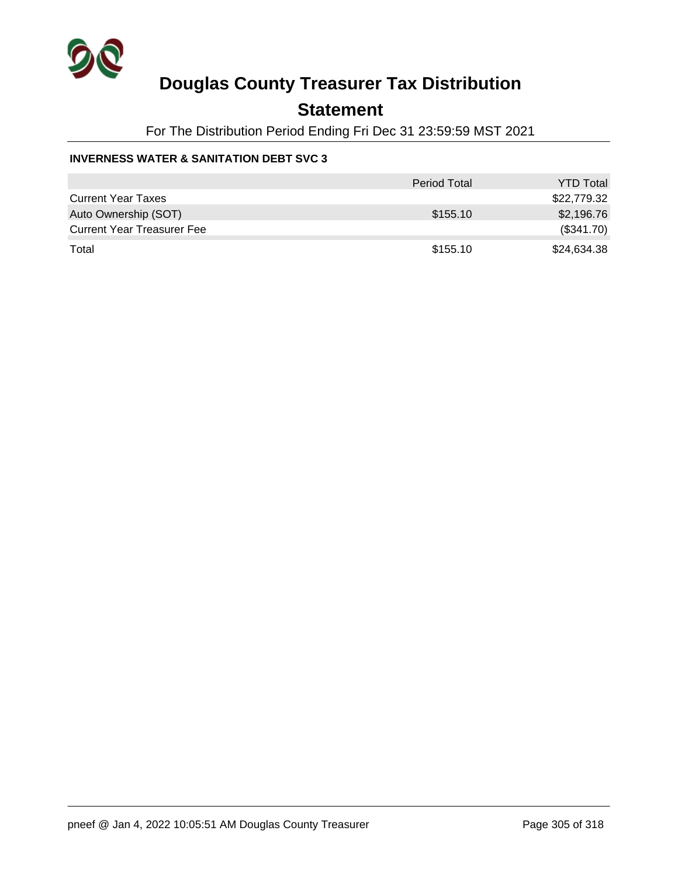

### **Statement**

For The Distribution Period Ending Fri Dec 31 23:59:59 MST 2021

#### **INVERNESS WATER & SANITATION DEBT SVC 3**

|                                   | <b>Period Total</b> | <b>YTD Total</b> |
|-----------------------------------|---------------------|------------------|
| <b>Current Year Taxes</b>         |                     | \$22,779.32      |
| Auto Ownership (SOT)              | \$155.10            | \$2,196.76       |
| <b>Current Year Treasurer Fee</b> |                     | (\$341.70)       |
| Total                             | \$155.10            | \$24,634.38      |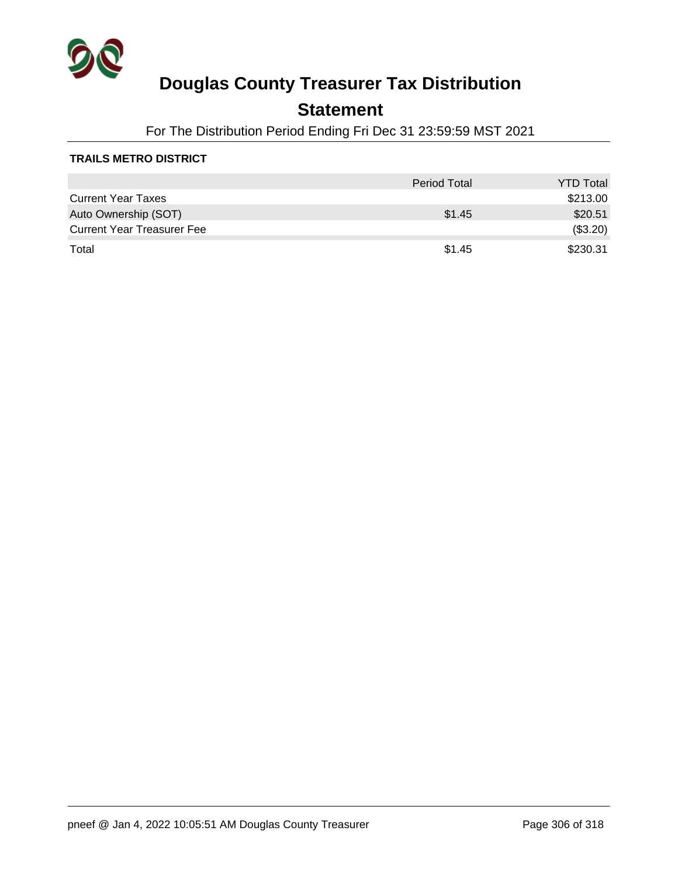

### **Statement**

For The Distribution Period Ending Fri Dec 31 23:59:59 MST 2021

#### **TRAILS METRO DISTRICT**

|                                   | <b>Period Total</b> | <b>YTD Total</b> |
|-----------------------------------|---------------------|------------------|
| <b>Current Year Taxes</b>         |                     | \$213.00         |
| Auto Ownership (SOT)              | \$1.45              | \$20.51          |
| <b>Current Year Treasurer Fee</b> |                     | (\$3.20)         |
| Total                             | \$1.45              | \$230.31         |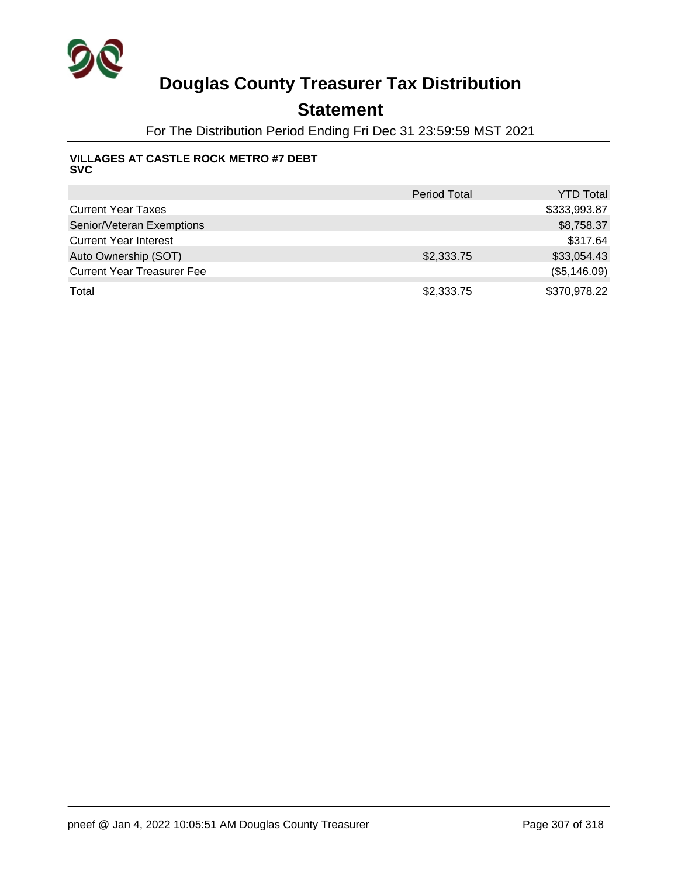

### **Statement**

For The Distribution Period Ending Fri Dec 31 23:59:59 MST 2021

#### **VILLAGES AT CASTLE ROCK METRO #7 DEBT SVC**

|                                   | <b>Period Total</b> | <b>YTD Total</b> |
|-----------------------------------|---------------------|------------------|
| <b>Current Year Taxes</b>         |                     | \$333,993.87     |
| Senior/Veteran Exemptions         |                     | \$8,758.37       |
| <b>Current Year Interest</b>      |                     | \$317.64         |
| Auto Ownership (SOT)              | \$2,333.75          | \$33,054.43      |
| <b>Current Year Treasurer Fee</b> |                     | (\$5,146.09)     |
| Total                             | \$2,333.75          | \$370,978.22     |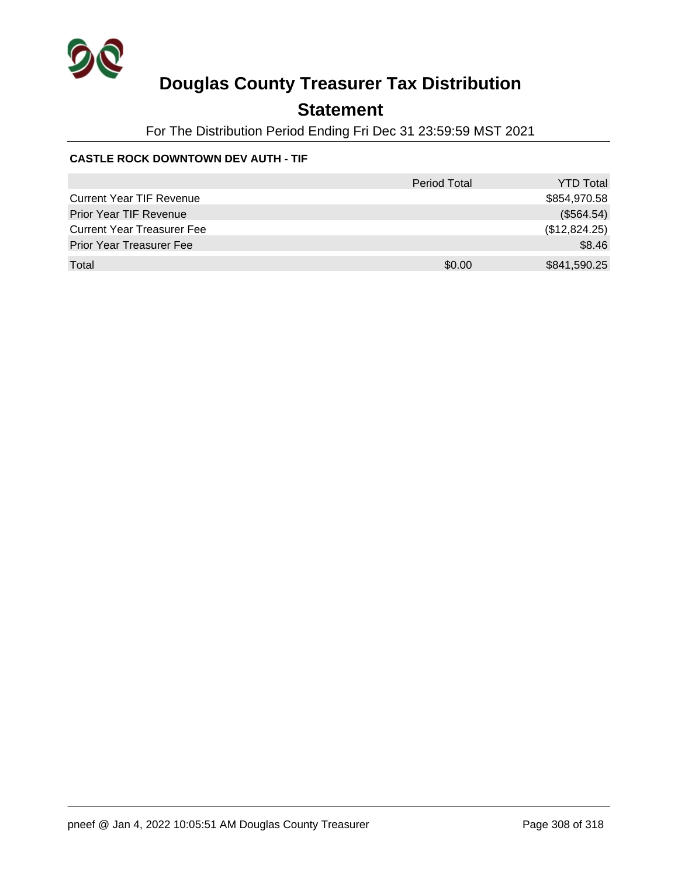

## **Statement**

For The Distribution Period Ending Fri Dec 31 23:59:59 MST 2021

#### **CASTLE ROCK DOWNTOWN DEV AUTH - TIF**

|                                   | <b>Period Total</b> | <b>YTD Total</b> |
|-----------------------------------|---------------------|------------------|
| <b>Current Year TIF Revenue</b>   |                     | \$854,970.58     |
| <b>Prior Year TIF Revenue</b>     |                     | (\$564.54)       |
| <b>Current Year Treasurer Fee</b> |                     | (\$12,824.25)    |
| <b>Prior Year Treasurer Fee</b>   |                     | \$8.46           |
| Total                             | \$0.00              | \$841,590.25     |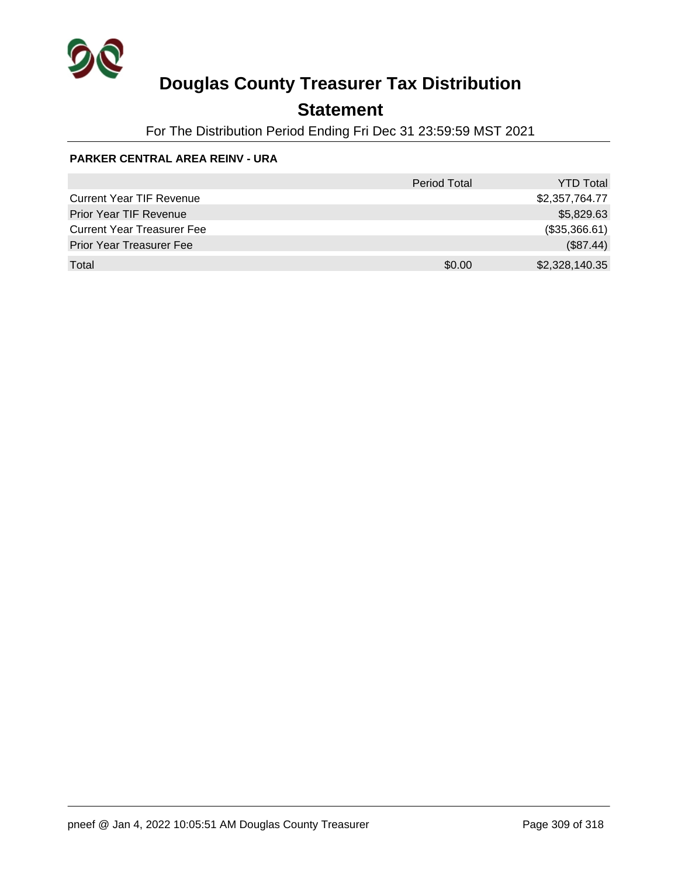

## **Statement**

For The Distribution Period Ending Fri Dec 31 23:59:59 MST 2021

#### **PARKER CENTRAL AREA REINV - URA**

|                                   | <b>Period Total</b> | <b>YTD Total</b> |
|-----------------------------------|---------------------|------------------|
| <b>Current Year TIF Revenue</b>   |                     | \$2,357,764.77   |
| <b>Prior Year TIF Revenue</b>     |                     | \$5,829.63       |
| <b>Current Year Treasurer Fee</b> |                     | (\$35,366.61)    |
| <b>Prior Year Treasurer Fee</b>   |                     | (\$87.44)        |
| Total                             | \$0.00              | \$2,328,140.35   |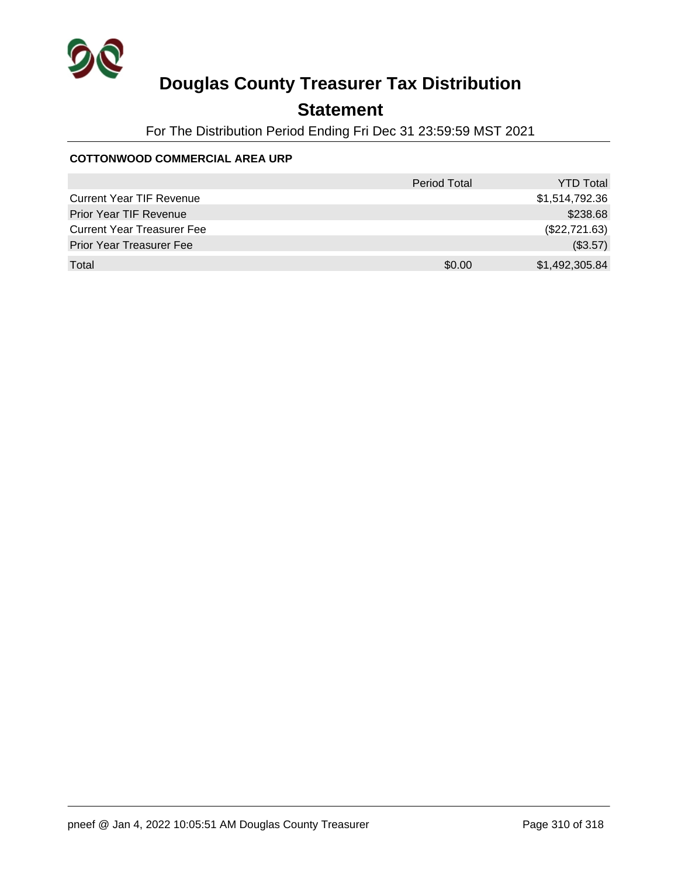

## **Statement**

For The Distribution Period Ending Fri Dec 31 23:59:59 MST 2021

#### **COTTONWOOD COMMERCIAL AREA URP**

|                                   | <b>Period Total</b> | <b>YTD Total</b> |
|-----------------------------------|---------------------|------------------|
| <b>Current Year TIF Revenue</b>   |                     | \$1,514,792.36   |
| Prior Year TIF Revenue            |                     | \$238.68         |
| <b>Current Year Treasurer Fee</b> |                     | (\$22,721.63)    |
| <b>Prior Year Treasurer Fee</b>   |                     | (\$3.57)         |
| Total                             | \$0.00              | \$1,492,305.84   |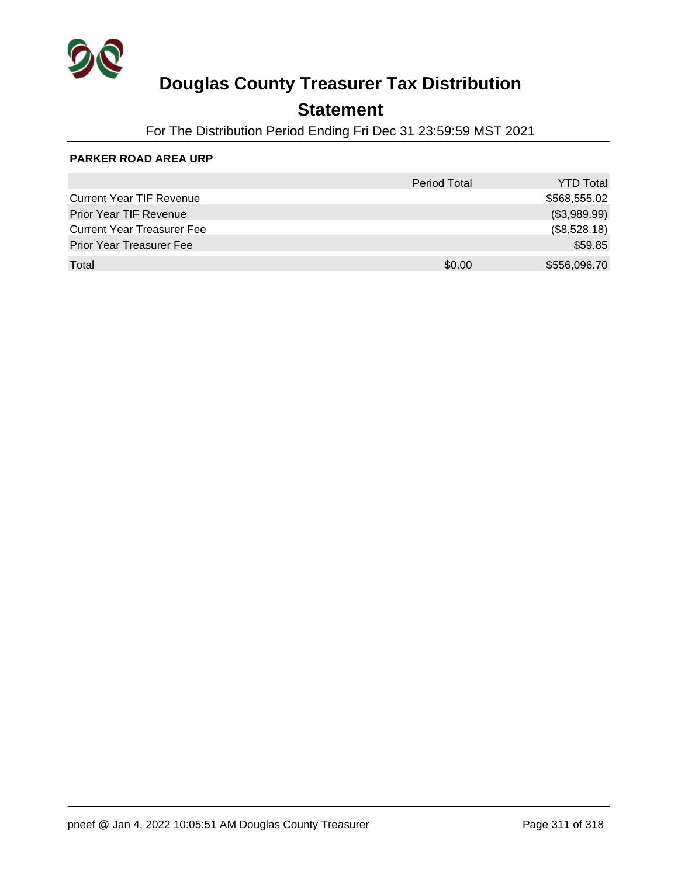

## **Statement**

For The Distribution Period Ending Fri Dec 31 23:59:59 MST 2021

#### **PARKER ROAD AREA URP**

|                                   | Period Total | <b>YTD Total</b> |
|-----------------------------------|--------------|------------------|
| <b>Current Year TIF Revenue</b>   |              | \$568,555.02     |
| Prior Year TIF Revenue            |              | (\$3,989.99)     |
| <b>Current Year Treasurer Fee</b> |              | (\$8,528.18)     |
| <b>Prior Year Treasurer Fee</b>   |              | \$59.85          |
| Total                             | \$0.00       | \$556,096.70     |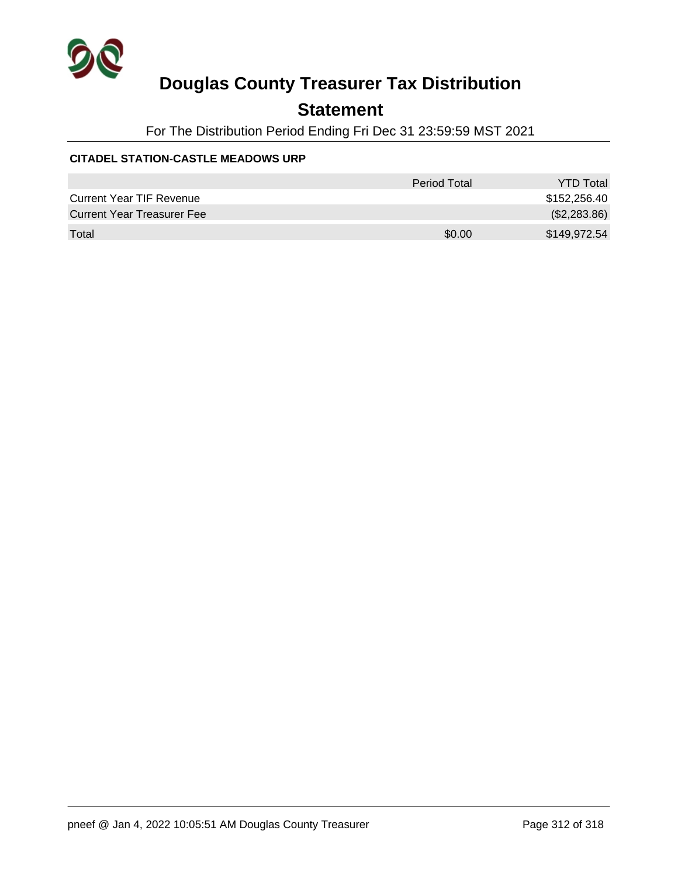

## **Statement**

For The Distribution Period Ending Fri Dec 31 23:59:59 MST 2021

#### **CITADEL STATION-CASTLE MEADOWS URP**

|                                   | Period Total | <b>YTD Total</b> |
|-----------------------------------|--------------|------------------|
| <b>Current Year TIF Revenue</b>   |              | \$152,256.40     |
| <b>Current Year Treasurer Fee</b> |              | (\$2,283.86)     |
| Total                             | \$0.00       | \$149,972.54     |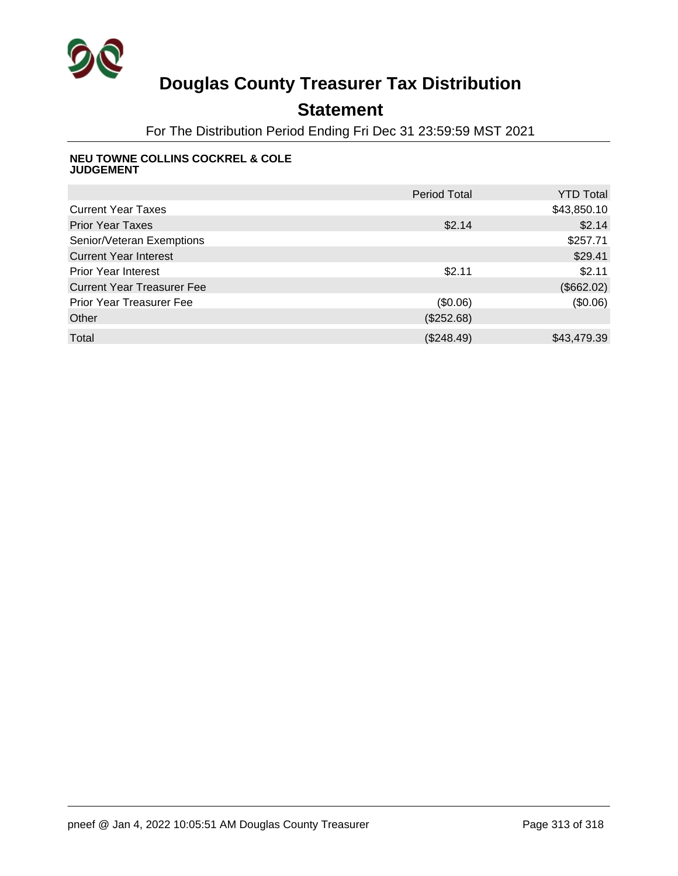

## **Statement**

For The Distribution Period Ending Fri Dec 31 23:59:59 MST 2021

#### **NEU TOWNE COLLINS COCKREL & COLE JUDGEMENT**

|                                   | <b>Period Total</b> | <b>YTD Total</b> |
|-----------------------------------|---------------------|------------------|
| <b>Current Year Taxes</b>         |                     | \$43,850.10      |
| <b>Prior Year Taxes</b>           | \$2.14              | \$2.14           |
| Senior/Veteran Exemptions         |                     | \$257.71         |
| <b>Current Year Interest</b>      |                     | \$29.41          |
| <b>Prior Year Interest</b>        | \$2.11              | \$2.11           |
| <b>Current Year Treasurer Fee</b> |                     | (\$662.02)       |
| <b>Prior Year Treasurer Fee</b>   | (\$0.06)            | (30.06)          |
| Other                             | (\$252.68)          |                  |
| Total                             | (\$248.49)          | \$43,479.39      |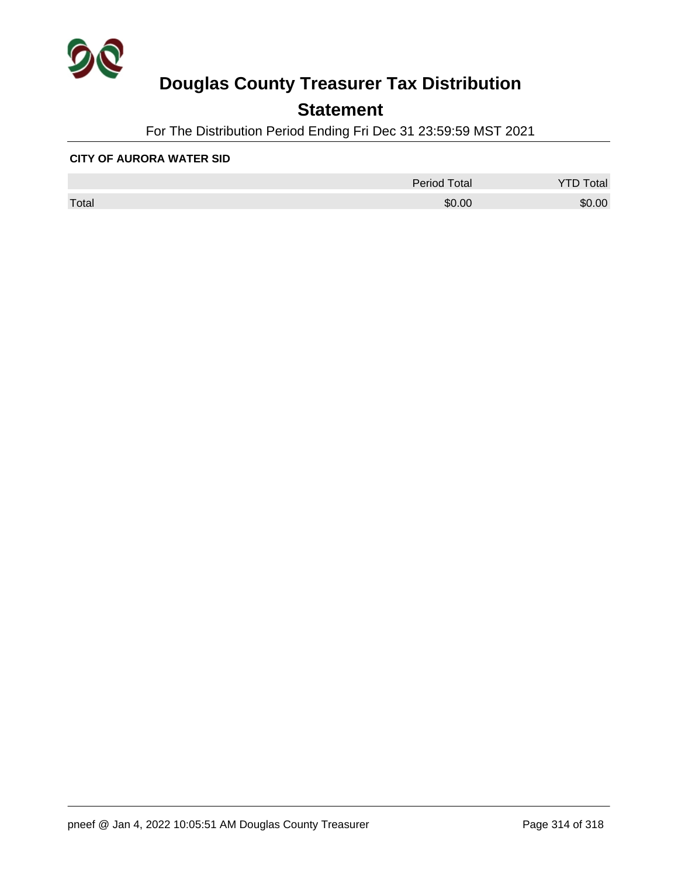

## **Statement**

For The Distribution Period Ending Fri Dec 31 23:59:59 MST 2021

#### **CITY OF AURORA WATER SID**

|       | <b>Period Total</b> | otal   |
|-------|---------------------|--------|
| Total | \$0.00              | \$0.00 |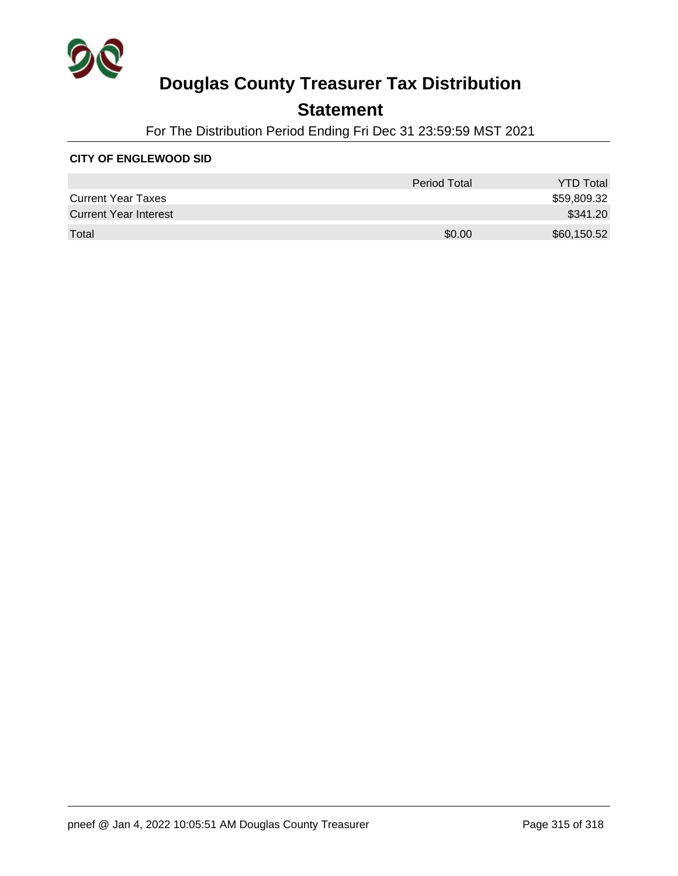

### **Statement**

For The Distribution Period Ending Fri Dec 31 23:59:59 MST 2021

#### **CITY OF ENGLEWOOD SID**

|                              | Period Total | <b>YTD Total</b> |
|------------------------------|--------------|------------------|
| <b>Current Year Taxes</b>    |              | \$59,809.32      |
| <b>Current Year Interest</b> |              | \$341.20         |
| Total                        | \$0.00       | \$60,150.52      |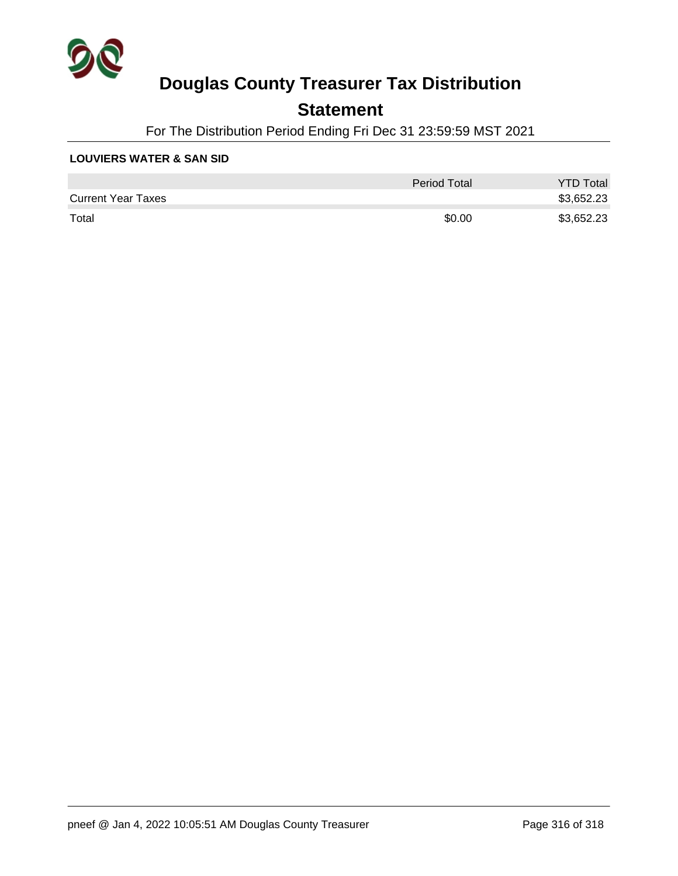

### **Statement**

For The Distribution Period Ending Fri Dec 31 23:59:59 MST 2021

#### **LOUVIERS WATER & SAN SID**

|                           | Period Total | <b>YTD Total</b> |
|---------------------------|--------------|------------------|
| <b>Current Year Taxes</b> |              | \$3,652.23       |
| Total                     | \$0.00       | \$3,652.23       |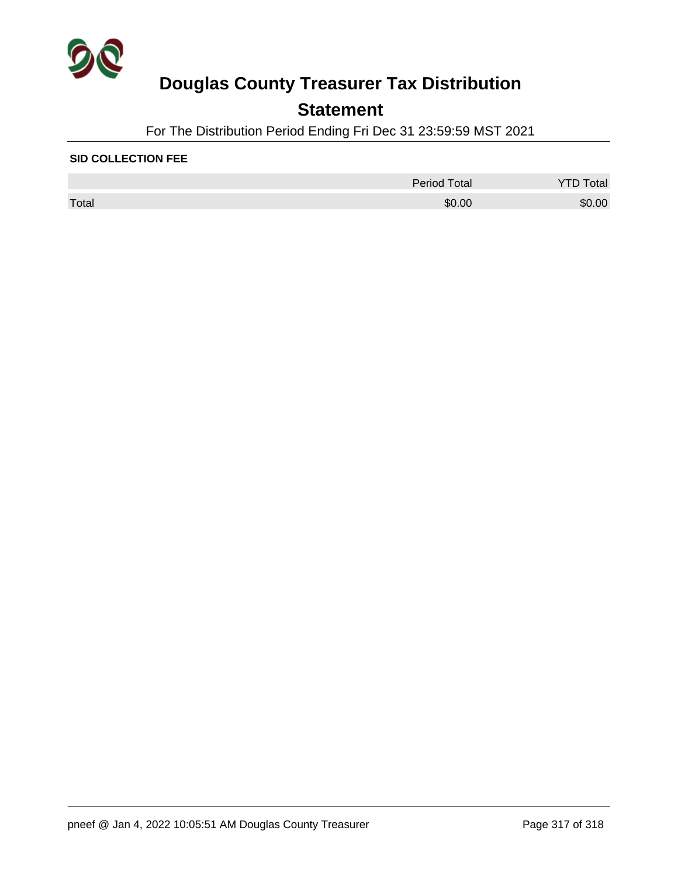

### **Statement**

For The Distribution Period Ending Fri Dec 31 23:59:59 MST 2021

#### **SID COLLECTION FEE**

|       | Period Total | Total  |
|-------|--------------|--------|
| Total | \$0.00       | \$0.00 |